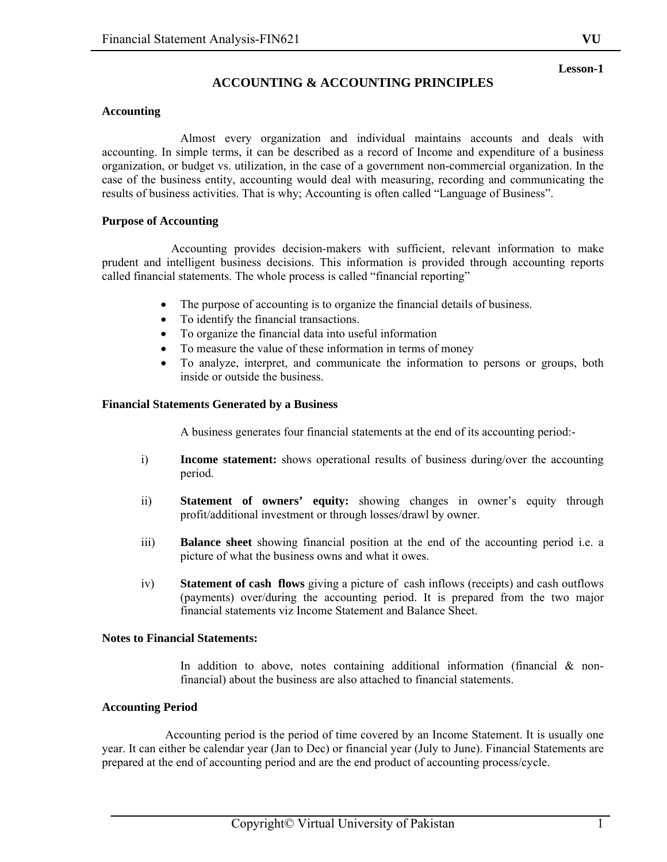## **Lesson-1**

# **ACCOUNTING & ACCOUNTING PRINCIPLES**

## **Accounting**

j

 Almost every organization and individual maintains accounts and deals with accounting. In simple terms, it can be described as a record of Income and expenditure of a business organization, or budget vs. utilization, in the case of a government non-commercial organization. In the case of the business entity, accounting would deal with measuring, recording and communicating the results of business activities. That is why; Accounting is often called "Language of Business".

## **Purpose of Accounting**

 Accounting provides decision-makers with sufficient, relevant information to make prudent and intelligent business decisions. This information is provided through accounting reports called financial statements. The whole process is called "financial reporting"

- The purpose of accounting is to organize the financial details of business.
- To identify the financial transactions.
- To organize the financial data into useful information
- To measure the value of these information in terms of money
- To analyze, interpret, and communicate the information to persons or groups, both inside or outside the business.

## **Financial Statements Generated by a Business**

A business generates four financial statements at the end of its accounting period:-

- i) **Income statement:** shows operational results of business during/over the accounting period.
- ii) **Statement of owners' equity:** showing changes in owner's equity through profit/additional investment or through losses/drawl by owner.
- iii) **Balance sheet** showing financial position at the end of the accounting period i.e. a picture of what the business owns and what it owes.
- iv) **Statement of cash flows** giving a picture of cash inflows (receipts) and cash outflows (payments) over/during the accounting period. It is prepared from the two major financial statements viz Income Statement and Balance Sheet.

#### **Notes to Financial Statements:**

In addition to above, notes containing additional information (financial  $\&$  nonfinancial) about the business are also attached to financial statements.

#### **Accounting Period**

 Accounting period is the period of time covered by an Income Statement. It is usually one year. It can either be calendar year (Jan to Dec) or financial year (July to June). Financial Statements are prepared at the end of accounting period and are the end product of accounting process/cycle.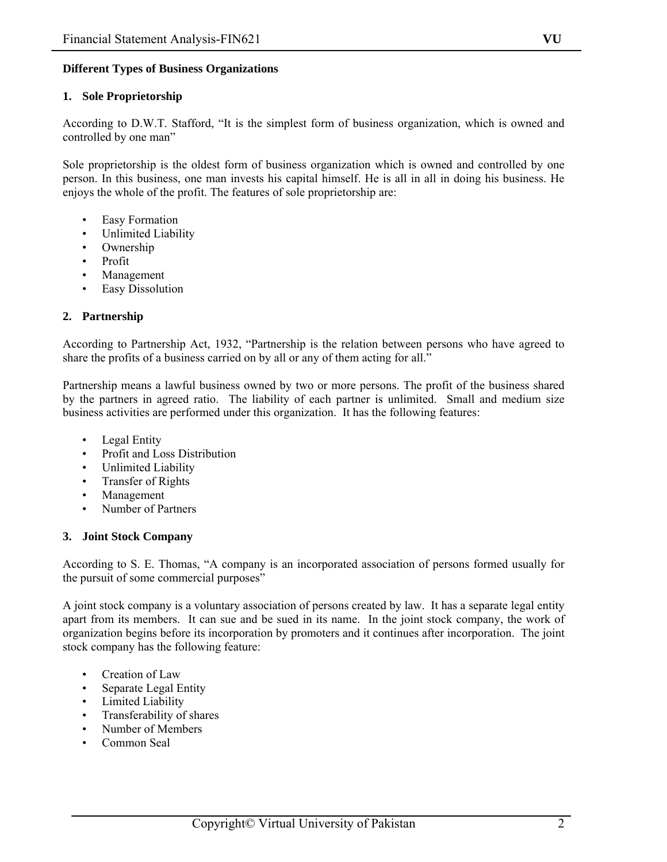## **1. Sole Proprietorship**

According to D.W.T. Stafford, "It is the simplest form of business organization, which is owned and controlled by one man"

Sole proprietorship is the oldest form of business organization which is owned and controlled by one person. In this business, one man invests his capital himself. He is all in all in doing his business. He enjoys the whole of the profit. The features of sole proprietorship are:

- Easy Formation
- Unlimited Liability
- Ownership
- Profit
- Management
- Easy Dissolution

## **2. Partnership**

According to Partnership Act, 1932, "Partnership is the relation between persons who have agreed to share the profits of a business carried on by all or any of them acting for all."

Partnership means a lawful business owned by two or more persons. The profit of the business shared by the partners in agreed ratio. The liability of each partner is unlimited. Small and medium size business activities are performed under this organization. It has the following features:

- Legal Entity
- Profit and Loss Distribution
- Unlimited Liability
- Transfer of Rights
- Management
- Number of Partners

#### **3. Joint Stock Company**

According to S. E. Thomas, "A company is an incorporated association of persons formed usually for the pursuit of some commercial purposes"

A joint stock company is a voluntary association of persons created by law. It has a separate legal entity apart from its members. It can sue and be sued in its name. In the joint stock company, the work of organization begins before its incorporation by promoters and it continues after incorporation. The joint stock company has the following feature:

- Creation of Law
- Separate Legal Entity
- Limited Liability
- Transferability of shares
- Number of Members
- Common Seal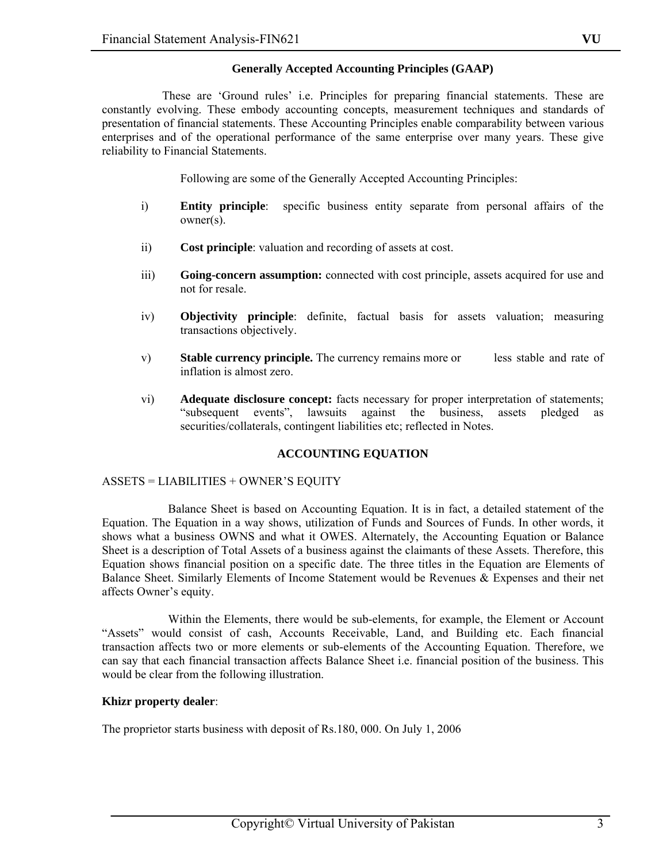## **Generally Accepted Accounting Principles (GAAP)**

 These are 'Ground rules' i.e. Principles for preparing financial statements. These are constantly evolving. These embody accounting concepts, measurement techniques and standards of presentation of financial statements. These Accounting Principles enable comparability between various enterprises and of the operational performance of the same enterprise over many years. These give reliability to Financial Statements.

Following are some of the Generally Accepted Accounting Principles:

- i) **Entity principle**: specific business entity separate from personal affairs of the owner(s).
- ii) **Cost principle**: valuation and recording of assets at cost.
- iii) **Going-concern assumption:** connected with cost principle, assets acquired for use and not for resale.
- iv) **Objectivity principle**: definite, factual basis for assets valuation; measuring transactions objectively.
- v) **Stable currency principle.** The currency remains more or less stable and rate of inflation is almost zero.
- vi) **Adequate disclosure concept:** facts necessary for proper interpretation of statements; "subsequent events", lawsuits against the business, assets pledged as securities/collaterals, contingent liabilities etc; reflected in Notes.

## **ACCOUNTING EQUATION**

#### ASSETS = LIABILITIES + OWNER'S EQUITY

 Balance Sheet is based on Accounting Equation. It is in fact, a detailed statement of the Equation. The Equation in a way shows, utilization of Funds and Sources of Funds. In other words, it shows what a business OWNS and what it OWES. Alternately, the Accounting Equation or Balance Sheet is a description of Total Assets of a business against the claimants of these Assets. Therefore, this Equation shows financial position on a specific date. The three titles in the Equation are Elements of Balance Sheet. Similarly Elements of Income Statement would be Revenues & Expenses and their net affects Owner's equity.

 Within the Elements, there would be sub-elements, for example, the Element or Account "Assets" would consist of cash, Accounts Receivable, Land, and Building etc. Each financial transaction affects two or more elements or sub-elements of the Accounting Equation. Therefore, we can say that each financial transaction affects Balance Sheet i.e. financial position of the business. This would be clear from the following illustration.

#### **Khizr property dealer**:

The proprietor starts business with deposit of Rs.180, 000. On July 1, 2006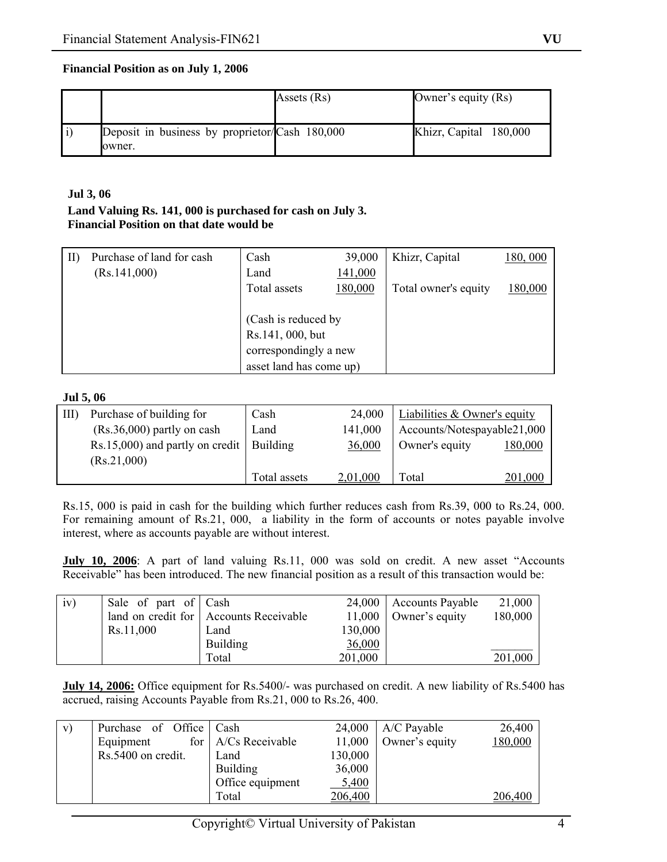## **Financial Position as on July 1, 2006**

|                                                          | Assets $(Rs)$ | Owner's equity (Rs)    |
|----------------------------------------------------------|---------------|------------------------|
| Deposit in business by proprietor/Cash 180,000<br>owner. |               | Khizr, Capital 180,000 |

## **Jul 3, 06**

j

## **Land Valuing Rs. 141, 000 is purchased for cash on July 3. Financial Position on that date would be**

| $\prod$ | Purchase of land for cash | Cash                    | 39,000  | Khizr, Capital       | 180,000 |
|---------|---------------------------|-------------------------|---------|----------------------|---------|
|         | (Rs.141,000)              | Land                    | 141,000 |                      |         |
|         |                           | Total assets            | 180,000 | Total owner's equity | 180,000 |
|         |                           |                         |         |                      |         |
|         |                           | (Cash is reduced by)    |         |                      |         |
|         |                           | Rs.141, 000, but        |         |                      |         |
|         |                           | correspondingly a new   |         |                      |         |
|         |                           | asset land has come up) |         |                      |         |

## **Jul 5, 06**

| $III$ ) | Purchase of building for<br>$(Rs.36,000)$ partly on cash | Cash<br>Land | 24,000<br>141,000 | Liabilities & Owner's equity<br>Accounts/Notespayable21,000 |         |
|---------|----------------------------------------------------------|--------------|-------------------|-------------------------------------------------------------|---------|
|         | Rs.15,000) and partly on credit $\vert$ Building         |              | 36,000            | Owner's equity                                              | 180,000 |
|         | (Rs.21,000)                                              |              |                   |                                                             |         |
|         |                                                          | Total assets | 2,01,000          | Total                                                       | 201,000 |

Rs.15, 000 is paid in cash for the building which further reduces cash from Rs.39, 000 to Rs.24, 000. For remaining amount of Rs.21, 000, a liability in the form of accounts or notes payable involve interest, where as accounts payable are without interest.

**July 10, 2006**: A part of land valuing Rs.11, 000 was sold on credit. A new asset "Accounts Receivable" has been introduced. The new financial position as a result of this transaction would be:

| iv) | Sale of part of Cash |                                          |         | 24,000   Accounts Payable | 21,000  |
|-----|----------------------|------------------------------------------|---------|---------------------------|---------|
|     |                      | land on credit for   Accounts Receivable |         | $11,000$   Owner's equity | 180,000 |
|     | Rs.11,000            | Land                                     | 130,000 |                           |         |
|     |                      | <b>Building</b>                          | 36,000  |                           |         |
|     |                      | Total                                    | 201,000 |                           | 201,000 |

**July 14, 2006:** Office equipment for Rs.5400/- was purchased on credit. A new liability of Rs.5400 has accrued, raising Accounts Payable from Rs.21, 000 to Rs.26, 400.

| V) | Purchase of Office   Cash |                             |         | 24,000   A/C Payable | 26,400  |
|----|---------------------------|-----------------------------|---------|----------------------|---------|
|    | Equipment                 | for $\vert$ A/Cs Receivable | 11,000  | Owner's equity       | 180,000 |
|    | Rs.5400 on credit.        | Land                        | 130,000 |                      |         |
|    |                           | <b>Building</b>             | 36,000  |                      |         |
|    |                           | Office equipment            | 5,400   |                      |         |
|    |                           | Total                       | 206,400 |                      | 206,400 |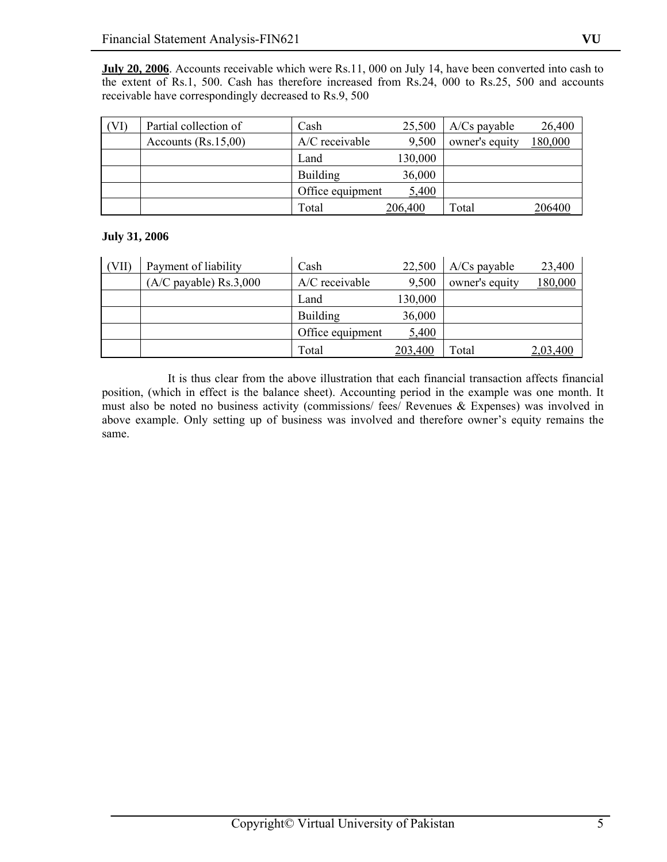**July 20, 2006**. Accounts receivable which were Rs.11, 000 on July 14, have been converted into cash to the extent of Rs.1, 500. Cash has therefore increased from Rs.24, 000 to Rs.25, 500 and accounts receivable have correspondingly decreased to Rs.9, 500

| (VI) | Partial collection of | Cash             | 25,500  | $A/Cs$ payable | 26,400  |
|------|-----------------------|------------------|---------|----------------|---------|
|      | Accounts $(Rs.15,00)$ | A/C receivable   | 9,500   | owner's equity | 180,000 |
|      |                       | Land             | 130,000 |                |         |
|      |                       | <b>Building</b>  | 36,000  |                |         |
|      |                       | Office equipment | 5,400   |                |         |
|      |                       | Total            | 206,400 | Total          | 206400  |

## **July 31, 2006**

j

| (VII | Payment of liability     | Cash             | 22,500  | $A/Cs$ payable | 23,400         |
|------|--------------------------|------------------|---------|----------------|----------------|
|      | $(A/C$ payable) Rs.3,000 | A/C receivable   | 9,500   | owner's equity | <u>180,000</u> |
|      |                          | Land             | 130,000 |                |                |
|      |                          | <b>Building</b>  | 36,000  |                |                |
|      |                          | Office equipment | 5,400   |                |                |
|      |                          | Total            | 203,400 | Гоtal          | 2,03,400       |

 It is thus clear from the above illustration that each financial transaction affects financial position, (which in effect is the balance sheet). Accounting period in the example was one month. It must also be noted no business activity (commissions/ fees/ Revenues & Expenses) was involved in above example. Only setting up of business was involved and therefore owner's equity remains the same.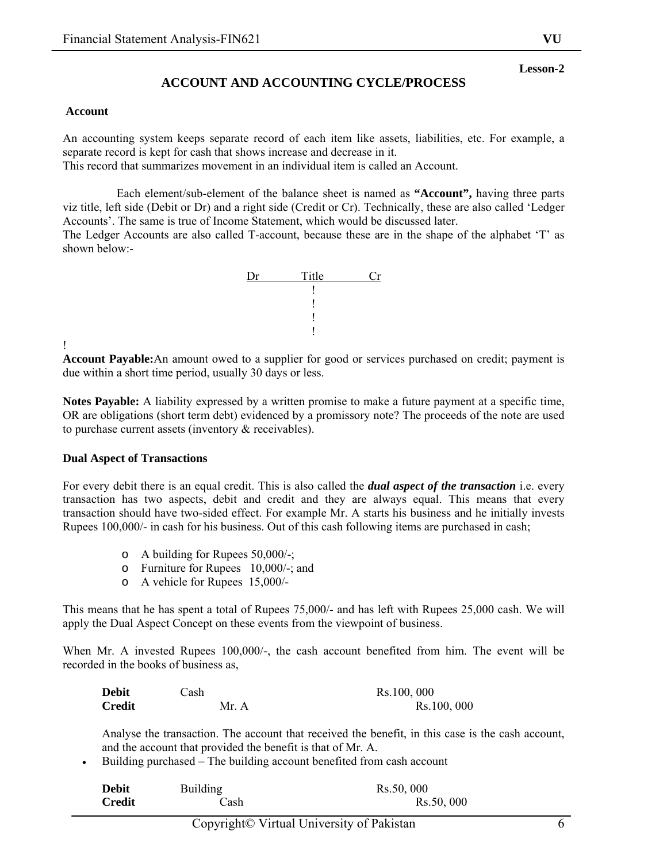## **Lesson-2**

# **ACCOUNT AND ACCOUNTING CYCLE/PROCESS**

## **Account**

j

An accounting system keeps separate record of each item like assets, liabilities, etc. For example, a separate record is kept for cash that shows increase and decrease in it. This record that summarizes movement in an individual item is called an Account.

 Each element/sub-element of the balance sheet is named as **"Account",** having three parts viz title, left side (Debit or Dr) and a right side (Credit or Cr). Technically, these are also called 'Ledger Accounts'. The same is true of Income Statement, which would be discussed later.

The Ledger Accounts are also called T-account, because these are in the shape of the alphabet 'T' as shown below:-



!

**Account Payable:**An amount owed to a supplier for good or services purchased on credit; payment is due within a short time period, usually 30 days or less.

**Notes Payable:** A liability expressed by a written promise to make a future payment at a specific time, OR are obligations (short term debt) evidenced by a promissory note? The proceeds of the note are used to purchase current assets (inventory & receivables).

## **Dual Aspect of Transactions**

For every debit there is an equal credit. This is also called the *dual aspect of the transaction* i.e. every transaction has two aspects, debit and credit and they are always equal. This means that every transaction should have two-sided effect. For example Mr. A starts his business and he initially invests Rupees 100,000/- in cash for his business. Out of this cash following items are purchased in cash;

- o A building for Rupees 50,000/-;
- o Furniture for Rupees 10,000/-; and
- o A vehicle for Rupees 15,000/-

This means that he has spent a total of Rupees 75,000/- and has left with Rupees 25,000 cash. We will apply the Dual Aspect Concept on these events from the viewpoint of business.

When Mr. A invested Rupees 100,000/-, the cash account benefited from him. The event will be recorded in the books of business as,

| Debit         | Cash  | Rs.100, 000 |
|---------------|-------|-------------|
| <b>Credit</b> | Mr. A | Rs.100, 000 |

Analyse the transaction. The account that received the benefit, in this case is the cash account, and the account that provided the benefit is that of Mr. A.

• Building purchased – The building account benefited from cash account

| <b>Debit</b>  | <b>Building</b> | Rs.50,000 |
|---------------|-----------------|-----------|
| <b>Credit</b> | Cash            | Rs.50,000 |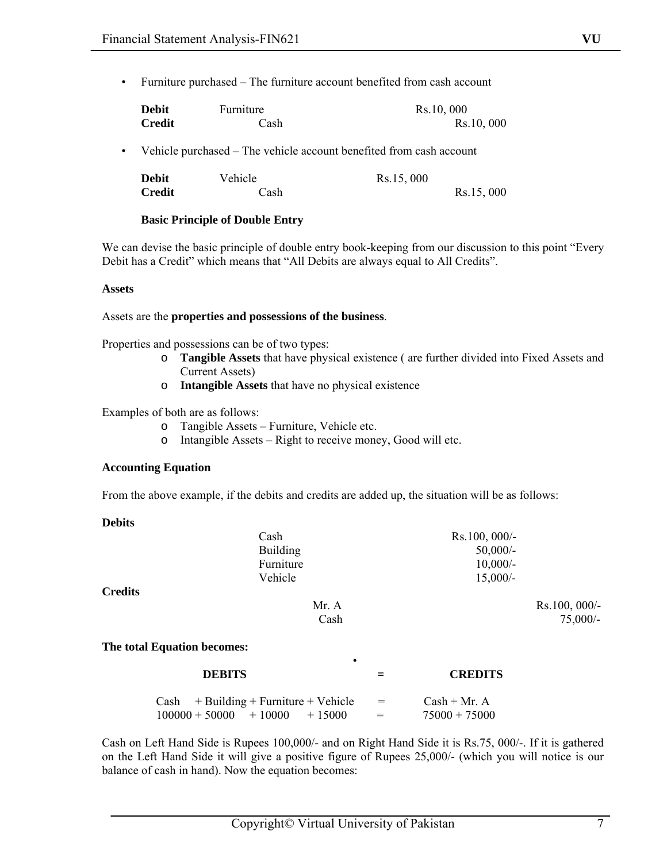• Furniture purchased – The furniture account benefited from cash account

| Debit         | Furniture | Rs.10,000  |
|---------------|-----------|------------|
| <b>Credit</b> | Cash      | Rs.10, 000 |

• Vehicle purchased – The vehicle account benefited from cash account

| <b>Debit</b>  | Vehicle | Rs.15,000 |           |
|---------------|---------|-----------|-----------|
| <b>Credit</b> | Cash    |           | Rs.15,000 |

#### **Basic Principle of Double Entry**

We can devise the basic principle of double entry book-keeping from our discussion to this point "Every Debit has a Credit" which means that "All Debits are always equal to All Credits".

#### **Assets**

j

Assets are the **properties and possessions of the business**.

Properties and possessions can be of two types:

- o **Tangible Assets** that have physical existence ( are further divided into Fixed Assets and Current Assets)
- o **Intangible Assets** that have no physical existence

Examples of both are as follows:

- o Tangible Assets Furniture, Vehicle etc.
- o Intangible Assets Right to receive money, Good will etc.

#### **Accounting Equation**

From the above example, if the debits and credits are added up, the situation will be as follows:

**Debits**

|                             | Cash                                   |     | Rs.100, 000/-   |                 |
|-----------------------------|----------------------------------------|-----|-----------------|-----------------|
|                             | <b>Building</b>                        |     | $50,000/-$      |                 |
|                             | Furniture                              |     | $10,000/-$      |                 |
|                             | Vehicle                                |     | $15,000/-$      |                 |
| <b>Credits</b>              |                                        |     |                 |                 |
|                             | Mr. A                                  |     |                 | $Rs.100, 000/-$ |
|                             | Cash                                   |     |                 | $75,000/$ -     |
| The total Equation becomes: |                                        |     |                 |                 |
| <b>DEBITS</b>               | ٠                                      |     | <b>CREDITS</b>  |                 |
| Cash                        | $+$ Building $+$ Furniture $+$ Vehicle | $=$ | $Cash + Mr. A$  |                 |
| $100000 + 50000$            | $+10000$<br>$+15000$                   | $=$ | $75000 + 75000$ |                 |
|                             |                                        |     |                 |                 |

Cash on Left Hand Side is Rupees 100,000/- and on Right Hand Side it is Rs.75, 000/-. If it is gathered on the Left Hand Side it will give a positive figure of Rupees 25,000/- (which you will notice is our balance of cash in hand). Now the equation becomes: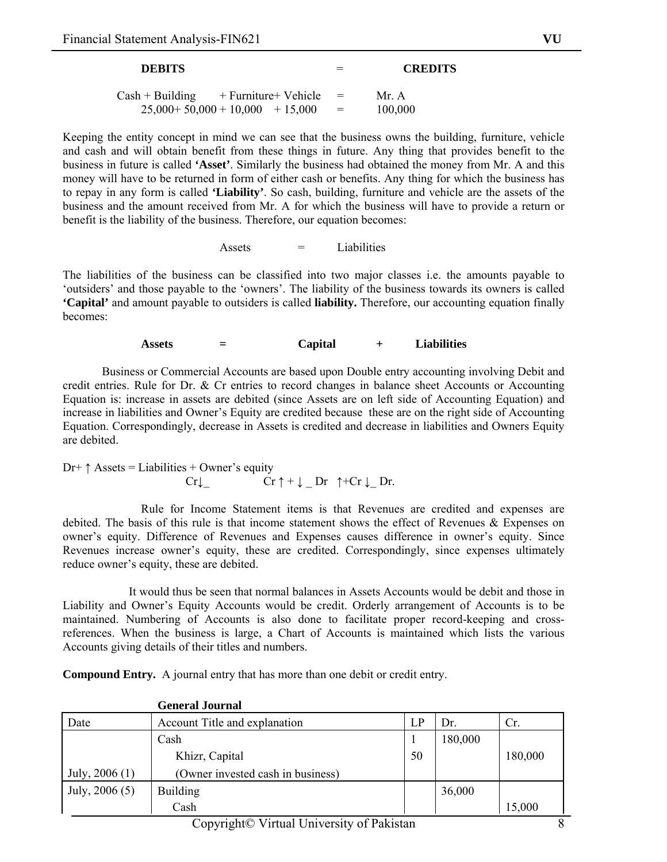| <b>DEBITS</b>                               | $=$                       | <b>CREDITS</b> |
|---------------------------------------------|---------------------------|----------------|
| $Cash + Building + Furthermore + Vehicle =$ |                           | Mr A           |
| $25,000+50,000+10,000 + 15,000$             | $\mathbf{r} = \mathbf{r}$ | 100,000        |

Keeping the entity concept in mind we can see that the business owns the building, furniture, vehicle and cash and will obtain benefit from these things in future. Any thing that provides benefit to the business in future is called **'Asset'**. Similarly the business had obtained the money from Mr. A and this money will have to be returned in form of either cash or benefits. Any thing for which the business has to repay in any form is called **'Liability'**. So cash, building, furniture and vehicle are the assets of the business and the amount received from Mr. A for which the business will have to provide a return or benefit is the liability of the business. Therefore, our equation becomes:

Assets = Liabilities

The liabilities of the business can be classified into two major classes i.e. the amounts payable to 'outsiders' and those payable to the 'owners'. The liability of the business towards its owners is called **'Capital'** and amount payable to outsiders is called **liability.** Therefore, our accounting equation finally becomes:

**Assets = Capital + Liabilities** 

 Business or Commercial Accounts are based upon Double entry accounting involving Debit and credit entries. Rule for Dr. & Cr entries to record changes in balance sheet Accounts or Accounting Equation is: increase in assets are debited (since Assets are on left side of Accounting Equation) and increase in liabilities and Owner's Equity are credited because these are on the right side of Accounting Equation. Correspondingly, decrease in Assets is credited and decrease in liabilities and Owners Equity are debited.

Dr+ 
$$
\uparrow
$$
 Assets = Liabilities + Owner's equity  
Cr $\downarrow$  Cr $\uparrow$  +  $\downarrow$  Dr  $\uparrow$ +Cr $\downarrow$  Dr.

 Rule for Income Statement items is that Revenues are credited and expenses are debited. The basis of this rule is that income statement shows the effect of Revenues & Expenses on owner's equity. Difference of Revenues and Expenses causes difference in owner's equity. Since Revenues increase owner's equity, these are credited. Correspondingly, since expenses ultimately reduce owner's equity, these are debited.

 It would thus be seen that normal balances in Assets Accounts would be debit and those in Liability and Owner's Equity Accounts would be credit. Orderly arrangement of Accounts is to be maintained. Numbering of Accounts is also done to facilitate proper record-keeping and crossreferences. When the business is large, a Chart of Accounts is maintained which lists the various Accounts giving details of their titles and numbers.

**Compound Entry.** A journal entry that has more than one debit or credit entry.

**General Journal** 

|                 | General Journal                   |    |         |         |
|-----------------|-----------------------------------|----|---------|---------|
| Date            | Account Title and explanation     | LP | Dr.     | Cr.     |
|                 | Cash                              |    | 180,000 |         |
|                 | Khizr, Capital                    | 50 |         | 180,000 |
| July, $2006(1)$ | (Owner invested cash in business) |    |         |         |
| July, $2006(5)$ | <b>Building</b>                   |    | 36,000  |         |
|                 | Cash                              |    |         | 15,000  |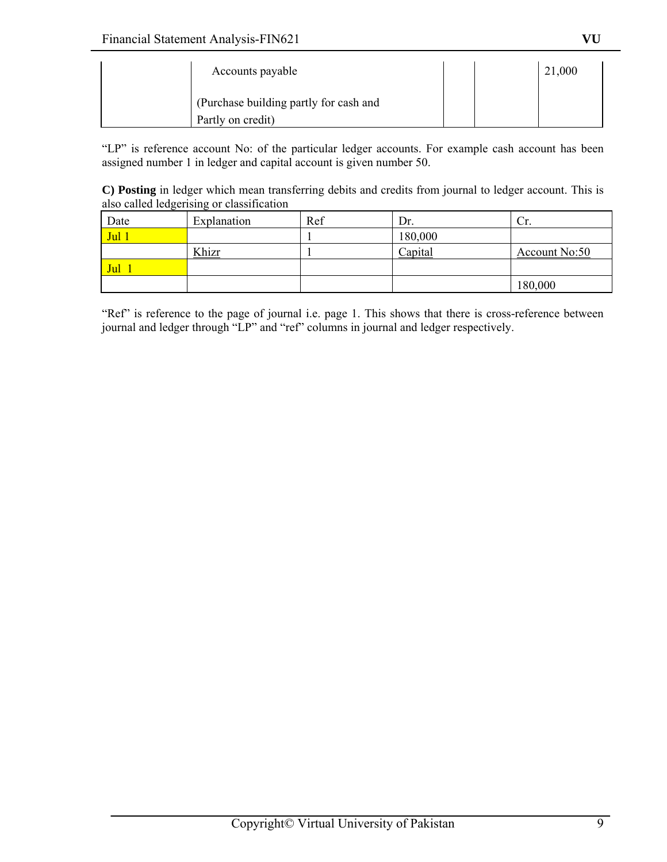| Accounts payable                       |  | 21,000 |  |
|----------------------------------------|--|--------|--|
| (Purchase building partly for cash and |  |        |  |
| Partly on credit)                      |  |        |  |

"LP" is reference account No: of the particular ledger accounts. For example cash account has been assigned number 1 in ledger and capital account is given number 50.

| C) Posting in ledger which mean transferring debits and credits from journal to ledger account. This is |  |  |  |  |  |
|---------------------------------------------------------------------------------------------------------|--|--|--|--|--|
| also called ledgerising or classification                                                               |  |  |  |  |  |

| ັ<br>Date | Explanation | Ref | Dr.     | Cr.           |
|-----------|-------------|-----|---------|---------------|
| Jul 1     |             |     | 180,000 |               |
|           | Khizr       |     | Capital | Account No:50 |
| Jul       |             |     |         |               |
|           |             |     |         | 180,000       |

"Ref" is reference to the page of journal i.e. page 1. This shows that there is cross-reference between journal and ledger through "LP" and "ref" columns in journal and ledger respectively.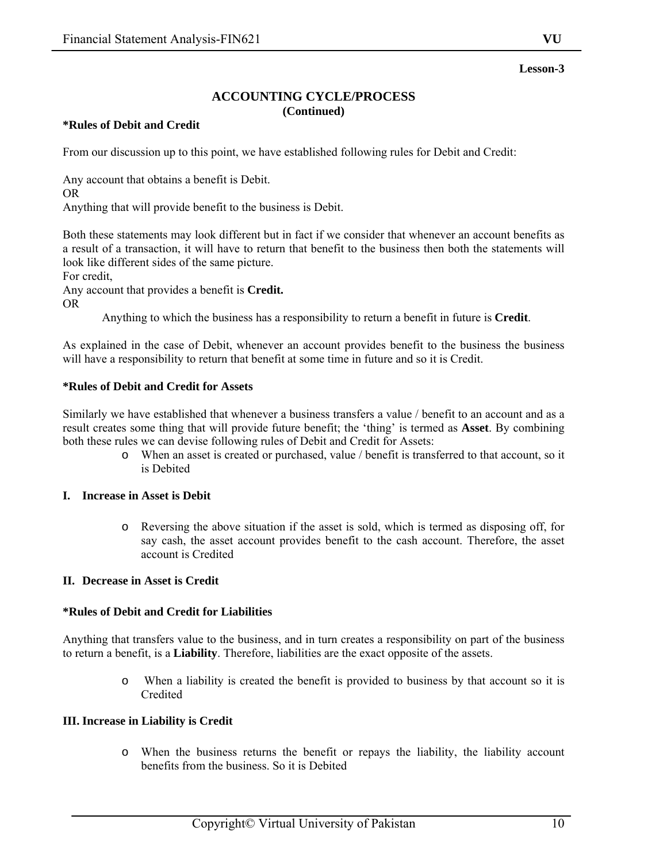## **Lesson-3**

## **ACCOUNTING CYCLE/PROCESS (Continued)**

## **\*Rules of Debit and Credit**

From our discussion up to this point, we have established following rules for Debit and Credit:

Any account that obtains a benefit is Debit.

OR

j

Anything that will provide benefit to the business is Debit.

Both these statements may look different but in fact if we consider that whenever an account benefits as a result of a transaction, it will have to return that benefit to the business then both the statements will look like different sides of the same picture.

For credit,

Any account that provides a benefit is **Credit.**

OR

Anything to which the business has a responsibility to return a benefit in future is **Credit**.

As explained in the case of Debit, whenever an account provides benefit to the business the business will have a responsibility to return that benefit at some time in future and so it is Credit.

## **\*Rules of Debit and Credit for Assets**

Similarly we have established that whenever a business transfers a value / benefit to an account and as a result creates some thing that will provide future benefit; the 'thing' is termed as **Asset**. By combining both these rules we can devise following rules of Debit and Credit for Assets:

o When an asset is created or purchased, value / benefit is transferred to that account, so it is Debited

#### **I. Increase in Asset is Debit**

o Reversing the above situation if the asset is sold, which is termed as disposing off, for say cash, the asset account provides benefit to the cash account. Therefore, the asset account is Credited

## **II. Decrease in Asset is Credit**

#### **\*Rules of Debit and Credit for Liabilities**

Anything that transfers value to the business, and in turn creates a responsibility on part of the business to return a benefit, is a **Liability**. Therefore, liabilities are the exact opposite of the assets.

> o When a liability is created the benefit is provided to business by that account so it is Credited

#### **III. Increase in Liability is Credit**

o When the business returns the benefit or repays the liability, the liability account benefits from the business. So it is Debited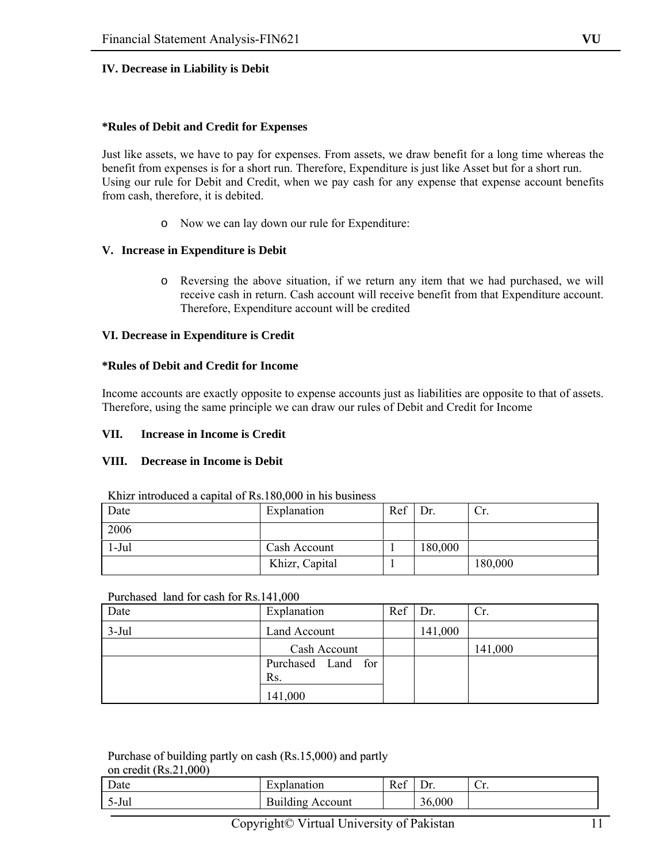## j **IV. Decrease in Liability is Debit**

#### **\*Rules of Debit and Credit for Expenses**

Just like assets, we have to pay for expenses. From assets, we draw benefit for a long time whereas the benefit from expenses is for a short run. Therefore, Expenditure is just like Asset but for a short run. Using our rule for Debit and Credit, when we pay cash for any expense that expense account benefits from cash, therefore, it is debited.

o Now we can lay down our rule for Expenditure:

## **V. Increase in Expenditure is Debit**

o Reversing the above situation, if we return any item that we had purchased, we will receive cash in return. Cash account will receive benefit from that Expenditure account. Therefore, Expenditure account will be credited

#### **VI. Decrease in Expenditure is Credit**

#### **\*Rules of Debit and Credit for Income**

Income accounts are exactly opposite to expense accounts just as liabilities are opposite to that of assets. Therefore, using the same principle we can draw our rules of Debit and Credit for Income

#### **VII. Increase in Income is Credit**

#### **VIII. Decrease in Income is Debit**

| Kinzi muoduccu a capital 01 KS.100,000 ill ills pushicss |                |     |         |         |  |  |
|----------------------------------------------------------|----------------|-----|---------|---------|--|--|
| Date                                                     | Explanation    | Ref | ∣ Dr.   | Cr.     |  |  |
| 2006                                                     |                |     |         |         |  |  |
| 1-Jul                                                    | Cash Account   |     | 180,000 |         |  |  |
|                                                          | Khizr, Capital |     |         | 180,000 |  |  |

Khizr introduced a capital of Rs.180,000 in his business

#### Purchased land for cash for Rs.141,000

| Date    | Explanation               | Ref | Dr.     | Cr.     |
|---------|---------------------------|-----|---------|---------|
| $3-Jul$ | Land Account              |     | 141,000 |         |
|         | Cash Account              |     |         | 141,000 |
|         | Purchased Land for<br>Rs. |     |         |         |
|         | 141,000                   |     |         |         |

#### Purchase of building partly on cash (Rs.15,000) and partly on credit (Rs.21,000)

| $0.11$ at $0.11$ (1.0.1 = 1.1.0.0.0) |                            |               |             |    |
|--------------------------------------|----------------------------|---------------|-------------|----|
| Date                                 | tanation<br>T/T            | $\sim$<br>Ref | <b>DI.</b>  | u. |
| 5-Jul                                | Account<br><b>Building</b> |               | ,000<br>30. |    |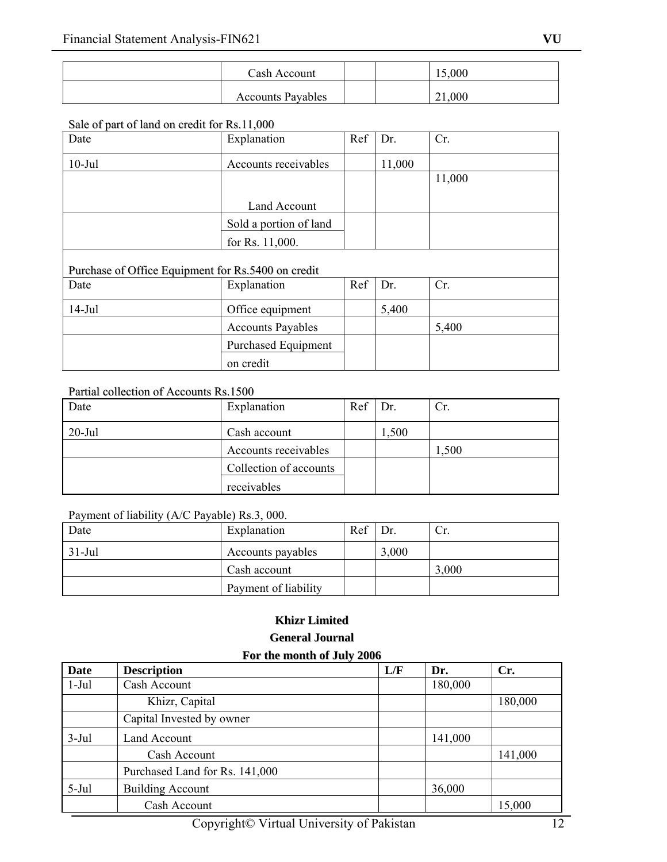| Cash Account             |  | 15,000 |
|--------------------------|--|--------|
| <b>Accounts Payables</b> |  | 21,000 |

## Sale of part of land on credit for Rs.11,000

| Date                                               | Explanation                | Ref | Dr.    | Cr.    |
|----------------------------------------------------|----------------------------|-----|--------|--------|
| $10-Jul$                                           | Accounts receivables       |     | 11,000 |        |
|                                                    |                            |     |        | 11,000 |
|                                                    |                            |     |        |        |
|                                                    | Land Account               |     |        |        |
|                                                    | Sold a portion of land     |     |        |        |
|                                                    | for Rs. 11,000.            |     |        |        |
|                                                    |                            |     |        |        |
| Purchase of Office Equipment for Rs.5400 on credit |                            |     |        |        |
| Date                                               | Explanation                | Ref | Dr.    | Cr.    |
| $14-Jul$                                           | Office equipment           |     | 5,400  |        |
|                                                    | <b>Accounts Payables</b>   |     |        | 5,400  |
|                                                    | <b>Purchased Equipment</b> |     |        |        |
|                                                    | on credit                  |     |        |        |

## Partial collection of Accounts Rs.1500

| Date      | Explanation            | Ref | Dr.  | Cr.   |
|-----------|------------------------|-----|------|-------|
| $20$ -Jul | Cash account           |     | .500 |       |
|           | Accounts receivables   |     |      | 1,500 |
|           | Collection of accounts |     |      |       |
|           | receivables            |     |      |       |

Payment of liability (A/C Payable) Rs.3, 000.

| Date     | Explanation          | Ref | Dr.   | UI.   |
|----------|----------------------|-----|-------|-------|
| $31-Jul$ | Accounts payables    |     | 3,000 |       |
|          | Cash account         |     |       | 3,000 |
|          | Payment of liability |     |       |       |

# **Khizr Limited General Journal**

### **For the month of July 2006**

| <b>Date</b> | <b>Description</b>             | L/F | Dr.     | Cr.     |
|-------------|--------------------------------|-----|---------|---------|
| $1-Jul$     | Cash Account                   |     | 180,000 |         |
|             | Khizr, Capital                 |     |         | 180,000 |
|             | Capital Invested by owner      |     |         |         |
| $3-Jul$     | Land Account                   |     | 141,000 |         |
|             | Cash Account                   |     |         | 141,000 |
|             | Purchased Land for Rs. 141,000 |     |         |         |
| $5-Jul$     | <b>Building Account</b>        |     | 36,000  |         |
|             | Cash Account                   |     |         | 15,000  |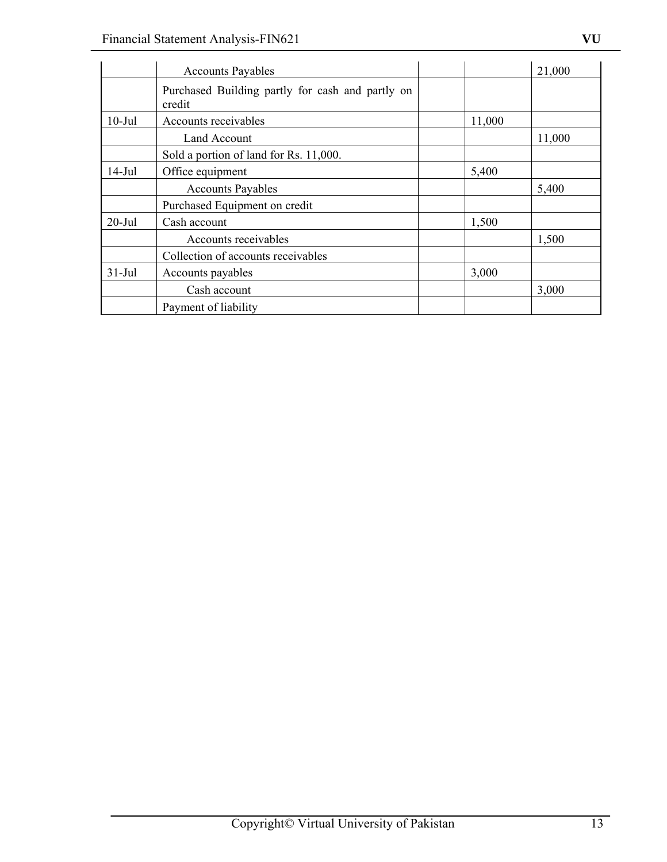|           | <b>Accounts Payables</b>                                   |        | 21,000 |
|-----------|------------------------------------------------------------|--------|--------|
|           | Purchased Building partly for cash and partly on<br>credit |        |        |
| $10$ -Jul | Accounts receivables                                       | 11,000 |        |
|           | Land Account                                               |        | 11,000 |
|           | Sold a portion of land for Rs. 11,000.                     |        |        |
| $14-Jul$  | Office equipment                                           | 5,400  |        |
|           | <b>Accounts Payables</b>                                   |        | 5,400  |
|           | Purchased Equipment on credit                              |        |        |
| $20$ -Jul | Cash account                                               | 1,500  |        |
|           | Accounts receivables                                       |        | 1,500  |
|           | Collection of accounts receivables                         |        |        |
| $31-Jul$  | Accounts payables                                          | 3,000  |        |
|           | Cash account                                               |        | 3,000  |
|           | Payment of liability                                       |        |        |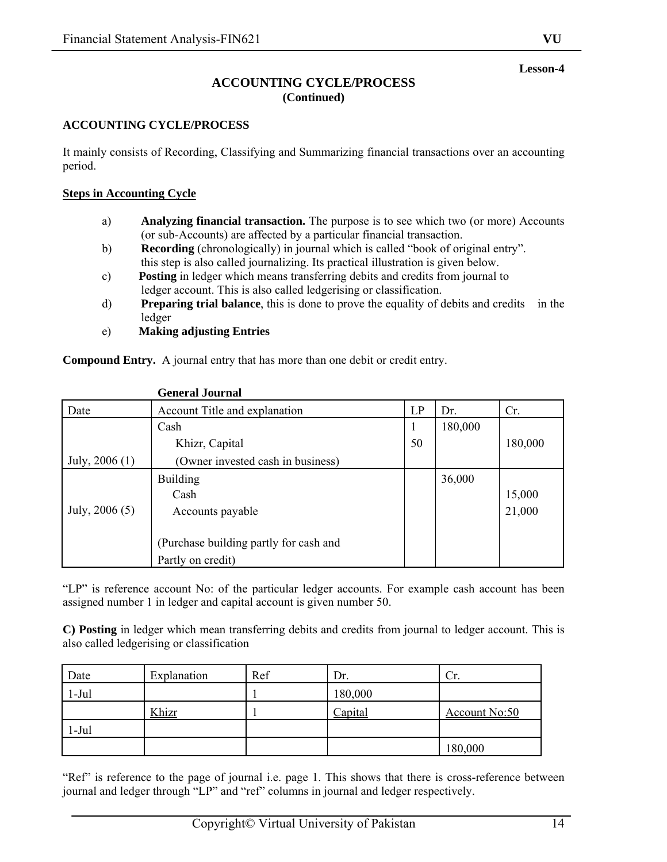## **Lesson-4**

## **ACCOUNTING CYCLE/PROCESS (Continued)**

## **ACCOUNTING CYCLE/PROCESS**

It mainly consists of Recording, Classifying and Summarizing financial transactions over an accounting period.

#### **Steps in Accounting Cycle**

j

- a) **Analyzing financial transaction.** The purpose is to see which two (or more) Accounts (or sub-Accounts) are affected by a particular financial transaction.
- b) **Recording** (chronologically) in journal which is called "book of original entry". this step is also called journalizing. Its practical illustration is given below.
- c) **Posting** in ledger which means transferring debits and credits from journal to ledger account. This is also called ledgerising or classification.
- d) **Preparing trial balance**, this is done to prove the equality of debits and credits in the ledger
- e) **Making adjusting Entries**

**Compound Entry.** A journal entry that has more than one debit or credit entry.

|                 | <b>General Journal</b>                 |    |         |         |
|-----------------|----------------------------------------|----|---------|---------|
| Date            | Account Title and explanation          | LP | Dr.     | Cr.     |
|                 | Cash                                   | 1  | 180,000 |         |
|                 | Khizr, Capital                         | 50 |         | 180,000 |
| July, $2006(1)$ | (Owner invested cash in business)      |    |         |         |
|                 | <b>Building</b>                        |    | 36,000  |         |
|                 | Cash                                   |    |         | 15,000  |
| July, $2006(5)$ | Accounts payable                       |    |         | 21,000  |
|                 |                                        |    |         |         |
|                 | (Purchase building partly for cash and |    |         |         |
|                 | Partly on credit)                      |    |         |         |

"LP" is reference account No: of the particular ledger accounts. For example cash account has been assigned number 1 in ledger and capital account is given number 50.

**C) Posting** in ledger which mean transferring debits and credits from journal to ledger account. This is also called ledgerising or classification

| Date    | Explanation | Ref | Dr.     | Cr            |
|---------|-------------|-----|---------|---------------|
| $1-Jul$ |             |     | 180,000 |               |
|         | Khizr       |     | Capital | Account No:50 |
| $1-Jul$ |             |     |         |               |
|         |             |     |         | 180,000       |

"Ref" is reference to the page of journal i.e. page 1. This shows that there is cross-reference between journal and ledger through "LP" and "ref" columns in journal and ledger respectively.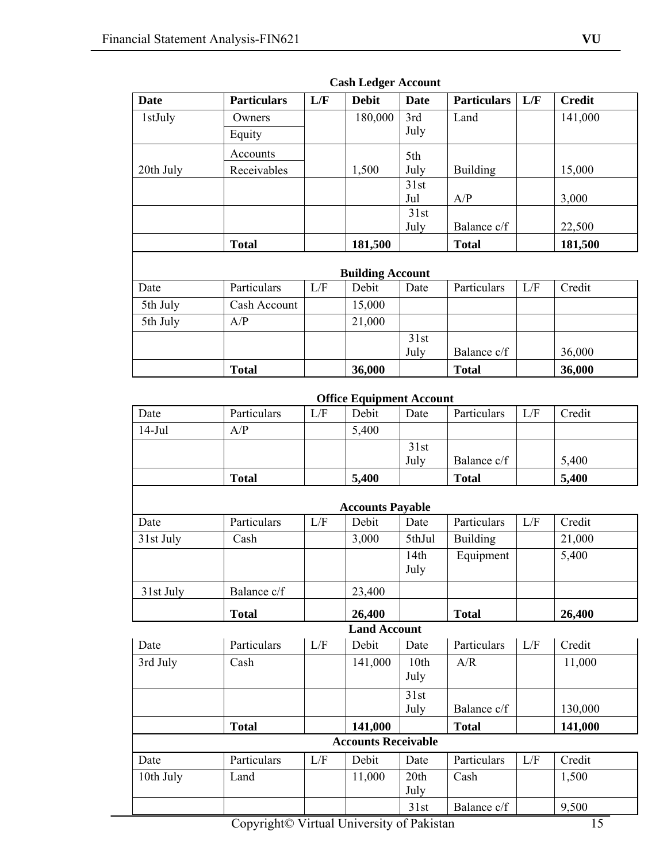| <b>Date</b> | <b>Particulars</b> | L/F | <b>Debit</b>            | <b>Date</b> | <b>Particulars</b> | L/F | <b>Credit</b> |
|-------------|--------------------|-----|-------------------------|-------------|--------------------|-----|---------------|
| 1stJuly     | Owners             |     | 180,000                 | 3rd         | Land               |     | 141,000       |
|             | Equity             |     |                         | July        |                    |     |               |
|             | Accounts           |     |                         | 5th         |                    |     |               |
| 20th July   | Receivables        |     | 1,500                   | July        | <b>Building</b>    |     | 15,000        |
|             |                    |     |                         | 31st        |                    |     |               |
|             |                    |     |                         | Jul         | A/P                |     | 3,000         |
|             |                    |     |                         | 31st        |                    |     |               |
|             |                    |     |                         | July        | Balance c/f        |     | 22,500        |
|             | <b>Total</b>       |     | 181,500                 |             | <b>Total</b>       |     | 181,500       |
|             |                    |     | <b>Building Account</b> |             |                    |     |               |
| Date        | Particulars        | L/F | Debit                   | Date        | Particulars        | L/F | Credit        |
| 5th July    | Cash Account       |     | 15,000                  |             |                    |     |               |
| 5th July    | A/P                |     | 21,000                  |             |                    |     |               |
|             |                    |     |                         | 31st        |                    |     |               |
|             |                    |     |                         |             |                    |     |               |
|             |                    |     |                         | July        | Balance c/f        |     | 36,000        |

| <b>Cash Ledger Account</b> |  |
|----------------------------|--|
|----------------------------|--|

# **Office Equipment Account**

| Date      | Particulars  | L/F | Debit                      | Date         | Particulars     | L/F | Credit  |
|-----------|--------------|-----|----------------------------|--------------|-----------------|-----|---------|
| $14-Jul$  | A/P          |     | 5,400                      |              |                 |     |         |
|           |              |     |                            | 31st         |                 |     |         |
|           |              |     |                            | July         | Balance c/f     |     | 5,400   |
|           | <b>Total</b> |     | 5,400                      |              | <b>Total</b>    |     | 5,400   |
|           |              |     | <b>Accounts Payable</b>    |              |                 |     |         |
| Date      | Particulars  | L/F | Debit                      | Date         | Particulars     | L/F | Credit  |
| 31st July | Cash         |     | 3,000                      | 5thJul       | <b>Building</b> |     | 21,000  |
|           |              |     |                            | 14th<br>July | Equipment       |     | 5,400   |
| 31st July | Balance c/f  |     | 23,400                     |              |                 |     |         |
|           | <b>Total</b> |     | 26,400                     |              | <b>Total</b>    |     | 26,400  |
|           |              |     | <b>Land Account</b>        |              |                 |     |         |
| Date      | Particulars  | L/F | Debit                      | Date         | Particulars     | L/F | Credit  |
| 3rd July  | Cash         |     | 141,000                    | 10th<br>July | A/R             |     | 11,000  |
|           |              |     |                            | 31st         |                 |     |         |
|           |              |     |                            | July         | Balance c/f     |     | 130,000 |
|           | <b>Total</b> |     | 141,000                    |              | <b>Total</b>    |     | 141,000 |
|           |              |     | <b>Accounts Receivable</b> |              |                 |     |         |
| Date      | Particulars  | L/F | Debit                      | Date         | Particulars     | L/F | Credit  |
| 10th July | Land         |     | 11,000                     | 20th<br>July | Cash            |     | 1,500   |
|           |              |     |                            | 31st         | Balance c/f     |     | 9,500   |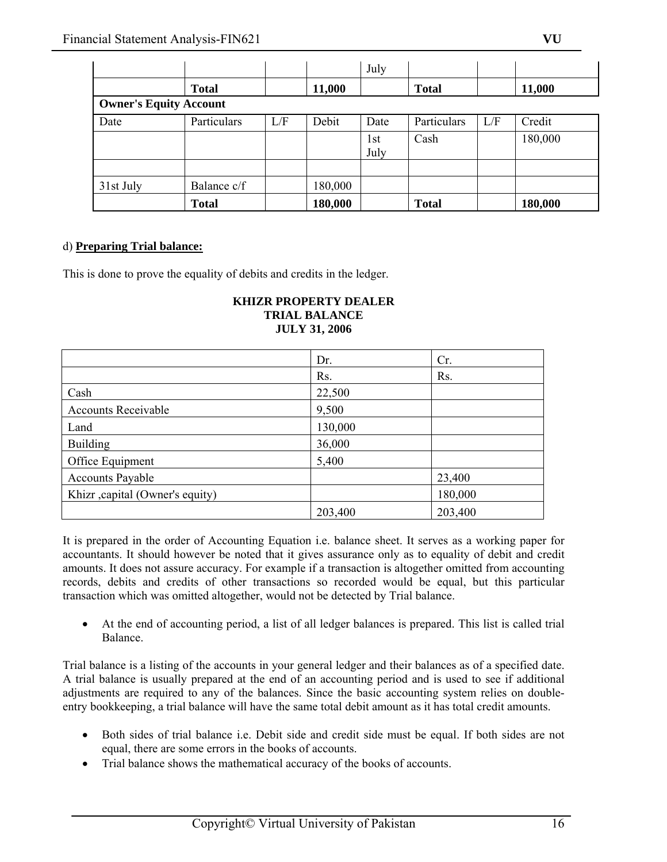|           |                               |     |         | July        |              |     |         |
|-----------|-------------------------------|-----|---------|-------------|--------------|-----|---------|
|           | <b>Total</b>                  |     | 11,000  |             | <b>Total</b> |     | 11,000  |
|           | <b>Owner's Equity Account</b> |     |         |             |              |     |         |
| Date      | Particulars                   | L/F | Debit   | Date        | Particulars  | L/F | Credit  |
|           |                               |     |         | 1st<br>July | Cash         |     | 180,000 |
|           |                               |     |         |             |              |     |         |
| 31st July | Balance c/f                   |     | 180,000 |             |              |     |         |
|           | <b>Total</b>                  |     | 180,000 |             | <b>Total</b> |     | 180,000 |

# d) **Preparing Trial balance:**

This is done to prove the equality of debits and credits in the ledger.

|                                  | Dr.     | Cr.     |
|----------------------------------|---------|---------|
|                                  | Rs.     | Rs.     |
| Cash                             | 22,500  |         |
| <b>Accounts Receivable</b>       | 9,500   |         |
| Land                             | 130,000 |         |
| <b>Building</b>                  | 36,000  |         |
| Office Equipment                 | 5,400   |         |
| <b>Accounts Payable</b>          |         | 23,400  |
| Khizr , capital (Owner's equity) |         | 180,000 |
|                                  | 203,400 | 203,400 |

**KHIZR PROPERTY DEALER TRIAL BALANCE JULY 31, 2006** 

It is prepared in the order of Accounting Equation i.e. balance sheet. It serves as a working paper for accountants. It should however be noted that it gives assurance only as to equality of debit and credit amounts. It does not assure accuracy. For example if a transaction is altogether omitted from accounting records, debits and credits of other transactions so recorded would be equal, but this particular transaction which was omitted altogether, would not be detected by Trial balance.

• At the end of accounting period, a list of all ledger balances is prepared. This list is called trial Balance.

Trial balance is a listing of the accounts in your general ledger and their balances as of a specified date. A trial balance is usually prepared at the end of an accounting period and is used to see if additional adjustments are required to any of the balances. Since the basic accounting system relies on doubleentry bookkeeping, a trial balance will have the same total debit amount as it has total credit amounts.

- Both sides of trial balance i.e. Debit side and credit side must be equal. If both sides are not equal, there are some errors in the books of accounts.
- Trial balance shows the mathematical accuracy of the books of accounts.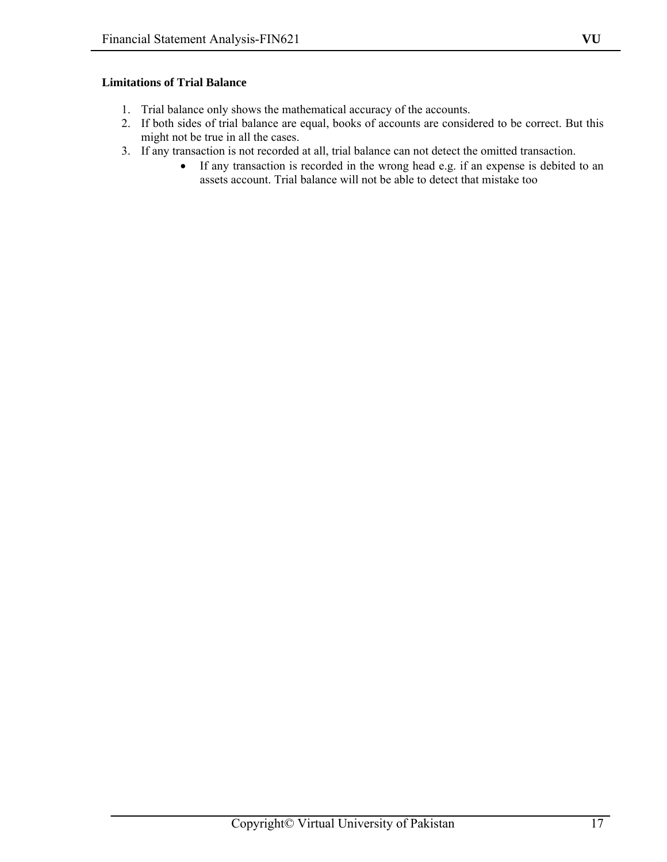## **Limitations of Trial Balance**

j

- 1. Trial balance only shows the mathematical accuracy of the accounts.
- 2. If both sides of trial balance are equal, books of accounts are considered to be correct. But this might not be true in all the cases.
- 3. If any transaction is not recorded at all, trial balance can not detect the omitted transaction.
	- If any transaction is recorded in the wrong head e.g. if an expense is debited to an assets account. Trial balance will not be able to detect that mistake too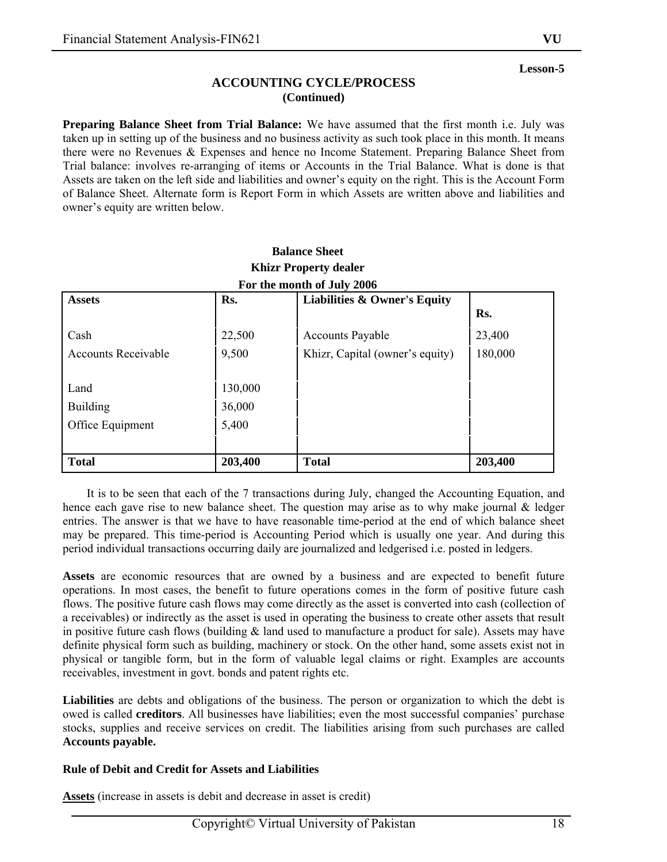## **Lesson-5**

## **ACCOUNTING CYCLE/PROCESS (Continued)**

**Preparing Balance Sheet from Trial Balance:** We have assumed that the first month i.e. July was taken up in setting up of the business and no business activity as such took place in this month. It means there were no Revenues & Expenses and hence no Income Statement. Preparing Balance Sheet from Trial balance: involves re-arranging of items or Accounts in the Trial Balance. What is done is that Assets are taken on the left side and liabilities and owner's equity on the right. This is the Account Form of Balance Sheet. Alternate form is Report Form in which Assets are written above and liabilities and owner's equity are written below.

| <b>INITED LEADERS</b> IN THE LATE OF THE MEAN OF THE LATE OF THE LATE OF THE LATE OF THE LATE OF THE LATE OF THE LATE OF THE LATE OF THE LATE OF THE LATE OF THE LATE OF THE LATE OF THE LATE OF THE LATE OF THE LATE OF THE LATE O |                            |                                         |         |  |  |  |
|-------------------------------------------------------------------------------------------------------------------------------------------------------------------------------------------------------------------------------------|----------------------------|-----------------------------------------|---------|--|--|--|
|                                                                                                                                                                                                                                     | For the month of July 2006 |                                         |         |  |  |  |
| <b>Assets</b>                                                                                                                                                                                                                       | Rs.                        | <b>Liabilities &amp; Owner's Equity</b> |         |  |  |  |
|                                                                                                                                                                                                                                     |                            |                                         | Rs.     |  |  |  |
| Cash                                                                                                                                                                                                                                | 22,500                     | <b>Accounts Payable</b>                 | 23,400  |  |  |  |
| <b>Accounts Receivable</b>                                                                                                                                                                                                          | 9,500                      | Khizr, Capital (owner's equity)         | 180,000 |  |  |  |
|                                                                                                                                                                                                                                     |                            |                                         |         |  |  |  |
| Land                                                                                                                                                                                                                                | 130,000                    |                                         |         |  |  |  |
| <b>Building</b>                                                                                                                                                                                                                     | 36,000                     |                                         |         |  |  |  |
| Office Equipment                                                                                                                                                                                                                    | 5,400                      |                                         |         |  |  |  |
|                                                                                                                                                                                                                                     |                            |                                         |         |  |  |  |
| <b>Total</b>                                                                                                                                                                                                                        | 203,400                    | <b>Total</b>                            | 203,400 |  |  |  |

# **Balance Sheet Khizr Property dealer**

 It is to be seen that each of the 7 transactions during July, changed the Accounting Equation, and hence each gave rise to new balance sheet. The question may arise as to why make journal  $\&$  ledger entries. The answer is that we have to have reasonable time-period at the end of which balance sheet may be prepared. This time-period is Accounting Period which is usually one year. And during this period individual transactions occurring daily are journalized and ledgerised i.e. posted in ledgers.

**Assets** are economic resources that are owned by a business and are expected to benefit future operations. In most cases, the benefit to future operations comes in the form of positive future cash flows. The positive future cash flows may come directly as the asset is converted into cash (collection of a receivables) or indirectly as the asset is used in operating the business to create other assets that result in positive future cash flows (building  $\&$  land used to manufacture a product for sale). Assets may have definite physical form such as building, machinery or stock. On the other hand, some assets exist not in physical or tangible form, but in the form of valuable legal claims or right. Examples are accounts receivables, investment in govt. bonds and patent rights etc.

**Liabilities** are debts and obligations of the business. The person or organization to which the debt is owed is called **creditors**. All businesses have liabilities; even the most successful companies' purchase stocks, supplies and receive services on credit. The liabilities arising from such purchases are called **Accounts payable.** 

## **Rule of Debit and Credit for Assets and Liabilities**

**Assets** (increase in assets is debit and decrease in asset is credit)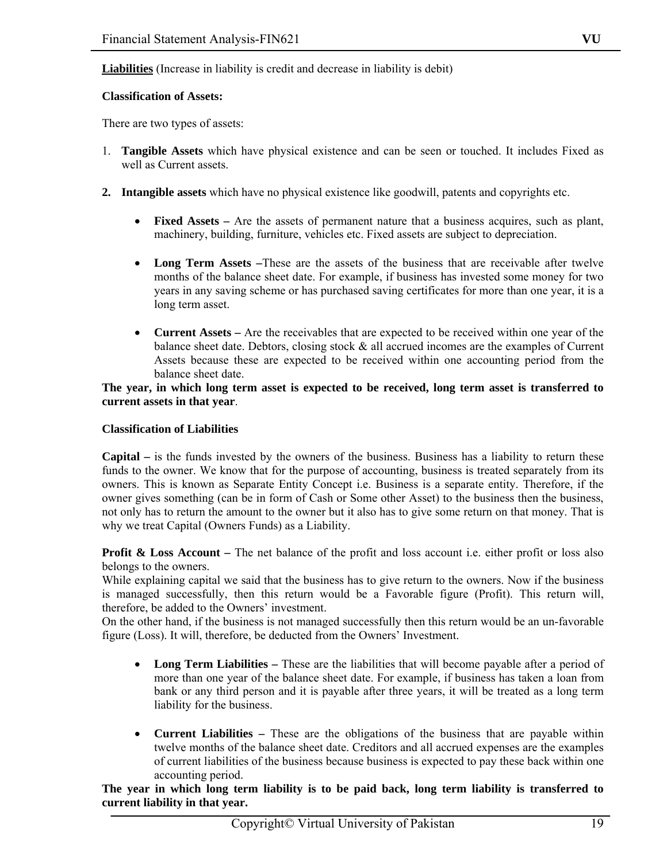## **Classification of Assets:**

j

There are two types of assets:

- 1. **Tangible Assets** which have physical existence and can be seen or touched. It includes Fixed as well as Current assets.
- **2. Intangible assets** which have no physical existence like goodwill, patents and copyrights etc.
	- **Fixed Assets** Are the assets of permanent nature that a business acquires, such as plant, machinery, building, furniture, vehicles etc. Fixed assets are subject to depreciation.
	- **Long Term Assets –**These are the assets of the business that are receivable after twelve months of the balance sheet date. For example, if business has invested some money for two years in any saving scheme or has purchased saving certificates for more than one year, it is a long term asset.
	- **Current Assets** Are the receivables that are expected to be received within one year of the balance sheet date. Debtors, closing stock & all accrued incomes are the examples of Current Assets because these are expected to be received within one accounting period from the balance sheet date.

## **The year, in which long term asset is expected to be received, long term asset is transferred to current assets in that year**.

## **Classification of Liabilities**

**Capital –** is the funds invested by the owners of the business. Business has a liability to return these funds to the owner. We know that for the purpose of accounting, business is treated separately from its owners. This is known as Separate Entity Concept i.e. Business is a separate entity. Therefore, if the owner gives something (can be in form of Cash or Some other Asset) to the business then the business, not only has to return the amount to the owner but it also has to give some return on that money. That is why we treat Capital (Owners Funds) as a Liability.

**Profit & Loss Account** – The net balance of the profit and loss account i.e. either profit or loss also belongs to the owners.

While explaining capital we said that the business has to give return to the owners. Now if the business is managed successfully, then this return would be a Favorable figure (Profit). This return will, therefore, be added to the Owners' investment.

On the other hand, if the business is not managed successfully then this return would be an un-favorable figure (Loss). It will, therefore, be deducted from the Owners' Investment.

- **Long Term Liabilities** These are the liabilities that will become payable after a period of more than one year of the balance sheet date. For example, if business has taken a loan from bank or any third person and it is payable after three years, it will be treated as a long term liability for the business.
- **Current Liabilities** These are the obligations of the business that are payable within twelve months of the balance sheet date. Creditors and all accrued expenses are the examples of current liabilities of the business because business is expected to pay these back within one accounting period.

**The year in which long term liability is to be paid back, long term liability is transferred to current liability in that year.**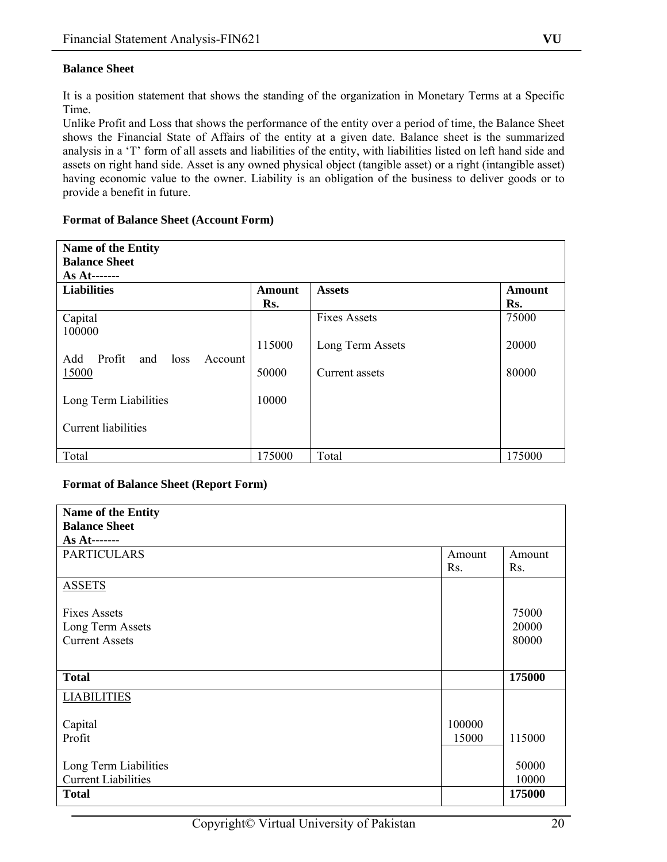## **Balance Sheet**

j

It is a position statement that shows the standing of the organization in Monetary Terms at a Specific Time.

Unlike Profit and Loss that shows the performance of the entity over a period of time, the Balance Sheet shows the Financial State of Affairs of the entity at a given date. Balance sheet is the summarized analysis in a 'T' form of all assets and liabilities of the entity, with liabilities listed on left hand side and assets on right hand side. Asset is any owned physical object (tangible asset) or a right (intangible asset) having economic value to the owner. Liability is an obligation of the business to deliver goods or to provide a benefit in future.

| <b>Name of the Entity</b>               |        |                     |               |  |  |  |
|-----------------------------------------|--------|---------------------|---------------|--|--|--|
| <b>Balance Sheet</b>                    |        |                     |               |  |  |  |
| <b>As At-------</b>                     |        |                     |               |  |  |  |
| <b>Liabilities</b>                      | Amount | <b>Assets</b>       | <b>Amount</b> |  |  |  |
|                                         | Rs.    |                     | Rs.           |  |  |  |
| Capital                                 |        | <b>Fixes Assets</b> | 75000         |  |  |  |
| 100000                                  |        |                     |               |  |  |  |
|                                         | 115000 | Long Term Assets    | 20000         |  |  |  |
| Profit<br>Add<br>loss<br>and<br>Account |        |                     |               |  |  |  |
| 15000                                   | 50000  | Current assets      | 80000         |  |  |  |
|                                         |        |                     |               |  |  |  |
| Long Term Liabilities                   | 10000  |                     |               |  |  |  |
|                                         |        |                     |               |  |  |  |
| <b>Current liabilities</b>              |        |                     |               |  |  |  |
|                                         |        |                     |               |  |  |  |
| Total                                   | 175000 | Total               | 175000        |  |  |  |

#### **Format of Balance Sheet (Account Form)**

## **Format of Balance Sheet (Report Form)**

| <b>Name of the Entity</b>                                        |                 |                         |
|------------------------------------------------------------------|-----------------|-------------------------|
| <b>Balance Sheet</b>                                             |                 |                         |
| <b>As At-------</b>                                              |                 |                         |
| <b>PARTICULARS</b>                                               | Amount          | Amount                  |
|                                                                  | Rs.             | Rs.                     |
| <b>ASSETS</b>                                                    |                 |                         |
| <b>Fixes Assets</b><br>Long Term Assets<br><b>Current Assets</b> |                 | 75000<br>20000<br>80000 |
| <b>Total</b>                                                     |                 | 175000                  |
| <b>LIABILITIES</b>                                               |                 |                         |
| Capital<br>Profit                                                | 100000<br>15000 | 115000                  |
| Long Term Liabilities                                            |                 | 50000                   |
| <b>Current Liabilities</b>                                       |                 | 10000                   |
| <b>Total</b>                                                     |                 | 175000                  |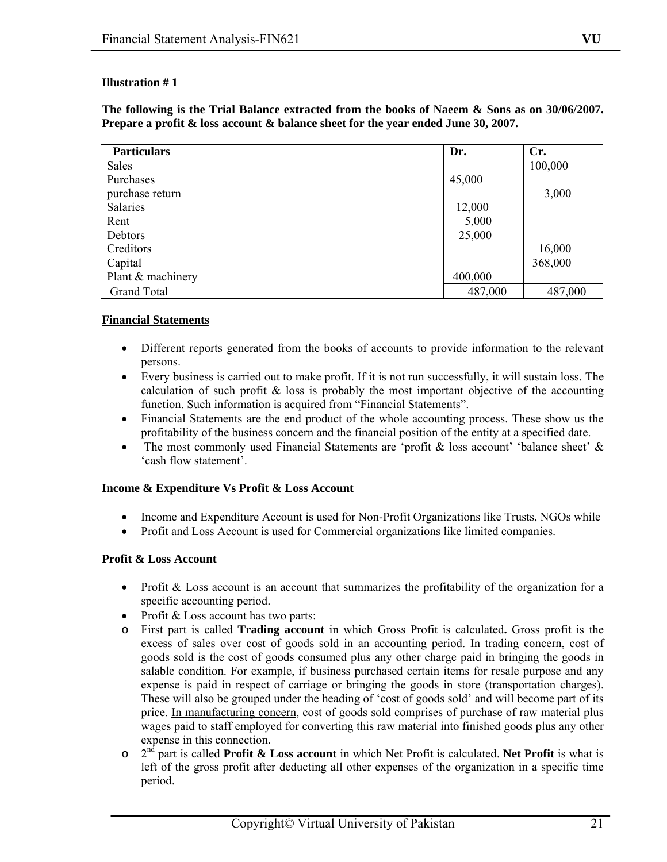## **Illustration # 1**

j

**The following is the Trial Balance extracted from the books of Naeem & Sons as on 30/06/2007. Prepare a profit & loss account & balance sheet for the year ended June 30, 2007.** 

| <b>Particulars</b> | Dr.     | Cr.     |
|--------------------|---------|---------|
| Sales              |         | 100,000 |
| Purchases          | 45,000  |         |
| purchase return    |         | 3,000   |
| <b>Salaries</b>    | 12,000  |         |
| Rent               | 5,000   |         |
| Debtors            | 25,000  |         |
| Creditors          |         | 16,000  |
| Capital            |         | 368,000 |
| Plant & machinery  | 400,000 |         |
| <b>Grand Total</b> | 487,000 | 487,000 |

## **Financial Statements**

- Different reports generated from the books of accounts to provide information to the relevant persons.
- Every business is carried out to make profit. If it is not run successfully, it will sustain loss. The calculation of such profit  $\&$  loss is probably the most important objective of the accounting function. Such information is acquired from "Financial Statements".
- Financial Statements are the end product of the whole accounting process. These show us the profitability of the business concern and the financial position of the entity at a specified date.
- The most commonly used Financial Statements are 'profit  $\&$  loss account' 'balance sheet'  $\&$ 'cash flow statement'.

#### **Income & Expenditure Vs Profit & Loss Account**

- Income and Expenditure Account is used for Non-Profit Organizations like Trusts, NGOs while
- Profit and Loss Account is used for Commercial organizations like limited companies.

#### **Profit & Loss Account**

- Profit & Loss account is an account that summarizes the profitability of the organization for a specific accounting period.
- Profit & Loss account has two parts:
- o First part is called **Trading account** in which Gross Profit is calculated**.** Gross profit is the excess of sales over cost of goods sold in an accounting period. In trading concern, cost of goods sold is the cost of goods consumed plus any other charge paid in bringing the goods in salable condition. For example, if business purchased certain items for resale purpose and any expense is paid in respect of carriage or bringing the goods in store (transportation charges). These will also be grouped under the heading of 'cost of goods sold' and will become part of its price. In manufacturing concern, cost of goods sold comprises of purchase of raw material plus wages paid to staff employed for converting this raw material into finished goods plus any other expense in this connection.
- o 2nd part is called **Profit & Loss account** in which Net Profit is calculated. **Net Profit** is what is left of the gross profit after deducting all other expenses of the organization in a specific time period.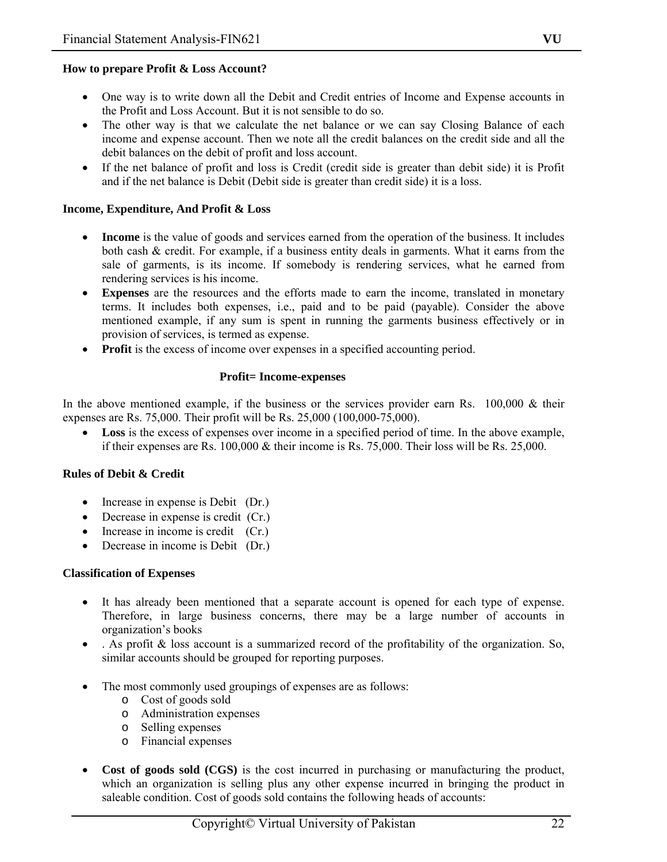## **How to prepare Profit & Loss Account?**

- One way is to write down all the Debit and Credit entries of Income and Expense accounts in the Profit and Loss Account. But it is not sensible to do so.
- The other way is that we calculate the net balance or we can say Closing Balance of each income and expense account. Then we note all the credit balances on the credit side and all the debit balances on the debit of profit and loss account.
- If the net balance of profit and loss is Credit (credit side is greater than debit side) it is Profit and if the net balance is Debit (Debit side is greater than credit side) it is a loss.

#### **Income, Expenditure, And Profit & Loss**

- **Income** is the value of goods and services earned from the operation of the business. It includes both cash & credit. For example, if a business entity deals in garments. What it earns from the sale of garments, is its income. If somebody is rendering services, what he earned from rendering services is his income.
- **Expenses** are the resources and the efforts made to earn the income, translated in monetary terms. It includes both expenses, i.e., paid and to be paid (payable). Consider the above mentioned example, if any sum is spent in running the garments business effectively or in provision of services, is termed as expense.
- **Profit** is the excess of income over expenses in a specified accounting period.

## **Profit= Income-expenses**

In the above mentioned example, if the business or the services provider earn Rs.  $100,000 \&$  their expenses are Rs. 75,000. Their profit will be Rs. 25,000 (100,000-75,000).

• **Loss** is the excess of expenses over income in a specified period of time. In the above example, if their expenses are Rs.  $100,000 \&$  their income is Rs. 75,000. Their loss will be Rs. 25,000.

#### **Rules of Debit & Credit**

- Increase in expense is Debit (Dr.)
- Decrease in expense is credit (Cr.)
- Increase in income is credit (Cr.)
- Decrease in income is Debit (Dr.)

#### **Classification of Expenses**

- It has already been mentioned that a separate account is opened for each type of expense. Therefore, in large business concerns, there may be a large number of accounts in organization's books
- . As profit & loss account is a summarized record of the profitability of the organization. So, similar accounts should be grouped for reporting purposes.
- The most commonly used groupings of expenses are as follows:
	- o Cost of goods sold
	- o Administration expenses
	- o Selling expenses
	- o Financial expenses
- **Cost of goods sold (CGS)** is the cost incurred in purchasing or manufacturing the product, which an organization is selling plus any other expense incurred in bringing the product in saleable condition. Cost of goods sold contains the following heads of accounts: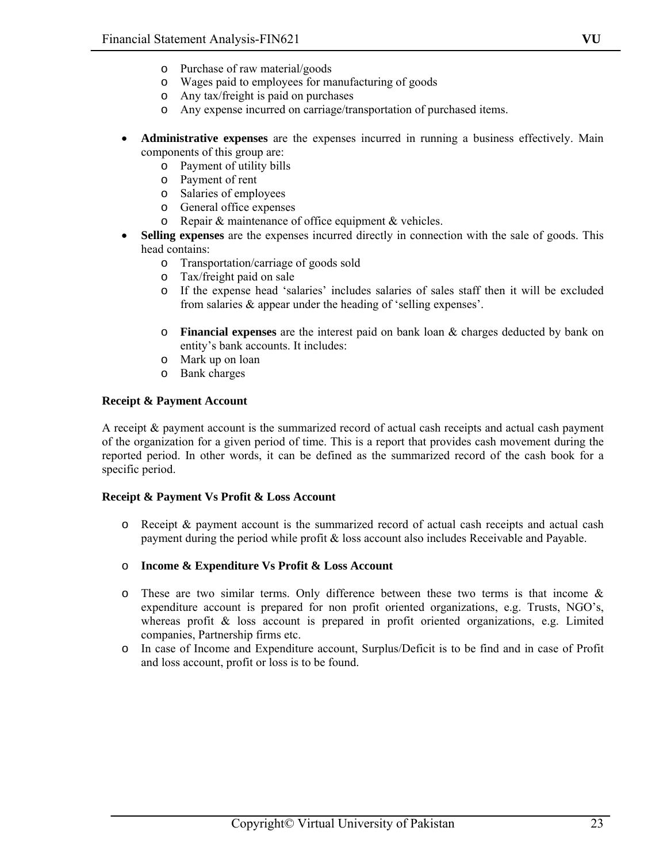- o Purchase of raw material/goods
- o Wages paid to employees for manufacturing of goods
- o Any tax/freight is paid on purchases
- o Any expense incurred on carriage/transportation of purchased items.
- **Administrative expenses** are the expenses incurred in running a business effectively. Main components of this group are:
	- o Payment of utility bills
	- o Payment of rent
	- o Salaries of employees
	- o General office expenses
	- o Repair & maintenance of office equipment & vehicles.
- **Selling expenses** are the expenses incurred directly in connection with the sale of goods. This head contains:
	- o Transportation/carriage of goods sold
	- o Tax/freight paid on sale
	- o If the expense head 'salaries' includes salaries of sales staff then it will be excluded from salaries & appear under the heading of 'selling expenses'.
	- o **Financial expenses** are the interest paid on bank loan & charges deducted by bank on entity's bank accounts. It includes:
	- o Mark up on loan
	- o Bank charges

## **Receipt & Payment Account**

A receipt & payment account is the summarized record of actual cash receipts and actual cash payment of the organization for a given period of time. This is a report that provides cash movement during the reported period. In other words, it can be defined as the summarized record of the cash book for a specific period.

#### **Receipt & Payment Vs Profit & Loss Account**

- o Receipt & payment account is the summarized record of actual cash receipts and actual cash payment during the period while profit & loss account also includes Receivable and Payable.
- o **Income & Expenditure Vs Profit & Loss Account**
- $\circ$  These are two similar terms. Only difference between these two terms is that income  $\&$ expenditure account is prepared for non profit oriented organizations, e.g. Trusts, NGO's, whereas profit & loss account is prepared in profit oriented organizations, e.g. Limited companies, Partnership firms etc.
- o In case of Income and Expenditure account, Surplus/Deficit is to be find and in case of Profit and loss account, profit or loss is to be found.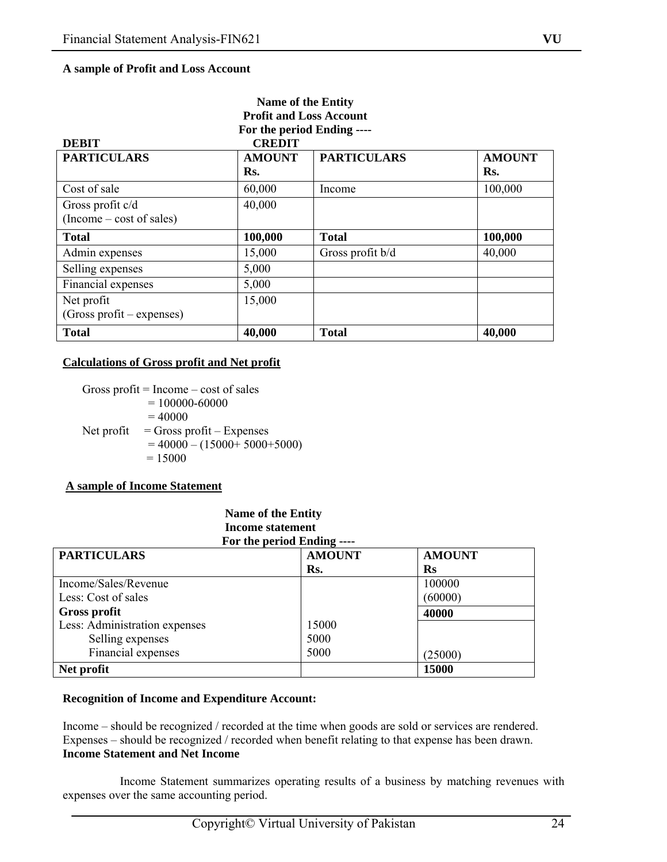## **A sample of Profit and Loss Account**

j

| <b>Name of the Entity</b>      |                            |                    |               |  |  |  |
|--------------------------------|----------------------------|--------------------|---------------|--|--|--|
| <b>Profit and Loss Account</b> |                            |                    |               |  |  |  |
|                                | For the period Ending ---- |                    |               |  |  |  |
| <b>DEBIT</b>                   | <b>CREDIT</b>              |                    |               |  |  |  |
| <b>PARTICULARS</b>             | <b>AMOUNT</b>              | <b>PARTICULARS</b> | <b>AMOUNT</b> |  |  |  |
|                                | Rs.                        |                    | Rs.           |  |  |  |
| Cost of sale                   | 60,000                     | Income             | 100,000       |  |  |  |
| Gross profit c/d               | 40,000                     |                    |               |  |  |  |
| $(Income - cost of sales)$     |                            |                    |               |  |  |  |
| Total                          | 100,000                    | <b>Total</b>       | 100,000       |  |  |  |
| Admin expenses                 | 15,000                     | Gross profit b/d   | 40,000        |  |  |  |
| Selling expenses               | 5,000                      |                    |               |  |  |  |
| Financial expenses             | 5,000                      |                    |               |  |  |  |
| Net profit                     | 15,000                     |                    |               |  |  |  |
| $(Gross profit - expenses)$    |                            |                    |               |  |  |  |
| Total                          | 40,000                     | <b>Total</b>       | 40,000        |  |  |  |

#### **Calculations of Gross profit and Net profit**

Gross profit  $=$  Income  $-$  cost of sales  $= 100000 - 60000$  $= 40000$ Net profit  $=$  Gross profit – Expenses  $= 40000 - (15000 + 5000 + 5000)$  $= 15000$ 

#### **A sample of Income Statement**

| Name of the Entity    |
|-----------------------|
| Income statement      |
| For the neriod Ending |

| For the period Ending ----    |               |               |  |
|-------------------------------|---------------|---------------|--|
| <b>PARTICULARS</b>            | <b>AMOUNT</b> | <b>AMOUNT</b> |  |
|                               | Rs.           | $\mathbf{Rs}$ |  |
| Income/Sales/Revenue          |               | 100000        |  |
| Less: Cost of sales           |               | (60000)       |  |
| Gross profit                  |               | 40000         |  |
| Less: Administration expenses | 15000         |               |  |
| Selling expenses              | 5000          |               |  |
| Financial expenses            | 5000          | (25000)       |  |
| Net profit                    |               | 15000         |  |

## **Recognition of Income and Expenditure Account:**

Income – should be recognized / recorded at the time when goods are sold or services are rendered. Expenses – should be recognized / recorded when benefit relating to that expense has been drawn. **Income Statement and Net Income** 

 Income Statement summarizes operating results of a business by matching revenues with expenses over the same accounting period.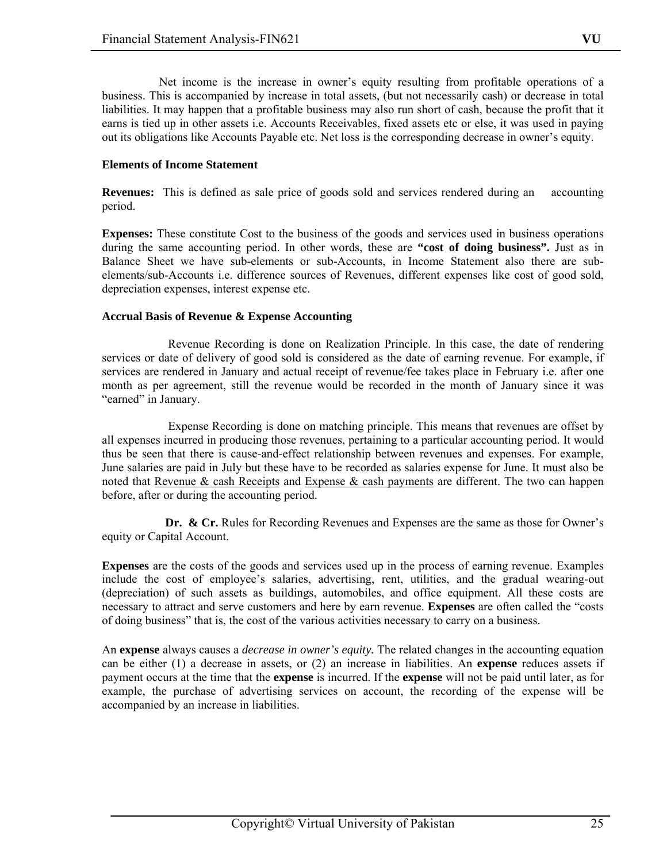Net income is the increase in owner's equity resulting from profitable operations of a business. This is accompanied by increase in total assets, (but not necessarily cash) or decrease in total liabilities. It may happen that a profitable business may also run short of cash, because the profit that it earns is tied up in other assets i.e. Accounts Receivables, fixed assets etc or else, it was used in paying out its obligations like Accounts Payable etc. Net loss is the corresponding decrease in owner's equity.

## **Elements of Income Statement**

j

**Revenues:** This is defined as sale price of goods sold and services rendered during an accounting period.

**Expenses:** These constitute Cost to the business of the goods and services used in business operations during the same accounting period. In other words, these are **"cost of doing business".** Just as in Balance Sheet we have sub-elements or sub-Accounts, in Income Statement also there are subelements/sub-Accounts i.e. difference sources of Revenues, different expenses like cost of good sold, depreciation expenses, interest expense etc.

#### **Accrual Basis of Revenue & Expense Accounting**

 Revenue Recording is done on Realization Principle. In this case, the date of rendering services or date of delivery of good sold is considered as the date of earning revenue. For example, if services are rendered in January and actual receipt of revenue/fee takes place in February i.e. after one month as per agreement, still the revenue would be recorded in the month of January since it was "earned" in January.

 Expense Recording is done on matching principle. This means that revenues are offset by all expenses incurred in producing those revenues, pertaining to a particular accounting period. It would thus be seen that there is cause-and-effect relationship between revenues and expenses. For example, June salaries are paid in July but these have to be recorded as salaries expense for June. It must also be noted that Revenue & cash Receipts and Expense & cash payments are different. The two can happen before, after or during the accounting period.

 **Dr. & Cr.** Rules for Recording Revenues and Expenses are the same as those for Owner's equity or Capital Account.

**Expenses** are the costs of the goods and services used up in the process of earning revenue. Examples include the cost of employee's salaries, advertising, rent, utilities, and the gradual wearing-out (depreciation) of such assets as buildings, automobiles, and office equipment. All these costs are necessary to attract and serve customers and here by earn revenue. **Expenses** are often called the "costs of doing business" that is, the cost of the various activities necessary to carry on a business.

An **expense** always causes a *decrease in owner's equity.* The related changes in the accounting equation can be either (1) a decrease in assets, or (2) an increase in liabilities. An **expense** reduces assets if payment occurs at the time that the **expense** is incurred. If the **expense** will not be paid until later, as for example, the purchase of advertising services on account, the recording of the expense will be accompanied by an increase in liabilities.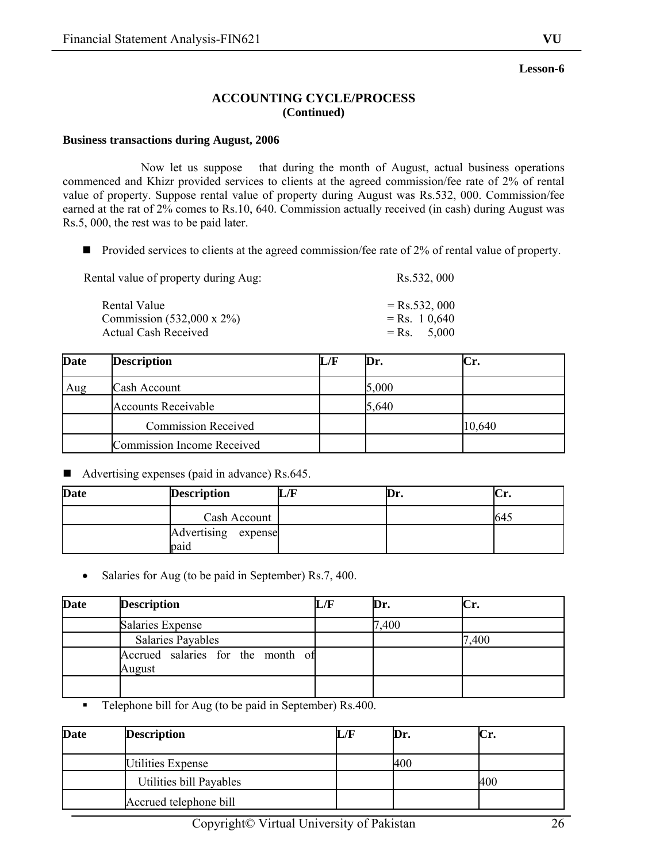## **Lesson-6**

## **ACCOUNTING CYCLE/PROCESS (Continued)**

#### **Business transactions during August, 2006**

 Now let us suppose that during the month of August, actual business operations commenced and Khizr provided services to clients at the agreed commission/fee rate of 2% of rental value of property. Suppose rental value of property during August was Rs.532, 000. Commission/fee earned at the rat of 2% comes to Rs.10, 640. Commission actually received (in cash) during August was Rs.5, 000, the rest was to be paid later.

■ Provided services to clients at the agreed commission/fee rate of 2% of rental value of property.

| $\frac{1}{2}$                     |                 |
|-----------------------------------|-----------------|
| Rental Value                      | $=$ Rs.532, 000 |
| Commission $(532,000 \times 2\%)$ | $=$ Rs. 1 0,640 |
| Actual Cash Received              | $=$ Rs. 5.000   |

Rental value of property during Aug: Rs. 532, 000

| Date | <b>Description</b>                | L/F | Dr.   | Cr.    |
|------|-----------------------------------|-----|-------|--------|
| Aug  | Cash Account                      |     | 5,000 |        |
|      | <b>Accounts Receivable</b>        |     | 5,640 |        |
|      | <b>Commission Received</b>        |     |       | 10,640 |
|      | <b>Commission Income Received</b> |     |       |        |

■ Advertising expenses (paid in advance) Rs.645.

| <b>Date</b> | <b>Description</b>             | L/F | Dr. | v.   |
|-------------|--------------------------------|-----|-----|------|
|             | Cash Account                   |     |     | I645 |
|             | Advertising<br>expense<br>paid |     |     |      |

• Salaries for Aug (to be paid in September) Rs.7, 400.

| <b>Date</b> | <b>Description</b>                          | L/F | Dr.   | Cr.   |
|-------------|---------------------------------------------|-----|-------|-------|
|             | Salaries Expense                            |     | 7,400 |       |
|             | Salaries Payables                           |     |       | 7,400 |
|             | Accrued salaries for the month of<br>August |     |       |       |
|             |                                             |     |       |       |

■ Telephone bill for Aug (to be paid in September) Rs.400.

| Date | <b>Description</b>       | ${\bf L}/{\bf F}$ | Dr. | Ur. |
|------|--------------------------|-------------------|-----|-----|
|      | <b>Utilities Expense</b> |                   | 400 |     |
|      | Utilities bill Payables  |                   |     | 400 |
|      | Accrued telephone bill   |                   |     |     |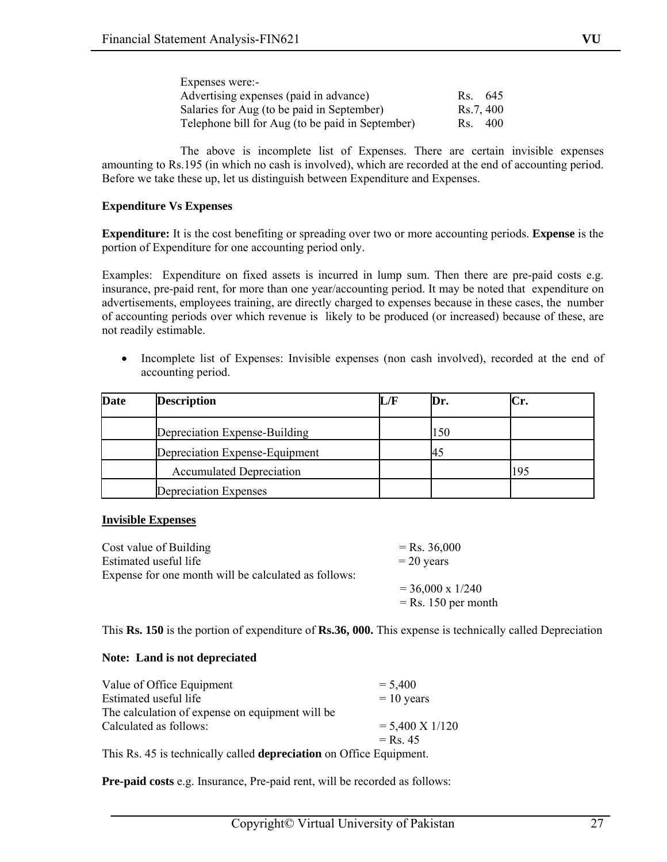| Expenses were:-                                  |            |
|--------------------------------------------------|------------|
| Advertising expenses (paid in advance)           | 645<br>Rs. |
| Salaries for Aug (to be paid in September)       | Rs. 7.400  |
| Telephone bill for Aug (to be paid in September) | Rs.<br>400 |

 The above is incomplete list of Expenses. There are certain invisible expenses amounting to Rs.195 (in which no cash is involved), which are recorded at the end of accounting period. Before we take these up, let us distinguish between Expenditure and Expenses.

#### **Expenditure Vs Expenses**

j

**Expenditure:** It is the cost benefiting or spreading over two or more accounting periods. **Expense** is the portion of Expenditure for one accounting period only.

Examples: Expenditure on fixed assets is incurred in lump sum. Then there are pre-paid costs e.g. insurance, pre-paid rent, for more than one year/accounting period. It may be noted that expenditure on advertisements, employees training, are directly charged to expenses because in these cases, the number of accounting periods over which revenue is likely to be produced (or increased) because of these, are not readily estimable.

• Incomplete list of Expenses: Invisible expenses (non cash involved), recorded at the end of accounting period.

| Date | <b>Description</b>              | L/F | Dr. | Сr. |
|------|---------------------------------|-----|-----|-----|
|      | Depreciation Expense-Building   |     | 150 |     |
|      | Depreciation Expense-Equipment  |     | 45  |     |
|      | <b>Accumulated Depreciation</b> |     |     | 195 |
|      | Depreciation Expenses           |     |     |     |

#### **Invisible Expenses**

| Cost value of Building                               | $=$ Rs. 36,000                                   |
|------------------------------------------------------|--------------------------------------------------|
| Estimated useful life                                | $= 20$ years                                     |
| Expense for one month will be calculated as follows: | $= 36,000 \times 1/240$<br>$=$ Rs. 150 per month |

This **Rs. 150** is the portion of expenditure of **Rs.36, 000.** This expense is technically called Depreciation

#### **Note: Land is not depreciated**

| Value of Office Equipment                                                  | $= 5,400$                  |
|----------------------------------------------------------------------------|----------------------------|
| Estimated useful life                                                      | $= 10$ years               |
| The calculation of expense on equipment will be                            |                            |
| Calculated as follows:                                                     | $= 5,400 \text{ X } 1/120$ |
|                                                                            | $=$ Rs 45                  |
| This Rs. 45 is technically called <b>depreciation</b> on Office Equipment. |                            |

**Pre-paid costs** e.g. Insurance, Pre-paid rent, will be recorded as follows: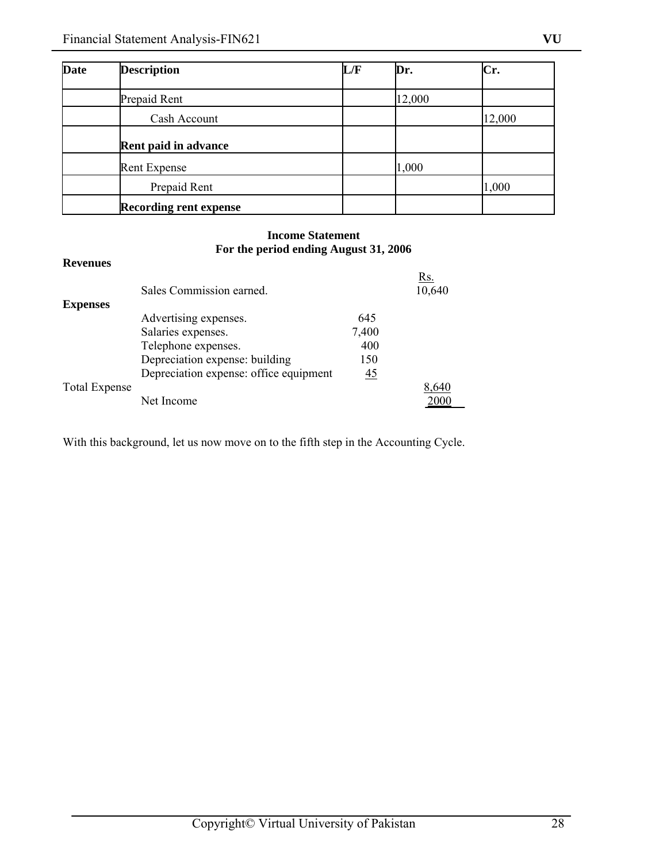| <b>Date</b> | <b>Description</b>            | L/F | Dr.    | Cr.    |
|-------------|-------------------------------|-----|--------|--------|
|             | Prepaid Rent                  |     | 12,000 |        |
|             | Cash Account                  |     |        | 12,000 |
|             | Rent paid in advance          |     |        |        |
|             | <b>Rent Expense</b>           |     | 1,000  |        |
|             | Prepaid Rent                  |     |        | 1,000  |
|             | <b>Recording rent expense</b> |     |        |        |

# **Income Statement For the period ending August 31, 2006**

| <b>Revenues</b>      |                                        |           |               |
|----------------------|----------------------------------------|-----------|---------------|
|                      | Sales Commission earned.               |           | Rs.<br>10,640 |
| <b>Expenses</b>      |                                        |           |               |
|                      | Advertising expenses.                  | 645       |               |
|                      | Salaries expenses.                     | 7,400     |               |
|                      | Telephone expenses.                    | 400       |               |
|                      | Depreciation expense: building         | 150       |               |
|                      | Depreciation expense: office equipment | <u>45</u> |               |
| <b>Total Expense</b> |                                        |           | 8,640         |
|                      | Net Income                             |           |               |

With this background, let us now move on to the fifth step in the Accounting Cycle.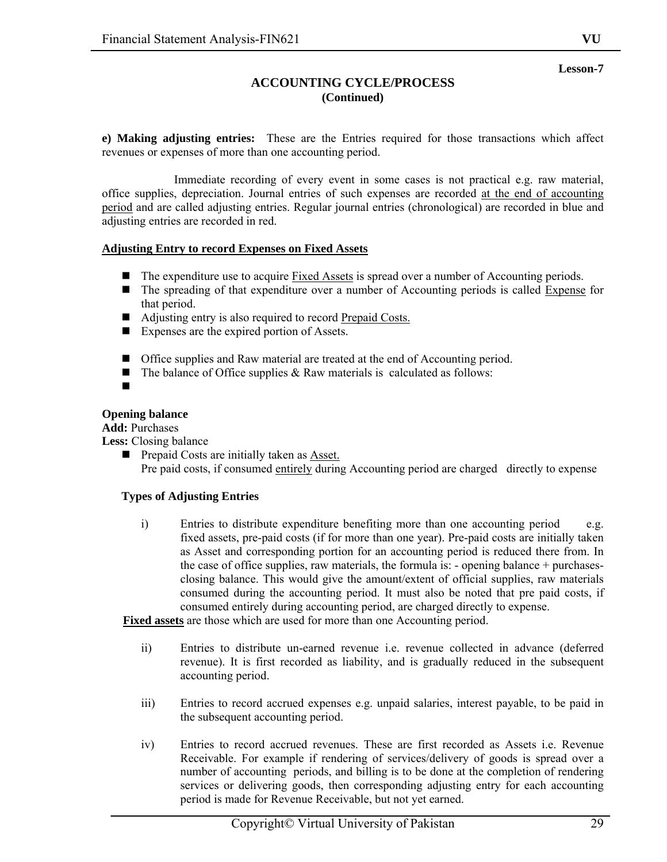**Lesson-7** 

## **ACCOUNTING CYCLE/PROCESS (Continued)**

**e) Making adjusting entries:** These are the Entries required for those transactions which affect revenues or expenses of more than one accounting period.

 Immediate recording of every event in some cases is not practical e.g. raw material, office supplies, depreciation. Journal entries of such expenses are recorded at the end of accounting period and are called adjusting entries. Regular journal entries (chronological) are recorded in blue and adjusting entries are recorded in red.

# **Adjusting Entry to record Expenses on Fixed Assets**

- The expenditure use to acquire Fixed Assets is spread over a number of Accounting periods.
- The spreading of that expenditure over a number of Accounting periods is called Expense for that period.
- Adjusting entry is also required to record <u>Prepaid Costs.</u>
- Expenses are the expired portion of Assets.
- **Office supplies and Raw material are treated at the end of Accounting period.**
- $\blacksquare$  The balance of Office supplies & Raw materials is calculated as follows:
- 

j

## **Opening balance**

**Add:** Purchases

**Less:** Closing balance

- **Prepaid Costs are initially taken as Asset.** 
	- Pre paid costs, if consumed entirely during Accounting period are charged directly to expense

# **Types of Adjusting Entries**

i) Entries to distribute expenditure benefiting more than one accounting period e.g. fixed assets, pre-paid costs (if for more than one year). Pre-paid costs are initially taken as Asset and corresponding portion for an accounting period is reduced there from. In the case of office supplies, raw materials, the formula is:  $\overline{\phantom{a}}$  - opening balance  $\overline{\phantom{a}}$  purchasesclosing balance. This would give the amount/extent of official supplies, raw materials consumed during the accounting period. It must also be noted that pre paid costs, if consumed entirely during accounting period, are charged directly to expense.

 **Fixed assets** are those which are used for more than one Accounting period.

- ii) Entries to distribute un-earned revenue i.e. revenue collected in advance (deferred revenue). It is first recorded as liability, and is gradually reduced in the subsequent accounting period.
- iii) Entries to record accrued expenses e.g. unpaid salaries, interest payable, to be paid in the subsequent accounting period.
- iv) Entries to record accrued revenues. These are first recorded as Assets i.e. Revenue Receivable. For example if rendering of services/delivery of goods is spread over a number of accounting periods, and billing is to be done at the completion of rendering services or delivering goods, then corresponding adjusting entry for each accounting period is made for Revenue Receivable, but not yet earned.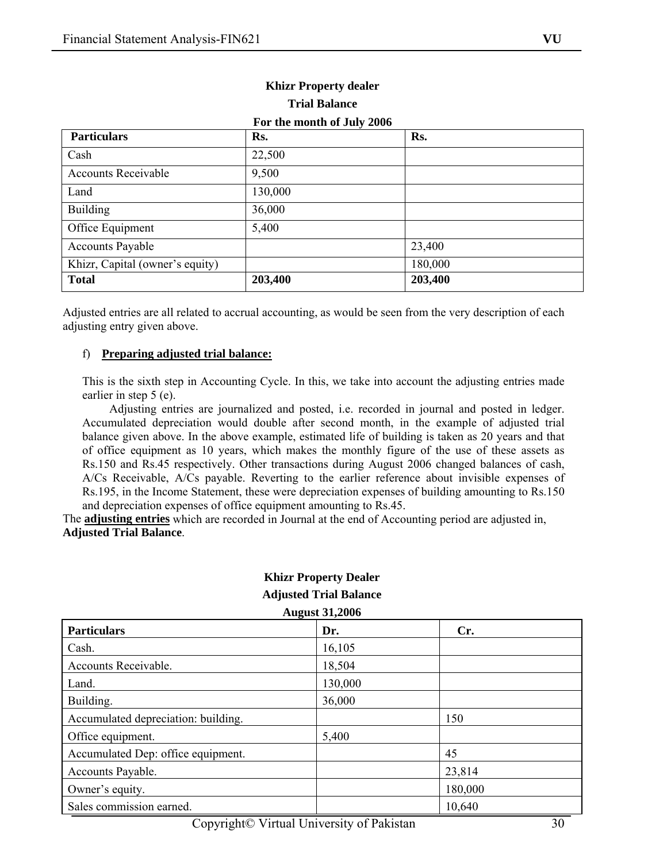| Trial Balance                   |                            |         |  |
|---------------------------------|----------------------------|---------|--|
|                                 | For the month of July 2006 |         |  |
| <b>Particulars</b>              | Rs.                        | Rs.     |  |
| Cash                            | 22,500                     |         |  |
| <b>Accounts Receivable</b>      | 9,500                      |         |  |
| Land                            | 130,000                    |         |  |
| <b>Building</b>                 | 36,000                     |         |  |
| Office Equipment                | 5,400                      |         |  |
| <b>Accounts Payable</b>         |                            | 23,400  |  |
| Khizr, Capital (owner's equity) |                            | 180,000 |  |
| <b>Total</b>                    | 203,400                    | 203,400 |  |

# **Khizr Property dealer Triangle**

Adjusted entries are all related to accrual accounting, as would be seen from the very description of each adjusting entry given above.

## f) **Preparing adjusted trial balance:**

This is the sixth step in Accounting Cycle. In this, we take into account the adjusting entries made earlier in step 5 (e).

 Adjusting entries are journalized and posted, i.e. recorded in journal and posted in ledger. Accumulated depreciation would double after second month, in the example of adjusted trial balance given above. In the above example, estimated life of building is taken as 20 years and that of office equipment as 10 years, which makes the monthly figure of the use of these assets as Rs.150 and Rs.45 respectively. Other transactions during August 2006 changed balances of cash, A/Cs Receivable, A/Cs payable. Reverting to the earlier reference about invisible expenses of Rs.195, in the Income Statement, these were depreciation expenses of building amounting to Rs.150 and depreciation expenses of office equipment amounting to Rs.45.

The **adjusting entries** which are recorded in Journal at the end of Accounting period are adjusted in, **Adjusted Trial Balance**.

| <b>August 31,2006</b>               |         |         |  |  |
|-------------------------------------|---------|---------|--|--|
| <b>Particulars</b>                  | Dr.     | Cr.     |  |  |
| Cash.                               | 16,105  |         |  |  |
| Accounts Receivable.                | 18,504  |         |  |  |
| Land.                               | 130,000 |         |  |  |
| Building.                           | 36,000  |         |  |  |
| Accumulated depreciation: building. |         | 150     |  |  |
| Office equipment.                   | 5,400   |         |  |  |
| Accumulated Dep: office equipment.  |         | 45      |  |  |
| Accounts Payable.                   |         | 23,814  |  |  |
| Owner's equity.                     |         | 180,000 |  |  |
| Sales commission earned.            |         | 10,640  |  |  |

# **Khizr Property Dealer Adjusted Trial Balance**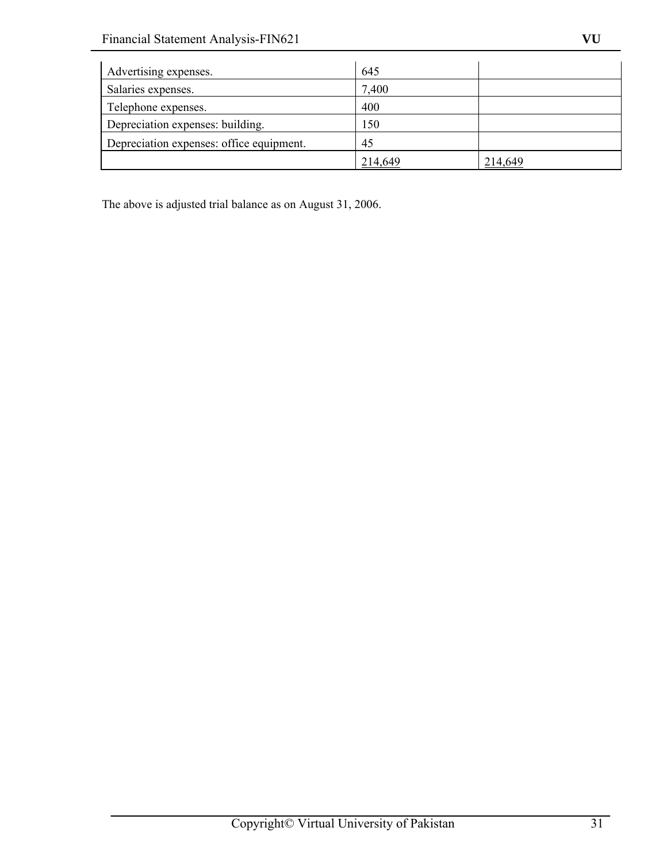| Advertising expenses.                    | 645     |         |
|------------------------------------------|---------|---------|
| Salaries expenses.                       | 7,400   |         |
| Telephone expenses.                      | 400     |         |
| Depreciation expenses: building.         | 150     |         |
| Depreciation expenses: office equipment. | 45      |         |
|                                          | 214,649 | 214,649 |

The above is adjusted trial balance as on August 31, 2006.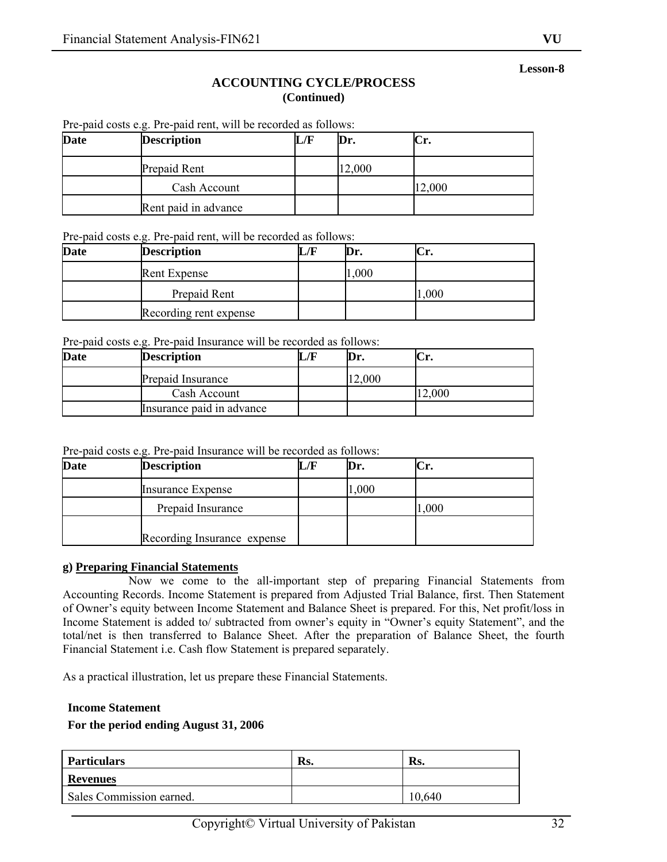**Lesson-8** 

## **ACCOUNTING CYCLE/PROCESS (Continued)**

Pre-paid costs e.g. Pre-paid rent, will be recorded as follows:

| <b>Date</b> | <b>Description</b>   | L/F | Dr.    | Cr.    |
|-------------|----------------------|-----|--------|--------|
|             | Prepaid Rent         |     | 12,000 |        |
|             | Cash Account         |     |        | 12,000 |
|             | Rent paid in advance |     |        |        |

Pre-paid costs e.g. Pre-paid rent, will be recorded as follows:

| <b>Date</b> | <b>Description</b>     | L/F | Dr. | v.   |
|-------------|------------------------|-----|-----|------|
|             | <b>Rent Expense</b>    |     | 000 |      |
|             | Prepaid Rent           |     |     | .000 |
|             | Recording rent expense |     |     |      |

Pre-paid costs e.g. Pre-paid Insurance will be recorded as follows:

| <b>Date</b> | <b>Description</b>        | L/F | Dr.    | ட.    |
|-------------|---------------------------|-----|--------|-------|
|             | Prepaid Insurance         |     | 12,000 |       |
|             | Cash Account              |     |        | 2,000 |
|             | Insurance paid in advance |     |        |       |

Pre-paid costs e.g. Pre-paid Insurance will be recorded as follows:

| Date | <b>Description</b>          | L/F | Dr.   | Сr.   |
|------|-----------------------------|-----|-------|-------|
|      | <b>Insurance Expense</b>    |     | 1,000 |       |
|      | Prepaid Insurance           |     |       | 1,000 |
|      | Recording Insurance expense |     |       |       |

# **g) Preparing Financial Statements**

 Now we come to the all-important step of preparing Financial Statements from Accounting Records. Income Statement is prepared from Adjusted Trial Balance, first. Then Statement of Owner's equity between Income Statement and Balance Sheet is prepared. For this, Net profit/loss in Income Statement is added to/ subtracted from owner's equity in "Owner's equity Statement", and the total/net is then transferred to Balance Sheet. After the preparation of Balance Sheet, the fourth Financial Statement i.e. Cash flow Statement is prepared separately.

As a practical illustration, let us prepare these Financial Statements.

## **Income Statement**

# **For the period ending August 31, 2006**

| <b>Particulars</b>       | Rs. | Rs.    |
|--------------------------|-----|--------|
| <b>Revenues</b>          |     |        |
| Sales Commission earned. |     | 10,640 |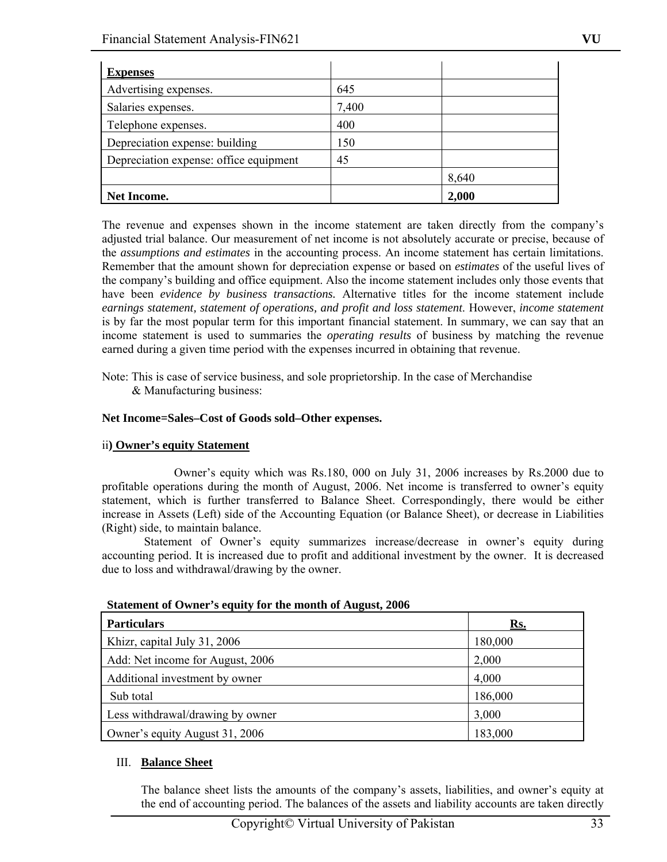| <b>Expenses</b>                        |       |       |  |
|----------------------------------------|-------|-------|--|
| Advertising expenses.                  | 645   |       |  |
| Salaries expenses.                     | 7,400 |       |  |
| Telephone expenses.                    | 400   |       |  |
| Depreciation expense: building         | 150   |       |  |
| Depreciation expense: office equipment | 45    |       |  |
|                                        |       | 8,640 |  |
| Net Income.                            |       | 2,000 |  |

The revenue and expenses shown in the income statement are taken directly from the company's adjusted trial balance. Our measurement of net income is not absolutely accurate or precise, because of the *assumptions and estimates* in the accounting process. An income statement has certain limitations. Remember that the amount shown for depreciation expense or based on *estimates* of the useful lives of the company's building and office equipment. Also the income statement includes only those events that have been *evidence by business transactions.* Alternative titles for the income statement include *earnings statement, statement of operations, and profit and loss statement*. However, *income statement* is by far the most popular term for this important financial statement. In summary, we can say that an income statement is used to summaries the *operating results* of business by matching the revenue earned during a given time period with the expenses incurred in obtaining that revenue.

Note: This is case of service business, and sole proprietorship. In the case of Merchandise & Manufacturing business:

## **Net Income=Sales–Cost of Goods sold–Other expenses.**

#### ii**) Owner's equity Statement**

 Owner's equity which was Rs.180, 000 on July 31, 2006 increases by Rs.2000 due to profitable operations during the month of August, 2006. Net income is transferred to owner's equity statement, which is further transferred to Balance Sheet. Correspondingly, there would be either increase in Assets (Left) side of the Accounting Equation (or Balance Sheet), or decrease in Liabilities (Right) side, to maintain balance.

 Statement of Owner's equity summarizes increase/decrease in owner's equity during accounting period. It is increased due to profit and additional investment by the owner. It is decreased due to loss and withdrawal/drawing by the owner.

| <b>Particulars</b>               | Rs.     |
|----------------------------------|---------|
| Khizr, capital July 31, 2006     | 180,000 |
| Add: Net income for August, 2006 | 2,000   |
| Additional investment by owner   | 4,000   |
| Sub total                        | 186,000 |
| Less withdrawal/drawing by owner | 3,000   |
| Owner's equity August 31, 2006   | 183,000 |

## **Statement of Owner's equity for the month of August, 2006**

### III. **Balance Sheet**

The balance sheet lists the amounts of the company's assets, liabilities, and owner's equity at the end of accounting period. The balances of the assets and liability accounts are taken directly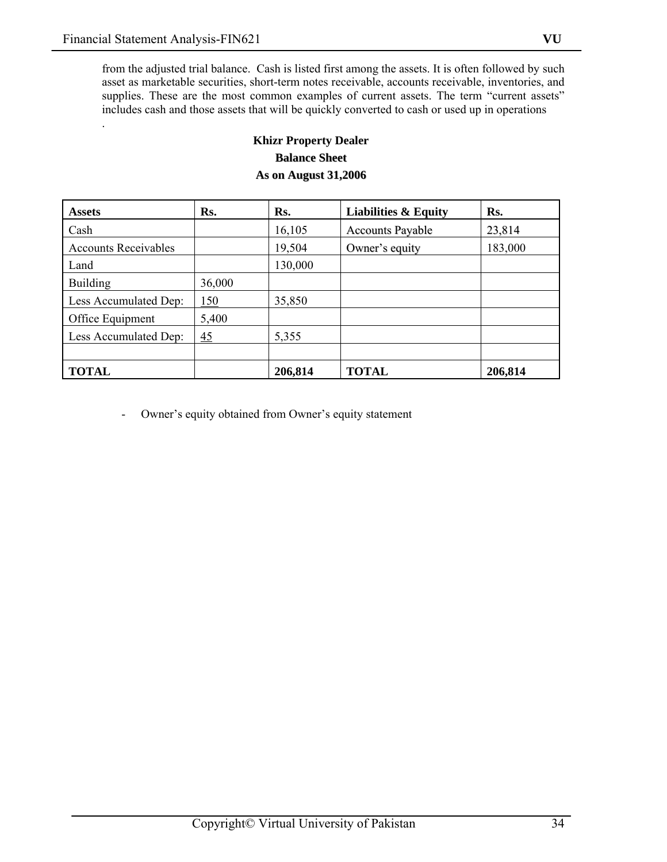.

from the adjusted trial balance. Cash is listed first among the assets. It is often followed by such asset as marketable securities, short-term notes receivable, accounts receivable, inventories, and supplies. These are the most common examples of current assets. The term "current assets" includes cash and those assets that will be quickly converted to cash or used up in operations

# **Khizr Property Dealer Balance Sheet As on August 31,2006**

| <b>Assets</b>               | Rs.    | Rs.     | <b>Liabilities &amp; Equity</b> | Rs.     |
|-----------------------------|--------|---------|---------------------------------|---------|
| Cash                        |        | 16,105  | <b>Accounts Payable</b>         | 23,814  |
| <b>Accounts Receivables</b> |        | 19,504  | Owner's equity                  | 183,000 |
| Land                        |        | 130,000 |                                 |         |
| <b>Building</b>             | 36,000 |         |                                 |         |
| Less Accumulated Dep:       | 150    | 35,850  |                                 |         |
| Office Equipment            | 5,400  |         |                                 |         |
| Less Accumulated Dep:       | 45     | 5,355   |                                 |         |
|                             |        |         |                                 |         |
| <b>TOTAL</b>                |        | 206,814 | <b>TOTAL</b>                    | 206,814 |

- Owner's equity obtained from Owner's equity statement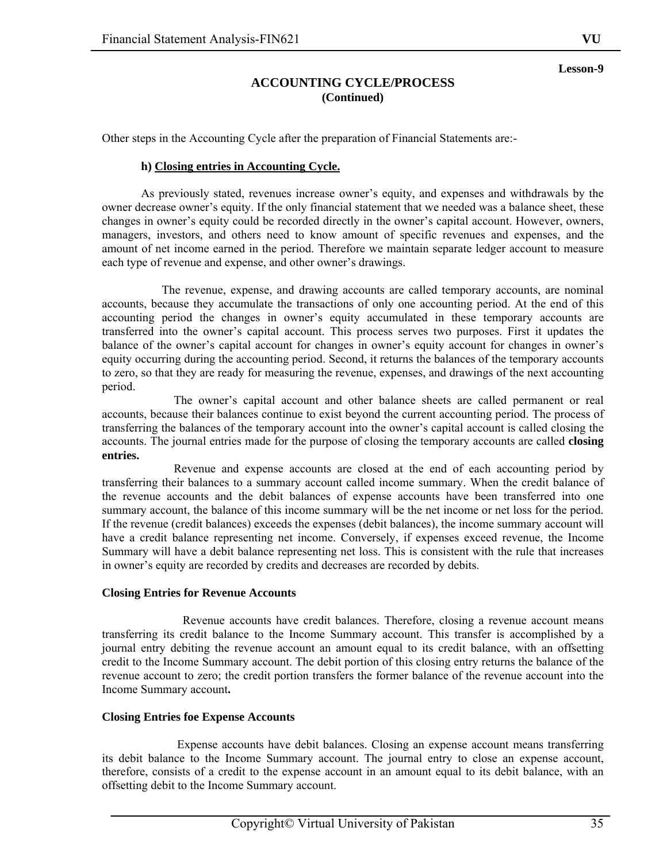## **ACCOUNTING CYCLE/PROCESS (Continued)**

Other steps in the Accounting Cycle after the preparation of Financial Statements are:-

#### **h) Closing entries in Accounting Cycle.**

 As previously stated, revenues increase owner's equity, and expenses and withdrawals by the owner decrease owner's equity. If the only financial statement that we needed was a balance sheet, these changes in owner's equity could be recorded directly in the owner's capital account. However, owners, managers, investors, and others need to know amount of specific revenues and expenses, and the amount of net income earned in the period. Therefore we maintain separate ledger account to measure each type of revenue and expense, and other owner's drawings.

 The revenue, expense, and drawing accounts are called temporary accounts, are nominal accounts, because they accumulate the transactions of only one accounting period. At the end of this accounting period the changes in owner's equity accumulated in these temporary accounts are transferred into the owner's capital account. This process serves two purposes. First it updates the balance of the owner's capital account for changes in owner's equity account for changes in owner's equity occurring during the accounting period. Second, it returns the balances of the temporary accounts to zero, so that they are ready for measuring the revenue, expenses, and drawings of the next accounting period.

 The owner's capital account and other balance sheets are called permanent or real accounts, because their balances continue to exist beyond the current accounting period. The process of transferring the balances of the temporary account into the owner's capital account is called closing the accounts. The journal entries made for the purpose of closing the temporary accounts are called **closing entries.** 

 Revenue and expense accounts are closed at the end of each accounting period by transferring their balances to a summary account called income summary. When the credit balance of the revenue accounts and the debit balances of expense accounts have been transferred into one summary account, the balance of this income summary will be the net income or net loss for the period. If the revenue (credit balances) exceeds the expenses (debit balances), the income summary account will have a credit balance representing net income. Conversely, if expenses exceed revenue, the Income Summary will have a debit balance representing net loss. This is consistent with the rule that increases in owner's equity are recorded by credits and decreases are recorded by debits.

#### **Closing Entries for Revenue Accounts**

 Revenue accounts have credit balances. Therefore, closing a revenue account means transferring its credit balance to the Income Summary account. This transfer is accomplished by a journal entry debiting the revenue account an amount equal to its credit balance, with an offsetting credit to the Income Summary account. The debit portion of this closing entry returns the balance of the revenue account to zero; the credit portion transfers the former balance of the revenue account into the Income Summary account**.**

#### **Closing Entries foe Expense Accounts**

Expense accounts have debit balances. Closing an expense account means transferring its debit balance to the Income Summary account. The journal entry to close an expense account, therefore, consists of a credit to the expense account in an amount equal to its debit balance, with an offsetting debit to the Income Summary account.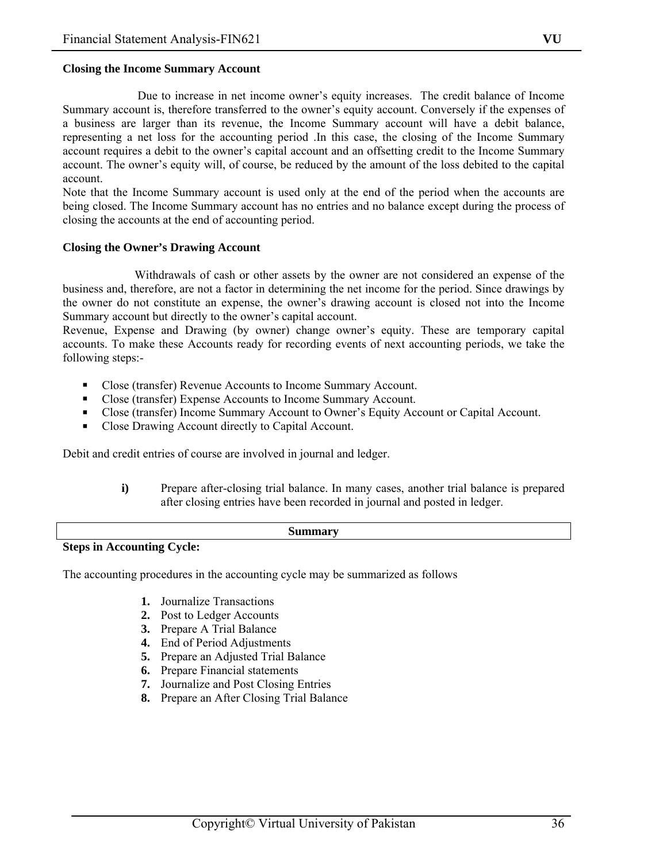#### **Closing the Income Summary Account**

 Due to increase in net income owner's equity increases. The credit balance of Income Summary account is, therefore transferred to the owner's equity account. Conversely if the expenses of a business are larger than its revenue, the Income Summary account will have a debit balance, representing a net loss for the accounting period .In this case, the closing of the Income Summary account requires a debit to the owner's capital account and an offsetting credit to the Income Summary account. The owner's equity will, of course, be reduced by the amount of the loss debited to the capital account.

Note that the Income Summary account is used only at the end of the period when the accounts are being closed. The Income Summary account has no entries and no balance except during the process of closing the accounts at the end of accounting period.

#### **Closing the Owner's Drawing Account**

 Withdrawals of cash or other assets by the owner are not considered an expense of the business and, therefore, are not a factor in determining the net income for the period. Since drawings by the owner do not constitute an expense, the owner's drawing account is closed not into the Income Summary account but directly to the owner's capital account.

Revenue, Expense and Drawing (by owner) change owner's equity. These are temporary capital accounts. To make these Accounts ready for recording events of next accounting periods, we take the following steps:-

- Close (transfer) Revenue Accounts to Income Summary Account.
- Close (transfer) Expense Accounts to Income Summary Account.
- Close (transfer) Income Summary Account to Owner's Equity Account or Capital Account.
- Close Drawing Account directly to Capital Account.

Debit and credit entries of course are involved in journal and ledger.

**i)** Prepare after-closing trial balance. In many cases, another trial balance is prepared after closing entries have been recorded in journal and posted in ledger.

#### **Summary**

**Steps in Accounting Cycle:** 

The accounting procedures in the accounting cycle may be summarized as follows

- **1.** Journalize Transactions
- **2.** Post to Ledger Accounts
- **3.** Prepare A Trial Balance
- **4.** End of Period Adjustments
- **5.** Prepare an Adjusted Trial Balance
- **6.** Prepare Financial statements
- **7.** Journalize and Post Closing Entries
- **8.** Prepare an After Closing Trial Balance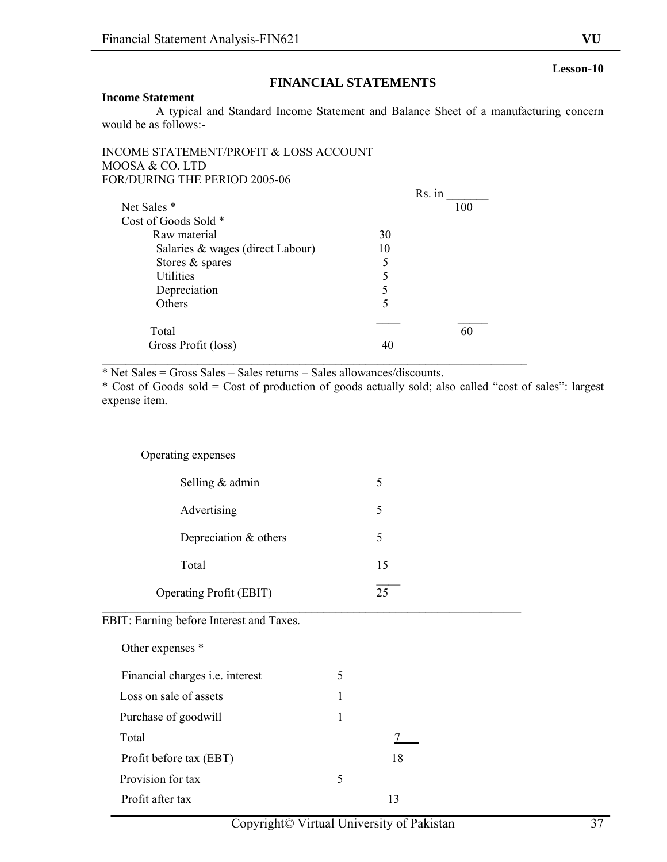# **FINANCIAL STATEMENTS**

#### **Income Statement**

j

 A typical and Standard Income Statement and Balance Sheet of a manufacturing concern would be as follows:-

#### INCOME STATEMENT/PROFIT & LOSS ACCOUNT MOOSA & CO. LTD FOR/DURING THE PERIOD 2005-06

|                                  |    | Rs. in |
|----------------------------------|----|--------|
| Net Sales *                      |    | 100    |
| Cost of Goods Sold *             |    |        |
| Raw material                     | 30 |        |
| Salaries & wages (direct Labour) | 10 |        |
| Stores & spares                  | 5  |        |
| Utilities                        |    |        |
| Depreciation                     | 5  |        |
| Others                           | 5  |        |
| Total                            |    | 60     |
| Gross Profit (loss)              | 40 |        |

 $\mathcal{L}_\text{max} = \mathcal{L}_\text{max} = \mathcal{L}_\text{max} = \mathcal{L}_\text{max} = \mathcal{L}_\text{max} = \mathcal{L}_\text{max} = \mathcal{L}_\text{max} = \mathcal{L}_\text{max} = \mathcal{L}_\text{max} = \mathcal{L}_\text{max} = \mathcal{L}_\text{max} = \mathcal{L}_\text{max} = \mathcal{L}_\text{max} = \mathcal{L}_\text{max} = \mathcal{L}_\text{max} = \mathcal{L}_\text{max} = \mathcal{L}_\text{max} = \mathcal{L}_\text{max} = \mathcal{$ 

 $\overline{\text{*} \text{Net Sales}} = \text{Gross Sales} - \text{Sales returns} - \text{Sales allows}$ 

\* Cost of Goods sold = Cost of production of goods actually sold; also called "cost of sales": largest expense item.

Operating expenses

| Selling & admin         | 5  |  |
|-------------------------|----|--|
| Advertising             | 5  |  |
| Depreciation $&$ others | 5  |  |
| Total                   | 15 |  |
| Operating Profit (EBIT) | つく |  |

 $\mathcal{L}_\text{max} = \frac{1}{2} \sum_{i=1}^n \mathcal{L}_\text{max}(\mathbf{x}_i - \mathbf{y}_i)$ 

EBIT: Earning before Interest and Taxes.

| Other expenses *                       |   |    |
|----------------------------------------|---|----|
| Financial charges <i>i.e.</i> interest | 5 |    |
| Loss on sale of assets                 | 1 |    |
| Purchase of goodwill                   |   |    |
| Total                                  |   |    |
| Profit before tax (EBT)                |   | 18 |
| Provision for tax                      | 5 |    |
| Profit after tax                       |   |    |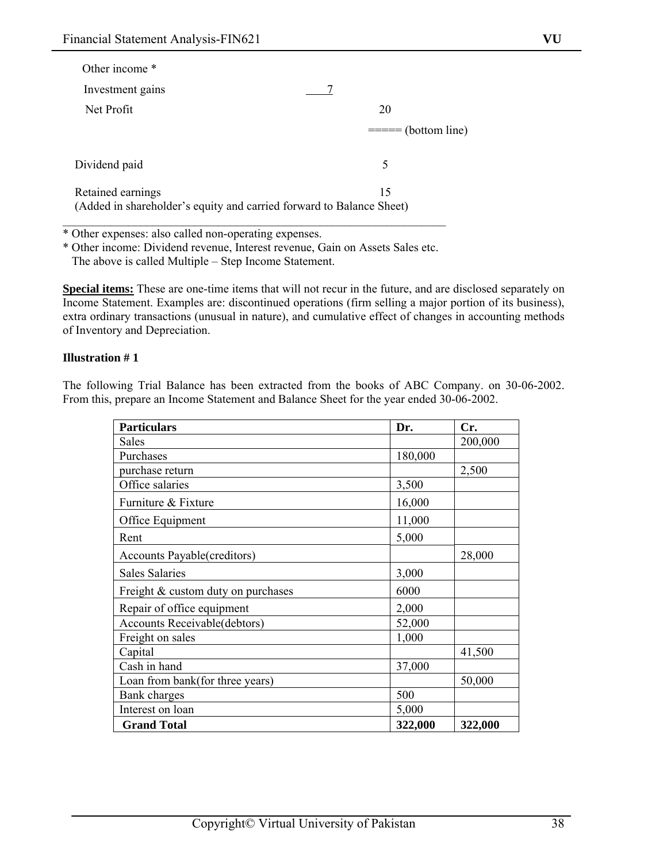| Other income *                                                       |                    |
|----------------------------------------------------------------------|--------------------|
| Investment gains                                                     |                    |
| Net Profit                                                           | 20                 |
|                                                                      | $===(bottom line)$ |
|                                                                      |                    |
| Dividend paid                                                        | 5                  |
| Retained earnings                                                    | 15                 |
| (Added in shareholder's equity and carried forward to Balance Sheet) |                    |

\* Other expenses: also called non-operating expenses.

\* Other income: Dividend revenue, Interest revenue, Gain on Assets Sales etc. The above is called Multiple – Step Income Statement.

**Special items:** These are one-time items that will not recur in the future, and are disclosed separately on Income Statement. Examples are: discontinued operations (firm selling a major portion of its business), extra ordinary transactions (unusual in nature), and cumulative effect of changes in accounting methods of Inventory and Depreciation.

#### **Illustration # 1**

j

The following Trial Balance has been extracted from the books of ABC Company. on 30-06-2002. From this, prepare an Income Statement and Balance Sheet for the year ended 30-06-2002.

| <b>Particulars</b>                  | Dr.     | Cr.     |
|-------------------------------------|---------|---------|
| Sales                               |         | 200,000 |
| Purchases                           | 180,000 |         |
| purchase return                     |         | 2,500   |
| Office salaries                     | 3,500   |         |
| Furniture & Fixture                 | 16,000  |         |
| Office Equipment                    | 11,000  |         |
| Rent                                | 5,000   |         |
| <b>Accounts Payable (creditors)</b> |         | 28,000  |
| <b>Sales Salaries</b>               | 3,000   |         |
| Freight & custom duty on purchases  | 6000    |         |
| Repair of office equipment          | 2,000   |         |
| <b>Accounts Receivable(debtors)</b> | 52,000  |         |
| Freight on sales                    | 1,000   |         |
| Capital                             |         | 41,500  |
| Cash in hand                        | 37,000  |         |
| Loan from bank(for three years)     |         | 50,000  |
| Bank charges                        | 500     |         |
| Interest on loan                    | 5,000   |         |
| <b>Grand Total</b>                  | 322,000 | 322,000 |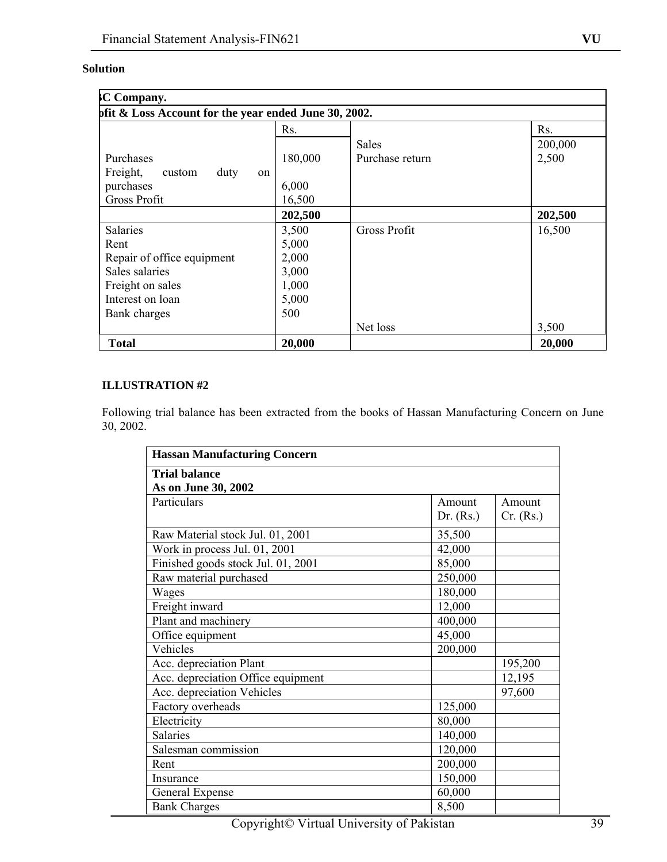| <b>C</b> Company.                                     |         |                 |         |
|-------------------------------------------------------|---------|-----------------|---------|
| bfit & Loss Account for the year ended June 30, 2002. |         |                 |         |
|                                                       | Rs.     |                 | Rs.     |
|                                                       |         | Sales           | 200,000 |
| <b>Purchases</b>                                      | 180,000 | Purchase return | 2,500   |
| Freight,<br>duty<br>custom<br>on                      |         |                 |         |
| purchases                                             | 6,000   |                 |         |
| <b>Gross Profit</b>                                   | 16,500  |                 |         |
|                                                       | 202,500 |                 | 202,500 |
| <b>Salaries</b>                                       | 3,500   | Gross Profit    | 16,500  |
| Rent                                                  | 5,000   |                 |         |
| Repair of office equipment                            | 2,000   |                 |         |
| Sales salaries                                        | 3,000   |                 |         |
| Freight on sales                                      | 1,000   |                 |         |
| Interest on loan                                      | 5,000   |                 |         |
| Bank charges                                          | 500     |                 |         |
|                                                       |         | Net loss        | 3,500   |
| <b>Total</b>                                          | 20,000  |                 | 20,000  |

### j **Solution**

# **ILLUSTRATION #2**

Following trial balance has been extracted from the books of Hassan Manufacturing Concern on June 30, 2002.

| <b>Hassan Manufacturing Concern</b> |                       |                     |  |
|-------------------------------------|-----------------------|---------------------|--|
| <b>Trial balance</b>                |                       |                     |  |
| As on June 30, 2002<br>Particulars  | Amount<br>Dr. $(Rs.)$ | Amount<br>Cr. (Rs.) |  |
| Raw Material stock Jul. 01, 2001    | 35,500                |                     |  |
| Work in process Jul. 01, 2001       | 42,000                |                     |  |
| Finished goods stock Jul. 01, 2001  | 85,000                |                     |  |
| Raw material purchased              | 250,000               |                     |  |
| Wages                               | 180,000               |                     |  |
| Freight inward                      | 12,000                |                     |  |
| Plant and machinery                 | 400,000               |                     |  |
| Office equipment                    | 45,000                |                     |  |
| Vehicles                            | 200,000               |                     |  |
| Acc. depreciation Plant             |                       | 195,200             |  |
| Acc. depreciation Office equipment  |                       | 12,195              |  |
| Acc. depreciation Vehicles          |                       | 97,600              |  |
| Factory overheads                   | 125,000               |                     |  |
| Electricity                         | 80,000                |                     |  |
| <b>Salaries</b>                     | 140,000               |                     |  |
| Salesman commission                 | 120,000               |                     |  |
| Rent                                | 200,000               |                     |  |
| Insurance                           | 150,000               |                     |  |
| General Expense                     | 60,000                |                     |  |
| <b>Bank Charges</b>                 | 8,500                 |                     |  |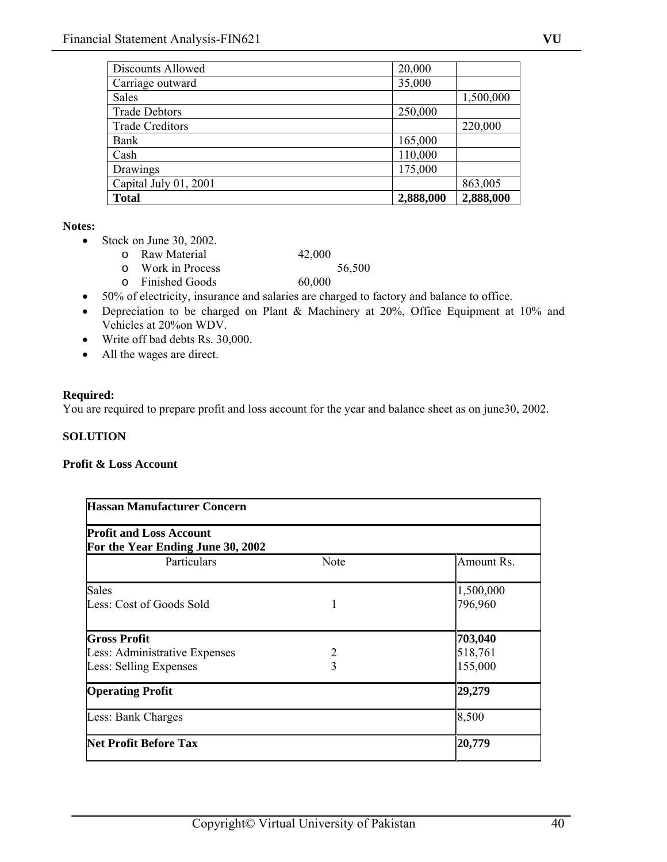| Discounts Allowed      | 20,000    |           |
|------------------------|-----------|-----------|
| Carriage outward       | 35,000    |           |
| <b>Sales</b>           |           | 1,500,000 |
| <b>Trade Debtors</b>   | 250,000   |           |
| <b>Trade Creditors</b> |           | 220,000   |
| Bank                   | 165,000   |           |
| Cash                   | 110,000   |           |
| Drawings               | 175,000   |           |
| Capital July 01, 2001  |           | 863,005   |
| <b>Total</b>           | 2,888,000 | 2,888,000 |

### **Notes:**

j

- Stock on June 30, 2002.
	- o Raw Material 42,000
	- o Work in Process 56,500
	- o Finished Goods
- 50% of electricity, insurance and salaries are charged to factory and balance to office.
- Depreciation to be charged on Plant & Machinery at 20%, Office Equipment at 10% and Vehicles at 20%on WDV.
- Write off bad debts Rs. 30,000.
- All the wages are direct.

### **Required:**

You are required to prepare profit and loss account for the year and balance sheet as on june30, 2002.

### **SOLUTION**

#### **Profit & Loss Account**

| <b>Hassan Manufacturer Concern</b>                                  |      |            |
|---------------------------------------------------------------------|------|------------|
| <b>Profit and Loss Account</b><br>For the Year Ending June 30, 2002 |      |            |
| Particulars                                                         | Note | Amount Rs. |
| <b>Sales</b>                                                        |      | 1,500,000  |
| Less: Cost of Goods Sold                                            |      | 796,960    |
| <b>Gross Profit</b>                                                 |      | 703,040    |
| Less: Administrative Expenses                                       | 2    | 518,761    |
| Less: Selling Expenses                                              | 3    | 155,000    |
| <b>Operating Profit</b>                                             |      | 29,279     |
| Less: Bank Charges                                                  |      | 8,500      |
| <b>Net Profit Before Tax</b>                                        |      | 20,779     |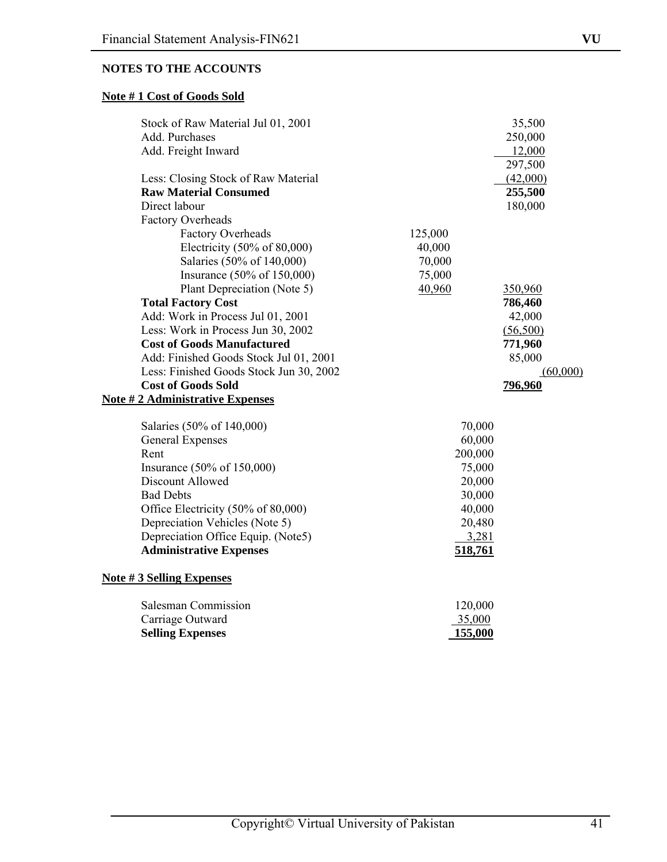### **Note # 1 Cost of Goods Sold**

| Stock of Raw Material Jul 01, 2001      |         | 35,500   |
|-----------------------------------------|---------|----------|
| Add. Purchases                          |         | 250,000  |
| Add. Freight Inward                     |         | 12,000   |
|                                         |         | 297,500  |
| Less: Closing Stock of Raw Material     |         | (42,000) |
| <b>Raw Material Consumed</b>            |         | 255,500  |
| Direct labour                           |         | 180,000  |
| <b>Factory Overheads</b>                |         |          |
| <b>Factory Overheads</b>                | 125,000 |          |
| Electricity (50% of 80,000)             | 40,000  |          |
| Salaries (50% of 140,000)               | 70,000  |          |
| Insurance (50% of 150,000)              | 75,000  |          |
| Plant Depreciation (Note 5)             | 40,960  | 350,960  |
| <b>Total Factory Cost</b>               |         | 786,460  |
| Add: Work in Process Jul 01, 2001       |         | 42,000   |
| Less: Work in Process Jun 30, 2002      |         | (56,500) |
| <b>Cost of Goods Manufactured</b>       |         | 771,960  |
| Add: Finished Goods Stock Jul 01, 2001  |         | 85,000   |
| Less: Finished Goods Stock Jun 30, 2002 |         | (60,000) |
| <b>Cost of Goods Sold</b>               |         | 796,960  |
| <b>Note #2 Administrative Expenses</b>  |         |          |
| Salaries (50% of 140,000)               | 70,000  |          |
| General Expenses                        | 60,000  |          |
| Rent                                    | 200,000 |          |
| Insurance (50% of 150,000)              | 75,000  |          |
| Discount Allowed                        | 20,000  |          |
| <b>Bad Debts</b>                        | 30,000  |          |
| Office Electricity (50% of 80,000)      | 40,000  |          |
| Depreciation Vehicles (Note 5)          | 20,480  |          |
| Depreciation Office Equip. (Note5)      | 3,281   |          |
| <b>Administrative Expenses</b>          | 518,761 |          |
| <b>Note #3 Selling Expenses</b>         |         |          |
| Salesman Commission                     | 120,000 |          |
| Carriage Outward                        | 35,000  |          |
| <b>Selling Expenses</b>                 | 155,000 |          |
|                                         |         |          |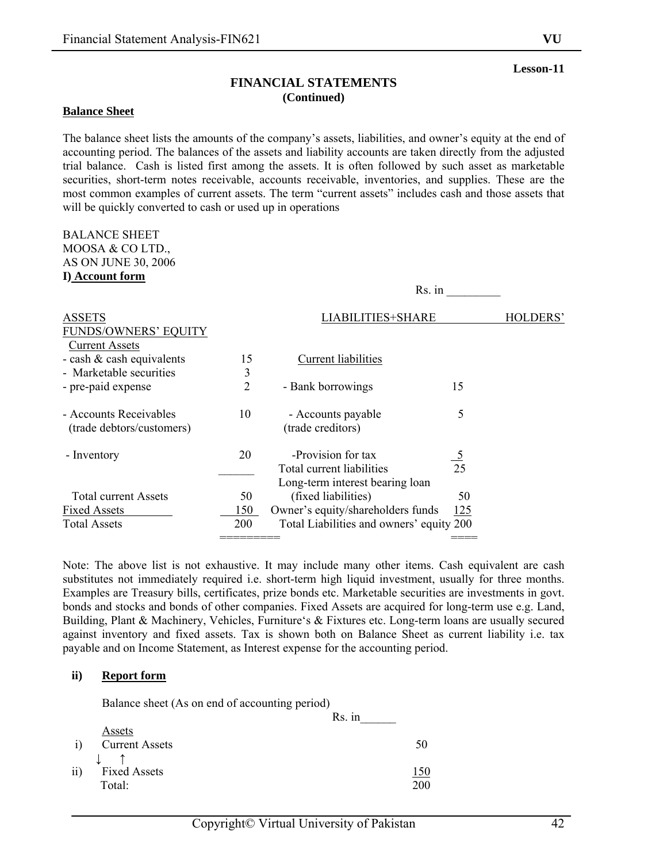# **Lesson-11**

#### **FINANCIAL STATEMENTS (Continued)**

#### **Balance Sheet**

j

The balance sheet lists the amounts of the company's assets, liabilities, and owner's equity at the end of accounting period. The balances of the assets and liability accounts are taken directly from the adjusted trial balance. Cash is listed first among the assets. It is often followed by such asset as marketable securities, short-term notes receivable, accounts receivable, inventories, and supplies. These are the most common examples of current assets. The term "current assets" includes cash and those assets that will be quickly converted to cash or used up in operations

#### BALANCE SHEET MOOSA & CO LTD., AS ON JUNE 30, 2006 **I) Account form**

|                                                                                  |                | Rs. in                                                                             |                |          |
|----------------------------------------------------------------------------------|----------------|------------------------------------------------------------------------------------|----------------|----------|
| ASSETS<br>FUNDS/OWNERS' EQUITY                                                   |                | LIABILITIES+SHARE                                                                  |                | HOLDERS' |
| <b>Current Assets</b><br>- cash $\&$ cash equivalents<br>- Marketable securities | 15<br>3        | Current liabilities                                                                |                |          |
| - pre-paid expense                                                               | $\overline{2}$ | - Bank borrowings                                                                  | 15             |          |
| - Accounts Receivables<br>(trade debtors/customers)                              | 10             | - Accounts payable<br>(trade creditors)                                            | 5              |          |
| - Inventory                                                                      | 20             | -Provision for tax<br>Total current liabilities<br>Long-term interest bearing loan | $\frac{5}{25}$ |          |
| <b>Total current Assets</b>                                                      | 50             | (fixed liabilities)                                                                | 50             |          |
| Fixed Assets                                                                     | 150            | Owner's equity/shareholders funds                                                  | 125            |          |
| Total Assets                                                                     | <b>200</b>     | Total Liabilities and owners' equity 200                                           |                |          |
|                                                                                  |                |                                                                                    |                |          |

Note: The above list is not exhaustive. It may include many other items. Cash equivalent are cash substitutes not immediately required i.e. short-term high liquid investment, usually for three months. Examples are Treasury bills, certificates, prize bonds etc. Marketable securities are investments in govt. bonds and stocks and bonds of other companies. Fixed Assets are acquired for long-term use e.g. Land, Building, Plant & Machinery, Vehicles, Furniture's & Fixtures etc. Long-term loans are usually secured against inventory and fixed assets. Tax is shown both on Balance Sheet as current liability i.e. tax payable and on Income Statement, as Interest expense for the accounting period.

# **ii) Report form**

Balance sheet (As on end of accounting period)

|     |                       | Rs. in |
|-----|-----------------------|--------|
|     | <b>Assets</b>         |        |
|     | <b>Current Assets</b> | 50     |
|     |                       |        |
| 11) | <b>Fixed Assets</b>   |        |
|     | Total:                | 200    |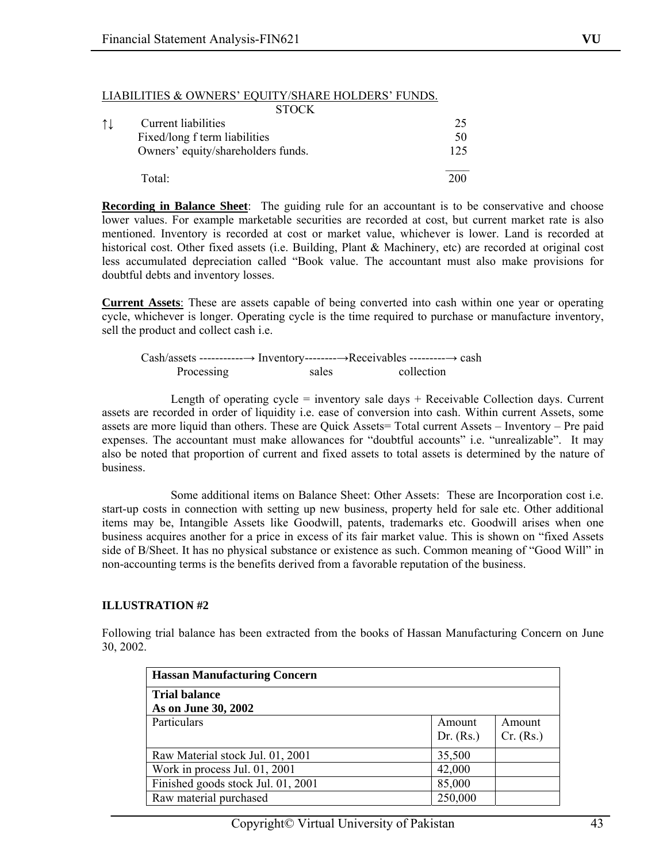| <b>STOCK</b>                       |     |
|------------------------------------|-----|
| Current liabilities                | 25  |
| Fixed/long f term liabilities      | 50  |
| Owners' equity/shareholders funds. | 125 |
| Total:                             | 200 |

#### LIABILITIES & OWNERS' EQUITY/SHARE HOLDERS' FUNDS.

**Recording in Balance Sheet**: The guiding rule for an accountant is to be conservative and choose lower values. For example marketable securities are recorded at cost, but current market rate is also mentioned. Inventory is recorded at cost or market value, whichever is lower. Land is recorded at historical cost. Other fixed assets (i.e. Building, Plant & Machinery, etc) are recorded at original cost less accumulated depreciation called "Book value. The accountant must also make provisions for doubtful debts and inventory losses.

**Current Assets**: These are assets capable of being converted into cash within one year or operating cycle, whichever is longer. Operating cycle is the time required to purchase or manufacture inventory, sell the product and collect cash i.e.

| $Cash/assets$ ------------ Inventory----------->Receivables -----------> cash |       |            |
|-------------------------------------------------------------------------------|-------|------------|
| Processing                                                                    | sales | collection |

Length of operating  $cycle = inventory$  sale days  $+$  Receivable Collection days. Current assets are recorded in order of liquidity i.e. ease of conversion into cash. Within current Assets, some assets are more liquid than others. These are Quick Assets= Total current Assets – Inventory – Pre paid expenses. The accountant must make allowances for "doubtful accounts" i.e. "unrealizable". It may also be noted that proportion of current and fixed assets to total assets is determined by the nature of business.

 Some additional items on Balance Sheet: Other Assets: These are Incorporation cost i.e. start-up costs in connection with setting up new business, property held for sale etc. Other additional items may be, Intangible Assets like Goodwill, patents, trademarks etc. Goodwill arises when one business acquires another for a price in excess of its fair market value. This is shown on "fixed Assets side of B/Sheet. It has no physical substance or existence as such. Common meaning of "Good Will" in non-accounting terms is the benefits derived from a favorable reputation of the business.

#### **ILLUSTRATION #2**

Following trial balance has been extracted from the books of Hassan Manufacturing Concern on June 30, 2002.

| <b>Hassan Manufacturing Concern</b>         |                       |                     |  |  |
|---------------------------------------------|-----------------------|---------------------|--|--|
| <b>Trial balance</b><br>As on June 30, 2002 |                       |                     |  |  |
| Particulars                                 | Amount<br>Dr. $(Rs.)$ | Amount<br>Cr. (Rs.) |  |  |
| Raw Material stock Jul. 01, 2001            | 35,500                |                     |  |  |
| Work in process Jul. 01, 2001               | 42,000                |                     |  |  |
| Finished goods stock Jul. 01, 2001          | 85,000                |                     |  |  |
| Raw material purchased                      | 250,000               |                     |  |  |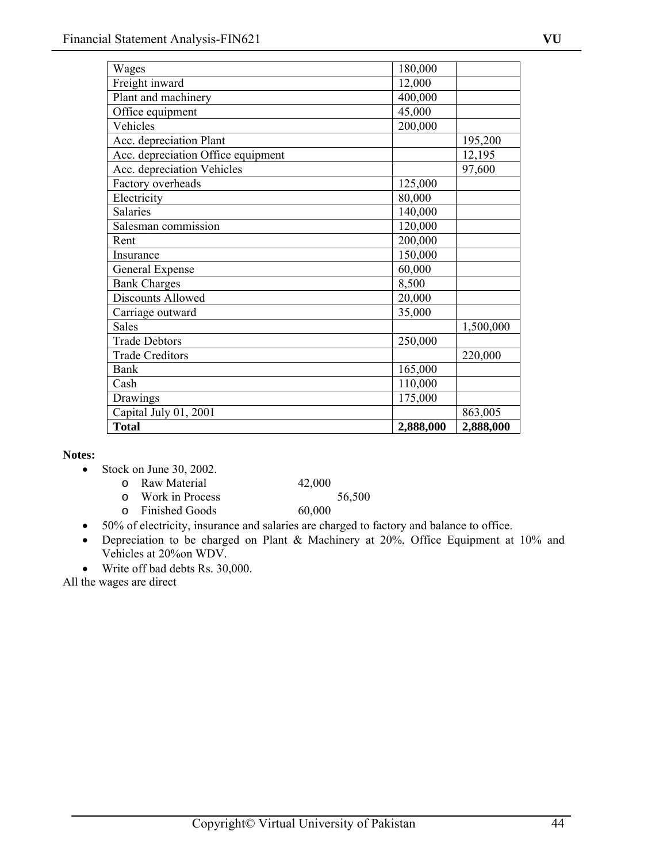| Wages                              | 180,000   |           |
|------------------------------------|-----------|-----------|
| Freight inward                     | 12,000    |           |
| Plant and machinery                | 400,000   |           |
| Office equipment                   | 45,000    |           |
| Vehicles                           | 200,000   |           |
| Acc. depreciation Plant            |           | 195,200   |
| Acc. depreciation Office equipment |           | 12,195    |
| Acc. depreciation Vehicles         |           | 97,600    |
| Factory overheads                  | 125,000   |           |
| Electricity                        | 80,000    |           |
| <b>Salaries</b>                    | 140,000   |           |
| Salesman commission                | 120,000   |           |
| Rent                               | 200,000   |           |
| Insurance                          | 150,000   |           |
| General Expense                    | 60,000    |           |
| <b>Bank Charges</b>                | 8,500     |           |
| <b>Discounts Allowed</b>           | 20,000    |           |
| Carriage outward                   | 35,000    |           |
| <b>Sales</b>                       |           | 1,500,000 |
| <b>Trade Debtors</b>               | 250,000   |           |
| <b>Trade Creditors</b>             |           | 220,000   |
| <b>Bank</b>                        | 165,000   |           |
| Cash                               | 110,000   |           |
| Drawings                           | 175,000   |           |
| Capital July 01, 2001              |           | 863,005   |
| <b>Total</b>                       | 2,888,000 | 2,888,000 |

**Notes:** 

j

- Stock on June 30, 2002.
	- o Raw Material 42,000

o Work in Process 56,500

o Finished Goods 60,000

- 50% of electricity, insurance and salaries are charged to factory and balance to office.
- Depreciation to be charged on Plant & Machinery at 20%, Office Equipment at 10% and Vehicles at 20%on WDV.
- Write off bad debts Rs. 30,000.

All the wages are direct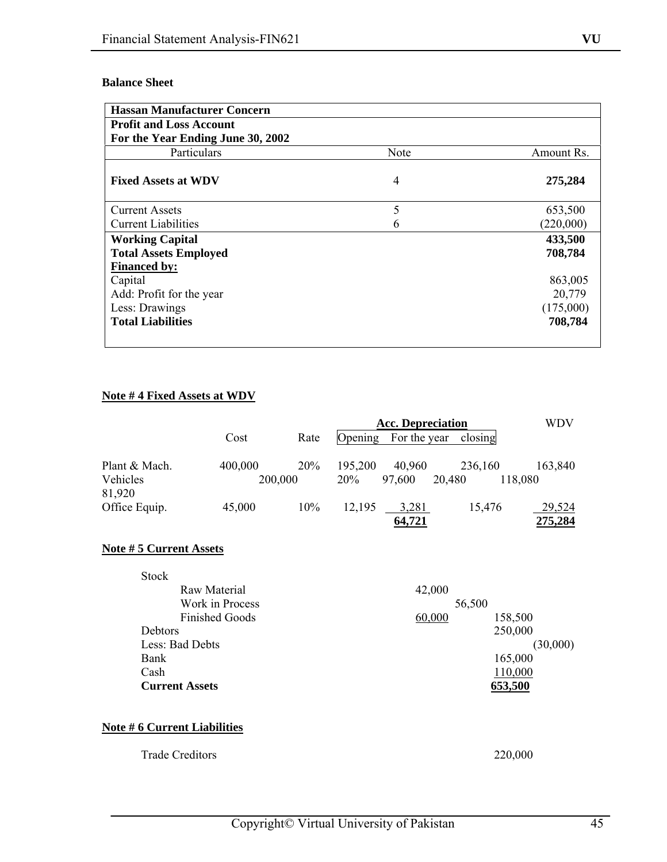### **Balance Sheet**

j

| <b>Hassan Manufacturer Concern</b> |      |            |
|------------------------------------|------|------------|
| <b>Profit and Loss Account</b>     |      |            |
| For the Year Ending June 30, 2002  |      |            |
| Particulars                        | Note | Amount Rs. |
| <b>Fixed Assets at WDV</b>         | 4    | 275,284    |
| <b>Current Assets</b>              | 5    | 653,500    |
| <b>Current Liabilities</b>         | 6    | (220,000)  |
| <b>Working Capital</b>             |      | 433,500    |
| <b>Total Assets Employed</b>       |      | 708,784    |
| <b>Financed by:</b>                |      |            |
| Capital                            |      | 863,005    |
| Add: Profit for the year           |      | 20,779     |
| Less: Drawings                     |      | (175,000)  |
| <b>Total Liabilities</b>           |      | 708,784    |
|                                    |      |            |

# **Note # 4 Fixed Assets at WDV**

|                                    |                 |                |                | <b>Acc. Depreciation</b>   |         | <b>WDV</b>               |
|------------------------------------|-----------------|----------------|----------------|----------------------------|---------|--------------------------|
|                                    | Cost            | Rate           | Opening        | For the year               | closing |                          |
| Plant & Mach.<br>Vehicles          | 400,000         | 20%<br>200,000 | 195,200<br>20% | 40,960<br>97,600<br>20,480 | 236,160 | 163,840<br>118,080       |
| 81,920<br>Office Equip.            | 45,000          | 10%            | 12,195         | 3,281<br>64,721            | 15,476  | <u>29,524</u><br>275,284 |
| <b>Note #5 Current Assets</b>      |                 |                |                |                            |         |                          |
| Stock                              |                 |                |                |                            |         |                          |
|                                    | Raw Material    |                |                | 42,000                     |         |                          |
|                                    | Work in Process |                |                |                            | 56,500  |                          |
| <b>Finished Goods</b>              |                 |                | 60,000         | 158,500                    |         |                          |
| Debtors                            |                 |                |                | 250,000                    |         |                          |
| Less: Bad Debts                    |                 |                |                |                            |         | (30,000)                 |
| Bank                               |                 |                |                |                            | 165,000 |                          |
| Cash                               |                 |                |                |                            | 110,000 |                          |
| <b>Current Assets</b>              |                 |                |                |                            | 653,500 |                          |
| <b>Note #6 Current Liabilities</b> |                 |                |                |                            |         |                          |
| <b>Trade Creditors</b>             |                 |                |                |                            | 220,000 |                          |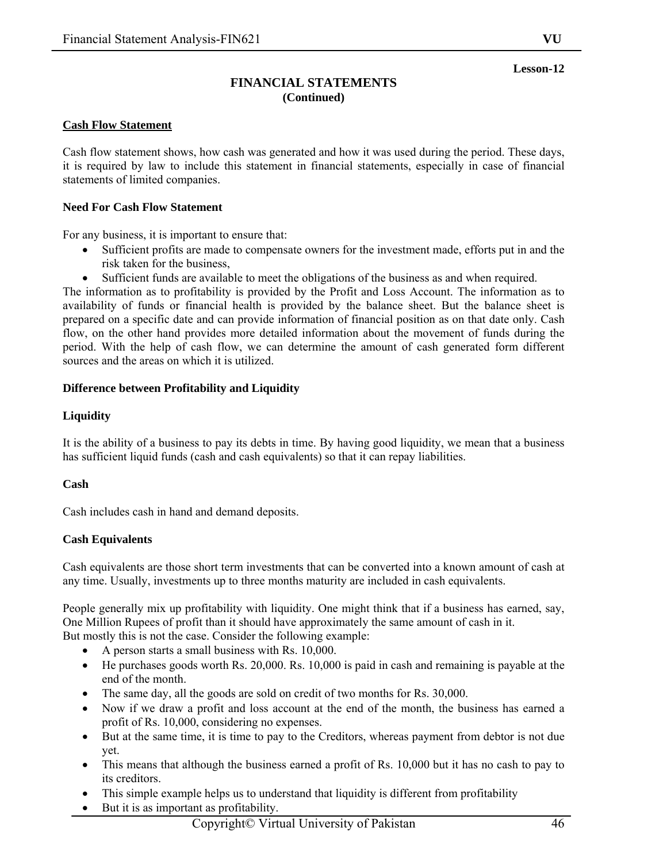### **Lesson-12**

#### **FINANCIAL STATEMENTS (Continued)**

#### **Cash Flow Statement**

j

Cash flow statement shows, how cash was generated and how it was used during the period. These days, it is required by law to include this statement in financial statements, especially in case of financial statements of limited companies.

#### **Need For Cash Flow Statement**

For any business, it is important to ensure that:

- Sufficient profits are made to compensate owners for the investment made, efforts put in and the risk taken for the business,
- Sufficient funds are available to meet the obligations of the business as and when required.

The information as to profitability is provided by the Profit and Loss Account. The information as to availability of funds or financial health is provided by the balance sheet. But the balance sheet is prepared on a specific date and can provide information of financial position as on that date only. Cash flow, on the other hand provides more detailed information about the movement of funds during the period. With the help of cash flow, we can determine the amount of cash generated form different sources and the areas on which it is utilized.

#### **Difference between Profitability and Liquidity**

#### **Liquidity**

It is the ability of a business to pay its debts in time. By having good liquidity, we mean that a business has sufficient liquid funds (cash and cash equivalents) so that it can repay liabilities.

#### **Cash**

Cash includes cash in hand and demand deposits.

#### **Cash Equivalents**

Cash equivalents are those short term investments that can be converted into a known amount of cash at any time. Usually, investments up to three months maturity are included in cash equivalents.

People generally mix up profitability with liquidity. One might think that if a business has earned, say, One Million Rupees of profit than it should have approximately the same amount of cash in it. But mostly this is not the case. Consider the following example:

- A person starts a small business with Rs. 10,000.
- He purchases goods worth Rs. 20,000. Rs. 10,000 is paid in cash and remaining is payable at the end of the month.
- The same day, all the goods are sold on credit of two months for Rs. 30,000.
- Now if we draw a profit and loss account at the end of the month, the business has earned a profit of Rs. 10,000, considering no expenses.
- But at the same time, it is time to pay to the Creditors, whereas payment from debtor is not due yet.
- This means that although the business earned a profit of Rs. 10,000 but it has no cash to pay to its creditors.
- This simple example helps us to understand that liquidity is different from profitability
- But it is as important as profitability.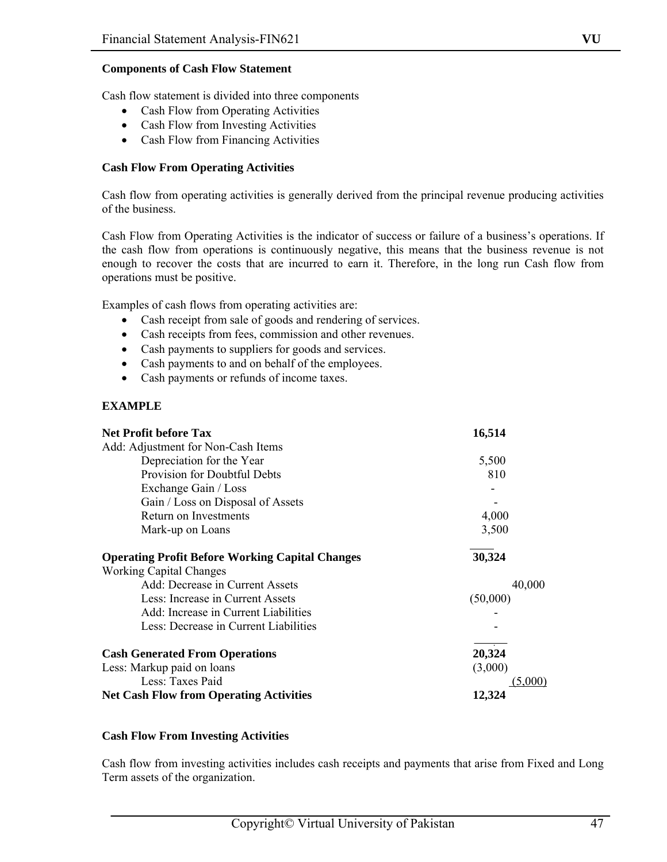#### **Components of Cash Flow Statement**

j

Cash flow statement is divided into three components

- Cash Flow from Operating Activities
- Cash Flow from Investing Activities
- Cash Flow from Financing Activities

### **Cash Flow From Operating Activities**

Cash flow from operating activities is generally derived from the principal revenue producing activities of the business.

Cash Flow from Operating Activities is the indicator of success or failure of a business's operations. If the cash flow from operations is continuously negative, this means that the business revenue is not enough to recover the costs that are incurred to earn it. Therefore, in the long run Cash flow from operations must be positive.

Examples of cash flows from operating activities are:

- Cash receipt from sale of goods and rendering of services.
- Cash receipts from fees, commission and other revenues.
- Cash payments to suppliers for goods and services.
- Cash payments to and on behalf of the employees.
- Cash payments or refunds of income taxes.

### **EXAMPLE**

| <b>Net Profit before Tax</b>                           | 16,514   |
|--------------------------------------------------------|----------|
| Add: Adjustment for Non-Cash Items                     |          |
| Depreciation for the Year                              | 5,500    |
| <b>Provision for Doubtful Debts</b>                    | 810      |
| Exchange Gain / Loss                                   |          |
| Gain / Loss on Disposal of Assets                      |          |
| Return on Investments                                  | 4,000    |
| Mark-up on Loans                                       | 3,500    |
| <b>Operating Profit Before Working Capital Changes</b> | 30,324   |
| <b>Working Capital Changes</b>                         |          |
| Add: Decrease in Current Assets                        | 40,000   |
| Less: Increase in Current Assets                       | (50,000) |
| Add: Increase in Current Liabilities                   |          |
| Less: Decrease in Current Liabilities                  |          |
| <b>Cash Generated From Operations</b>                  | 20,324   |
| Less: Markup paid on loans                             | (3,000)  |
| Less: Taxes Paid                                       | (5,000)  |
| <b>Net Cash Flow from Operating Activities</b>         | 12,324   |

#### **Cash Flow From Investing Activities**

Cash flow from investing activities includes cash receipts and payments that arise from Fixed and Long Term assets of the organization.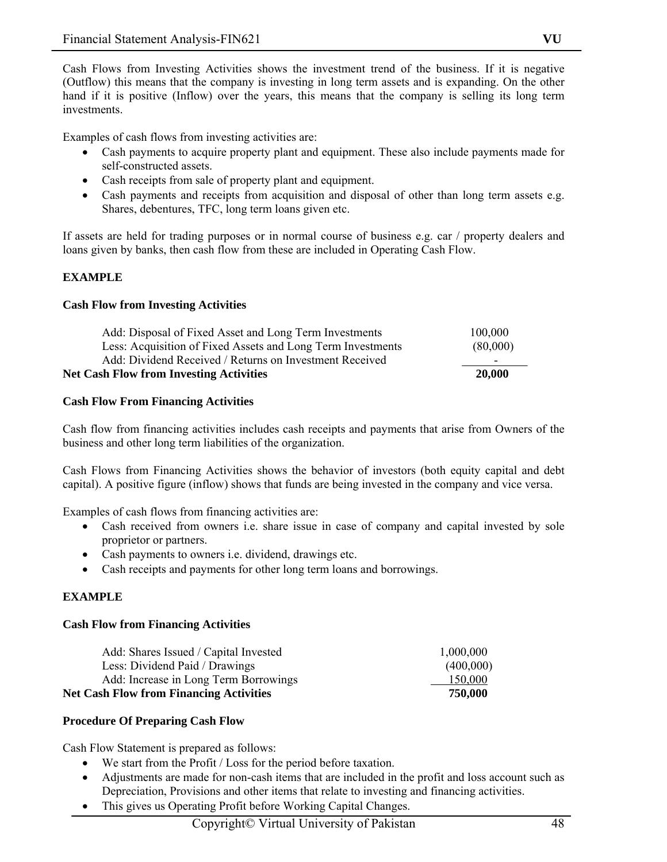Cash Flows from Investing Activities shows the investment trend of the business. If it is negative (Outflow) this means that the company is investing in long term assets and is expanding. On the other hand if it is positive (Inflow) over the years, this means that the company is selling its long term investments.

Examples of cash flows from investing activities are:

- Cash payments to acquire property plant and equipment. These also include payments made for self-constructed assets.
- Cash receipts from sale of property plant and equipment.
- Cash payments and receipts from acquisition and disposal of other than long term assets e.g. Shares, debentures, TFC, long term loans given etc.

If assets are held for trading purposes or in normal course of business e.g. car / property dealers and loans given by banks, then cash flow from these are included in Operating Cash Flow.

# **EXAMPLE**

j

# **Cash Flow from Investing Activities**

| <b>Net Cash Flow from Investing Activities</b>              | 20,000   |
|-------------------------------------------------------------|----------|
| Add: Dividend Received / Returns on Investment Received     | ٠        |
| Less: Acquisition of Fixed Assets and Long Term Investments | (80,000) |
| Add: Disposal of Fixed Asset and Long Term Investments      | 100,000  |

# **Cash Flow From Financing Activities**

Cash flow from financing activities includes cash receipts and payments that arise from Owners of the business and other long term liabilities of the organization.

Cash Flows from Financing Activities shows the behavior of investors (both equity capital and debt capital). A positive figure (inflow) shows that funds are being invested in the company and vice versa.

Examples of cash flows from financing activities are:

- Cash received from owners i.e. share issue in case of company and capital invested by sole proprietor or partners.
- Cash payments to owners i.e. dividend, drawings etc.
- Cash receipts and payments for other long term loans and borrowings.

# **EXAMPLE**

# **Cash Flow from Financing Activities**

| Add: Shares Issued / Capital Invested          | 1,000,000 |
|------------------------------------------------|-----------|
| Less: Dividend Paid / Drawings                 | (400,000) |
| Add: Increase in Long Term Borrowings          | 150,000   |
| <b>Net Cash Flow from Financing Activities</b> | 750,000   |

# **Procedure Of Preparing Cash Flow**

Cash Flow Statement is prepared as follows:

- We start from the Profit / Loss for the period before taxation.
- Adjustments are made for non-cash items that are included in the profit and loss account such as Depreciation, Provisions and other items that relate to investing and financing activities.
- This gives us Operating Profit before Working Capital Changes.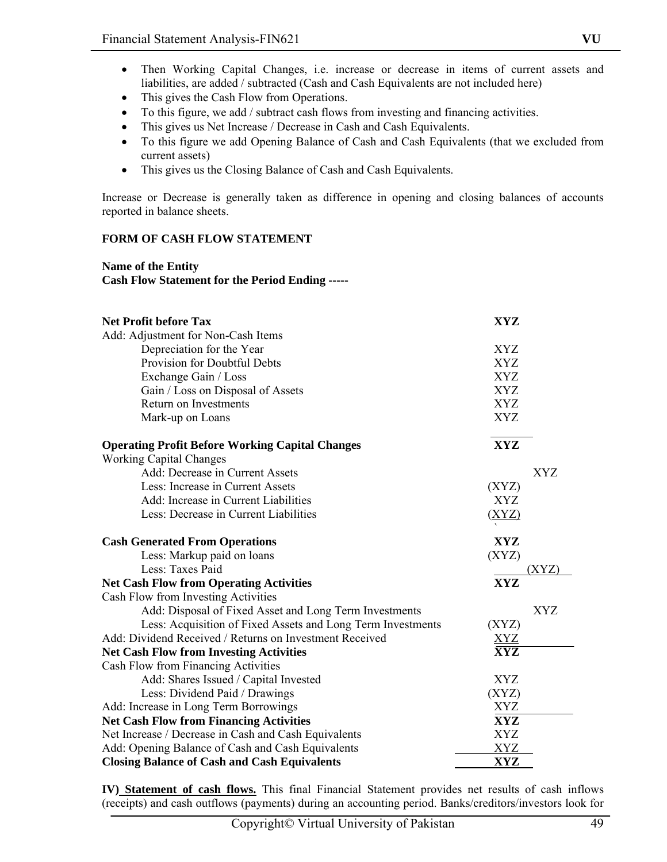- Then Working Capital Changes, i.e. increase or decrease in items of current assets and liabilities, are added / subtracted (Cash and Cash Equivalents are not included here)
- This gives the Cash Flow from Operations.
- To this figure, we add / subtract cash flows from investing and financing activities.
- This gives us Net Increase / Decrease in Cash and Cash Equivalents.
- To this figure we add Opening Balance of Cash and Cash Equivalents (that we excluded from current assets)
- This gives us the Closing Balance of Cash and Cash Equivalents.

Increase or Decrease is generally taken as difference in opening and closing balances of accounts reported in balance sheets.

# **FORM OF CASH FLOW STATEMENT**

# **Name of the Entity**

j

**Cash Flow Statement for the Period Ending -----** 

| <b>Net Profit before Tax</b>                                | XYZ        |
|-------------------------------------------------------------|------------|
| Add: Adjustment for Non-Cash Items                          |            |
| Depreciation for the Year                                   | XYZ        |
| Provision for Doubtful Debts                                | <b>XYZ</b> |
| Exchange Gain / Loss                                        | XYZ        |
| Gain / Loss on Disposal of Assets                           | <b>XYZ</b> |
| Return on Investments                                       | <b>XYZ</b> |
| Mark-up on Loans                                            | <b>XYZ</b> |
| <b>Operating Profit Before Working Capital Changes</b>      | <b>XYZ</b> |
| <b>Working Capital Changes</b>                              |            |
| Add: Decrease in Current Assets                             | <b>XYZ</b> |
| Less: Increase in Current Assets                            | (XYZ)      |
| Add: Increase in Current Liabilities                        | <b>XYZ</b> |
| Less: Decrease in Current Liabilities                       | (XYZ)      |
| <b>Cash Generated From Operations</b>                       | <b>XYZ</b> |
| Less: Markup paid on loans                                  | (XYZ)      |
| Less: Taxes Paid                                            | (XYZ)      |
| <b>Net Cash Flow from Operating Activities</b>              | <b>XYZ</b> |
| Cash Flow from Investing Activities                         |            |
| Add: Disposal of Fixed Asset and Long Term Investments      | <b>XYZ</b> |
| Less: Acquisition of Fixed Assets and Long Term Investments | (XYZ)      |
| Add: Dividend Received / Returns on Investment Received     | <u>XYZ</u> |
| <b>Net Cash Flow from Investing Activities</b>              | <b>XYZ</b> |
| Cash Flow from Financing Activities                         |            |
| Add: Shares Issued / Capital Invested                       | <b>XYZ</b> |
| Less: Dividend Paid / Drawings                              | (XYZ)      |
| Add: Increase in Long Term Borrowings                       | <b>XYZ</b> |
| <b>Net Cash Flow from Financing Activities</b>              | <b>XYZ</b> |
| Net Increase / Decrease in Cash and Cash Equivalents        | <b>XYZ</b> |
| Add: Opening Balance of Cash and Cash Equivalents           | <b>XYZ</b> |
| <b>Closing Balance of Cash and Cash Equivalents</b>         | <b>XYZ</b> |

**IV) Statement of cash flows.** This final Financial Statement provides net results of cash inflows (receipts) and cash outflows (payments) during an accounting period. Banks/creditors/investors look for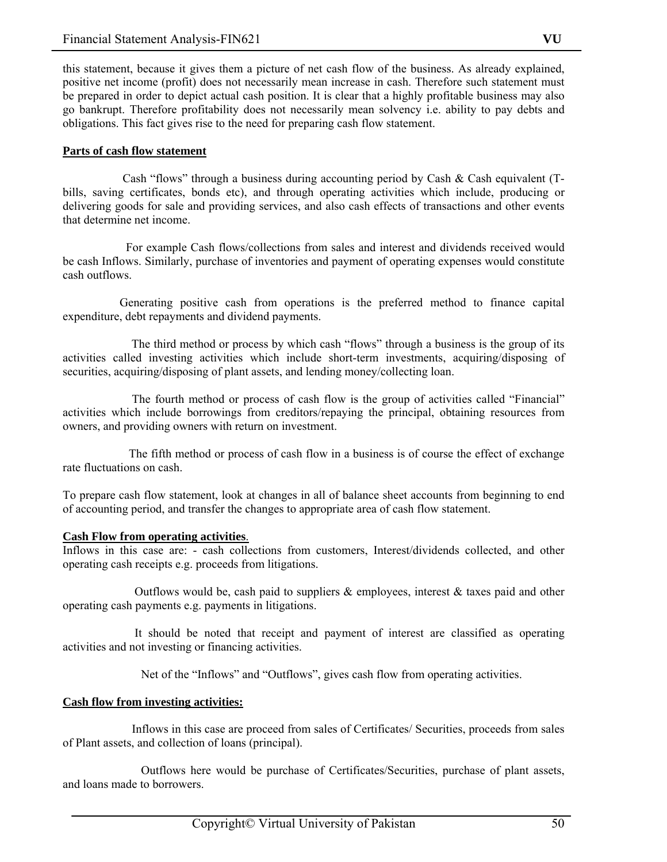this statement, because it gives them a picture of net cash flow of the business. As already explained, positive net income (profit) does not necessarily mean increase in cash. Therefore such statement must be prepared in order to depict actual cash position. It is clear that a highly profitable business may also go bankrupt. Therefore profitability does not necessarily mean solvency i.e. ability to pay debts and obligations. This fact gives rise to the need for preparing cash flow statement.

### **Parts of cash flow statement**

j

 Cash "flows" through a business during accounting period by Cash & Cash equivalent (Tbills, saving certificates, bonds etc), and through operating activities which include, producing or delivering goods for sale and providing services, and also cash effects of transactions and other events that determine net income.

 For example Cash flows/collections from sales and interest and dividends received would be cash Inflows. Similarly, purchase of inventories and payment of operating expenses would constitute cash outflows.

 Generating positive cash from operations is the preferred method to finance capital expenditure, debt repayments and dividend payments.

 The third method or process by which cash "flows" through a business is the group of its activities called investing activities which include short-term investments, acquiring/disposing of securities, acquiring/disposing of plant assets, and lending money/collecting loan.

 The fourth method or process of cash flow is the group of activities called "Financial" activities which include borrowings from creditors/repaying the principal, obtaining resources from owners, and providing owners with return on investment.

 The fifth method or process of cash flow in a business is of course the effect of exchange rate fluctuations on cash.

To prepare cash flow statement, look at changes in all of balance sheet accounts from beginning to end of accounting period, and transfer the changes to appropriate area of cash flow statement.

# **Cash Flow from operating activities**.

Inflows in this case are: - cash collections from customers, Interest/dividends collected, and other operating cash receipts e.g. proceeds from litigations.

Outflows would be, cash paid to suppliers  $\&$  employees, interest  $\&$  taxes paid and other operating cash payments e.g. payments in litigations.

 It should be noted that receipt and payment of interest are classified as operating activities and not investing or financing activities.

Net of the "Inflows" and "Outflows", gives cash flow from operating activities.

#### **Cash flow from investing activities:**

 Inflows in this case are proceed from sales of Certificates/ Securities, proceeds from sales of Plant assets, and collection of loans (principal).

 Outflows here would be purchase of Certificates/Securities, purchase of plant assets, and loans made to borrowers.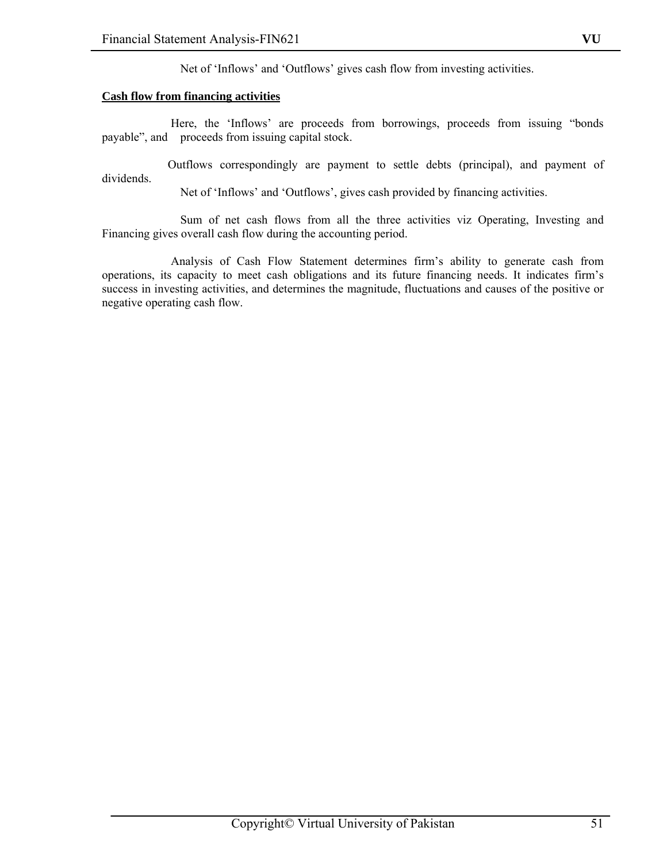Net of 'Inflows' and 'Outflows' gives cash flow from investing activities.

#### **Cash flow from financing activities**

 Here, the 'Inflows' are proceeds from borrowings, proceeds from issuing "bonds payable", and proceeds from issuing capital stock.

Outflows correspondingly are payment to settle debts (principal), and payment of

dividends.

j

Net of 'Inflows' and 'Outflows', gives cash provided by financing activities.

 Sum of net cash flows from all the three activities viz Operating, Investing and Financing gives overall cash flow during the accounting period.

 Analysis of Cash Flow Statement determines firm's ability to generate cash from operations, its capacity to meet cash obligations and its future financing needs. It indicates firm's success in investing activities, and determines the magnitude, fluctuations and causes of the positive or negative operating cash flow.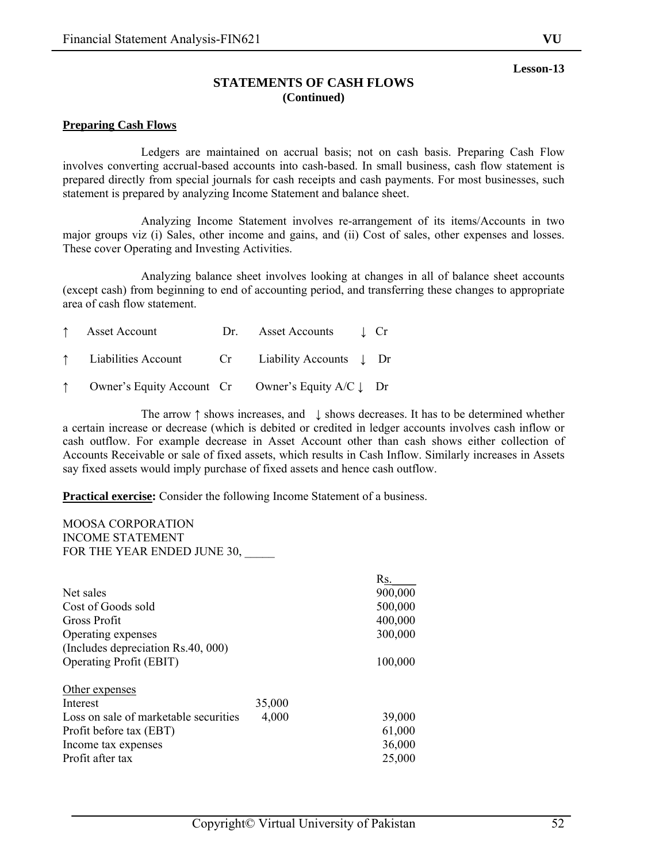### **Lesson-13**

### **STATEMENTS OF CASH FLOWS (Continued)**

#### **Preparing Cash Flows**

j

 Ledgers are maintained on accrual basis; not on cash basis. Preparing Cash Flow involves converting accrual-based accounts into cash-based. In small business, cash flow statement is prepared directly from special journals for cash receipts and cash payments. For most businesses, such statement is prepared by analyzing Income Statement and balance sheet.

 Analyzing Income Statement involves re-arrangement of its items/Accounts in two major groups viz (i) Sales, other income and gains, and (ii) Cost of sales, other expenses and losses. These cover Operating and Investing Activities.

 Analyzing balance sheet involves looking at changes in all of balance sheet accounts (except cash) from beginning to end of accounting period, and transferring these changes to appropriate area of cash flow statement.

| ↑ Asset Account                                              | Dr. Asset Accounts | $\perp$ Cr |
|--------------------------------------------------------------|--------------------|------------|
| ↑ Liabilities Account Cr Liability Accounts ↓ Dr             |                    |            |
| Owner's Equity Account Cr Owner's Equity $A/C \downarrow$ Dr |                    |            |

The arrow  $\uparrow$  shows increases, and  $\downarrow$  shows decreases. It has to be determined whether a certain increase or decrease (which is debited or credited in ledger accounts involves cash inflow or cash outflow. For example decrease in Asset Account other than cash shows either collection of Accounts Receivable or sale of fixed assets, which results in Cash Inflow. Similarly increases in Assets say fixed assets would imply purchase of fixed assets and hence cash outflow.

**Practical exercise:** Consider the following Income Statement of a business.

# MOOSA CORPORATION INCOME STATEMENT FOR THE YEAR ENDED JUNE 30,

|                                       |        | Rs.     |
|---------------------------------------|--------|---------|
| Net sales                             |        | 900,000 |
| Cost of Goods sold                    |        | 500,000 |
| Gross Profit                          |        | 400,000 |
| Operating expenses                    |        | 300,000 |
| (Includes depreciation Rs.40, 000)    |        |         |
| <b>Operating Profit (EBIT)</b>        |        | 100,000 |
| Other expenses                        |        |         |
| Interest                              | 35,000 |         |
| Loss on sale of marketable securities | 4,000  | 39,000  |
| Profit before tax (EBT)               |        | 61,000  |
| Income tax expenses                   |        | 36,000  |
| Profit after tax                      |        | 25,000  |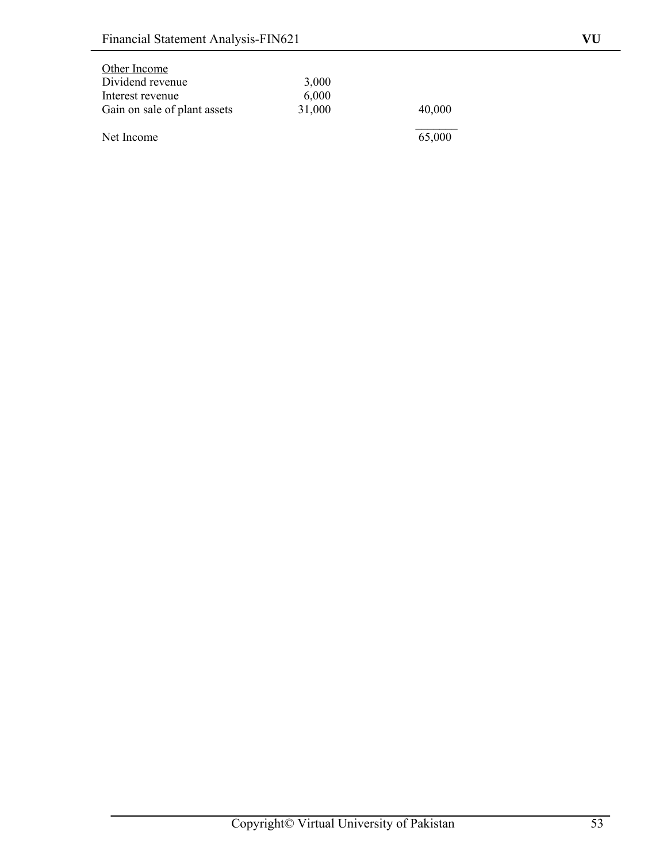| Other Income                 |        |        |
|------------------------------|--------|--------|
| Dividend revenue             | 3,000  |        |
| Interest revenue             | 6,000  |        |
| Gain on sale of plant assets | 31,000 | 40,000 |
|                              |        |        |
| Net Income                   |        | 65,000 |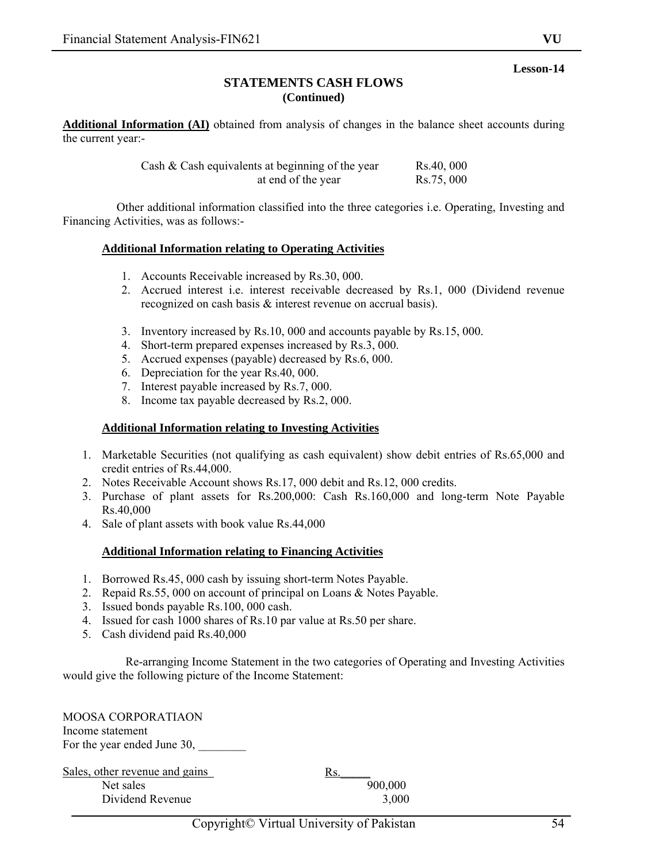### **Lesson-14**

#### **STATEMENTS CASH FLOWS (Continued)**

**Additional Information (AI)** obtained from analysis of changes in the balance sheet accounts during the current year:-

| Cash $\&$ Cash equivalents at beginning of the year | Rs.40,000  |
|-----------------------------------------------------|------------|
| at end of the year                                  | Rs.75, 000 |

 Other additional information classified into the three categories i.e. Operating, Investing and Financing Activities, was as follows:-

### **Additional Information relating to Operating Activities**

- 1. Accounts Receivable increased by Rs.30, 000.
- 2. Accrued interest i.e. interest receivable decreased by Rs.1, 000 (Dividend revenue recognized on cash basis & interest revenue on accrual basis).
- 3. Inventory increased by Rs.10, 000 and accounts payable by Rs.15, 000.
- 4. Short-term prepared expenses increased by Rs.3, 000.
- 5. Accrued expenses (payable) decreased by Rs.6, 000.
- 6. Depreciation for the year Rs.40, 000.
- 7. Interest payable increased by Rs.7, 000.
- 8. Income tax payable decreased by Rs.2, 000.

### **Additional Information relating to Investing Activities**

- 1. Marketable Securities (not qualifying as cash equivalent) show debit entries of Rs.65,000 and credit entries of Rs.44,000.
- 2. Notes Receivable Account shows Rs.17, 000 debit and Rs.12, 000 credits.
- 3. Purchase of plant assets for Rs.200,000: Cash Rs.160,000 and long-term Note Payable Rs.40,000
- 4. Sale of plant assets with book value Rs.44,000

# **Additional Information relating to Financing Activities**

- 1. Borrowed Rs.45, 000 cash by issuing short-term Notes Payable.
- 2. Repaid Rs.55, 000 on account of principal on Loans & Notes Payable.
- 3. Issued bonds payable Rs.100, 000 cash.
- 4. Issued for cash 1000 shares of Rs.10 par value at Rs.50 per share.
- 5. Cash dividend paid Rs.40,000

 Re-arranging Income Statement in the two categories of Operating and Investing Activities would give the following picture of the Income Statement:

MOOSA CORPORATIAON Income statement For the year ended June 30, \_\_\_\_\_\_\_\_ Sales, other revenue and gains Rs. Net sales 900,000 Dividend Revenue 3,000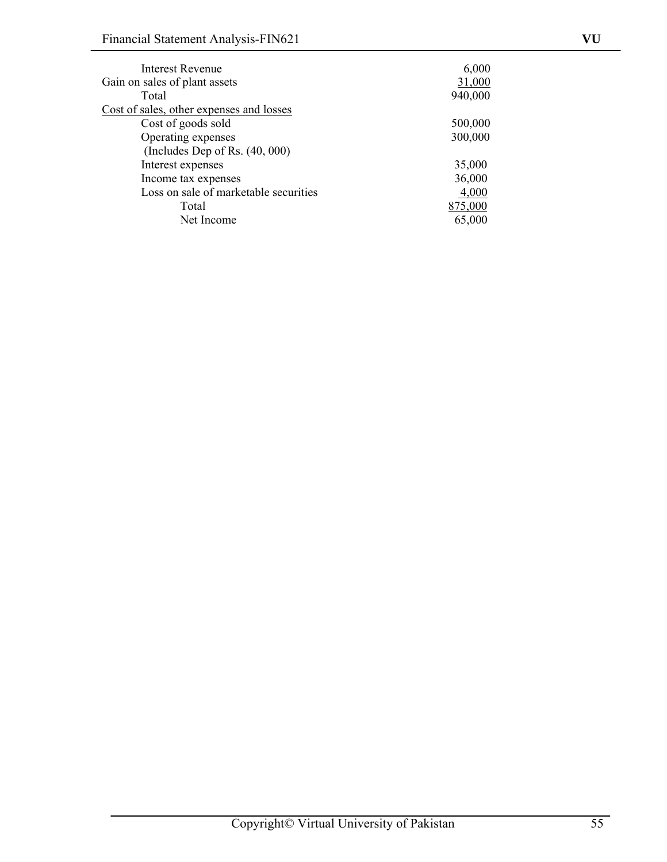| Interest Revenue                         | 6,000   |
|------------------------------------------|---------|
| Gain on sales of plant assets            | 31,000  |
| Total                                    | 940,000 |
| Cost of sales, other expenses and losses |         |
| Cost of goods sold                       | 500,000 |
| Operating expenses                       | 300,000 |
| (Includes Dep of Rs. $(40, 000)$ )       |         |
| Interest expenses                        | 35,000  |
| Income tax expenses                      | 36,000  |
| Loss on sale of marketable securities    | 4,000   |
| Total                                    | 875,000 |
| Net Income                               | 65,000  |
|                                          |         |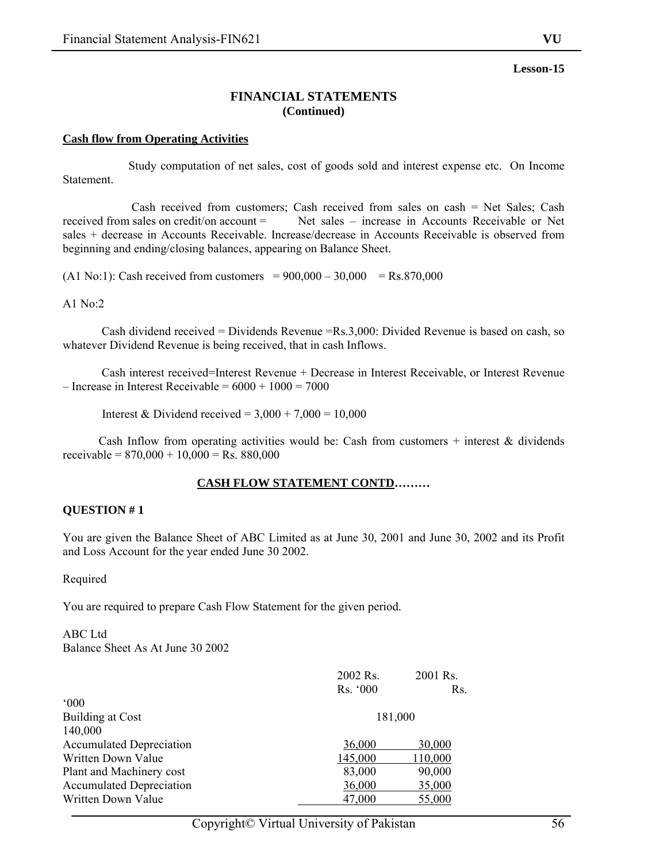### **Lesson-15**

### **FINANCIAL STATEMENTS (Continued)**

#### **Cash flow from Operating Activities**

 Study computation of net sales, cost of goods sold and interest expense etc. On Income Statement.

 Cash received from customers; Cash received from sales on cash = Net Sales; Cash received from sales on credit/on account = Net sales – increase in Accounts Receivable or Net sales + decrease in Accounts Receivable. Increase/decrease in Accounts Receivable is observed from beginning and ending/closing balances, appearing on Balance Sheet.

(A1 No:1): Cash received from customers =  $900,000 - 30,000$  = Rs.870,000

A1 No:2

j

 Cash dividend received = Dividends Revenue =Rs.3,000: Divided Revenue is based on cash, so whatever Dividend Revenue is being received, that in cash Inflows.

 Cash interest received=Interest Revenue + Decrease in Interest Receivable, or Interest Revenue – Increase in Interest Receivable =  $6000 + 1000 = 7000$ 

Interest & Dividend received =  $3,000 + 7,000 = 10,000$ 

Cash Inflow from operating activities would be: Cash from customers  $+$  interest & dividends receivable =  $870,000 + 10,000 =$  Rs.  $880,000$ 

# **CASH FLOW STATEMENT CONTD………**

# **QUESTION # 1**

You are given the Balance Sheet of ABC Limited as at June 30, 2001 and June 30, 2002 and its Profit and Loss Account for the year ended June 30 2002.

Required

You are required to prepare Cash Flow Statement for the given period.

# ABC Ltd

Balance Sheet As At June 30 2002

|                                 | 2002 Rs.<br>Rs. '000 | 2001 Rs.<br>Rs. |
|---------------------------------|----------------------|-----------------|
| $000^{\circ}$                   |                      |                 |
| Building at Cost                | 181,000              |                 |
| 140,000                         |                      |                 |
| <b>Accumulated Depreciation</b> | 36,000               | 30,000          |
| Written Down Value              | 145,000              | 110,000         |
| Plant and Machinery cost        | 83,000               | 90,000          |
| <b>Accumulated Depreciation</b> | 36,000               | 35,000          |
| Written Down Value              | 47,000               | 55,000          |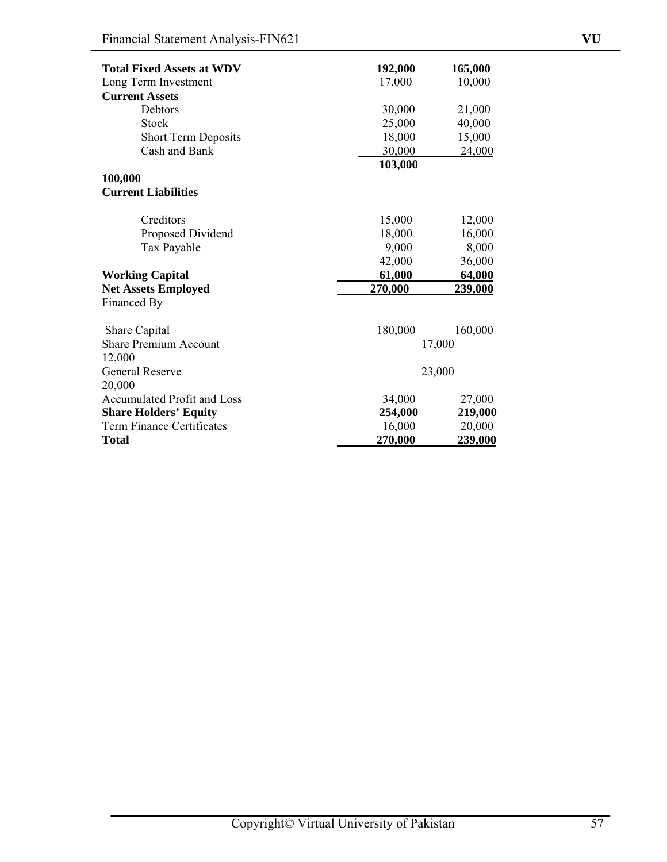| <b>Total Fixed Assets at WDV</b> | 192,000 | 165,000 |  |
|----------------------------------|---------|---------|--|
| Long Term Investment             | 17,000  | 10,000  |  |
| <b>Current Assets</b>            |         |         |  |
| Debtors                          | 30,000  | 21,000  |  |
| <b>Stock</b>                     | 25,000  | 40,000  |  |
| <b>Short Term Deposits</b>       | 18,000  | 15,000  |  |
| Cash and Bank                    | 30,000  | 24,000  |  |
|                                  | 103,000 |         |  |
| 100,000                          |         |         |  |
| <b>Current Liabilities</b>       |         |         |  |
| Creditors                        | 15,000  | 12,000  |  |
| Proposed Dividend                | 18,000  | 16,000  |  |
| Tax Payable                      | 9,000   | 8,000   |  |
|                                  | 42,000  | 36,000  |  |
| <b>Working Capital</b>           | 61,000  | 64,000  |  |
| <b>Net Assets Employed</b>       | 270,000 | 239,000 |  |
| Financed By                      |         |         |  |
| Share Capital                    | 180,000 | 160,000 |  |
| <b>Share Premium Account</b>     |         | 17,000  |  |
| 12,000                           |         |         |  |
| <b>General Reserve</b>           | 23,000  |         |  |
| 20,000                           |         |         |  |
| Accumulated Profit and Loss      | 34,000  | 27,000  |  |
| <b>Share Holders' Equity</b>     | 254,000 | 219,000 |  |
| <b>Term Finance Certificates</b> | 16,000  | 20,000  |  |
| Total                            | 270,000 | 239,000 |  |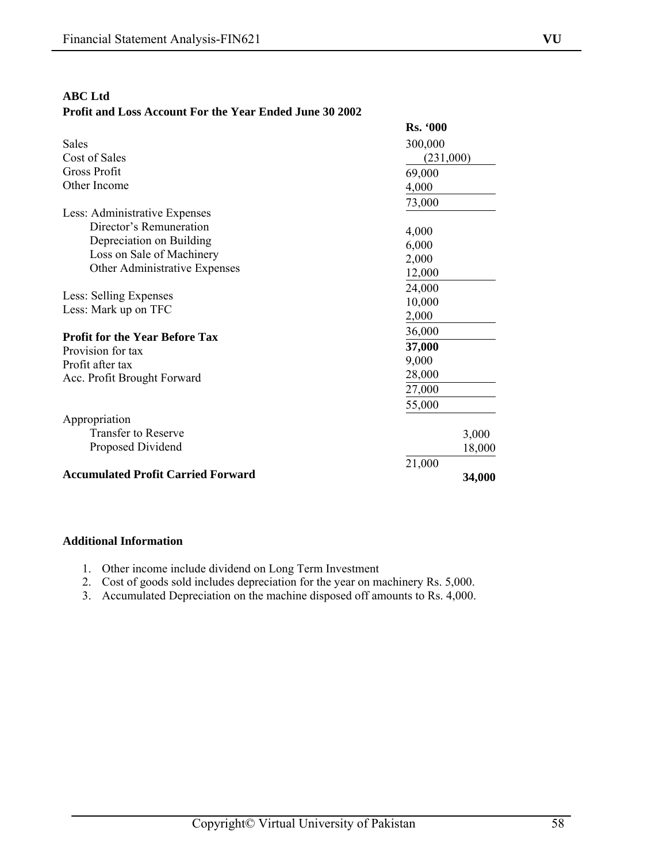# **ABC Ltd Profit and Loss Account For the Year Ended June 30 2002**

|                                           | <b>Rs. '000</b> |
|-------------------------------------------|-----------------|
| <b>Sales</b>                              | 300,000         |
| Cost of Sales                             | (231,000)       |
| Gross Profit                              | 69,000          |
| Other Income                              | 4,000           |
|                                           | 73,000          |
| Less: Administrative Expenses             |                 |
| Director's Remuneration                   | 4,000           |
| Depreciation on Building                  | 6,000           |
| Loss on Sale of Machinery                 | 2,000           |
| Other Administrative Expenses             | 12,000          |
|                                           | 24,000          |
| Less: Selling Expenses                    | 10,000          |
| Less: Mark up on TFC                      | 2,000           |
| <b>Profit for the Year Before Tax</b>     | 36,000          |
| Provision for tax                         | 37,000          |
| Profit after tax                          | 9,000           |
| Acc. Profit Brought Forward               | 28,000          |
|                                           | 27,000          |
|                                           | 55,000          |
| Appropriation                             |                 |
| <b>Transfer to Reserve</b>                | 3,000           |
| Proposed Dividend                         | 18,000          |
|                                           | 21,000          |
| <b>Accumulated Profit Carried Forward</b> | 34,000          |

# **Additional Information**

- 1. Other income include dividend on Long Term Investment
- 2. Cost of goods sold includes depreciation for the year on machinery Rs. 5,000.
- 3. Accumulated Depreciation on the machine disposed off amounts to Rs. 4,000.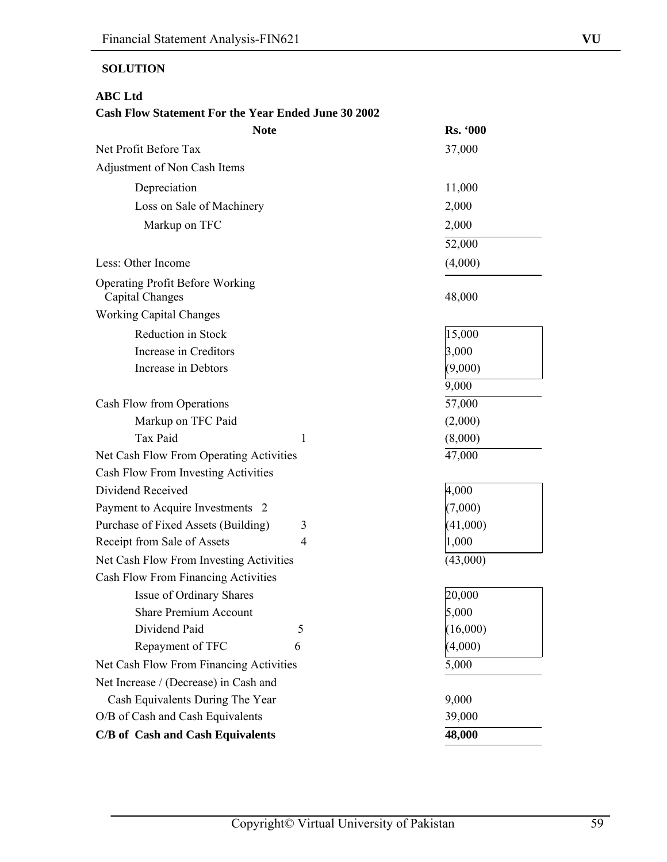#### **SOLUTION**

# **ABC Ltd**

j

# **Cash Flow Statement For the Year Ended June 30 2002**

| <b>Note</b>                                               |   | Rs. '000 |
|-----------------------------------------------------------|---|----------|
| Net Profit Before Tax                                     |   | 37,000   |
| Adjustment of Non Cash Items                              |   |          |
| Depreciation                                              |   | 11,000   |
| Loss on Sale of Machinery                                 |   | 2,000    |
| Markup on TFC                                             |   | 2,000    |
|                                                           |   | 52,000   |
| Less: Other Income                                        |   | (4,000)  |
| <b>Operating Profit Before Working</b><br>Capital Changes |   | 48,000   |
| <b>Working Capital Changes</b>                            |   |          |
| Reduction in Stock                                        |   | 15,000   |
| Increase in Creditors                                     |   | 3,000    |
| Increase in Debtors                                       |   | (9,000)  |
|                                                           |   | 9,000    |
| Cash Flow from Operations                                 |   | 57,000   |
| Markup on TFC Paid                                        |   | (2,000)  |
| <b>Tax Paid</b>                                           | 1 | (8,000)  |
| Net Cash Flow From Operating Activities                   |   | 47,000   |
| Cash Flow From Investing Activities                       |   |          |
| Dividend Received                                         |   | 4,000    |
| Payment to Acquire Investments 2                          |   | (7,000)  |
| Purchase of Fixed Assets (Building)                       | 3 | (41,000) |
| Receipt from Sale of Assets                               | 4 | 1,000    |
| Net Cash Flow From Investing Activities                   |   | (43,000) |
| Cash Flow From Financing Activities                       |   |          |
| Issue of Ordinary Shares                                  |   | 20,000   |
| <b>Share Premium Account</b>                              |   | 5,000    |
| Dividend Paid                                             | 5 | (16,000) |
| Repayment of TFC                                          | 6 | (4,000)  |
| Net Cash Flow From Financing Activities                   |   | 5,000    |
| Net Increase / (Decrease) in Cash and                     |   |          |
| Cash Equivalents During The Year                          |   | 9,000    |
| O/B of Cash and Cash Equivalents                          |   | 39,000   |
| <b>C/B</b> of Cash and Cash Equivalents                   |   | 48,000   |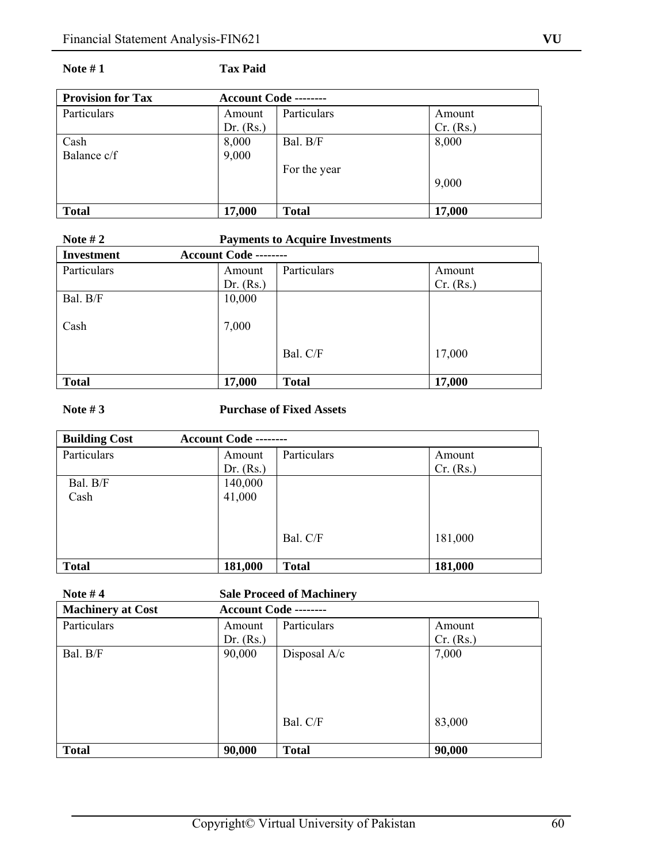| <b>Provision for Tax</b> | <b>Account Code --------</b> |              |           |
|--------------------------|------------------------------|--------------|-----------|
| Particulars              | Amount                       | Particulars  | Amount    |
|                          | Dr. $(Rs.)$                  |              | Cr. (Rs.) |
| Cash                     | 8,000                        | Bal. B/F     | 8,000     |
| Balance c/f              | 9,000                        |              |           |
|                          |                              | For the year |           |
|                          |                              |              | 9,000     |
|                          |                              |              |           |
| <b>Total</b>             | 17,000                       | <b>Total</b> | 17,000    |

| <b>Note #1</b> | <b>Tax Paid</b> |
|----------------|-----------------|

| Note $#2$         |                        | <b>Payments to Acquire Investments</b> |           |
|-------------------|------------------------|----------------------------------------|-----------|
| <b>Investment</b> | <b>Account Code --</b> |                                        |           |
| Particulars       | Amount                 | Particulars                            | Amount    |
|                   | Dr. $(Rs.)$            |                                        | Cr. (Rs.) |
| Bal. B/F          | 10,000                 |                                        |           |
| Cash              | 7,000                  |                                        |           |
|                   |                        | Bal. C/F                               | 17,000    |
| <b>Total</b>      | 17,000                 | <b>Total</b>                           | 17,000    |

# **Note # 3 Purchase of Fixed Assets**

| <b>Building Cost</b> | Account Code -------- |              |           |
|----------------------|-----------------------|--------------|-----------|
| Particulars          | Amount                | Particulars  | Amount    |
|                      | Dr. $(Rs.)$           |              | Cr. (Rs.) |
| Bal. B/F             | 140,000               |              |           |
| Cash                 | 41,000                |              |           |
|                      |                       |              |           |
|                      |                       |              |           |
|                      |                       | Bal. C/F     | 181,000   |
|                      |                       |              |           |
| <b>Total</b>         | 181,000               | <b>Total</b> | 181,000   |

| Note $#4$                |                        | <b>Sale Proceed of Machinery</b> |           |
|--------------------------|------------------------|----------------------------------|-----------|
| <b>Machinery at Cost</b> | <b>Account Code --</b> |                                  |           |
| Particulars              | Amount                 | Particulars                      | Amount    |
|                          | Dr. $(Rs.)$            |                                  | Cr. (Rs.) |
| Bal. B/F                 | 90,000                 | Disposal A/c                     | 7,000     |
|                          |                        |                                  |           |
|                          |                        |                                  |           |
|                          |                        |                                  |           |
|                          |                        |                                  |           |
|                          |                        | Bal. C/F                         | 83,000    |
|                          |                        |                                  |           |
| <b>Total</b>             | 90,000                 | <b>Total</b>                     | 90,000    |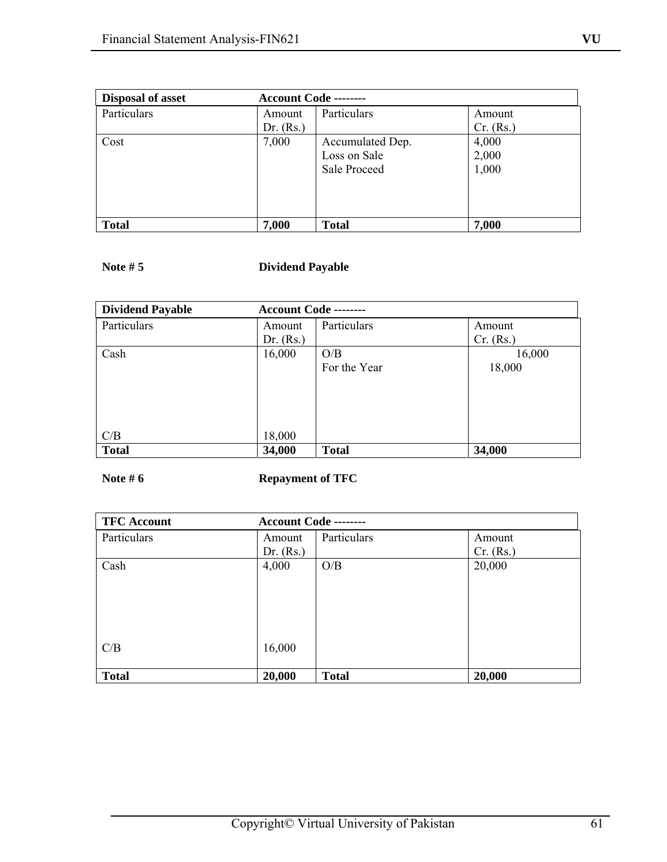| <b>Disposal of asset</b> | <b>Account Code -</b> |                  |           |
|--------------------------|-----------------------|------------------|-----------|
| Particulars              | Amount                | Particulars      | Amount    |
|                          | Dr. $(Rs.)$           |                  | Cr. (Rs.) |
| Cost                     | 7,000                 | Accumulated Dep. | 4,000     |
|                          |                       | Loss on Sale     | 2,000     |
|                          |                       | Sale Proceed     | 1,000     |
|                          |                       |                  |           |
|                          |                       |                  |           |
|                          |                       |                  |           |
| <b>Total</b>             | 7,000                 | <b>Total</b>     | 7,000     |

# **Note # 5 Dividend Payable**

| <b>Dividend Payable</b> | <b>Account Code -</b> |              |           |  |
|-------------------------|-----------------------|--------------|-----------|--|
| Particulars             | Amount                | Particulars  | Amount    |  |
|                         | Dr. $(Rs.)$           |              | Cr. (Rs.) |  |
| Cash                    | 16,000                | O/B          | 16,000    |  |
|                         |                       | For the Year | 18,000    |  |
|                         |                       |              |           |  |
|                         |                       |              |           |  |
|                         |                       |              |           |  |
|                         |                       |              |           |  |
| C/B                     | 18,000                |              |           |  |
| <b>Total</b>            | 34,000                | <b>Total</b> | 34,000    |  |

# **Note # 6 Repayment of TFC**

| <b>TFC Account</b> |             | Account Code -------- |           |  |  |
|--------------------|-------------|-----------------------|-----------|--|--|
| Particulars        | Amount      | Particulars           | Amount    |  |  |
|                    | Dr. $(Rs.)$ |                       | Cr. (Rs.) |  |  |
| Cash               | 4,000       | O/B                   | 20,000    |  |  |
|                    |             |                       |           |  |  |
|                    |             |                       |           |  |  |
|                    |             |                       |           |  |  |
|                    |             |                       |           |  |  |
|                    |             |                       |           |  |  |
| C/B                | 16,000      |                       |           |  |  |
|                    |             |                       |           |  |  |
| <b>Total</b>       | 20,000      | <b>Total</b>          | 20,000    |  |  |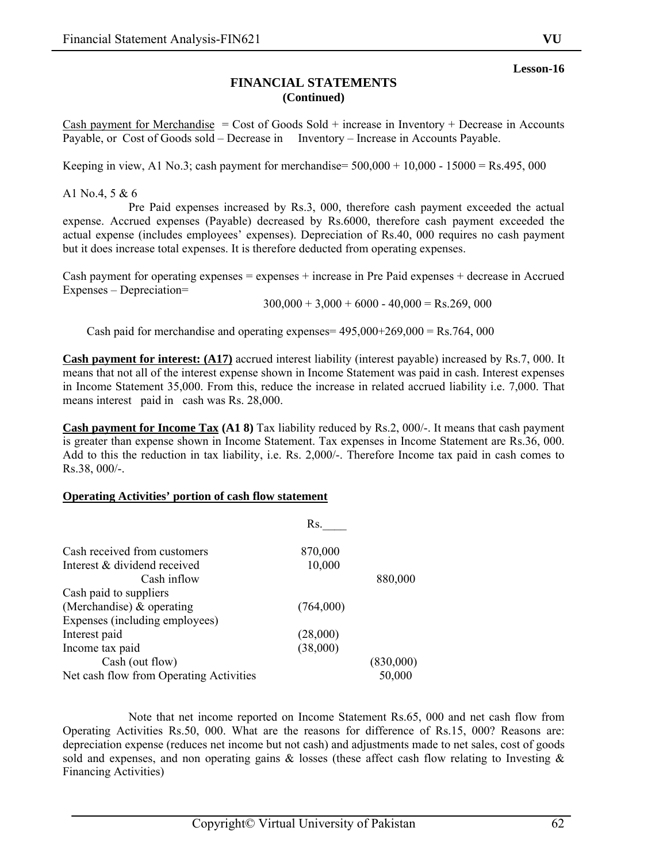# **Lesson-16**

#### **FINANCIAL STATEMENTS (Continued)**

Cash payment for Merchandise  $=$  Cost of Goods Sold  $+$  increase in Inventory  $+$  Decrease in Accounts Payable, or Cost of Goods sold – Decrease in Inventory – Increase in Accounts Payable.

Keeping in view, A1 No.3; cash payment for merchandise=  $500,000 + 10,000 - 15000 = \text{Rs } 495,000$ 

A1 No.4, 5 & 6

j

 Pre Paid expenses increased by Rs.3, 000, therefore cash payment exceeded the actual expense. Accrued expenses (Payable) decreased by Rs.6000, therefore cash payment exceeded the actual expense (includes employees' expenses). Depreciation of Rs.40, 000 requires no cash payment but it does increase total expenses. It is therefore deducted from operating expenses.

Cash payment for operating expenses = expenses + increase in Pre Paid expenses + decrease in Accrued Expenses – Depreciation=

 $300,000 + 3,000 + 6000 - 40,000 = \text{Rs } 269,000$ 

Cash paid for merchandise and operating expenses=  $495,000+269,000 =$  Rs.764, 000

**Cash payment for interest: (A17)** accrued interest liability (interest payable) increased by Rs.7, 000. It means that not all of the interest expense shown in Income Statement was paid in cash. Interest expenses in Income Statement 35,000. From this, reduce the increase in related accrued liability i.e. 7,000. That means interest paid in cash was Rs. 28,000.

**Cash payment for Income Tax (A1 8)** Tax liability reduced by Rs.2, 000/-. It means that cash payment is greater than expense shown in Income Statement. Tax expenses in Income Statement are Rs.36, 000. Add to this the reduction in tax liability, i.e. Rs. 2,000/-. Therefore Income tax paid in cash comes to Rs.38, 000/-.

# **Operating Activities' portion of cash flow statement**

|                                         | Rs.       |           |
|-----------------------------------------|-----------|-----------|
| Cash received from customers            | 870,000   |           |
| Interest & dividend received            | 10,000    |           |
| Cash inflow                             |           | 880,000   |
| Cash paid to suppliers                  |           |           |
| (Merchandise) & operating               | (764,000) |           |
| Expenses (including employees)          |           |           |
| Interest paid                           | (28,000)  |           |
| Income tax paid                         | (38,000)  |           |
| Cash (out flow)                         |           | (830,000) |
| Net cash flow from Operating Activities |           | 50,000    |

 Note that net income reported on Income Statement Rs.65, 000 and net cash flow from Operating Activities Rs.50, 000. What are the reasons for difference of Rs.15, 000? Reasons are: depreciation expense (reduces net income but not cash) and adjustments made to net sales, cost of goods sold and expenses, and non operating gains  $\&$  losses (these affect cash flow relating to Investing  $\&$ Financing Activities)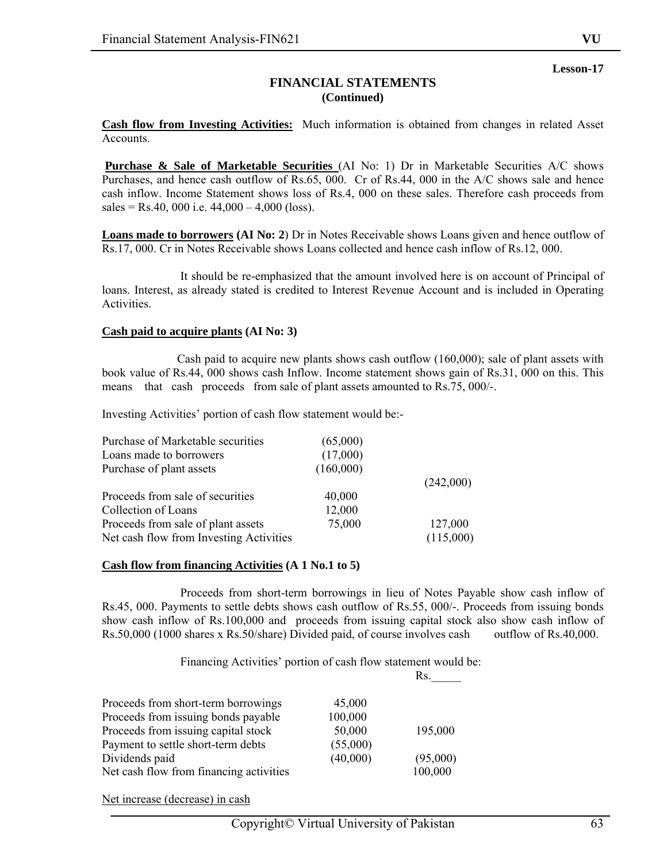### **Lesson-17**

# **FINANCIAL STATEMENTS (Continued)**

**Cash flow from Investing Activities:** Much information is obtained from changes in related Asset Accounts.

**Purchase & Sale of Marketable Securities** (AI No: 1) Dr in Marketable Securities A/C shows Purchases, and hence cash outflow of Rs.65, 000. Cr of Rs.44, 000 in the A/C shows sale and hence cash inflow. Income Statement shows loss of Rs.4, 000 on these sales. Therefore cash proceeds from sales = Rs.40, 000 i.e.  $44,000 - 4,000$  (loss).

**Loans made to borrowers (AI No: 2**) Dr in Notes Receivable shows Loans given and hence outflow of Rs.17, 000. Cr in Notes Receivable shows Loans collected and hence cash inflow of Rs.12, 000.

 It should be re-emphasized that the amount involved here is on account of Principal of loans. Interest, as already stated is credited to Interest Revenue Account and is included in Operating Activities.

#### **Cash paid to acquire plants (AI No: 3)**

 Cash paid to acquire new plants shows cash outflow (160,000); sale of plant assets with book value of Rs.44, 000 shows cash Inflow. Income statement shows gain of Rs.31, 000 on this. This means that cash proceeds from sale of plant assets amounted to Rs.75, 000/-.

Investing Activities' portion of cash flow statement would be:-

| Purchase of Marketable securities       | (65,000)  |           |
|-----------------------------------------|-----------|-----------|
| Loans made to borrowers                 | (17,000)  |           |
| Purchase of plant assets                | (160,000) |           |
|                                         |           | (242,000) |
| Proceeds from sale of securities        | 40,000    |           |
| Collection of Loans                     | 12,000    |           |
| Proceeds from sale of plant assets      | 75,000    | 127,000   |
| Net cash flow from Investing Activities |           | (115,000) |

#### **Cash flow from financing Activities (A 1 No.1 to 5)**

 Proceeds from short-term borrowings in lieu of Notes Payable show cash inflow of Rs.45, 000. Payments to settle debts shows cash outflow of Rs.55, 000/-. Proceeds from issuing bonds show cash inflow of Rs.100,000 and proceeds from issuing capital stock also show cash inflow of Rs.50,000 (1000 shares x Rs.50/share) Divided paid, of course involves cash outflow of Rs.40,000.

Financing Activities' portion of cash flow statement would be:

| Proceeds from short-term borrowings     | 45,000   |          |
|-----------------------------------------|----------|----------|
| Proceeds from issuing bonds payable     | 100,000  |          |
| Proceeds from issuing capital stock     | 50,000   | 195,000  |
| Payment to settle short-term debts      | (55,000) |          |
| Dividends paid                          | (40,000) | (95,000) |
| Net cash flow from financing activities |          | 100,000  |

Rs.

Net increase (decrease) in cash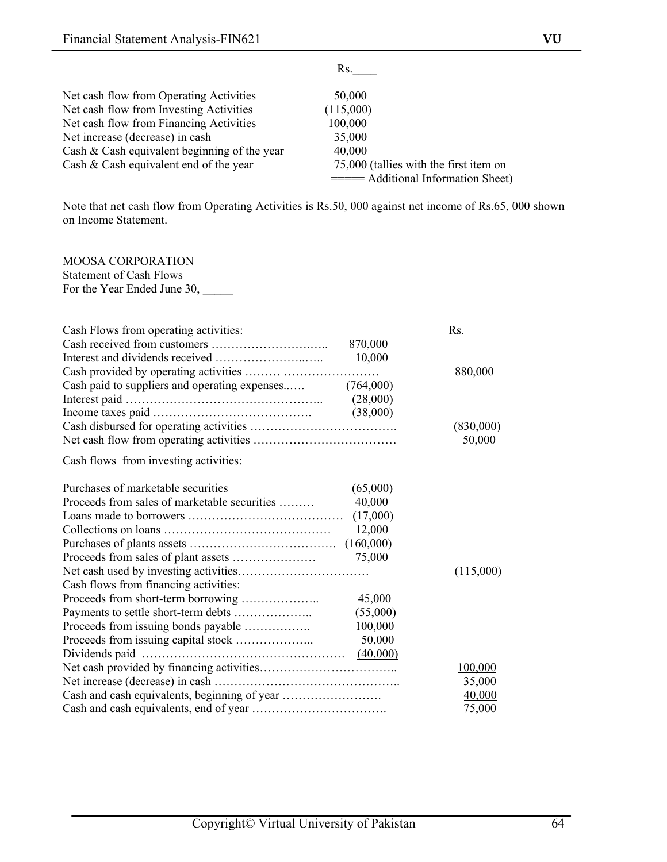|                                                | Rs.                                                                           |
|------------------------------------------------|-------------------------------------------------------------------------------|
| Net cash flow from Operating Activities        | 50,000                                                                        |
| Net cash flow from Investing Activities        | (115,000)                                                                     |
| Net cash flow from Financing Activities        | 100,000                                                                       |
| Net increase (decrease) in cash                | 35,000                                                                        |
| Cash $& Cash$ equivalent beginning of the year | 40,000                                                                        |
| Cash & Cash equivalent end of the year         | 75,000 (tallies with the first item on<br>$===$ Additional Information Sheet) |

Note that net cash flow from Operating Activities is Rs.50, 000 against net income of Rs.65, 000 shown on Income Statement.

MOOSA CORPORATION Statement of Cash Flows

For the Year Ended June 30, \_\_\_\_\_\_

| Cash Flows from operating activities:         |           | Rs.       |
|-----------------------------------------------|-----------|-----------|
|                                               | 870,000   |           |
|                                               | 10,000    |           |
|                                               |           | 880,000   |
| Cash paid to suppliers and operating expenses | (764,000) |           |
|                                               | (28,000)  |           |
|                                               | (38,000)  |           |
|                                               |           | (830,000) |
|                                               |           | 50,000    |
| Cash flows from investing activities:         |           |           |
| Purchases of marketable securities            | (65,000)  |           |
| Proceeds from sales of marketable securities  | 40,000    |           |
|                                               | (17,000)  |           |
|                                               | 12,000    |           |
|                                               |           |           |
|                                               | 75,000    |           |
|                                               |           | (115,000) |
| Cash flows from financing activities:         |           |           |
|                                               | 45,000    |           |
|                                               | (55,000)  |           |
|                                               | 100,000   |           |
|                                               | 50,000    |           |
|                                               |           |           |
|                                               |           | 100,000   |
|                                               |           | 35,000    |
|                                               |           | 40,000    |
|                                               |           | 75,000    |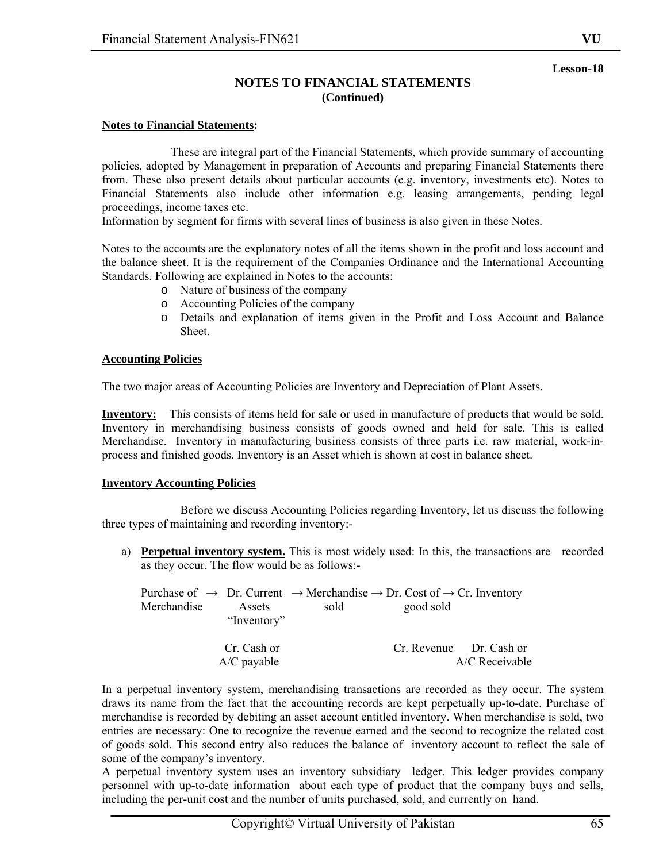**Lesson-18** 

# **NOTES TO FINANCIAL STATEMENTS (Continued)**

# **Notes to Financial Statements:**

j

 These are integral part of the Financial Statements, which provide summary of accounting policies, adopted by Management in preparation of Accounts and preparing Financial Statements there from. These also present details about particular accounts (e.g. inventory, investments etc). Notes to Financial Statements also include other information e.g. leasing arrangements, pending legal proceedings, income taxes etc.

Information by segment for firms with several lines of business is also given in these Notes.

Notes to the accounts are the explanatory notes of all the items shown in the profit and loss account and the balance sheet. It is the requirement of the Companies Ordinance and the International Accounting Standards. Following are explained in Notes to the accounts:

- o Nature of business of the company
- o Accounting Policies of the company
- o Details and explanation of items given in the Profit and Loss Account and Balance Sheet.

### **Accounting Policies**

The two major areas of Accounting Policies are Inventory and Depreciation of Plant Assets.

**Inventory:** This consists of items held for sale or used in manufacture of products that would be sold. Inventory in merchandising business consists of goods owned and held for sale. This is called Merchandise. Inventory in manufacturing business consists of three parts i.e. raw material, work-inprocess and finished goods. Inventory is an Asset which is shown at cost in balance sheet.

#### **Inventory Accounting Policies**

 Before we discuss Accounting Policies regarding Inventory, let us discuss the following three types of maintaining and recording inventory:-

a) **Perpetual inventory system.** This is most widely used: In this, the transactions are recorded as they occur. The flow would be as follows:-

|             |               |      | Purchase of $\rightarrow$ Dr. Current $\rightarrow$ Merchandise $\rightarrow$ Dr. Cost of $\rightarrow$ Cr. Inventory |                  |
|-------------|---------------|------|-----------------------------------------------------------------------------------------------------------------------|------------------|
| Merchandise | Assets        | sold | good sold                                                                                                             |                  |
|             | "Inventory"   |      |                                                                                                                       |                  |
|             | Cr. Cash or   |      | Cr. Revenue                                                                                                           | Dr. Cash or      |
|             | $A/C$ payable |      |                                                                                                                       | $A/C$ Receivable |

In a perpetual inventory system, merchandising transactions are recorded as they occur. The system draws its name from the fact that the accounting records are kept perpetually up-to-date. Purchase of merchandise is recorded by debiting an asset account entitled inventory. When merchandise is sold, two entries are necessary: One to recognize the revenue earned and the second to recognize the related cost of goods sold. This second entry also reduces the balance of inventory account to reflect the sale of some of the company's inventory.

A perpetual inventory system uses an inventory subsidiary ledger. This ledger provides company personnel with up-to-date information about each type of product that the company buys and sells, including the per-unit cost and the number of units purchased, sold, and currently on hand.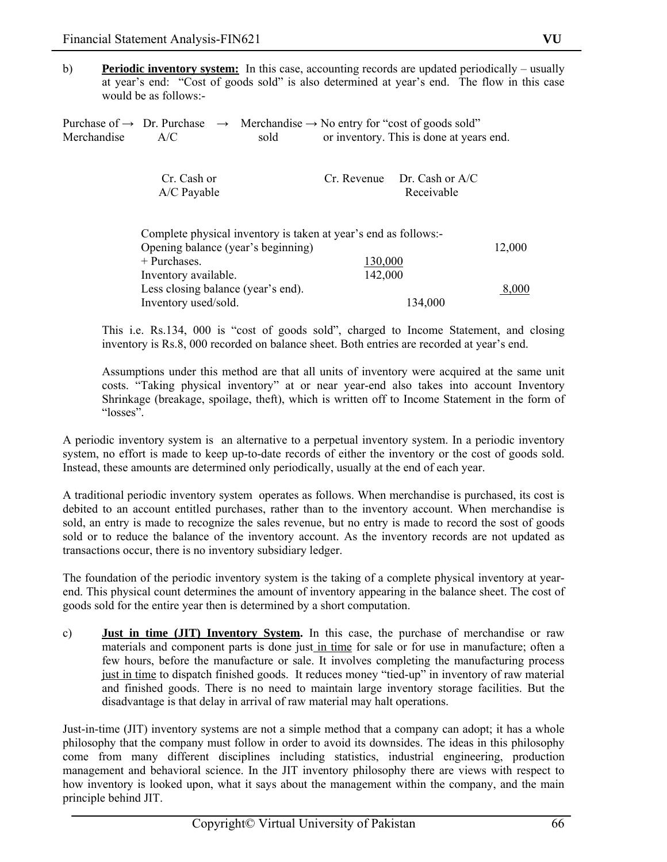b) **Periodic inventory system:** In this case, accounting records are updated periodically – usually at year's end: "Cost of goods sold" is also determined at year's end. The flow in this case would be as follows:-

Purchase of  $\rightarrow$  Dr. Purchase  $\rightarrow$  Merchandise  $\rightarrow$  No entry for "cost of goods sold" Merchandise  $A/C$  sold or inventory. This is done at years end.

| Cr. Cash or | Cr. Revenue Dr. Cash or $A/C$ |
|-------------|-------------------------------|
| A/C Payable | Receivable                    |

| Complete physical inventory is taken at year's end as follows:- |         |        |
|-----------------------------------------------------------------|---------|--------|
| Opening balance (year's beginning)                              |         | 12,000 |
| + Purchases.                                                    | 130,000 |        |
| Inventory available.                                            | 142,000 |        |
| Less closing balance (year's end).                              |         | 8,000  |
| Inventory used/sold.                                            | 134,000 |        |

This i.e. Rs.134, 000 is "cost of goods sold", charged to Income Statement, and closing inventory is Rs.8, 000 recorded on balance sheet. Both entries are recorded at year's end.

Assumptions under this method are that all units of inventory were acquired at the same unit costs. "Taking physical inventory" at or near year-end also takes into account Inventory Shrinkage (breakage, spoilage, theft), which is written off to Income Statement in the form of "losses".

A periodic inventory system is an alternative to a perpetual inventory system. In a periodic inventory system, no effort is made to keep up-to-date records of either the inventory or the cost of goods sold. Instead, these amounts are determined only periodically, usually at the end of each year.

A traditional periodic inventory system operates as follows. When merchandise is purchased, its cost is debited to an account entitled purchases, rather than to the inventory account. When merchandise is sold, an entry is made to recognize the sales revenue, but no entry is made to record the sost of goods sold or to reduce the balance of the inventory account. As the inventory records are not updated as transactions occur, there is no inventory subsidiary ledger.

The foundation of the periodic inventory system is the taking of a complete physical inventory at yearend. This physical count determines the amount of inventory appearing in the balance sheet. The cost of goods sold for the entire year then is determined by a short computation.

c) **Just in time (JIT) Inventory System.** In this case, the purchase of merchandise or raw materials and component parts is done just in time for sale or for use in manufacture; often a few hours, before the manufacture or sale. It involves completing the manufacturing process just in time to dispatch finished goods. It reduces money "tied-up" in inventory of raw material and finished goods. There is no need to maintain large inventory storage facilities. But the disadvantage is that delay in arrival of raw material may halt operations.

Just-in-time (JIT) inventory systems are not a simple method that a company can adopt; it has a whole philosophy that the company must follow in order to avoid its downsides. The ideas in this philosophy come from many different disciplines including statistics, industrial engineering, production management and behavioral science. In the JIT inventory philosophy there are views with respect to how inventory is looked upon, what it says about the management within the company, and the main principle behind JIT.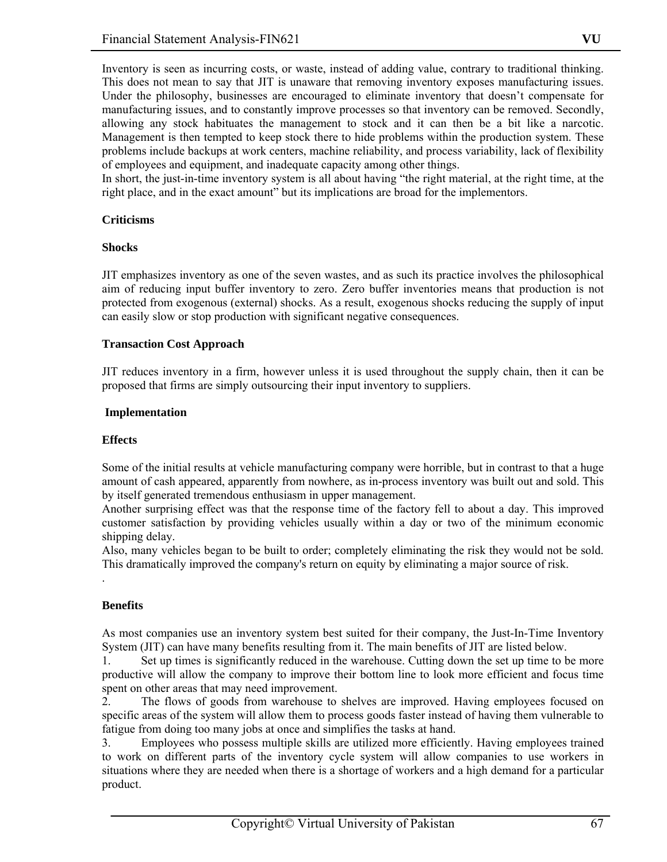Inventory is seen as incurring costs, or waste, instead of adding value, contrary to traditional thinking. This does not mean to say that JIT is unaware that removing inventory exposes manufacturing issues. Under the philosophy, businesses are encouraged to eliminate inventory that doesn't compensate for manufacturing issues, and to constantly improve processes so that inventory can be removed. Secondly, allowing any stock habituates the management to stock and it can then be a bit like a narcotic. Management is then tempted to keep stock there to hide problems within the production system. These problems include backups at work centers, machine reliability, and process variability, lack of flexibility of employees and equipment, and inadequate capacity among other things.

In short, the just-in-time inventory system is all about having "the right material, at the right time, at the right place, and in the exact amount" but its implications are broad for the implementors.

#### **Criticisms**

### **Shocks**

j

JIT emphasizes inventory as one of the seven wastes, and as such its practice involves the philosophical aim of reducing input buffer inventory to zero. Zero buffer inventories means that production is not protected from exogenous (external) shocks. As a result, exogenous shocks reducing the supply of input can easily slow or stop production with significant negative consequences.

# **Transaction Cost Approach**

JIT reduces inventory in a firm, however unless it is used throughout the supply chain, then it can be proposed that firms are simply outsourcing their input inventory to suppliers.

### **Implementation**

# **Effects**

Some of the initial results at vehicle manufacturing company were horrible, but in contrast to that a huge amount of cash appeared, apparently from nowhere, as in-process inventory was built out and sold. This by itself generated tremendous enthusiasm in upper management.

Another surprising effect was that the response time of the factory fell to about a day. This improved customer satisfaction by providing vehicles usually within a day or two of the minimum economic shipping delay.

Also, many vehicles began to be built to order; completely eliminating the risk they would not be sold. This dramatically improved the company's return on equity by eliminating a major source of risk.

# **Benefits**

.

As most companies use an inventory system best suited for their company, the Just-In-Time Inventory System (JIT) can have many benefits resulting from it. The main benefits of JIT are listed below.

1. Set up times is significantly reduced in the warehouse. Cutting down the set up time to be more productive will allow the company to improve their bottom line to look more efficient and focus time spent on other areas that may need improvement.

2. The flows of goods from warehouse to shelves are improved. Having employees focused on specific areas of the system will allow them to process goods faster instead of having them vulnerable to fatigue from doing too many jobs at once and simplifies the tasks at hand.

3. Employees who possess multiple skills are utilized more efficiently. Having employees trained to work on different parts of the inventory cycle system will allow companies to use workers in situations where they are needed when there is a shortage of workers and a high demand for a particular product.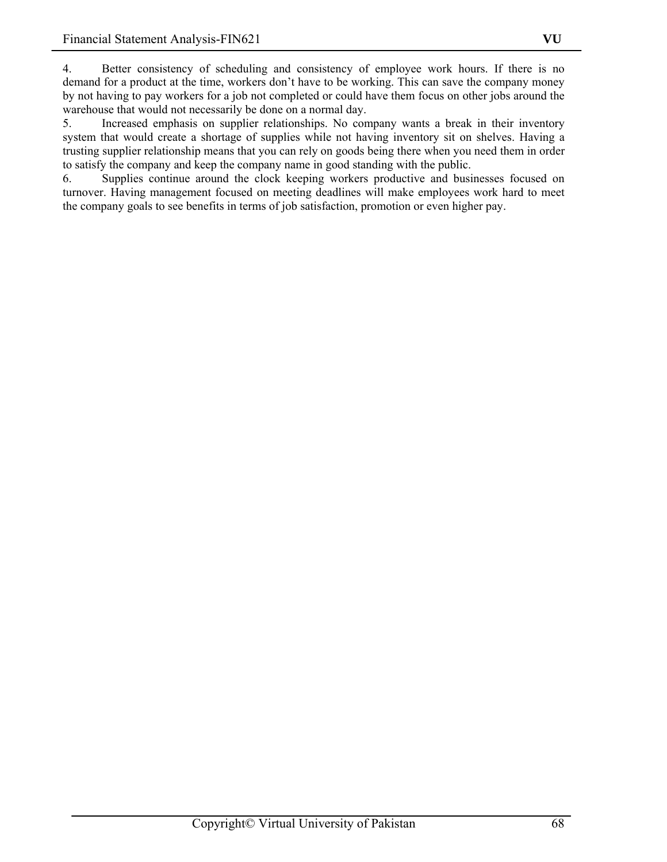j 4. Better consistency of scheduling and consistency of employee work hours. If there is no demand for a product at the time, workers don't have to be working. This can save the company money by not having to pay workers for a job not completed or could have them focus on other jobs around the warehouse that would not necessarily be done on a normal day.

5. Increased emphasis on supplier relationships. No company wants a break in their inventory system that would create a shortage of supplies while not having inventory sit on shelves. Having a trusting supplier relationship means that you can rely on goods being there when you need them in order to satisfy the company and keep the company name in good standing with the public.

6. Supplies continue around the clock keeping workers productive and businesses focused on turnover. Having management focused on meeting deadlines will make employees work hard to meet the company goals to see benefits in terms of job satisfaction, promotion or even higher pay.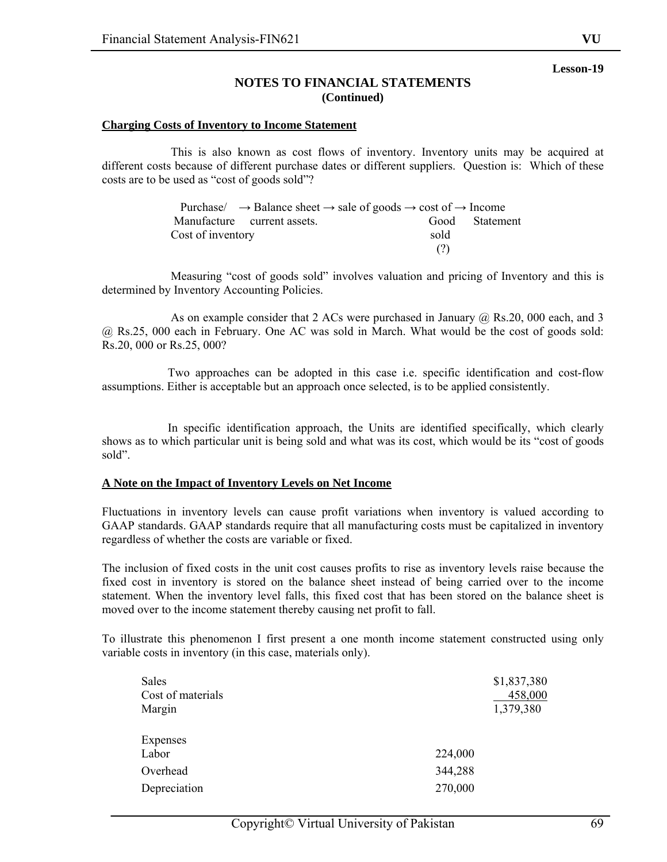**Lesson-19** 

#### **NOTES TO FINANCIAL STATEMENTS (Continued)**

#### **Charging Costs of Inventory to Income Statement**

 This is also known as cost flows of inventory. Inventory units may be acquired at different costs because of different purchase dates or different suppliers. Question is: Which of these costs are to be used as "cost of goods sold"?

| Purchase/ $\rightarrow$ Balance sheet $\rightarrow$ sale of goods $\rightarrow$ cost of $\rightarrow$ Income |      |                |
|--------------------------------------------------------------------------------------------------------------|------|----------------|
| Manufacture current assets.                                                                                  |      | Good Statement |
| Cost of inventory                                                                                            | sold |                |
|                                                                                                              | (?)  |                |

 Measuring "cost of goods sold" involves valuation and pricing of Inventory and this is determined by Inventory Accounting Policies.

As on example consider that 2 ACs were purchased in January  $\omega$  Rs. 20, 000 each, and 3 @ Rs.25, 000 each in February. One AC was sold in March. What would be the cost of goods sold: Rs.20, 000 or Rs.25, 000?

 Two approaches can be adopted in this case i.e. specific identification and cost-flow assumptions. Either is acceptable but an approach once selected, is to be applied consistently.

 In specific identification approach, the Units are identified specifically, which clearly shows as to which particular unit is being sold and what was its cost, which would be its "cost of goods sold".

#### **A Note on the Impact of Inventory Levels on Net Income**

Fluctuations in inventory levels can cause profit variations when inventory is valued according to GAAP standards. GAAP standards require that all manufacturing costs must be capitalized in inventory regardless of whether the costs are variable or fixed.

The inclusion of fixed costs in the unit cost causes profits to rise as inventory levels raise because the fixed cost in inventory is stored on the balance sheet instead of being carried over to the income statement. When the inventory level falls, this fixed cost that has been stored on the balance sheet is moved over to the income statement thereby causing net profit to fall.

To illustrate this phenomenon I first present a one month income statement constructed using only variable costs in inventory (in this case, materials only).

| <b>Sales</b><br>Cost of materials<br>Margin |         | \$1,837,380<br>458,000<br>1,379,380 |
|---------------------------------------------|---------|-------------------------------------|
| Expenses<br>Labor                           | 224,000 |                                     |
| Overhead                                    | 344,288 |                                     |
| Depreciation                                | 270,000 |                                     |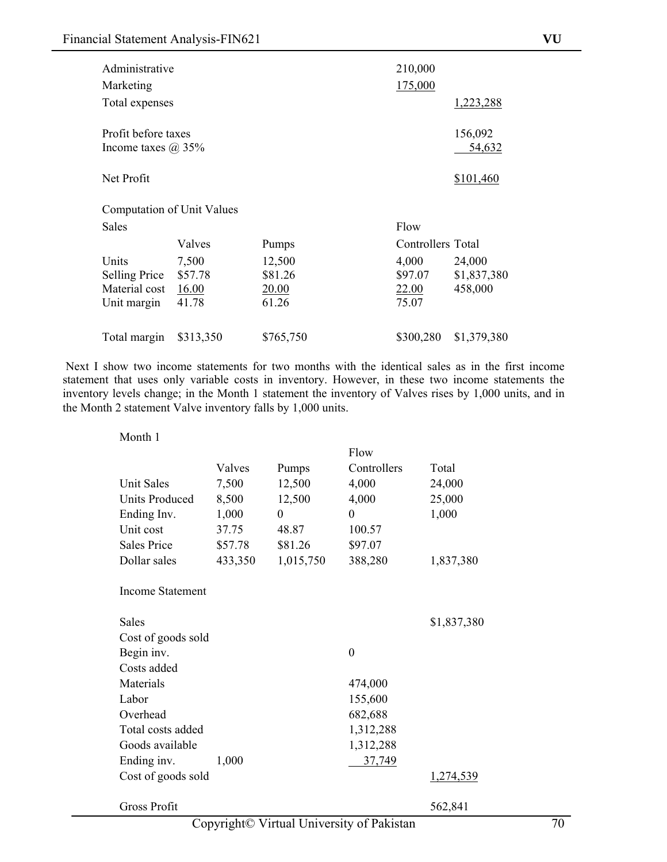| Administrative<br>Marketing<br>Total expenses          |                                    |                                     | 210,000<br>175,000                 | 1,223,288                        |
|--------------------------------------------------------|------------------------------------|-------------------------------------|------------------------------------|----------------------------------|
| Profit before taxes<br>Income taxes $\omega$ 35%       |                                    |                                     |                                    | 156,092<br>54,632                |
| Net Profit                                             |                                    |                                     |                                    | \$101,460                        |
| Computation of Unit Values                             |                                    |                                     |                                    |                                  |
| <b>Sales</b>                                           |                                    |                                     | Flow                               |                                  |
|                                                        | Valves                             | Pumps                               | Controllers Total                  |                                  |
| Units<br>Selling Price<br>Material cost<br>Unit margin | 7,500<br>\$57.78<br>16.00<br>41.78 | 12,500<br>\$81.26<br>20.00<br>61.26 | 4,000<br>\$97.07<br>22.00<br>75.07 | 24,000<br>\$1,837,380<br>458,000 |
| Total margin                                           | \$313,350                          | \$765,750                           | \$300,280                          | \$1,379,380                      |

 Next I show two income statements for two months with the identical sales as in the first income statement that uses only variable costs in inventory. However, in these two income statements the inventory levels change; in the Month 1 statement the inventory of Valves rises by 1,000 units, and in the Month 2 statement Valve inventory falls by 1,000 units.

> Month 1 Flow Flow Valves Pumps Controllers Total Unit Sales 7,500 12,500 4,000 24,000 Units Produced 8,500 12,500 4,000 25,000 Ending Inv. 1,000 0 0 1,000 Unit cost 37.75 48.87 100.57 Sales Price \$57.78 \$81.26 \$97.07 Dollar sales 433,350 1,015,750 388,280 1,837,380 Income Statement Sales \$1,837,380 Cost of goods sold Begin inv. 0 Costs added Materials 474,000 Labor 155,600 Overhead 682,688 Total costs added 1,312,288 Goods available 1,312,288 Ending inv. 1,000 37,749  $Cost of goods sold$   $1,274,539$ Gross Profit 562,841

# Copyright© Virtual University of Pakistan 70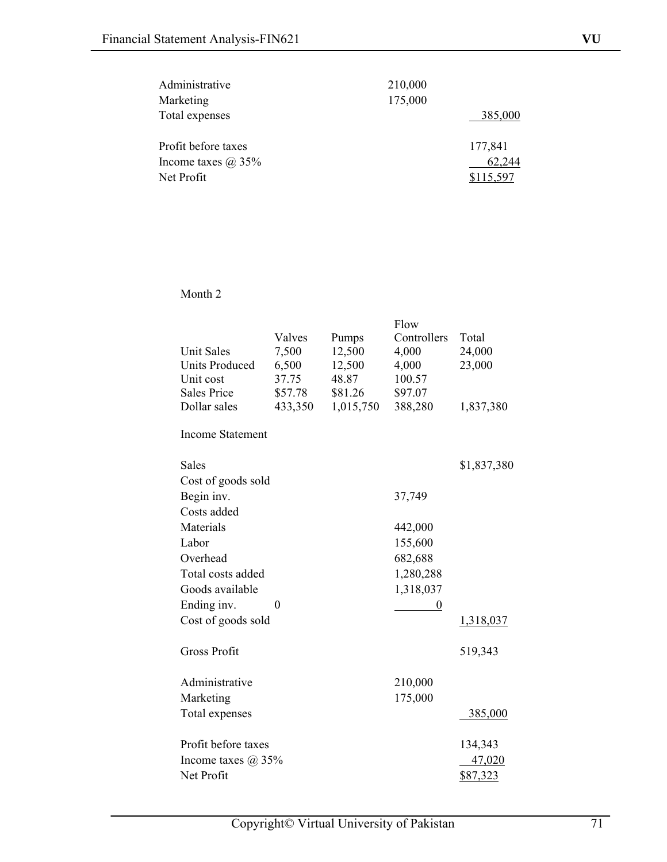| 210,000 |           |
|---------|-----------|
| 175,000 |           |
|         | 385,000   |
|         | 177,841   |
|         | 62,244    |
|         | \$115,597 |
|         |           |

Month 2

| <b>Unit Sales</b><br><b>Units Produced</b><br>Unit cost<br><b>Sales Price</b><br>Dollar sales | Valves<br>7,500<br>6,500<br>37.75<br>\$57.78<br>433,350 | Pumps<br>12,500<br>12,500<br>48.87<br>\$81.26<br>1,015,750 | Flow<br>Controllers<br>4,000<br>4,000<br>100.57<br>\$97.07<br>388,280 | Total<br>24,000<br>23,000<br>1,837,380 |
|-----------------------------------------------------------------------------------------------|---------------------------------------------------------|------------------------------------------------------------|-----------------------------------------------------------------------|----------------------------------------|
| <b>Income Statement</b>                                                                       |                                                         |                                                            |                                                                       |                                        |
| Sales                                                                                         |                                                         |                                                            |                                                                       | \$1,837,380                            |
| Cost of goods sold                                                                            |                                                         |                                                            |                                                                       |                                        |
| Begin inv.                                                                                    |                                                         |                                                            | 37,749                                                                |                                        |
| Costs added<br>Materials                                                                      |                                                         |                                                            |                                                                       |                                        |
| Labor                                                                                         |                                                         |                                                            | 442,000                                                               |                                        |
| Overhead                                                                                      |                                                         |                                                            | 155,600<br>682,688                                                    |                                        |
| Total costs added                                                                             |                                                         |                                                            | 1,280,288                                                             |                                        |
| Goods available                                                                               |                                                         |                                                            | 1,318,037                                                             |                                        |
| Ending inv.                                                                                   | 0                                                       |                                                            | $\boldsymbol{0}$                                                      |                                        |
| Cost of goods sold                                                                            |                                                         |                                                            |                                                                       | 1,318,037                              |
| <b>Gross Profit</b>                                                                           |                                                         |                                                            |                                                                       |                                        |
|                                                                                               |                                                         |                                                            |                                                                       | 519,343                                |
| Administrative                                                                                |                                                         |                                                            | 210,000                                                               |                                        |
| Marketing                                                                                     |                                                         |                                                            | 175,000                                                               |                                        |
| Total expenses                                                                                |                                                         |                                                            |                                                                       | 385,000                                |
| Profit before taxes                                                                           |                                                         |                                                            |                                                                       | 134,343                                |
| Income taxes $\omega$ 35%                                                                     |                                                         |                                                            |                                                                       | 47,020                                 |
| Net Profit                                                                                    |                                                         |                                                            |                                                                       | \$87,323                               |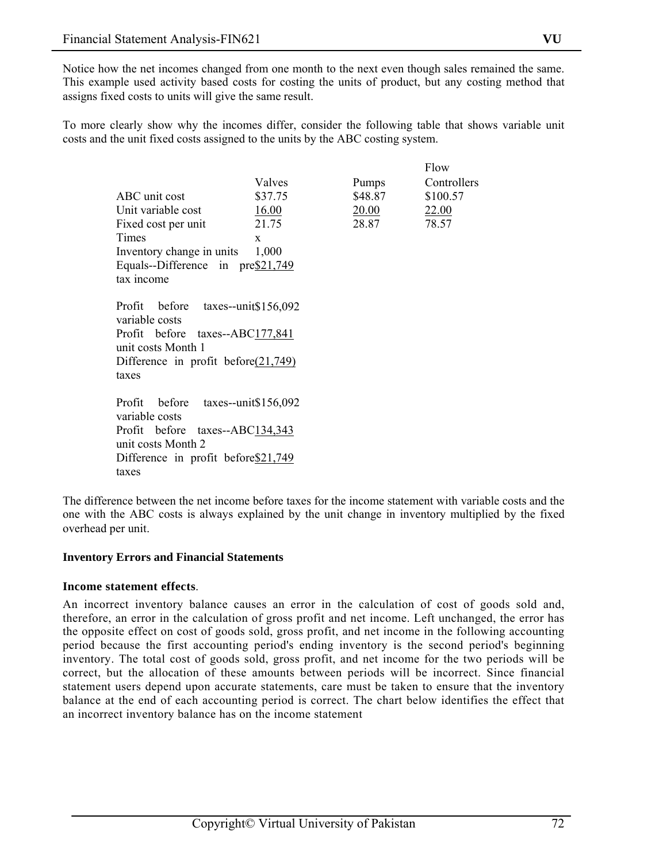Notice how the net incomes changed from one month to the next even though sales remained the same. This example used activity based costs for costing the units of product, but any costing method that assigns fixed costs to units will give the same result.

To more clearly show why the incomes differ, consider the following table that shows variable unit costs and the unit fixed costs assigned to the units by the ABC costing system.

|                                        |         |         | Flow        |
|----------------------------------------|---------|---------|-------------|
|                                        | Valves  | Pumps   | Controllers |
| ABC unit cost                          | \$37.75 | \$48.87 | \$100.57    |
| Unit variable cost                     | 16.00   | 20.00   | 22.00       |
| Fixed cost per unit                    | 21.75   | 28.87   | 78.57       |
| <b>Times</b>                           | X       |         |             |
| Inventory change in units              | 1,000   |         |             |
| Equals--Difference in $pre21,749$      |         |         |             |
| tax income                             |         |         |             |
|                                        |         |         |             |
| Profit before taxes--unit\$156,092     |         |         |             |
| variable costs                         |         |         |             |
| Profit before taxes--ABC177,841        |         |         |             |
| unit costs Month 1                     |         |         |             |
| Difference in profit before $(21,749)$ |         |         |             |
| taxes                                  |         |         |             |
|                                        |         |         |             |
| Profit before taxes--unit\$156,092     |         |         |             |
| variable costs                         |         |         |             |
| Profit before taxes--ABC134,343        |         |         |             |
| unit costs Month 2                     |         |         |             |
| Difference in profit before \$21,749   |         |         |             |

The difference between the net income before taxes for the income statement with variable costs and the one with the ABC costs is always explained by the unit change in inventory multiplied by the fixed overhead per unit.

# **Inventory Errors and Financial Statements**

#### **Income statement effects**.

taxes

An incorrect inventory balance causes an error in the calculation of cost of goods sold and, therefore, an error in the calculation of gross profit and net income. Left unchanged, the error has the opposite effect on cost of goods sold, gross profit, and net income in the following accounting period because the first accounting period's ending inventory is the second period's beginning inventory. The total cost of goods sold, gross profit, and net income for the two periods will be correct, but the allocation of these amounts between periods will be incorrect. Since financial statement users depend upon accurate statements, care must be taken to ensure that the inventory balance at the end of each accounting period is correct. The chart below identifies the effect that an incorrect inventory balance has on the income statement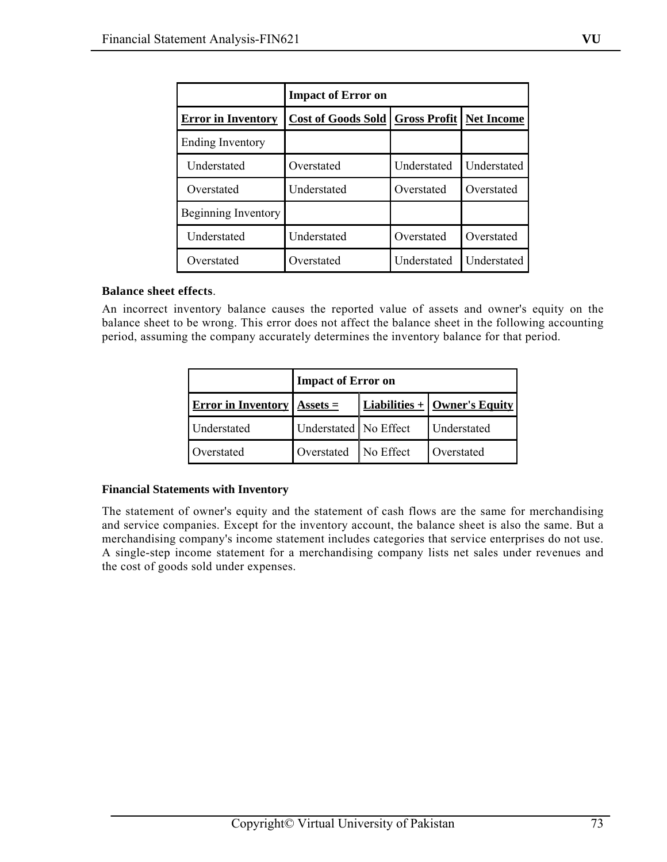|                           | <b>Impact of Error on</b> |                                  |             |  |  |
|---------------------------|---------------------------|----------------------------------|-------------|--|--|
| <b>Error in Inventory</b> | <b>Cost of Goods Sold</b> | <b>Gross Profit   Net Income</b> |             |  |  |
| <b>Ending Inventory</b>   |                           |                                  |             |  |  |
| <b>Understated</b>        | Overstated                | <b>Understated</b>               | Understated |  |  |
| Overstated                | Understated               | Overstated                       | Overstated  |  |  |
| Beginning Inventory       |                           |                                  |             |  |  |
| Understated               | Understated               | Overstated                       | Overstated  |  |  |
| Overstated                | Overstated                | Understated                      | Understated |  |  |

### **Balance sheet effects**.

An incorrect inventory balance causes the reported value of assets and owner's equity on the balance sheet to be wrong. This error does not affect the balance sheet in the following accounting period, assuming the company accurately determines the inventory balance for that period.

|                                       | <b>Impact of Error on</b> |  |                                |
|---------------------------------------|---------------------------|--|--------------------------------|
| Error in Inventory $\Delta s$ ssets = |                           |  | Liabilities $+$ Owner's Equity |
| Understated                           | Understated   No Effect   |  | Understated                    |
| Overstated                            | Overstated No Effect      |  | Overstated                     |

### **Financial Statements with Inventory**

The statement of owner's equity and the statement of cash flows are the same for merchandising and service companies. Except for the inventory account, the balance sheet is also the same. But a merchandising company's income statement includes categories that service enterprises do not use. A single-step income statement for a merchandising company lists net sales under revenues and the cost of goods sold under expenses.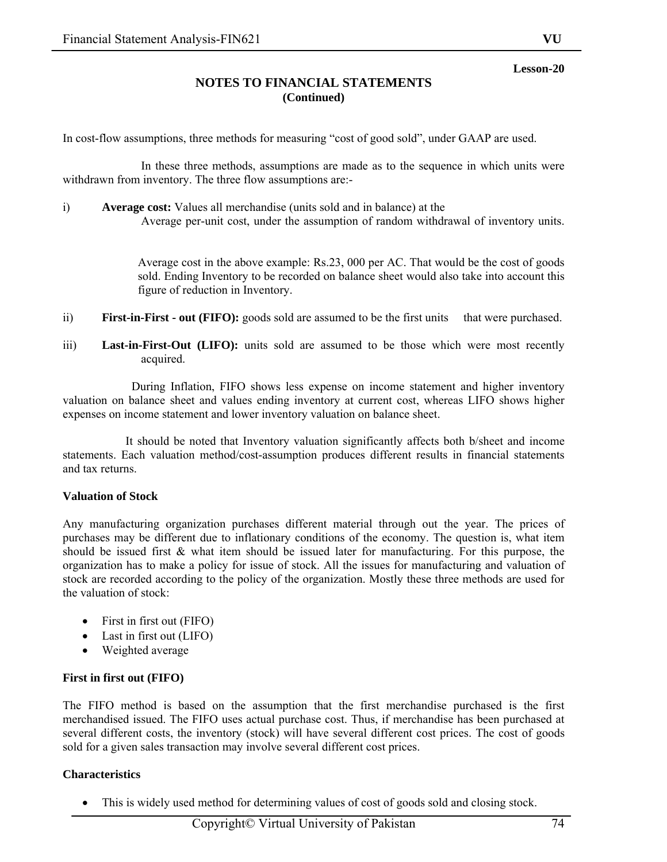### **NOTES TO FINANCIAL STATEMENTS (Continued)**

In cost-flow assumptions, three methods for measuring "cost of good sold", under GAAP are used.

 In these three methods, assumptions are made as to the sequence in which units were withdrawn from inventory. The three flow assumptions are:-

i) **Average cost:** Values all merchandise (units sold and in balance) at the Average per-unit cost, under the assumption of random withdrawal of inventory units.

> Average cost in the above example: Rs.23, 000 per AC. That would be the cost of goods sold. Ending Inventory to be recorded on balance sheet would also take into account this figure of reduction in Inventory.

- ii) **First-in-First out (FIFO):** goods sold are assumed to be the first units that were purchased.
- iii) **Last-in-First-Out (LIFO):** units sold are assumed to be those which were most recently acquired.

 During Inflation, FIFO shows less expense on income statement and higher inventory valuation on balance sheet and values ending inventory at current cost, whereas LIFO shows higher expenses on income statement and lower inventory valuation on balance sheet.

 It should be noted that Inventory valuation significantly affects both b/sheet and income statements. Each valuation method/cost-assumption produces different results in financial statements and tax returns.

## **Valuation of Stock**

Any manufacturing organization purchases different material through out the year. The prices of purchases may be different due to inflationary conditions of the economy. The question is, what item should be issued first & what item should be issued later for manufacturing. For this purpose, the organization has to make a policy for issue of stock. All the issues for manufacturing and valuation of stock are recorded according to the policy of the organization. Mostly these three methods are used for the valuation of stock:

- First in first out (FIFO)
- Last in first out (LIFO)
- Weighted average

## **First in first out (FIFO)**

The FIFO method is based on the assumption that the first merchandise purchased is the first merchandised issued. The FIFO uses actual purchase cost. Thus, if merchandise has been purchased at several different costs, the inventory (stock) will have several different cost prices. The cost of goods sold for a given sales transaction may involve several different cost prices.

## **Characteristics**

This is widely used method for determining values of cost of goods sold and closing stock.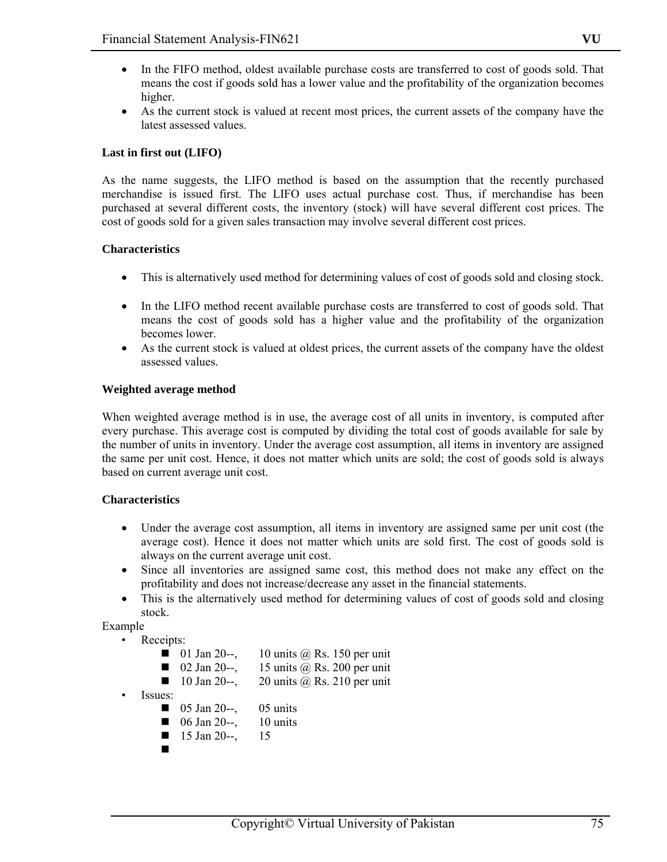- In the FIFO method, oldest available purchase costs are transferred to cost of goods sold. That means the cost if goods sold has a lower value and the profitability of the organization becomes higher.
- As the current stock is valued at recent most prices, the current assets of the company have the latest assessed values.

# **Last in first out (LIFO)**

As the name suggests, the LIFO method is based on the assumption that the recently purchased merchandise is issued first. The LIFO uses actual purchase cost. Thus, if merchandise has been purchased at several different costs, the inventory (stock) will have several different cost prices. The cost of goods sold for a given sales transaction may involve several different cost prices.

## **Characteristics**

j

- This is alternatively used method for determining values of cost of goods sold and closing stock.
- In the LIFO method recent available purchase costs are transferred to cost of goods sold. That means the cost of goods sold has a higher value and the profitability of the organization becomes lower.
- As the current stock is valued at oldest prices, the current assets of the company have the oldest assessed values.

## **Weighted average method**

When weighted average method is in use, the average cost of all units in inventory, is computed after every purchase. This average cost is computed by dividing the total cost of goods available for sale by the number of units in inventory. Under the average cost assumption, all items in inventory are assigned the same per unit cost. Hence, it does not matter which units are sold; the cost of goods sold is always based on current average unit cost.

# **Characteristics**

- Under the average cost assumption, all items in inventory are assigned same per unit cost (the average cost). Hence it does not matter which units are sold first. The cost of goods sold is always on the current average unit cost.
- Since all inventories are assigned same cost, this method does not make any effect on the profitability and does not increase/decrease any asset in the financial statements.
- This is the alternatively used method for determining values of cost of goods sold and closing stock.

Example

- Receipts:
	- $\Box$  01 Jan 20--, 10 units @ Rs. 150 per unit
	- $\Box$  02 Jan 20--, 15 units @ Rs. 200 per unit
	- $\blacksquare$  10 Jan 20--, 20 units @ Rs. 210 per unit
- Issues:
	- $\Box$  05 Jan 20--, 05 units
	- $\Box$  06 Jan 20--, 10 units
	- $\blacksquare$  15 Jan 20--, 15
	- $\blacksquare$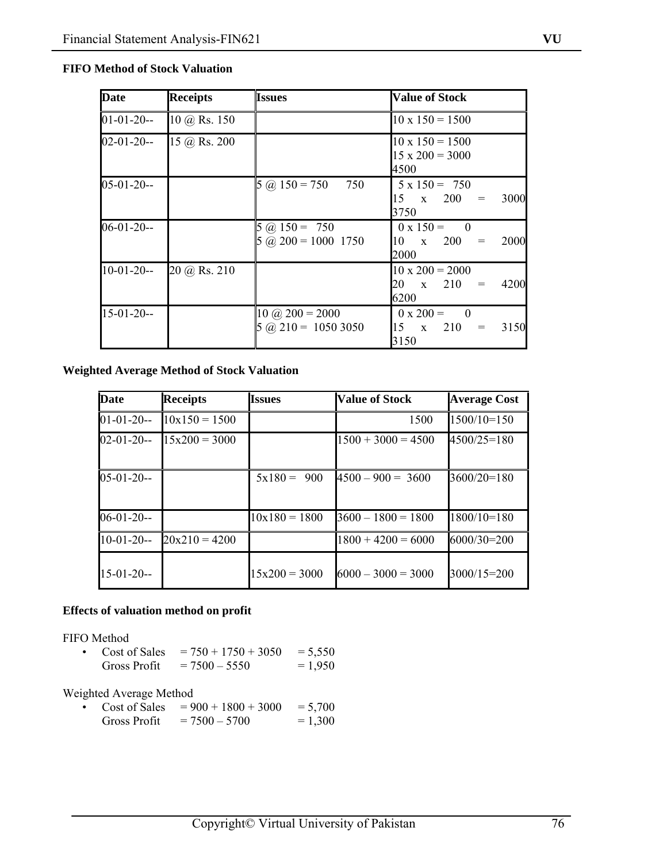# **FIFO Method of Stock Valuation**

j

| <b>Date</b> | <b>Receipts</b>     | <b>Issues</b>                                                                     | <b>Value of Stock</b>                                                                    |
|-------------|---------------------|-----------------------------------------------------------------------------------|------------------------------------------------------------------------------------------|
| 01-01-20--  | $10 \omega$ Rs. 150 |                                                                                   | $10 \times 150 = 1500$                                                                   |
| 02-01-20--  | $15 \omega$ Rs. 200 |                                                                                   | $10 \times 150 = 1500$<br>$15 \times 200 = 3000$<br>14500                                |
| $05-01-20-$ |                     | $5 \omega$ 150 = 750 750                                                          | $5 \times 150 = 750$<br>3000<br>$15 \times 200 =$<br>3750                                |
| $06-01-20-$ |                     | $5 \omega 150 = 750$                                                              | $0 \times 150 = 0$<br>2000<br>$10 \times 200 =$<br> 2000                                 |
| $10-01-20-$ | $20 \omega$ Rs. 210 |                                                                                   | $10 \times 200 = 2000$<br>4200<br>$20 \times 210 =$<br>6200                              |
| $15-01-20-$ |                     | $10 \ (\hat{\omega}) \ 200 = 2000$<br>$5 \text{ } \textcircled{a} 210 = 10503050$ | $0 \times 200 = 0$<br>$\begin{array}{cccc} 15 & x & 210 & = \end{array}$<br>3150<br>3150 |

# **Weighted Average Method of Stock Valuation**

| <b>Date</b>      | <b>Receipts</b> | <b>Issues</b>   | <b>Value of Stock</b> | <b>Average Cost</b> |
|------------------|-----------------|-----------------|-----------------------|---------------------|
| $01 - 01 - 20 -$ | $10x150 = 1500$ |                 | 1500                  | $1500/10=150$       |
| $02 - 01 - 20 -$ | $15x200 = 3000$ |                 | $1500 + 3000 = 4500$  | $4500/25=180$       |
| $05-01-20-$      |                 | $5x180 = 900$   | $4500 - 900 = 3600$   | $3600/20=180$       |
| $06-01-20-$      |                 | $10x180 = 1800$ | $3600 - 1800 = 1800$  | $1800/10=180$       |
| $10-01-20-$      | $20x210 = 4200$ |                 | $1800 + 4200 = 6000$  | $6000/30=200$       |
| $15-01-20-$      |                 | $15x200 = 3000$ | $6000 - 3000 = 3000$  | $3000/15 = 200$     |

## **Effects of valuation method on profit**

FIFO Method

| Cost of Sales | $= 750 + 1750 + 3050$ | $= 5,550$ |
|---------------|-----------------------|-----------|
| Gross Profit  | $= 7500 - 5550$       | $= 1,950$ |

Weighted Average Method

| Cost of Sales | $= 900 + 1800 + 3000$ | $= 5,700$ |
|---------------|-----------------------|-----------|
| Gross Profit  | $= 7500 - 5700$       | $= 1,300$ |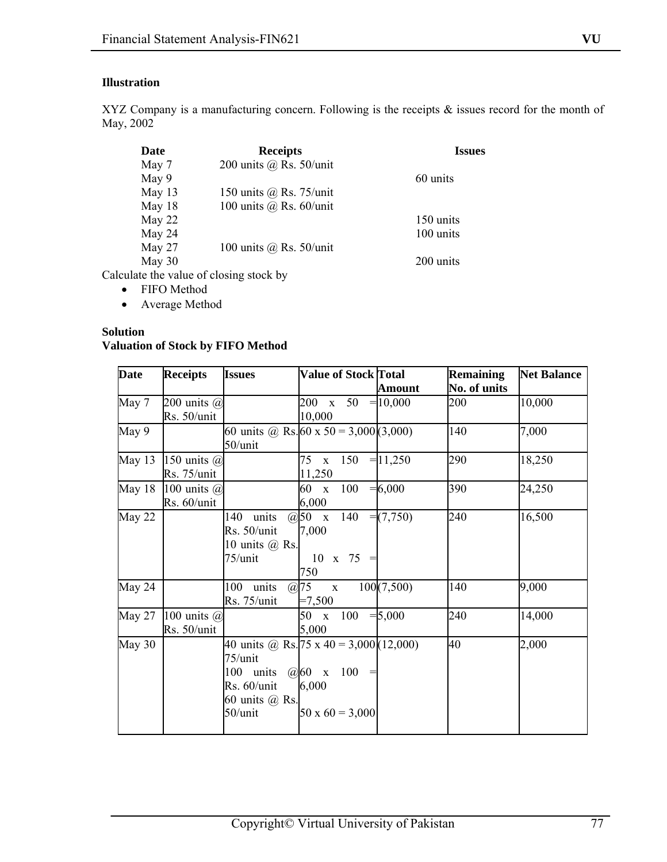### **Illustration**

j

XYZ Company is a manufacturing concern. Following is the receipts  $\&$  issues record for the month of May, 2002

| Date                                    | <b>Receipts</b>                | <b>Issues</b> |
|-----------------------------------------|--------------------------------|---------------|
| May 7                                   | 200 units $\omega$ Rs. 50/unit |               |
| May 9                                   |                                | 60 units      |
| May 13                                  | 150 units $\omega$ Rs. 75/unit |               |
| May 18                                  | 100 units $\omega$ Rs. 60/unit |               |
| May 22                                  |                                | 150 units     |
| May 24                                  |                                | 100 units     |
| May 27                                  | 100 units $\omega$ Rs. 50/unit |               |
| May 30                                  |                                | 200 units     |
| Calculate the value of closing stock by |                                |               |

Calculate the value of closing stock by

- FIFO Method
- Average Method

## **Solution Valuation of Stock by FIFO Method**

| <b>Date</b> | <b>Receipts</b>                   | <b>Issues</b>                                                        | Value of Stock Total                                                                                         | Amount     | <b>Remaining</b><br>No. of units | <b>Net Balance</b> |
|-------------|-----------------------------------|----------------------------------------------------------------------|--------------------------------------------------------------------------------------------------------------|------------|----------------------------------|--------------------|
| May 7       | 200 units $\omega$<br>Rs. 50/unit |                                                                      | 200 x 50 = $10,000$<br>10,000                                                                                |            | 200                              | 10,000             |
| May 9       |                                   | 50/unit                                                              | 60 units @ Rs. 60 x 50 = 3,000 (3,000)                                                                       |            | 140                              | 7,000              |
| May 13      | 150 units $(a)$<br>Rs. 75/unit    |                                                                      | 75 x<br>$150 = 11,250$<br>11,250                                                                             |            | 290                              | 18,250             |
| May 18      | 100 units $(a)$<br>Rs. 60/unit    |                                                                      | 60 x<br>100<br>6,000                                                                                         | $=6,000$   | 390                              | 24,250             |
| May 22      |                                   | units<br>140<br>Rs. 50/unit<br>10 units $(a)$ Rs.<br>75/unit         | $\omega$ 50 x<br>140<br>7,000<br>$10 x 75 =$<br>750                                                          | $=(7,750)$ | 240                              | 16,500             |
| May 24      |                                   | 100 units<br>Rs. 75/unit                                             | @75<br>$\mathbf{X}$<br>$=7,500$                                                                              | 100(7,500) | 140                              | 9,000              |
| May 27      | 100 units $(a)$<br>Rs. 50/unit    |                                                                      | 50 x<br>100<br>5,000                                                                                         | $= 5,000$  | 240                              | 14,000             |
| May 30      |                                   | 75/unit<br>100 units<br>Rs. 60/unit<br>60 units $(a)$ Rs.<br>50/unit | 40 units @ Rs. $75 \times 40 = 3,000(12,000)$<br>$\omega$ 60 x<br>$100 =$<br>6,000<br>$50 \times 60 = 3,000$ |            | 40                               | 2,000              |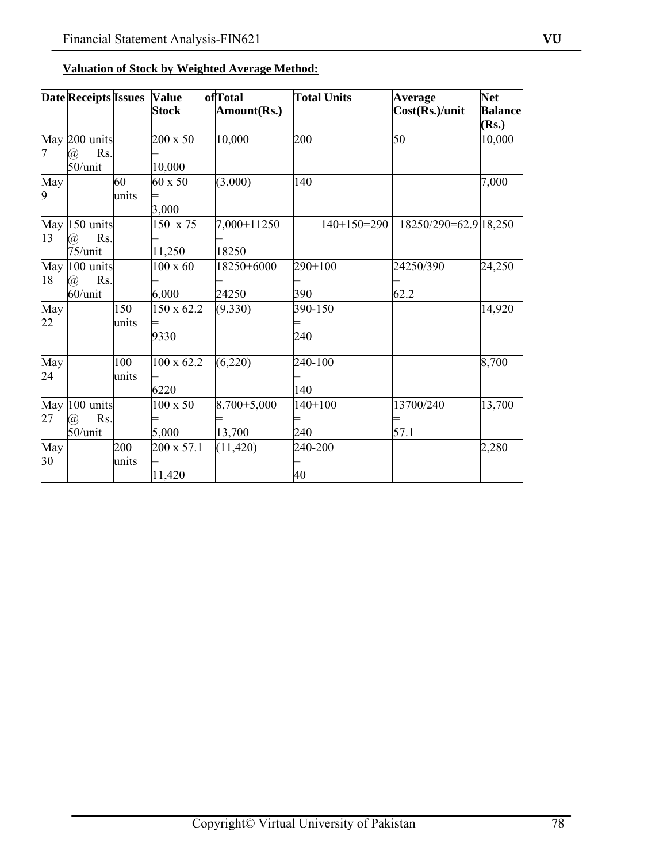|           | <b>Date Receipts Issues</b>          |              | <b>Value</b><br><b>Stock</b> | ofTotal<br>Amount(Rs.)  | <b>Total Units</b> | <b>Average</b><br>Cost(Rs.)/unit | <b>Net</b><br><b>Balance</b><br>(Rs.) |
|-----------|--------------------------------------|--------------|------------------------------|-------------------------|--------------------|----------------------------------|---------------------------------------|
| May<br>17 | 200 units<br>Rs.<br>@,<br>50/unit    |              | 200 x 50<br>10,000           | 10,000                  | 200                | 50                               | 10,000                                |
| May<br>19 |                                      | 60<br>units  | 60 x 50<br>3,000             | (3,000)                 | 140                |                                  | 7,000                                 |
| May<br>13 | 150 units<br>Rs.<br>@,<br>$75/$ unit |              | 150 x 75<br>11,250           | 7,000+11250<br>18250    | $140+150=290$      | 18250/290=62.9 18,250            |                                       |
| May<br>18 | 100 units<br>Rs.<br>@,<br>60/unit    |              | $100 \times 60$<br>6,000     | 18250+6000<br>24250     | $290+100$<br>390   | 24250/390<br>62.2                | 24,250                                |
| May<br>22 |                                      | 150<br>units | 150 x 62.2<br>9330           | (9,330)                 | 390-150<br>240     |                                  | 14,920                                |
| May<br>24 |                                      | 100<br>units | 100 x 62.2<br>6220           | (6,220)                 | 240-100<br>140     |                                  | 8,700                                 |
| May<br>27 | 100 units<br>Rs.<br>@,<br>50/unit    |              | $100 \times 50$<br>5,000     | $8,700+5,000$<br>13,700 | $140 + 100$<br>240 | 13700/240<br>57.1                | 13,700                                |
| May<br>30 |                                      | 200<br>units | 200 x 57.1<br>11,420         | (11, 420)               | 240-200<br>40      |                                  | 2,280                                 |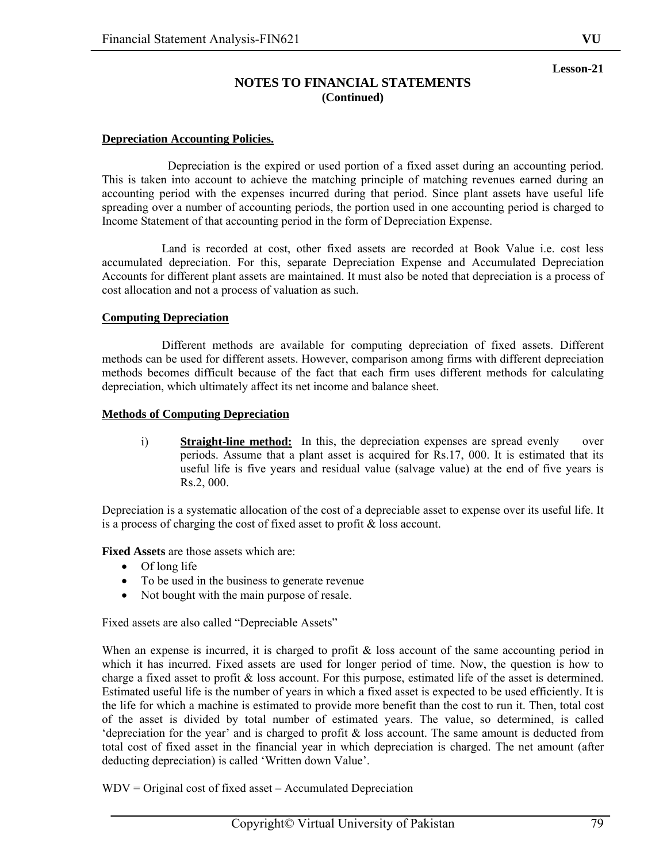**Lesson-21** 

## **NOTES TO FINANCIAL STATEMENTS (Continued)**

### **Depreciation Accounting Policies.**

 Depreciation is the expired or used portion of a fixed asset during an accounting period. This is taken into account to achieve the matching principle of matching revenues earned during an accounting period with the expenses incurred during that period. Since plant assets have useful life spreading over a number of accounting periods, the portion used in one accounting period is charged to Income Statement of that accounting period in the form of Depreciation Expense.

 Land is recorded at cost, other fixed assets are recorded at Book Value i.e. cost less accumulated depreciation. For this, separate Depreciation Expense and Accumulated Depreciation Accounts for different plant assets are maintained. It must also be noted that depreciation is a process of cost allocation and not a process of valuation as such.

### **Computing Depreciation**

 Different methods are available for computing depreciation of fixed assets. Different methods can be used for different assets. However, comparison among firms with different depreciation methods becomes difficult because of the fact that each firm uses different methods for calculating depreciation, which ultimately affect its net income and balance sheet.

### **Methods of Computing Depreciation**

i) **Straight-line method:** In this, the depreciation expenses are spread evenly over periods. Assume that a plant asset is acquired for Rs.17, 000. It is estimated that its useful life is five years and residual value (salvage value) at the end of five years is Rs.2, 000.

Depreciation is a systematic allocation of the cost of a depreciable asset to expense over its useful life. It is a process of charging the cost of fixed asset to profit & loss account.

**Fixed Assets** are those assets which are:

- Of long life
- To be used in the business to generate revenue
- Not bought with the main purpose of resale.

Fixed assets are also called "Depreciable Assets"

When an expense is incurred, it is charged to profit  $\&$  loss account of the same accounting period in which it has incurred. Fixed assets are used for longer period of time. Now, the question is how to charge a fixed asset to profit  $\&$  loss account. For this purpose, estimated life of the asset is determined. Estimated useful life is the number of years in which a fixed asset is expected to be used efficiently. It is the life for which a machine is estimated to provide more benefit than the cost to run it. Then, total cost of the asset is divided by total number of estimated years. The value, so determined, is called 'depreciation for the year' and is charged to profit & loss account. The same amount is deducted from total cost of fixed asset in the financial year in which depreciation is charged. The net amount (after deducting depreciation) is called 'Written down Value'.

WDV = Original cost of fixed asset – Accumulated Depreciation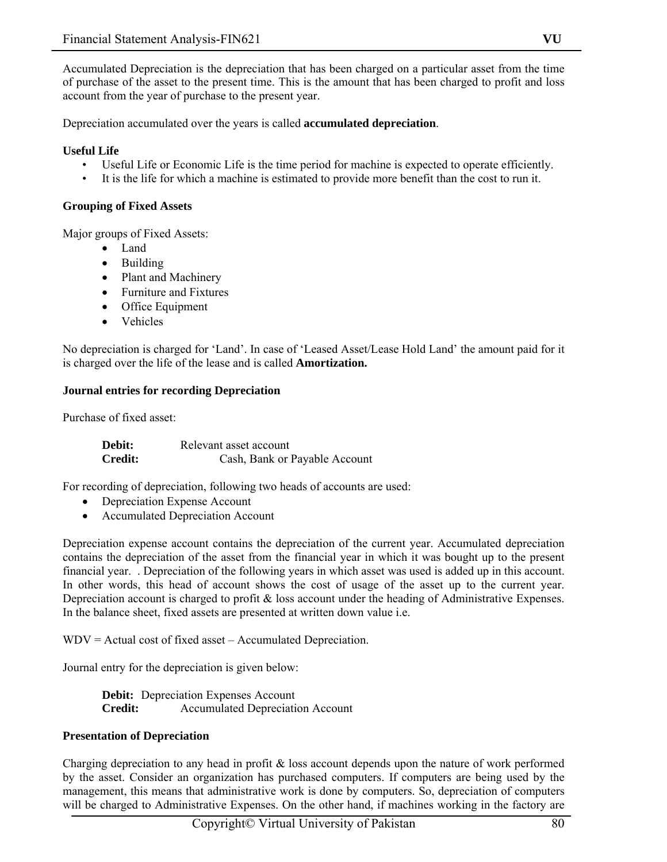Accumulated Depreciation is the depreciation that has been charged on a particular asset from the time of purchase of the asset to the present time. This is the amount that has been charged to profit and loss account from the year of purchase to the present year.

Depreciation accumulated over the years is called **accumulated depreciation**.

## **Useful Life**

j

- Useful Life or Economic Life is the time period for machine is expected to operate efficiently.
- It is the life for which a machine is estimated to provide more benefit than the cost to run it.

## **Grouping of Fixed Assets**

Major groups of Fixed Assets:

- Land
- Building
- Plant and Machinery
- Furniture and Fixtures
- Office Equipment
- Vehicles

No depreciation is charged for 'Land'. In case of 'Leased Asset/Lease Hold Land' the amount paid for it is charged over the life of the lease and is called **Amortization.** 

## **Journal entries for recording Depreciation**

Purchase of fixed asset:

| <b>Debit:</b>  | Relevant asset account        |
|----------------|-------------------------------|
| <b>Credit:</b> | Cash, Bank or Payable Account |

For recording of depreciation, following two heads of accounts are used:

- Depreciation Expense Account
- Accumulated Depreciation Account

Depreciation expense account contains the depreciation of the current year. Accumulated depreciation contains the depreciation of the asset from the financial year in which it was bought up to the present financial year. . Depreciation of the following years in which asset was used is added up in this account. In other words, this head of account shows the cost of usage of the asset up to the current year. Depreciation account is charged to profit & loss account under the heading of Administrative Expenses. In the balance sheet, fixed assets are presented at written down value i.e.

WDV = Actual cost of fixed asset – Accumulated Depreciation.

Journal entry for the depreciation is given below:

**Debit:** Depreciation Expenses Account **Credit:** Accumulated Depreciation Account

# **Presentation of Depreciation**

Charging depreciation to any head in profit & loss account depends upon the nature of work performed by the asset. Consider an organization has purchased computers. If computers are being used by the management, this means that administrative work is done by computers. So, depreciation of computers will be charged to Administrative Expenses. On the other hand, if machines working in the factory are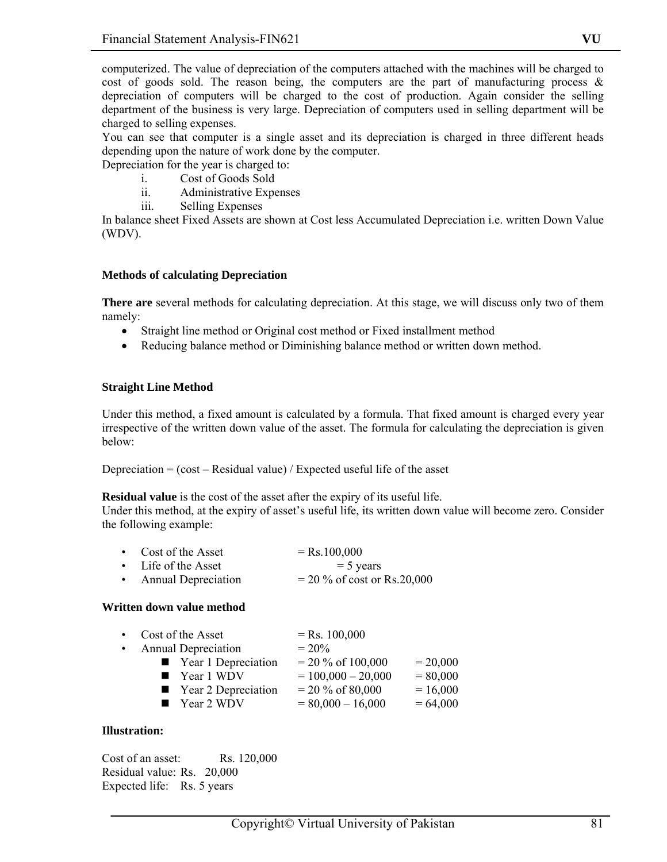computerized. The value of depreciation of the computers attached with the machines will be charged to cost of goods sold. The reason being, the computers are the part of manufacturing process  $\&$ depreciation of computers will be charged to the cost of production. Again consider the selling department of the business is very large. Depreciation of computers used in selling department will be charged to selling expenses.

You can see that computer is a single asset and its depreciation is charged in three different heads depending upon the nature of work done by the computer.

Depreciation for the year is charged to:

- i. Cost of Goods Sold
- ii. Administrative Expenses
- iii. Selling Expenses

In balance sheet Fixed Assets are shown at Cost less Accumulated Depreciation i.e. written Down Value (WDV).

### **Methods of calculating Depreciation**

**There are** several methods for calculating depreciation. At this stage, we will discuss only two of them namely:

- Straight line method or Original cost method or Fixed installment method
- Reducing balance method or Diminishing balance method or written down method.

## **Straight Line Method**

Under this method, a fixed amount is calculated by a formula. That fixed amount is charged every year irrespective of the written down value of the asset. The formula for calculating the depreciation is given below:

Depreciation  $=$  (cost  $-$  Residual value) / Expected useful life of the asset

**Residual value** is the cost of the asset after the expiry of its useful life.

Under this method, at the expiry of asset's useful life, its written down value will become zero. Consider the following example:

| • Cost of the Asset   | $=$ Rs.100,000                |
|-----------------------|-------------------------------|
| • Life of the Asset   | $=$ 5 years                   |
| • Annual Depreciation | $= 20\%$ of cost or Rs.20,000 |

### **Written down value method**

| $\bullet$ | Cost of the Asset                  | $=$ Rs. 100,000              |            |
|-----------|------------------------------------|------------------------------|------------|
| $\bullet$ | <b>Annual Depreciation</b>         | $= 20\%$                     |            |
|           | • Year 1 Depreciation              | $= 20\% \text{ of } 100,000$ | $= 20,000$ |
|           | ■ Year 1 WDV                       | $= 100,000 - 20,000$         | $= 80,000$ |
|           | $\blacksquare$ Year 2 Depreciation | $= 20\% \text{ of } 80,000$  | $= 16,000$ |
|           | $\blacksquare$ Year 2 WDV          | $= 80,000 - 16,000$          | $= 64,000$ |
|           |                                    |                              |            |

### **Illustration:**

Cost of an asset: Rs. 120,000 Residual value: Rs. 20,000 Expected life: Rs. 5 years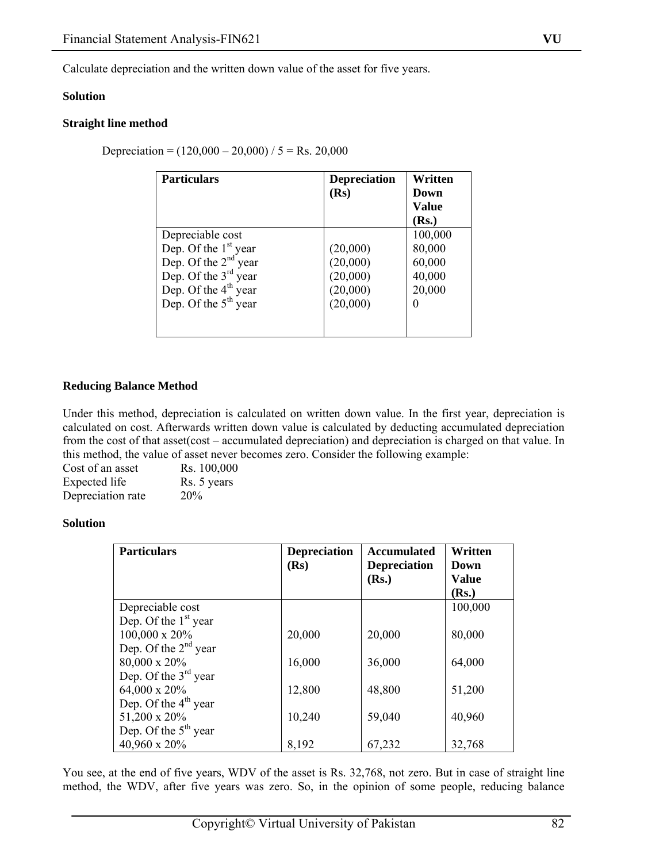Calculate depreciation and the written down value of the asset for five years.

## **Solution**

j

## **Straight line method**

Depreciation =  $(120,000 - 20,000) / 5 =$ Rs. 20,000

| <b>Particulars</b>               | <b>Depreciation</b><br>(Rs) | Written<br>Down<br><b>Value</b><br>(Rs.) |
|----------------------------------|-----------------------------|------------------------------------------|
| Depreciable cost                 |                             | 100,000                                  |
| Dep. Of the $1st$ year           | (20,000)                    | 80,000                                   |
| Dep. Of the $2nd$ year           | (20,000)                    | 60,000                                   |
| Dep. Of the 3 <sup>rd</sup> year | (20,000)                    | 40,000                                   |
| Dep. Of the 4 <sup>th</sup> year | (20,000)                    | 20,000                                   |
| Dep. Of the $5th$ year           | (20,000)                    |                                          |
|                                  |                             |                                          |

### **Reducing Balance Method**

Under this method, depreciation is calculated on written down value. In the first year, depreciation is calculated on cost. Afterwards written down value is calculated by deducting accumulated depreciation from the cost of that asset(cost – accumulated depreciation) and depreciation is charged on that value. In this method, the value of asset never becomes zero. Consider the following example:

Cost of an asset Rs. 100,000 Expected life Rs. 5 years Depreciation rate 20%

### **Solution**

| <b>Particulars</b>     | <b>Depreciation</b><br>(Rs) | <b>Accumulated</b><br><b>Depreciation</b><br>(Rs.) | Written<br>Down<br><b>Value</b><br>(Rs.) |
|------------------------|-----------------------------|----------------------------------------------------|------------------------------------------|
| Depreciable cost       |                             |                                                    | 100,000                                  |
| Dep. Of the $1st$ year |                             |                                                    |                                          |
| 100,000 x 20%          | 20,000                      | 20,000                                             | 80,000                                   |
| Dep. Of the $2nd$ year |                             |                                                    |                                          |
| 80,000 x 20%           | 16,000                      | 36,000                                             | 64,000                                   |
| Dep. Of the $3rd$ year |                             |                                                    |                                          |
| 64,000 x 20%           | 12,800                      | 48,800                                             | 51,200                                   |
| Dep. Of the $4th$ year |                             |                                                    |                                          |
| 51,200 x 20%           | 10,240                      | 59,040                                             | 40,960                                   |
| Dep. Of the $5th$ year |                             |                                                    |                                          |
| 40,960 x 20%           | 8,192                       | 67,232                                             | 32,768                                   |

You see, at the end of five years, WDV of the asset is Rs. 32,768, not zero. But in case of straight line method, the WDV, after five years was zero. So, in the opinion of some people, reducing balance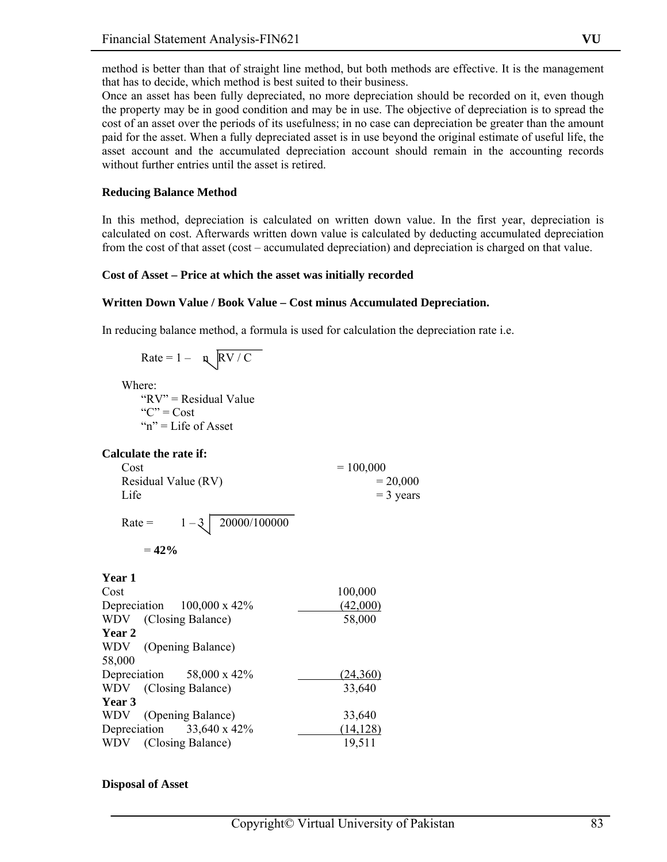method is better than that of straight line method, but both methods are effective. It is the management that has to decide, which method is best suited to their business.

Once an asset has been fully depreciated, no more depreciation should be recorded on it, even though the property may be in good condition and may be in use. The objective of depreciation is to spread the cost of an asset over the periods of its usefulness; in no case can depreciation be greater than the amount paid for the asset. When a fully depreciated asset is in use beyond the original estimate of useful life, the asset account and the accumulated depreciation account should remain in the accounting records without further entries until the asset is retired.

### **Reducing Balance Method**

j

In this method, depreciation is calculated on written down value. In the first year, depreciation is calculated on cost. Afterwards written down value is calculated by deducting accumulated depreciation from the cost of that asset (cost – accumulated depreciation) and depreciation is charged on that value.

### **Cost of Asset – Price at which the asset was initially recorded**

### **Written Down Value / Book Value – Cost minus Accumulated Depreciation.**

In reducing balance method, a formula is used for calculation the depreciation rate i.e.

$$
Rate = 1 - \sqrt{RV / C}
$$

Where:

"RV" = Residual Value " $C$ " = Cost " $n$ " = Life of Asset

### **Calculate the rate if:**

| Cost                | $= 100,000$ |
|---------------------|-------------|
| Residual Value (RV) | $= 20,000$  |
| Life                | $=$ 3 years |

Rate =  $1 - 3 \overline{20000/100000}$ 

= **42%**

## **Year 1**

| Cost                               | 100,000   |
|------------------------------------|-----------|
| Depreciation $100,000 \times 42\%$ | (42,000)  |
| WDV (Closing Balance)              | 58,000    |
| <b>Year 2</b>                      |           |
| WDV<br>(Opening Balance)           |           |
| 58,000                             |           |
| Depreciation $58,000 \times 42\%$  | (24,360)  |
| WDV (Closing Balance)              | 33,640    |
| Year 3                             |           |
| WDV (Opening Balance)              | 33,640    |
| Depreciation $33,640 \times 42\%$  | (14, 128) |
| WDV (Closing Balance)              | 19,511    |

## **Disposal of Asset**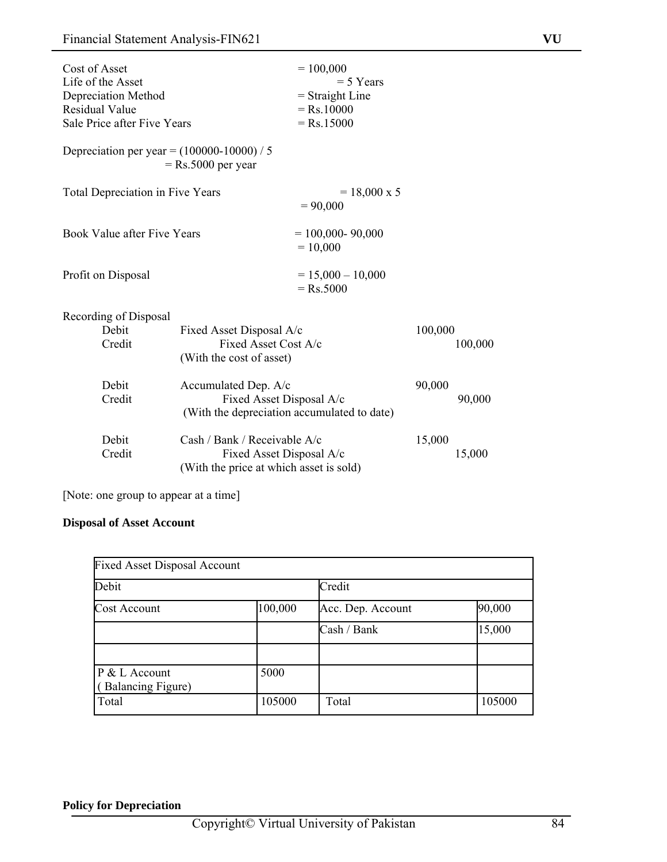| Cost of Asset<br>Life of the Asset<br>Depreciation Method<br><b>Residual Value</b><br>Sale Price after Five Years |                                                                                                     | $= 100,000$<br>$=$ 5 Years<br>$=$ Straight Line<br>$=$ Rs.10000<br>$=$ Rs.15000 |         |         |
|-------------------------------------------------------------------------------------------------------------------|-----------------------------------------------------------------------------------------------------|---------------------------------------------------------------------------------|---------|---------|
| Depreciation per year = $(100000 - 10000) / 5$                                                                    | $=$ Rs.5000 per year                                                                                |                                                                                 |         |         |
| <b>Total Depreciation in Five Years</b>                                                                           |                                                                                                     | $= 18,000 \times 5$<br>$= 90,000$                                               |         |         |
| Book Value after Five Years                                                                                       |                                                                                                     | $= 100,000 - 90,000$<br>$= 10,000$                                              |         |         |
| Profit on Disposal                                                                                                |                                                                                                     | $= 15,000 - 10,000$<br>$=$ Rs.5000                                              |         |         |
| Recording of Disposal<br>Debit<br>Credit                                                                          | Fixed Asset Disposal A/c<br>Fixed Asset Cost A/c<br>(With the cost of asset)                        |                                                                                 | 100,000 | 100,000 |
| Debit<br>Credit                                                                                                   | Accumulated Dep. A/c<br>Fixed Asset Disposal A/c                                                    | (With the depreciation accumulated to date)                                     | 90,000  | 90,000  |
| Debit<br>Credit                                                                                                   | Cash / Bank / Receivable A/c<br>Fixed Asset Disposal A/c<br>(With the price at which asset is sold) |                                                                                 | 15,000  | 15,000  |

[Note: one group to appear at a time]

# **Disposal of Asset Account**

| <b>Fixed Asset Disposal Account</b> |         |                   |        |
|-------------------------------------|---------|-------------------|--------|
| Debit                               |         | Credit            |        |
| Cost Account                        | 100,000 | Acc. Dep. Account | 90,000 |
|                                     |         | Cash / Bank       | 15,000 |
|                                     |         |                   |        |
| P & L Account<br>(Balancing Figure) | 5000    |                   |        |
| Total                               | 105000  | Total             | 105000 |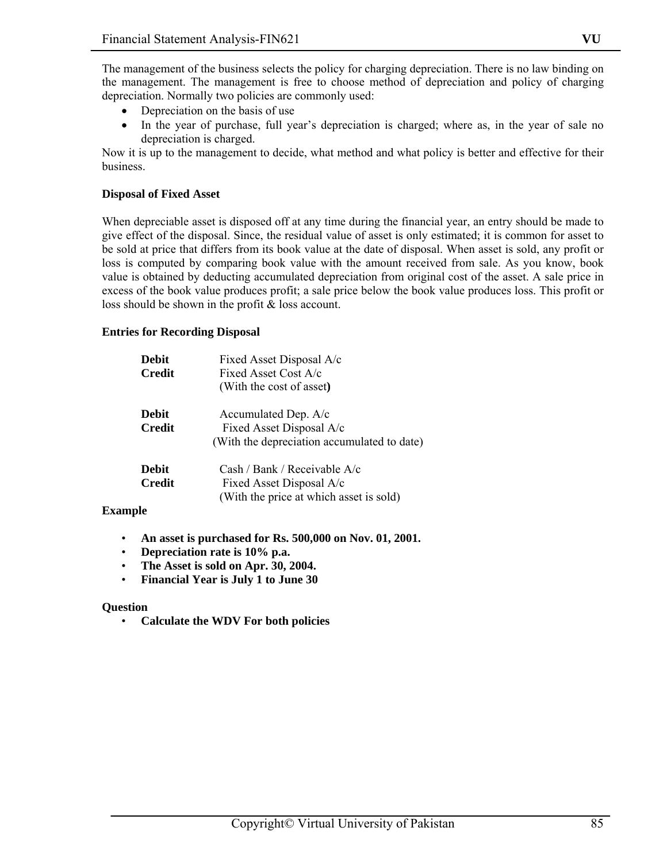The management of the business selects the policy for charging depreciation. There is no law binding on the management. The management is free to choose method of depreciation and policy of charging depreciation. Normally two policies are commonly used:

- Depreciation on the basis of use
- In the year of purchase, full year's depreciation is charged; where as, in the year of sale no depreciation is charged.

Now it is up to the management to decide, what method and what policy is better and effective for their business.

## **Disposal of Fixed Asset**

j

When depreciable asset is disposed off at any time during the financial year, an entry should be made to give effect of the disposal. Since, the residual value of asset is only estimated; it is common for asset to be sold at price that differs from its book value at the date of disposal. When asset is sold, any profit or loss is computed by comparing book value with the amount received from sale. As you know, book value is obtained by deducting accumulated depreciation from original cost of the asset. A sale price in excess of the book value produces profit; a sale price below the book value produces loss. This profit or loss should be shown in the profit & loss account.

### **Entries for Recording Disposal**

| Debit<br><b>Credit</b>                       | Fixed Asset Disposal A/c<br>Fixed Asset Cost A/c<br>(With the cost of asset)                        |
|----------------------------------------------|-----------------------------------------------------------------------------------------------------|
| <b>Debit</b><br><b>Credit</b>                | Accumulated Dep. A/c<br>Fixed Asset Disposal A/c<br>(With the depreciation accumulated to date)     |
| Debit<br><b>Credit</b><br><b>Bernard Bar</b> | Cash / Bank / Receivable A/c<br>Fixed Asset Disposal A/c<br>(With the price at which asset is sold) |

## **Example**

- **An asset is purchased for Rs. 500,000 on Nov. 01, 2001.**
- **Depreciation rate is 10% p.a.**
- **The Asset is sold on Apr. 30, 2004.**
- **Financial Year is July 1 to June 30**

## **Question**

• **Calculate the WDV For both policies**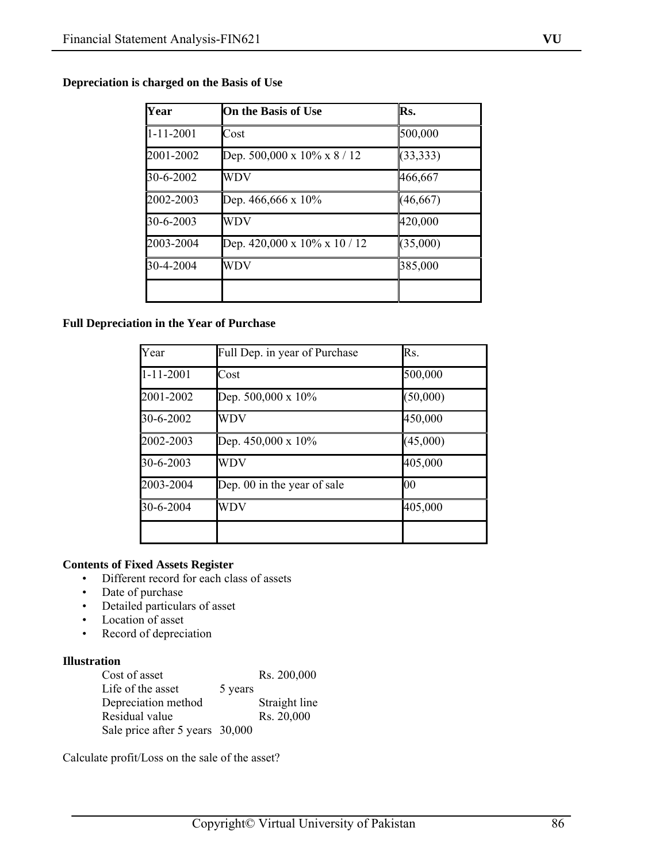| Year            | <b>On the Basis of Use</b>                | Rs.       |
|-----------------|-------------------------------------------|-----------|
| $1 - 11 - 2001$ | Cost                                      | 500,000   |
| 2001-2002       | Dep. 500,000 x 10% x 8 / 12               | (33, 333) |
| 30-6-2002       | <b>WDV</b>                                | 466,667   |
| 2002-2003       | Dep. 466,666 x 10%                        | (46, 667) |
| 30-6-2003       | <b>WDV</b>                                | 420,000   |
| 2003-2004       | Dep. $420,000 \times 10\% \times 10 / 12$ | (35,000)  |

30-4-2004 WDV 385,000

### **Depreciation is charged on the Basis of Use**

### **Full Depreciation in the Year of Purchase**

| Year            | Full Dep. in year of Purchase | R <sub>S</sub> . |
|-----------------|-------------------------------|------------------|
| $1 - 11 - 2001$ | Cost                          | 500,000          |
| 2001-2002       | Dep. 500,000 x 10%            | (50,000)         |
| 30-6-2002       | <b>WDV</b>                    | 450,000          |
| 2002-2003       | Dep. 450,000 x 10%            | (45,000)         |
| 30-6-2003       | <b>WDV</b>                    | 405,000          |
| 2003-2004       | Dep. 00 in the year of sale   | 00               |
| 30-6-2004       | <b>WDV</b>                    | 405,000          |
|                 |                               |                  |

## **Contents of Fixed Assets Register**

- Different record for each class of assets
- Date of purchase
- Detailed particulars of asset
- Location of asset
- Record of depreciation

### **Illustration**

| Cost of asset                   |         | Rs. 200,000   |
|---------------------------------|---------|---------------|
| Life of the asset               | 5 years |               |
| Depreciation method             |         | Straight line |
| Residual value                  |         | Rs. 20,000    |
| Sale price after 5 years 30,000 |         |               |

Calculate profit/Loss on the sale of the asset?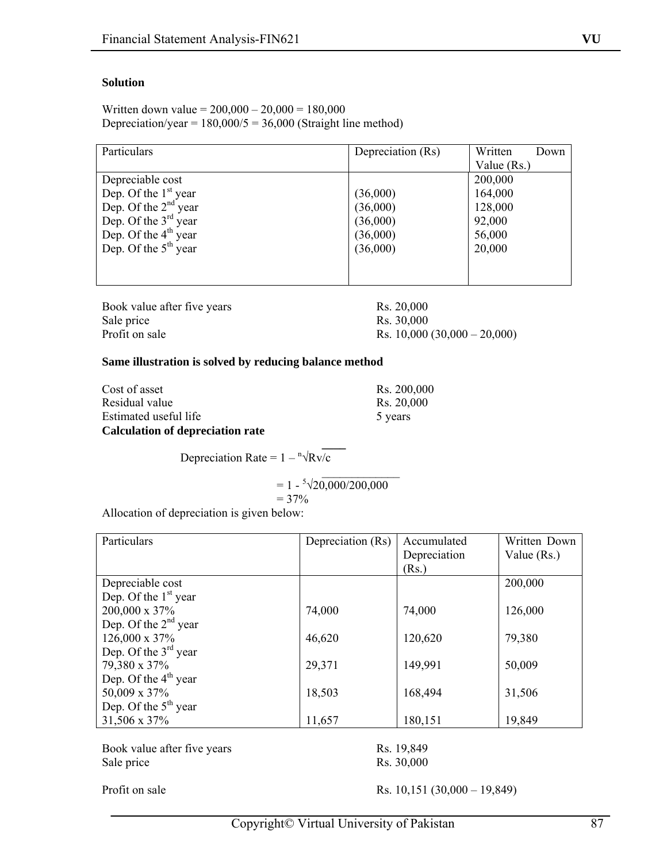# **Solution**

j

Written down value =  $200,000 - 20,000 = 180,000$ Depreciation/year =  $180,000/5 = 36,000$  (Straight line method)

| Particulars                      | Depreciation (Rs) | Written<br>Down |
|----------------------------------|-------------------|-----------------|
|                                  |                   | Value $(Rs.)$   |
| Depreciable cost                 |                   | 200,000         |
| Dep. Of the $1st$ year           | (36,000)          | 164,000         |
| Dep. Of the $2nd$ year           | (36,000)          | 128,000         |
| Dep. Of the 3 <sup>rd</sup> year | (36,000)          | 92,000          |
| Dep. Of the $4th$ year           | (36,000)          | 56,000          |
| Dep. Of the $5th$ year           | (36,000)          | 20,000          |
|                                  |                   |                 |
|                                  |                   |                 |

| Book value after five years | Rs. 20,000                       |
|-----------------------------|----------------------------------|
| Sale price                  | Rs. 30,000                       |
| Profit on sale              | Rs. $10,000$ $(30,000 - 20,000)$ |

### **Same illustration is solved by reducing balance method**

 **\_\_\_\_** 

| Cost of asset                           | Rs. 200,000 |
|-----------------------------------------|-------------|
| Residual value                          | Rs. 20,000  |
| Estimated useful life                   | 5 years     |
| <b>Calculation of depreciation rate</b> |             |

Depreciation Rate =  $1 - \sqrt{\text{Rv}}$ 

$$
= 1 - {^5 \sqrt{20,000/200,000}}
$$
  
= 37%

Allocation of depreciation is given below:

| Particulars            | Depreciation (Rs) | Accumulated  | Written Down  |
|------------------------|-------------------|--------------|---------------|
|                        |                   | Depreciation | Value $(Rs.)$ |
|                        |                   | (Rs.)        |               |
| Depreciable cost       |                   |              | 200,000       |
| Dep. Of the $1st$ year |                   |              |               |
| 200,000 x 37%          | 74,000            | 74,000       | 126,000       |
| Dep. Of the $2nd$ year |                   |              |               |
| $126,000 \times 37\%$  | 46,620            | 120,620      | 79,380        |
| Dep. Of the $3rd$ year |                   |              |               |
| 79,380 x 37%           | 29,371            | 149,991      | 50,009        |
| Dep. Of the $4th$ year |                   |              |               |
| 50,009 x 37%           | 18,503            | 168,494      | 31,506        |
| Dep. Of the $5th$ year |                   |              |               |
| 31,506 x 37%           | 11,657            | 180,151      | 19,849        |

Book value after five years Rs. 19,849 Sale price Rs. 30,000

Profit on sale Rs. 10,151 (30,000 – 19,849)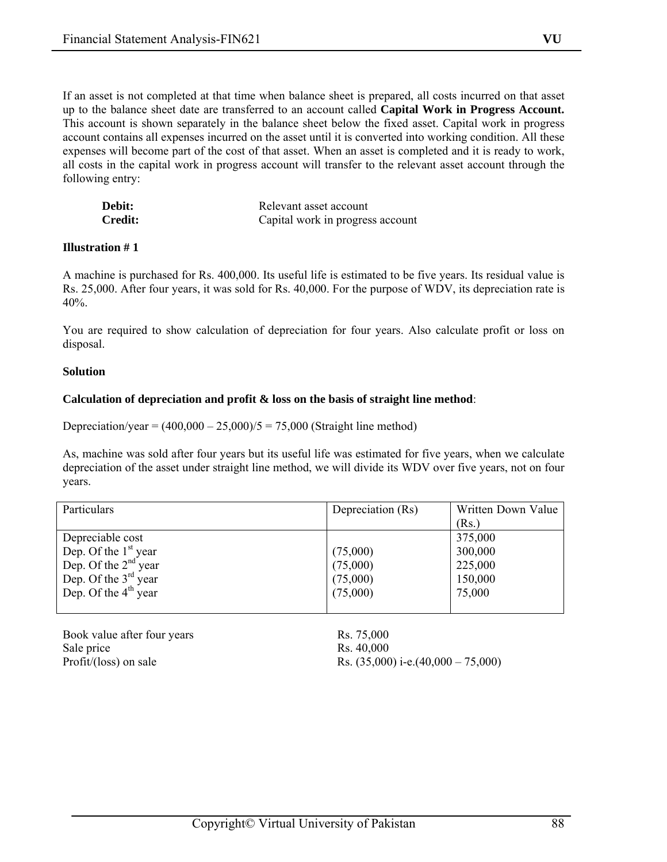If an asset is not completed at that time when balance sheet is prepared, all costs incurred on that asset up to the balance sheet date are transferred to an account called **Capital Work in Progress Account.**  This account is shown separately in the balance sheet below the fixed asset. Capital work in progress account contains all expenses incurred on the asset until it is converted into working condition. All these expenses will become part of the cost of that asset. When an asset is completed and it is ready to work, all costs in the capital work in progress account will transfer to the relevant asset account through the following entry:

| Debit:         | Relevant asset account           |
|----------------|----------------------------------|
| <b>Credit:</b> | Capital work in progress account |

### **Illustration # 1**

j

A machine is purchased for Rs. 400,000. Its useful life is estimated to be five years. Its residual value is Rs. 25,000. After four years, it was sold for Rs. 40,000. For the purpose of WDV, its depreciation rate is  $40%$ .

You are required to show calculation of depreciation for four years. Also calculate profit or loss on disposal.

### **Solution**

### **Calculation of depreciation and profit & loss on the basis of straight line method**:

Depreciation/year =  $(400,000 - 25,000)/5 = 75,000$  (Straight line method)

As, machine was sold after four years but its useful life was estimated for five years, when we calculate depreciation of the asset under straight line method, we will divide its WDV over five years, not on four years.

| Particulars            | Depreciation (Rs) | Written Down Value |
|------------------------|-------------------|--------------------|
|                        |                   | (Rs.)              |
| Depreciable cost       |                   | 375,000            |
| Dep. Of the $1st$ year | (75,000)          | 300,000            |
| Dep. Of the $2nd$ year | (75,000)          | 225,000            |
| Dep. Of the $3rd$ year | (75,000)          | 150,000            |
| Dep. Of the $4th$ year | (75,000)          | 75,000             |
|                        |                   |                    |

Book value after four years Rs. 75,000 Sale price Rs. 40,000

Profit/(loss) on sale Rs.  $(35,000)$  i-e. $(40,000 - 75,000)$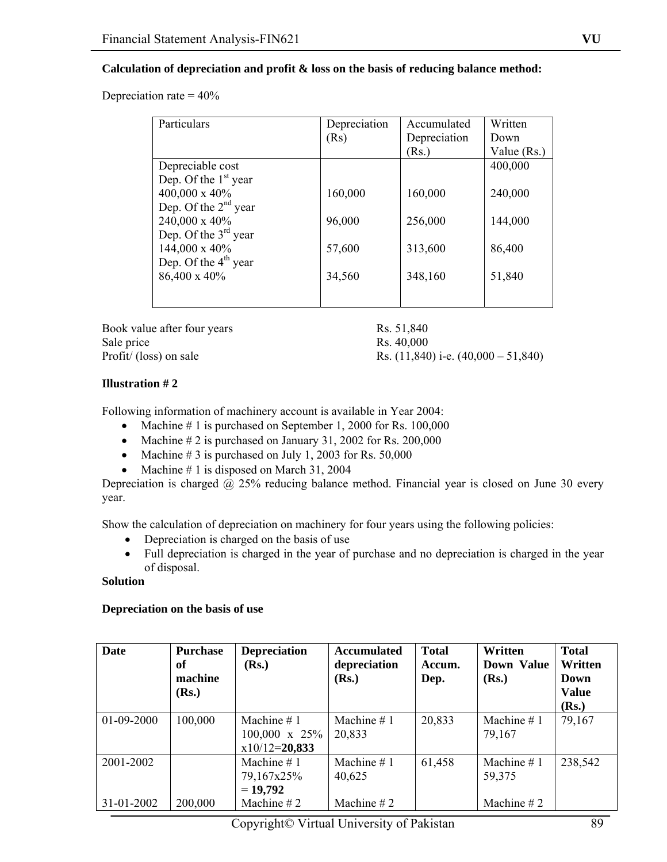### j **Calculation of depreciation and profit & loss on the basis of reducing balance method:**

Depreciation rate  $= 40\%$ 

| Particulars               | Depreciation | Accumulated  | Written     |
|---------------------------|--------------|--------------|-------------|
|                           | (Rs)         | Depreciation | Down        |
|                           |              | (Rs.)        | Value (Rs.) |
| Depreciable cost          |              |              | 400,000     |
| Dep. Of the $1st$ year    |              |              |             |
| 400,000 x 40%             | 160,000      | 160,000      | 240,000     |
| Dep. Of the $2nd$ year    |              |              |             |
| 240,000 x 40%             | 96,000       | 256,000      | 144,000     |
| Dep. Of the $3^{rd}$ year |              |              |             |
| 144,000 x 40%             | 57,600       | 313,600      | 86,400      |
| Dep. Of the $4th$ year    |              |              |             |
| 86,400 x 40%              | 34,560       | 348,160      | 51,840      |
|                           |              |              |             |
|                           |              |              |             |

Book value after four years Rs. 51,840 Sale price Rs. 40,000

Profit/ (loss) on sale Rs. (11,840) i-e. (40,000 – 51,840)

### **Illustration # 2**

Following information of machinery account is available in Year 2004:

- Machine # 1 is purchased on September 1, 2000 for Rs. 100,000
- Machine  $\# 2$  is purchased on January 31, 2002 for Rs. 200,000
- Machine  $\# 3$  is purchased on July 1, 2003 for Rs. 50,000
- Machine  $# 1$  is disposed on March 31, 2004

Depreciation is charged @ 25% reducing balance method. Financial year is closed on June 30 every year.

Show the calculation of depreciation on machinery for four years using the following policies:

- Depreciation is charged on the basis of use
- Full depreciation is charged in the year of purchase and no depreciation is charged in the year of disposal.

## **Solution**

### **Depreciation on the basis of use**

| <b>Date</b>             | <b>Purchase</b><br>of<br>machine<br>(Rs.) | <b>Depreciation</b><br>(Rs.)                              | <b>Accumulated</b><br>depreciation<br>(Rs.) | <b>Total</b><br>Accum.<br>Dep. | Written<br><b>Down Value</b><br>(Rs.)   | <b>Total</b><br>Written<br>Down<br><b>Value</b><br>(Rs.) |
|-------------------------|-------------------------------------------|-----------------------------------------------------------|---------------------------------------------|--------------------------------|-----------------------------------------|----------------------------------------------------------|
| 01-09-2000              | 100,000                                   | Machine $# 1$<br>$100,000 \times 25\%$<br>$x10/12=20,833$ | Machine $# 1$<br>20,833                     | 20,833                         | Machine $# 1$<br>79,167                 | 79,167                                                   |
| 2001-2002<br>31-01-2002 | 200,000                                   | Machine $# 1$<br>79,167x25%<br>$= 19,792$<br>Machine $#2$ | Machine $# 1$<br>40,625<br>Machine $#2$     | 61,458                         | Machine $# 1$<br>59,375<br>Machine $#2$ | 238,542                                                  |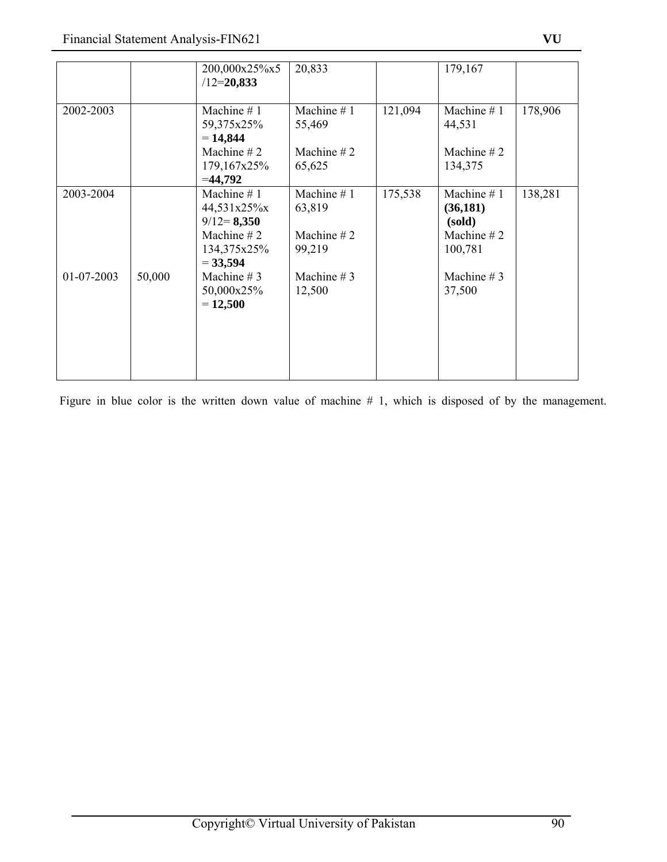|            |        | 200,000x25%x5<br>$/12 = 20,833$                                                             | 20,833                                            |         | 179,167                                                         |         |
|------------|--------|---------------------------------------------------------------------------------------------|---------------------------------------------------|---------|-----------------------------------------------------------------|---------|
| 2002-2003  |        | Machine $# 1$<br>59,375x25%<br>$= 14,844$                                                   | Machine $# 1$<br>55,469                           | 121,094 | Machine $# 1$<br>44,531                                         | 178,906 |
|            |        | Machine $#2$<br>179,167x25%<br>$=44,792$                                                    | Machine $#2$<br>65,625                            |         | Machine $#2$<br>134,375                                         |         |
| 2003-2004  |        | Machine $# 1$<br>44,531x25%x<br>$9/12 = 8,350$<br>Machine $#2$<br>134,375x25%<br>$= 33,594$ | Machine $# 1$<br>63,819<br>Machine $#2$<br>99,219 | 175,538 | Machine $# 1$<br>(36, 181)<br>(sold)<br>Machine $#2$<br>100,781 | 138,281 |
| 01-07-2003 | 50,000 | Machine $# 3$<br>50,000x25%<br>$= 12,500$                                                   | Machine $# 3$<br>12,500                           |         | Machine $# 3$<br>37,500                                         |         |

Figure in blue color is the written down value of machine # 1, which is disposed of by the management.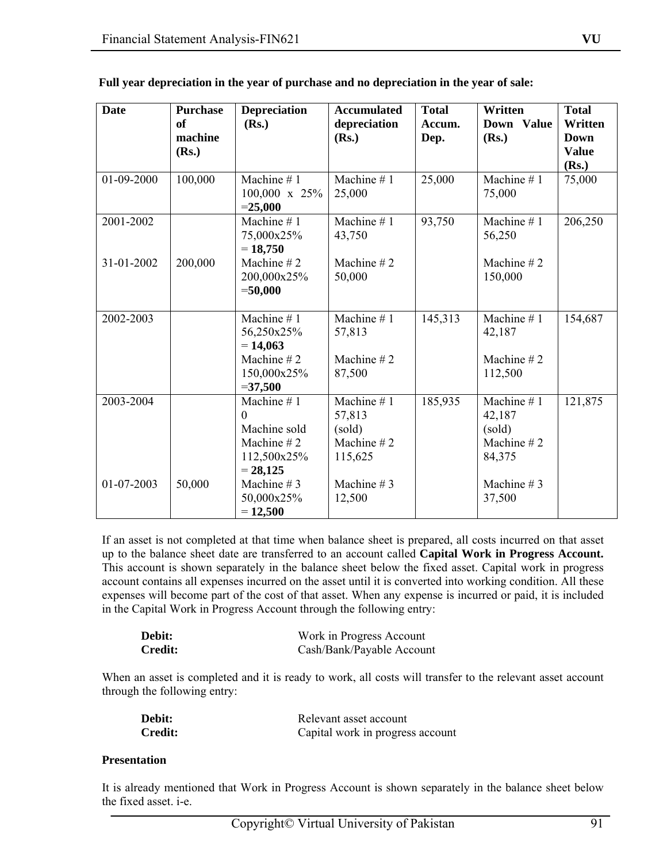| <b>Date</b> | <b>Purchase</b><br>of<br>machine<br>(Rs.) | <b>Depreciation</b><br>(Rs.)                                                          | <b>Accumulated</b><br>depreciation<br>(Rs.)               | <b>Total</b><br>Accum.<br>Dep. | <b>Written</b><br>Down Value<br>(Rs.)                       | <b>Total</b><br>Written<br><b>Down</b><br><b>Value</b><br>(Rs.) |
|-------------|-------------------------------------------|---------------------------------------------------------------------------------------|-----------------------------------------------------------|--------------------------------|-------------------------------------------------------------|-----------------------------------------------------------------|
| 01-09-2000  | 100,000                                   | Machine #1<br>100,000 x 25%<br>$= 25,000$                                             | Machine #1<br>25,000                                      | 25,000                         | Machine $# 1$<br>75,000                                     | 75,000                                                          |
| 2001-2002   |                                           | Machine #1<br>75,000x25%<br>$= 18,750$                                                | Machine #1<br>43,750                                      | 93,750                         | Machine #1<br>56,250                                        | 206,250                                                         |
| 31-01-2002  | 200,000                                   | Machine #2<br>200,000x25%<br>$= 50,000$                                               | Machine #2<br>50,000                                      |                                | Machine $#2$<br>150,000                                     |                                                                 |
| 2002-2003   |                                           | Machine #1<br>56,250x25%<br>$= 14,063$                                                | Machine #1<br>57,813                                      | 145,313                        | Machine $# 1$<br>42,187                                     | 154,687                                                         |
|             |                                           | Machine #2<br>150,000x25%<br>$= 37,500$                                               | Machine $#2$<br>87,500                                    |                                | Machine $#2$<br>112,500                                     |                                                                 |
| 2003-2004   |                                           | Machine $\#$ 1<br>$\Omega$<br>Machine sold<br>Machine #2<br>112,500x25%<br>$= 28,125$ | Machine #1<br>57,813<br>(sold)<br>Machine $#2$<br>115,625 | 185,935                        | Machine $# 1$<br>42,187<br>(sold)<br>Machine $#2$<br>84,375 | 121,875                                                         |
| 01-07-2003  | 50,000                                    | Machine #3<br>50,000x25%<br>$= 12,500$                                                | Machine $# 3$<br>12,500                                   |                                | Machine $# 3$<br>37,500                                     |                                                                 |

|  |  |  | Full year depreciation in the year of purchase and no depreciation in the year of sale: |  |
|--|--|--|-----------------------------------------------------------------------------------------|--|
|  |  |  |                                                                                         |  |

If an asset is not completed at that time when balance sheet is prepared, all costs incurred on that asset up to the balance sheet date are transferred to an account called **Capital Work in Progress Account.**  This account is shown separately in the balance sheet below the fixed asset. Capital work in progress account contains all expenses incurred on the asset until it is converted into working condition. All these expenses will become part of the cost of that asset. When any expense is incurred or paid, it is included in the Capital Work in Progress Account through the following entry:

| <b>Debit:</b>  | Work in Progress Account  |
|----------------|---------------------------|
| <b>Credit:</b> | Cash/Bank/Payable Account |

When an asset is completed and it is ready to work, all costs will transfer to the relevant asset account through the following entry:

| <b>Debit:</b> | Relevant asset account           |
|---------------|----------------------------------|
| Credit:       | Capital work in progress account |

## **Presentation**

It is already mentioned that Work in Progress Account is shown separately in the balance sheet below the fixed asset. i-e.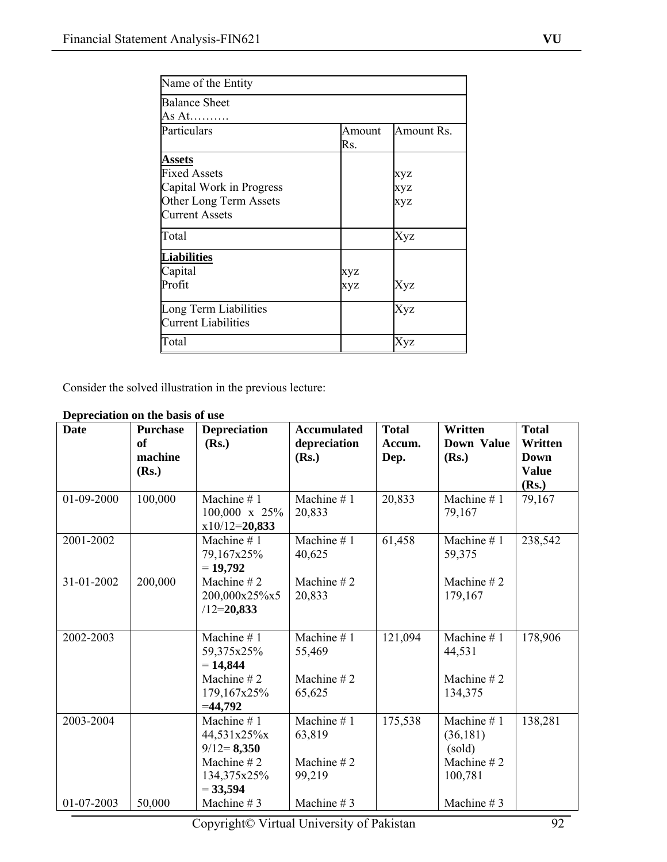| Name of the Entity         |               |            |
|----------------------------|---------------|------------|
| <b>Balance Sheet</b>       |               |            |
| As At                      |               |            |
| Particulars                | Amount<br>Rs. | Amount Rs. |
| <b>Assets</b>              |               |            |
| <b>Fixed Assets</b>        |               | xyz        |
| Capital Work in Progress   |               | xyz        |
| Other Long Term Assets     |               | xyz        |
| <b>Current Assets</b>      |               |            |
| Total                      |               | Xyz        |
| <b>Liabilities</b>         |               |            |
| Capital                    | xyz           |            |
| Profit                     | xyz           | Xyz        |
| Long Term Liabilities      |               | Xyz        |
| <b>Current Liabilities</b> |               |            |
| Total                      |               | Xyz        |

Consider the solved illustration in the previous lecture:

| Depreciation on the basis of use |  |  |
|----------------------------------|--|--|
|----------------------------------|--|--|

| Date       | <b>Purchase</b><br><b>of</b><br>machine<br>(Rs.) | <b>Depreciation</b><br>(Rs.)                              | <b>Accumulated</b><br>depreciation<br>(Rs.) | <b>Total</b><br>Accum.<br>Dep. | <b>Written</b><br><b>Down Value</b><br>(Rs.)         | <b>Total</b><br>Written<br>Down<br><b>Value</b><br>(Rs.) |
|------------|--------------------------------------------------|-----------------------------------------------------------|---------------------------------------------|--------------------------------|------------------------------------------------------|----------------------------------------------------------|
| 01-09-2000 | 100,000                                          | Machine #1<br>100,000 x 25%<br>$x10/12=20,833$            | Machine #1<br>20,833                        | 20,833                         | Machine #1<br>79,167                                 | 79,167                                                   |
| 2001-2002  |                                                  | Machine #1<br>79,167x25%<br>$= 19,792$                    | Machine #1<br>40,625                        | 61,458                         | Machine $# 1$<br>59,375                              | 238,542                                                  |
| 31-01-2002 | 200,000                                          | Machine #2<br>200,000x25%x5<br>$/12 = 20,833$             | Machine $# 2$<br>20,833                     |                                | Machine $#2$<br>179,167                              |                                                          |
| 2002-2003  |                                                  | Machine #1<br>59,375x25%<br>$= 14,844$                    | Machine #1<br>55,469                        | 121,094                        | Machine $# 1$<br>44,531                              | 178,906                                                  |
|            |                                                  | Machine #2<br>179,167x25%<br>$=44,792$                    | Machine $# 2$<br>65,625                     |                                | Machine $# 2$<br>134,375                             |                                                          |
| 2003-2004  |                                                  | Machine #1<br>44,531x25%x<br>$9/12 = 8,350$<br>Machine #2 | Machine #1<br>63,819<br>Machine #2          | 175,538                        | Machine $# 1$<br>(36, 181)<br>(sold)<br>Machine $#2$ | 138,281                                                  |
|            |                                                  | 134,375x25%<br>$= 33,594$                                 | 99,219                                      |                                | 100,781                                              |                                                          |
| 01-07-2003 | 50,000                                           | Machine #3                                                | Machine $# 3$                               |                                | Machine $# 3$                                        |                                                          |

Copyright© Virtual University of Pakistan 92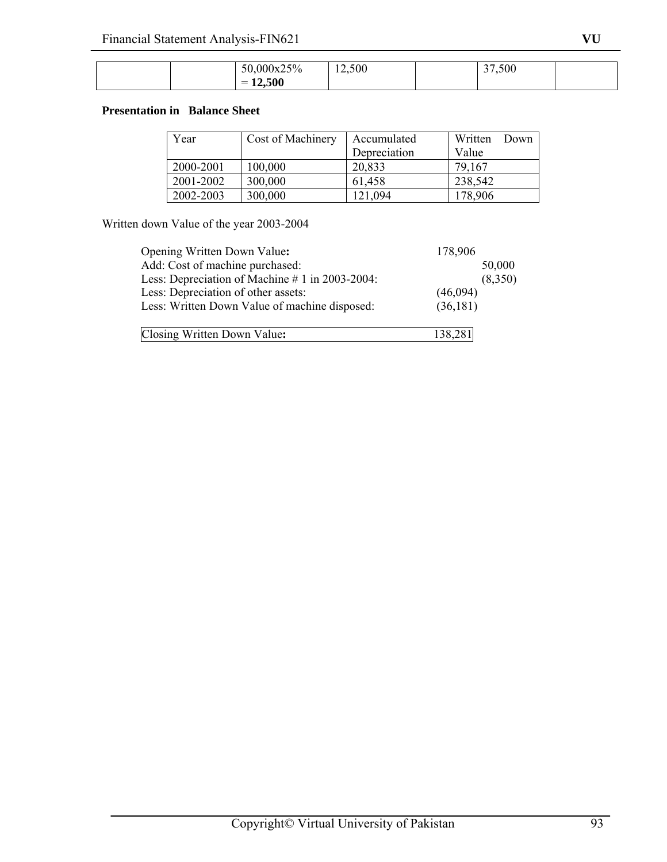|  | $\sim$ $\sim$ $\sim$<br>∕∪                   | 12,500 | ,500<br><u>، ب</u> |  |
|--|----------------------------------------------|--------|--------------------|--|
|  | $\sqrt{200}$<br>$=$ $\blacksquare$<br>14,JUU |        |                    |  |

# **Presentation in Balance Sheet**

| Year      | Cost of Machinery | Accumulated  | Written<br>Down |
|-----------|-------------------|--------------|-----------------|
|           |                   | Depreciation | Value           |
| 2000-2001 | 100,000           | 20,833       | 79.167          |
| 2001-2002 | 300,000           | 61,458       | 238,542         |
| 2002-2003 | 300,000           | 121,094      | 178,906         |

Written down Value of the year 2003-2004

| Opening Written Down Value:                       | 178,906   |
|---------------------------------------------------|-----------|
| Add: Cost of machine purchased:                   | 50,000    |
| Less: Depreciation of Machine $# 1$ in 2003-2004: | (8,350)   |
| Less: Depreciation of other assets:               | (46,094)  |
| Less: Written Down Value of machine disposed:     | (36, 181) |
|                                                   |           |
| Closing Written Down Value:                       | 138,281   |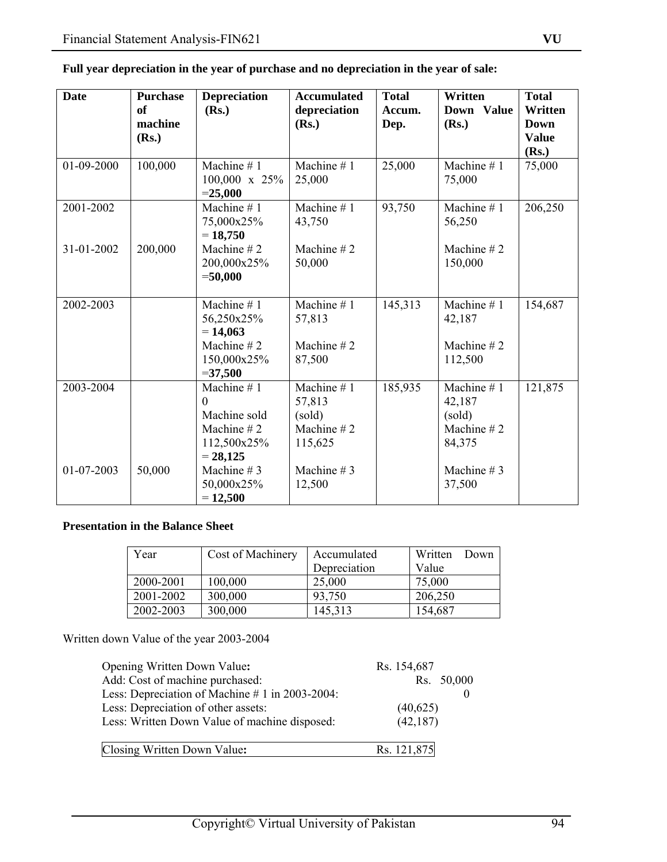| <b>Date</b> | <b>Purchase</b><br>of<br>machine<br>(Rs.) | <b>Depreciation</b><br>(Rs.)                                                        | <b>Accumulated</b><br>depreciation<br>(Rs.)               | <b>Total</b><br>Accum.<br>Dep. | Written<br>Down Value<br>(Rs.)                           | <b>Total</b><br>Written<br>Down<br><b>Value</b><br>(Rs.) |
|-------------|-------------------------------------------|-------------------------------------------------------------------------------------|-----------------------------------------------------------|--------------------------------|----------------------------------------------------------|----------------------------------------------------------|
| 01-09-2000  | 100,000                                   | Machine $# 1$<br>$100,000 \times 25\%$<br>$= 25,000$                                | Machine $# 1$<br>25,000                                   | 25,000                         | Machine $# 1$<br>75,000                                  | 75,000                                                   |
| 2001-2002   |                                           | Machine #1<br>75,000x25%<br>$= 18,750$                                              | Machine $# 1$<br>43,750                                   | 93,750                         | Machine $# 1$<br>56,250                                  | 206,250                                                  |
| 31-01-2002  | 200,000                                   | Machine $#2$<br>200,000x25%<br>$= 50,000$                                           | Machine $# 2$<br>50,000                                   |                                | Machine $#2$<br>150,000                                  |                                                          |
| 2002-2003   |                                           | Machine $# 1$<br>56,250x25%<br>$= 14,063$<br>Machine $# 2$                          | Machine $# 1$<br>57,813<br>Machine $# 2$                  | 145,313                        | Machine #1<br>42,187<br>Machine $# 2$                    | 154,687                                                  |
|             |                                           | 150,000x25%<br>$= 37,500$                                                           | 87,500                                                    |                                | 112,500                                                  |                                                          |
| 2003-2004   |                                           | Machine #1<br>$\Omega$<br>Machine sold<br>Machine $#2$<br>112,500x25%<br>$= 28,125$ | Machine #1<br>57,813<br>(sold)<br>Machine $#2$<br>115,625 | 185,935                        | Machine #1<br>42,187<br>(sold)<br>Machine $#2$<br>84,375 | 121,875                                                  |
| 01-07-2003  | 50,000                                    | Machine $# 3$<br>50,000x25%<br>$= 12,500$                                           | Machine $# 3$<br>12,500                                   |                                | Machine $# 3$<br>37,500                                  |                                                          |

j **Full year depreciation in the year of purchase and no depreciation in the year of sale:** 

# **Presentation in the Balance Sheet**

| Year      | Cost of Machinery | Accumulated  | Written<br>Down |
|-----------|-------------------|--------------|-----------------|
|           |                   | Depreciation | Value           |
| 2000-2001 | 100,000           | 25,000       | 75,000          |
| 2001-2002 | 300,000           | 93,750       | 206,250         |
| 2002-2003 | 300,000           | 145,313      | 154,687         |

Written down Value of the year 2003-2004

| Opening Written Down Value:                     | Rs. 154,687 |
|-------------------------------------------------|-------------|
| Add: Cost of machine purchased:                 | Rs. 50,000  |
| Less: Depreciation of Machine # 1 in 2003-2004: |             |
| Less: Depreciation of other assets:             | (40,625)    |
| Less: Written Down Value of machine disposed:   | (42, 187)   |
| Closing Written Down Value:                     | Rs. 121,875 |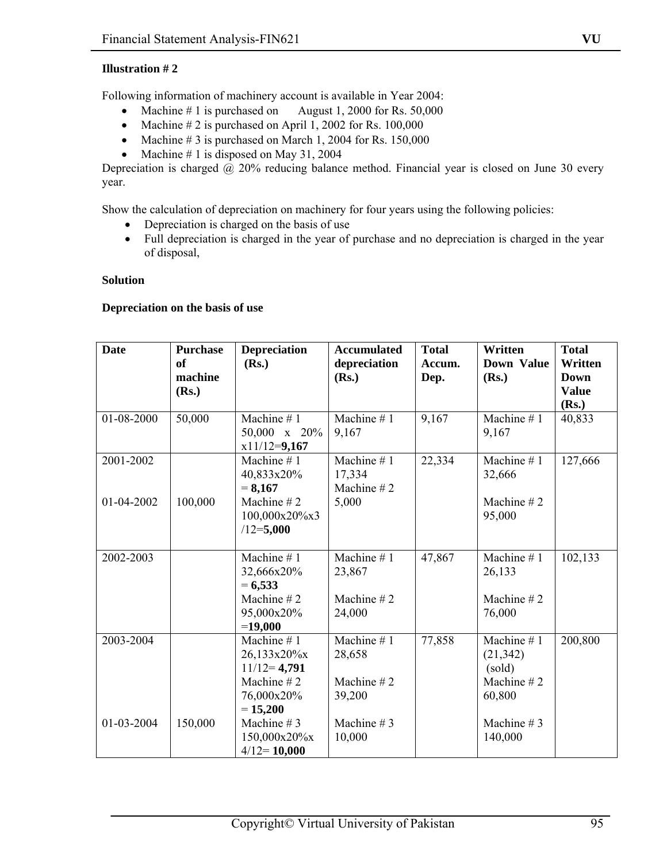# **Illustration # 2**

j

Following information of machinery account is available in Year 2004:

- Machine  $\# 1$  is purchased on August 1, 2000 for Rs. 50,000
- Machine  $\# 2$  is purchased on April 1, 2002 for Rs. 100,000
- Machine  $\# 3$  is purchased on March 1, 2004 for Rs. 150,000
- Machine  $\#$  1 is disposed on May 31, 2004

Depreciation is charged @ 20% reducing balance method. Financial year is closed on June 30 every year.

Show the calculation of depreciation on machinery for four years using the following policies:

- Depreciation is charged on the basis of use
- Full depreciation is charged in the year of purchase and no depreciation is charged in the year of disposal,

### **Solution**

### **Depreciation on the basis of use**

| <b>Date</b>             | <b>Purchase</b><br>of<br>machine<br>(Rs.) | <b>Depreciation</b><br>(Rs.)                                                                                                              | <b>Accumulated</b><br>depreciation<br>(Rs.)                            | <b>Total</b><br>Accum.<br>Dep. | Written<br><b>Down Value</b><br>(Rs.)                                                | <b>Total</b><br>Written<br><b>Down</b><br><b>Value</b><br>(Rs.) |
|-------------------------|-------------------------------------------|-------------------------------------------------------------------------------------------------------------------------------------------|------------------------------------------------------------------------|--------------------------------|--------------------------------------------------------------------------------------|-----------------------------------------------------------------|
| 01-08-2000              | 50,000                                    | Machine $# 1$<br>50,000 x 20%<br>$x11/12=9,167$                                                                                           | Machine $# 1$<br>9,167                                                 | 9,167                          | Machine $# 1$<br>9,167                                                               | 40,833                                                          |
| 2001-2002<br>01-04-2002 | 100,000                                   | Machine #1<br>40,833x20%<br>$= 8,167$<br>Machine $#2$<br>100,000x20%x3<br>$/12 = 5,000$                                                   | Machine #1<br>17,334<br>Machine $#2$<br>5,000                          | 22,334                         | Machine #1<br>32,666<br>Machine $#2$<br>95,000                                       | 127,666                                                         |
| 2002-2003               |                                           | Machine #1<br>32,666x20%<br>$= 6,533$<br>Machine #2<br>95,000x20%<br>$=19,000$                                                            | Machine #1<br>23,867<br>Machine #2<br>24,000                           | 47,867                         | Machine $# 1$<br>26,133<br>Machine $#2$<br>76,000                                    | 102,133                                                         |
| 2003-2004<br>01-03-2004 | 150,000                                   | Machine #1<br>26,133x20%x<br>$11/12 = 4,791$<br>Machine $#2$<br>76,000x20%<br>$= 15,200$<br>Machine #3<br>150,000x20%x<br>$4/12 = 10,000$ | Machine #1<br>28,658<br>Machine $#2$<br>39,200<br>Machine #3<br>10,000 | 77,858                         | Machine #1<br>(21, 342)<br>(sold)<br>Machine $#2$<br>60,800<br>Machine #3<br>140,000 | 200,800                                                         |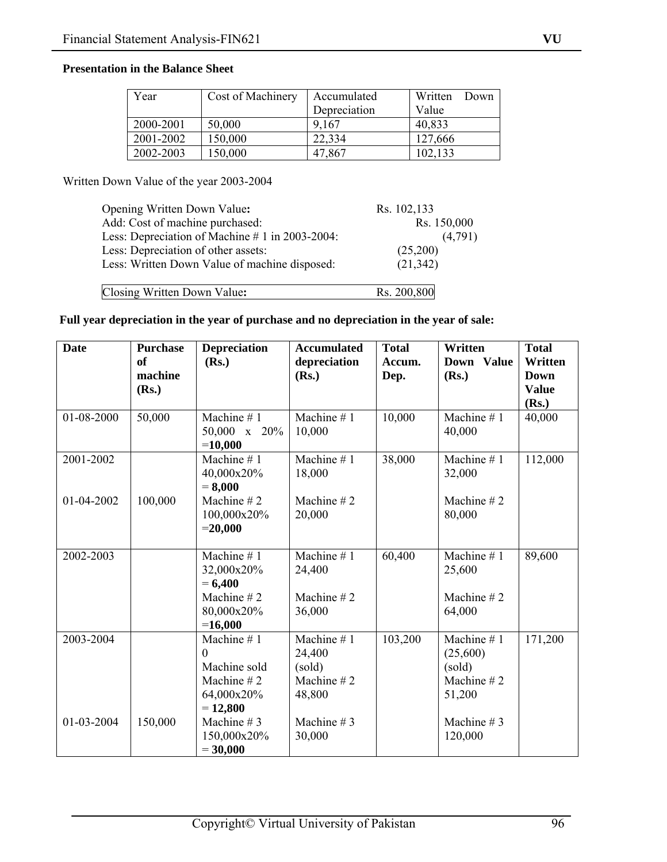# **Presentation in the Balance Sheet**

j

| Year      | Cost of Machinery | Accumulated  | Written<br>Down |
|-----------|-------------------|--------------|-----------------|
|           |                   | Depreciation | Value           |
| 2000-2001 | 50,000            | 9,167        | 40,833          |
| 2001-2002 | 150,000           | 22,334       | 127,666         |
| 2002-2003 | 150,000           | 47,867       | 102,133         |

Written Down Value of the year 2003-2004

| Opening Written Down Value:                       | Rs. 102,133 |
|---------------------------------------------------|-------------|
| Add: Cost of machine purchased:                   | Rs. 150,000 |
| Less: Depreciation of Machine $# 1$ in 2003-2004: | (4,791)     |
| Less: Depreciation of other assets:               | (25,200)    |
| Less: Written Down Value of machine disposed:     | (21, 342)   |

# Closing Written Down Value: **Rs. 200,800**

# **Full year depreciation in the year of purchase and no depreciation in the year of sale:**

| <b>Date</b> | <b>Purchase</b><br>of<br>machine<br>(Rs.) | <b>Depreciation</b><br>(Rs.)                                                          | <b>Accumulated</b><br>depreciation<br>(Rs.)                           | <b>Total</b><br>Accum.<br>Dep. | Written<br>Down Value<br>(Rs.)                           | <b>Total</b><br>Written<br><b>Down</b><br><b>Value</b><br>(Rs.) |
|-------------|-------------------------------------------|---------------------------------------------------------------------------------------|-----------------------------------------------------------------------|--------------------------------|----------------------------------------------------------|-----------------------------------------------------------------|
| 01-08-2000  | 50,000                                    | Machine $# 1$<br>50,000 x 20%<br>$=10,000$                                            | Machine $# 1$<br>10,000                                               | 10,000                         | Machine $# 1$<br>40,000                                  | 40,000                                                          |
| 2001-2002   |                                           | Machine $# 1$<br>40,000x20%<br>$= 8,000$                                              | Machine $# 1$<br>18,000                                               | 38,000                         | Machine $# 1$<br>32,000                                  | 112,000                                                         |
| 01-04-2002  | 100,000                                   | Machine $#2$<br>100,000x20%<br>$= 20,000$                                             | Machine $#2$<br>20,000                                                |                                | Machine $#2$<br>80,000                                   |                                                                 |
| 2002-2003   |                                           | Machine $# 1$<br>32,000x20%<br>$= 6,400$                                              | Machine $# 1$<br>24,400                                               | 60,400                         | Machine #1<br>25,600                                     | 89,600                                                          |
|             |                                           | Machine $#2$<br>80,000x20%<br>$=16,000$                                               | Machine $#2$<br>36,000                                                |                                | Machine $#2$<br>64,000                                   |                                                                 |
| 2003-2004   |                                           | Machine # $1$<br>$\theta$<br>Machine sold<br>Machine $#2$<br>64,000x20%<br>$= 12,800$ | Machine $\frac{1}{4}$ 1<br>24,400<br>(sold)<br>Machine $#2$<br>48,800 | 103,200                        | Machine #1<br>(25,600)<br>(sold)<br>Machine #2<br>51,200 | 171,200                                                         |
| 01-03-2004  | 150,000                                   | Machine #3<br>150,000x20%<br>$= 30,000$                                               | Machine #3<br>30,000                                                  |                                | Machine $# 3$<br>120,000                                 |                                                                 |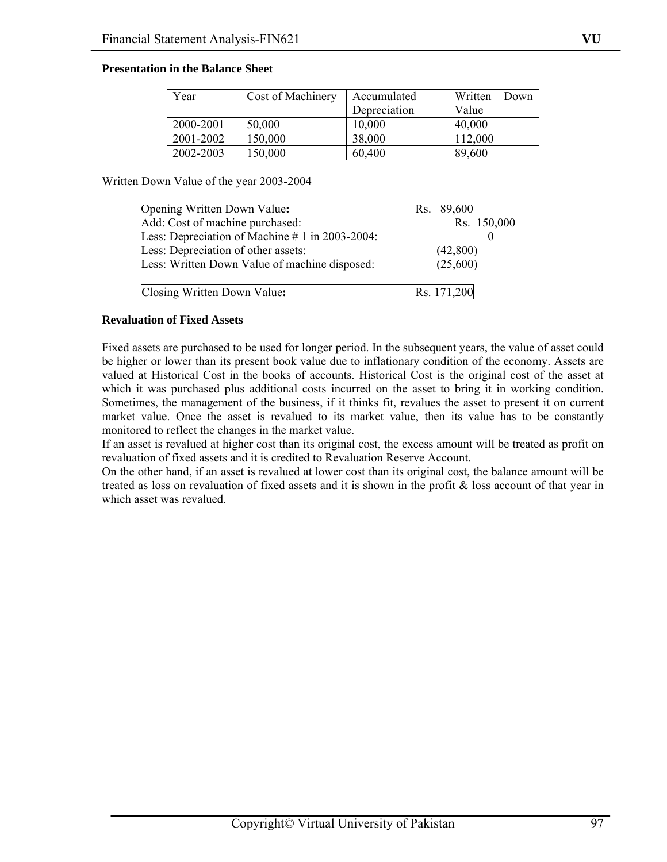## **Presentation in the Balance Sheet**

j

| Year      | Cost of Machinery | Accumulated  | Written<br>Down |
|-----------|-------------------|--------------|-----------------|
|           |                   | Depreciation | Value           |
| 2000-2001 | 50,000            | 10,000       | 40,000          |
| 2001-2002 | 150,000           | 38,000       | 112,000         |
| 2002-2003 | 150,000           | 60,400       | 89,600          |

Written Down Value of the year 2003-2004

| Opening Written Down Value:                       | Rs. 89,600  |
|---------------------------------------------------|-------------|
| Add: Cost of machine purchased:                   | Rs. 150,000 |
| Less: Depreciation of Machine $# 1$ in 2003-2004: |             |
| Less: Depreciation of other assets:               | (42,800)    |
| Less: Written Down Value of machine disposed:     | (25,600)    |
| Closing Written Down Value:                       | Rs. 171,200 |

### **Revaluation of Fixed Assets**

Fixed assets are purchased to be used for longer period. In the subsequent years, the value of asset could be higher or lower than its present book value due to inflationary condition of the economy. Assets are valued at Historical Cost in the books of accounts. Historical Cost is the original cost of the asset at which it was purchased plus additional costs incurred on the asset to bring it in working condition. Sometimes, the management of the business, if it thinks fit, revalues the asset to present it on current market value. Once the asset is revalued to its market value, then its value has to be constantly monitored to reflect the changes in the market value.

If an asset is revalued at higher cost than its original cost, the excess amount will be treated as profit on revaluation of fixed assets and it is credited to Revaluation Reserve Account.

On the other hand, if an asset is revalued at lower cost than its original cost, the balance amount will be treated as loss on revaluation of fixed assets and it is shown in the profit & loss account of that year in which asset was revalued.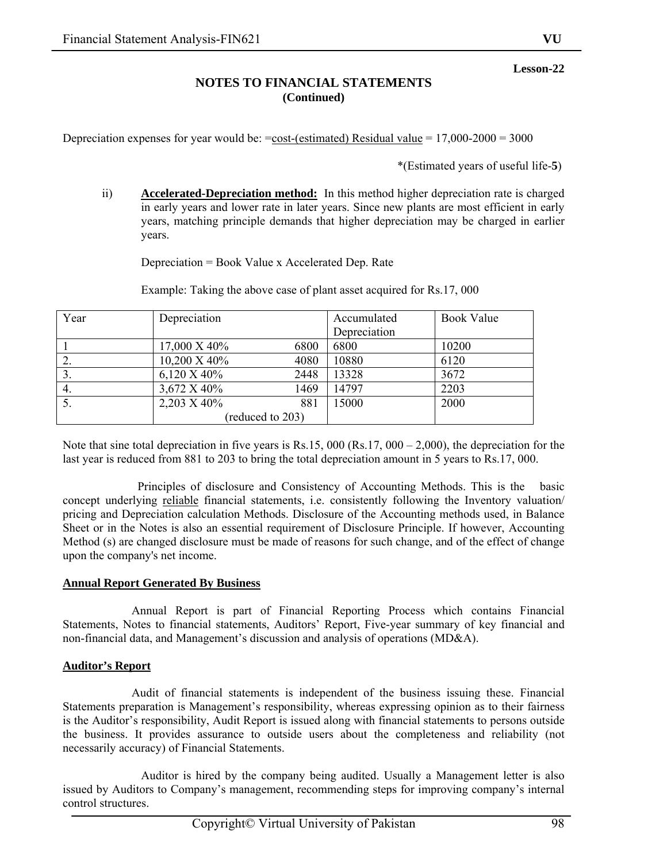## **NOTES TO FINANCIAL STATEMENTS (Continued)**

Depreciation expenses for year would be: = $\frac{\text{cost-(estimated)}\text{Residual value}}{17,000-2000}$  = 3000

\*(Estimated years of useful life-**5**)

ii) **Accelerated-Depreciation method:** In this method higher depreciation rate is charged in early years and lower rate in later years. Since new plants are most efficient in early years, matching principle demands that higher depreciation may be charged in earlier years.

Depreciation = Book Value x Accelerated Dep. Rate

Example: Taking the above case of plant asset acquired for Rs.17, 000

| Year | Depreciation            |      | Accumulated  | <b>Book Value</b> |
|------|-------------------------|------|--------------|-------------------|
|      |                         |      | Depreciation |                   |
|      | 17,000 X 40%            | 6800 | 6800         | 10200             |
|      | 10,200 X 40%            | 4080 | 10880        | 6120              |
| 3.   | $6,120 \text{ X } 40\%$ | 2448 | 13328        | 3672              |
| 4.   | 3,672 X 40%             | 1469 | 14797        | 2203              |
|      | 2,203 X 40%             | 881  | 15000        | 2000              |
|      | (reduced to 203)        |      |              |                   |

Note that sine total depreciation in five years is Rs.15, 000 (Rs.17, 000 – 2,000), the depreciation for the last year is reduced from 881 to 203 to bring the total depreciation amount in 5 years to Rs.17, 000.

 Principles of disclosure and Consistency of Accounting Methods. This is the basic concept underlying reliable financial statements, i.e. consistently following the Inventory valuation/ pricing and Depreciation calculation Methods. Disclosure of the Accounting methods used, in Balance Sheet or in the Notes is also an essential requirement of Disclosure Principle. If however, Accounting Method (s) are changed disclosure must be made of reasons for such change, and of the effect of change upon the company's net income.

## **Annual Report Generated By Business**

 Annual Report is part of Financial Reporting Process which contains Financial Statements, Notes to financial statements, Auditors' Report, Five-year summary of key financial and non-financial data, and Management's discussion and analysis of operations (MD&A).

## **Auditor's Report**

 Audit of financial statements is independent of the business issuing these. Financial Statements preparation is Management's responsibility, whereas expressing opinion as to their fairness is the Auditor's responsibility, Audit Report is issued along with financial statements to persons outside the business. It provides assurance to outside users about the completeness and reliability (not necessarily accuracy) of Financial Statements.

 Auditor is hired by the company being audited. Usually a Management letter is also issued by Auditors to Company's management, recommending steps for improving company's internal control structures.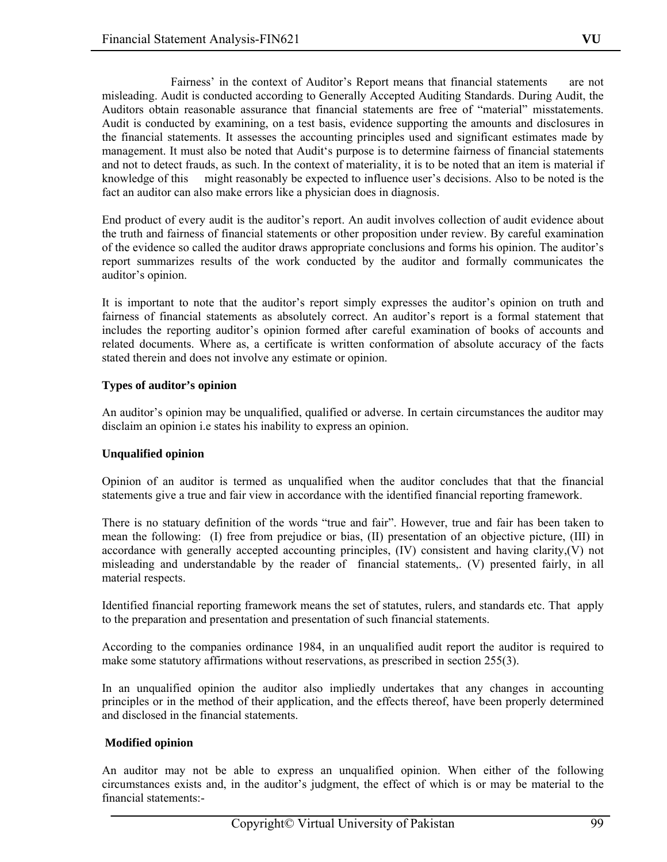Fairness' in the context of Auditor's Report means that financial statements are not misleading. Audit is conducted according to Generally Accepted Auditing Standards. During Audit, the Auditors obtain reasonable assurance that financial statements are free of "material" misstatements. Audit is conducted by examining, on a test basis, evidence supporting the amounts and disclosures in the financial statements. It assesses the accounting principles used and significant estimates made by management. It must also be noted that Audit's purpose is to determine fairness of financial statements and not to detect frauds, as such. In the context of materiality, it is to be noted that an item is material if knowledge of this might reasonably be expected to influence user's decisions. Also to be noted is the fact an auditor can also make errors like a physician does in diagnosis.

End product of every audit is the auditor's report. An audit involves collection of audit evidence about the truth and fairness of financial statements or other proposition under review. By careful examination of the evidence so called the auditor draws appropriate conclusions and forms his opinion. The auditor's report summarizes results of the work conducted by the auditor and formally communicates the auditor's opinion.

It is important to note that the auditor's report simply expresses the auditor's opinion on truth and fairness of financial statements as absolutely correct. An auditor's report is a formal statement that includes the reporting auditor's opinion formed after careful examination of books of accounts and related documents. Where as, a certificate is written conformation of absolute accuracy of the facts stated therein and does not involve any estimate or opinion.

## **Types of auditor's opinion**

An auditor's opinion may be unqualified, qualified or adverse. In certain circumstances the auditor may disclaim an opinion i.e states his inability to express an opinion.

# **Unqualified opinion**

Opinion of an auditor is termed as unqualified when the auditor concludes that that the financial statements give a true and fair view in accordance with the identified financial reporting framework.

There is no statuary definition of the words "true and fair". However, true and fair has been taken to mean the following: (I) free from prejudice or bias, (II) presentation of an objective picture, (III) in accordance with generally accepted accounting principles, (IV) consistent and having clarity,(V) not misleading and understandable by the reader of financial statements,. (V) presented fairly, in all material respects.

Identified financial reporting framework means the set of statutes, rulers, and standards etc. That apply to the preparation and presentation and presentation of such financial statements.

According to the companies ordinance 1984, in an unqualified audit report the auditor is required to make some statutory affirmations without reservations, as prescribed in section 255(3).

In an unqualified opinion the auditor also impliedly undertakes that any changes in accounting principles or in the method of their application, and the effects thereof, have been properly determined and disclosed in the financial statements.

## **Modified opinion**

An auditor may not be able to express an unqualified opinion. When either of the following circumstances exists and, in the auditor's judgment, the effect of which is or may be material to the financial statements:-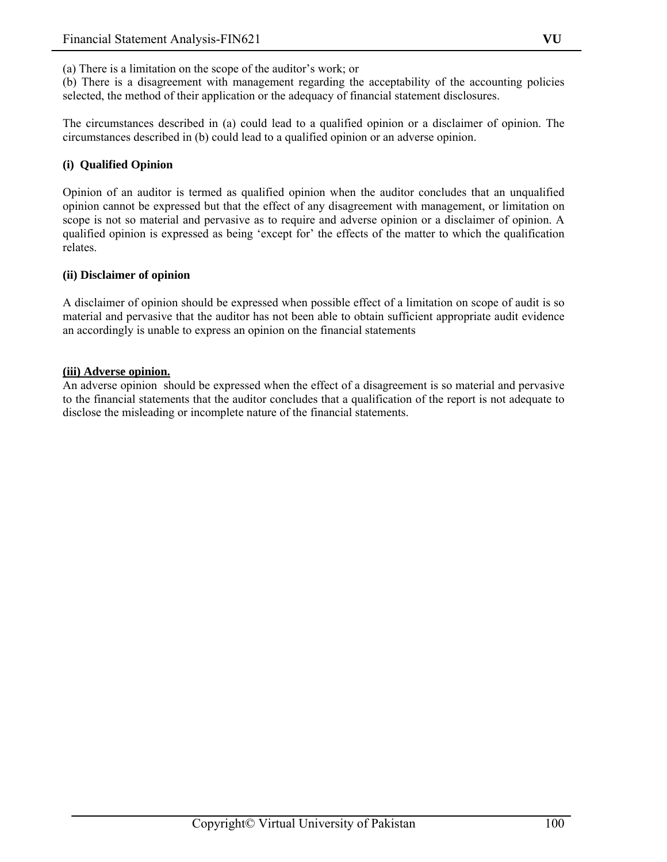(b) There is a disagreement with management regarding the acceptability of the accounting policies selected, the method of their application or the adequacy of financial statement disclosures.

The circumstances described in (a) could lead to a qualified opinion or a disclaimer of opinion. The circumstances described in (b) could lead to a qualified opinion or an adverse opinion.

# **(i) Qualified Opinion**

j

Opinion of an auditor is termed as qualified opinion when the auditor concludes that an unqualified opinion cannot be expressed but that the effect of any disagreement with management, or limitation on scope is not so material and pervasive as to require and adverse opinion or a disclaimer of opinion. A qualified opinion is expressed as being 'except for' the effects of the matter to which the qualification relates.

## **(ii) Disclaimer of opinion**

A disclaimer of opinion should be expressed when possible effect of a limitation on scope of audit is so material and pervasive that the auditor has not been able to obtain sufficient appropriate audit evidence an accordingly is unable to express an opinion on the financial statements

## **(iii) Adverse opinion.**

An adverse opinion should be expressed when the effect of a disagreement is so material and pervasive to the financial statements that the auditor concludes that a qualification of the report is not adequate to disclose the misleading or incomplete nature of the financial statements.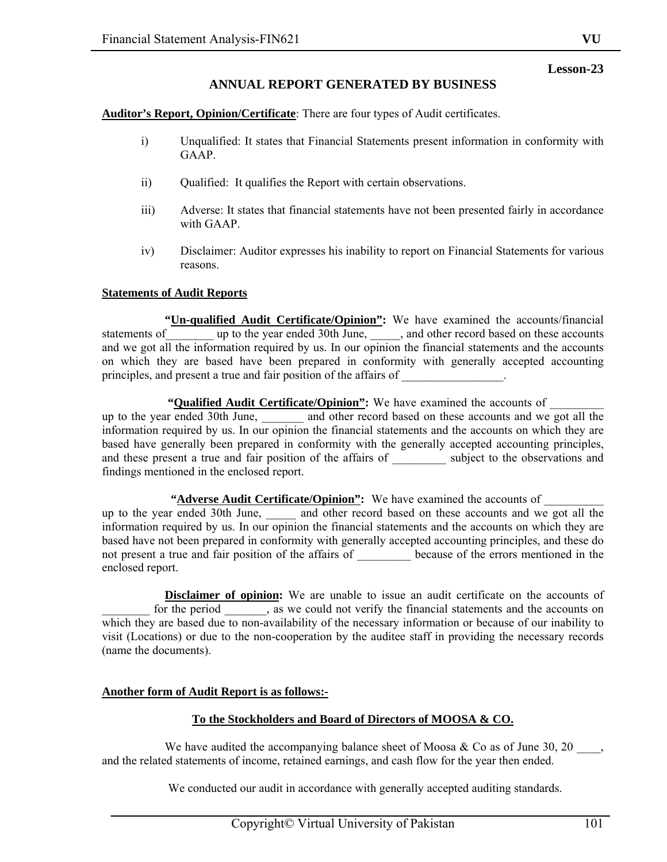# **Lesson-23**

# **ANNUAL REPORT GENERATED BY BUSINESS**

### **Auditor's Report, Opinion/Certificate**: There are four types of Audit certificates.

- i) Unqualified: It states that Financial Statements present information in conformity with GAAP.
- ii) Qualified: It qualifies the Report with certain observations.
- iii) Adverse: It states that financial statements have not been presented fairly in accordance with GAAP.
- iv) Disclaimer: Auditor expresses his inability to report on Financial Statements for various reasons.

### **Statements of Audit Reports**

 **"Un-qualified Audit Certificate/Opinion":** We have examined the accounts/financial statements of up to the year ended 30th June, and other record based on these accounts and we got all the information required by us. In our opinion the financial statements and the accounts on which they are based have been prepared in conformity with generally accepted accounting principles, and present a true and fair position of the affairs of

"**Qualified Audit Certificate/Opinion":** We have examined the accounts of up to the year ended 30th June, \_\_\_\_\_\_\_ and other record based on these accounts and we got all the information required by us. In our opinion the financial statements and the accounts on which they are based have generally been prepared in conformity with the generally accepted accounting principles, and these present a true and fair position of the affairs of subject to the observations and findings mentioned in the enclosed report.

"**Adverse Audit Certificate/Opinion":** We have examined the accounts of up to the year ended 30th June, \_\_\_\_\_ and other record based on these accounts and we got all the information required by us. In our opinion the financial statements and the accounts on which they are based have not been prepared in conformity with generally accepted accounting principles, and these do not present a true and fair position of the affairs of because of the errors mentioned in the enclosed report.

**Disclaimer of opinion:** We are unable to issue an audit certificate on the accounts of for the period  $\qquad \qquad$ , as we could not verify the financial statements and the accounts on which they are based due to non-availability of the necessary information or because of our inability to visit (Locations) or due to the non-cooperation by the auditee staff in providing the necessary records (name the documents).

## **Another form of Audit Report is as follows:-**

## **To the Stockholders and Board of Directors of MOOSA & CO.**

We have audited the accompanying balance sheet of Moosa & Co as of June 30, 20 \_\_\_\_, and the related statements of income, retained earnings, and cash flow for the year then ended.

We conducted our audit in accordance with generally accepted auditing standards.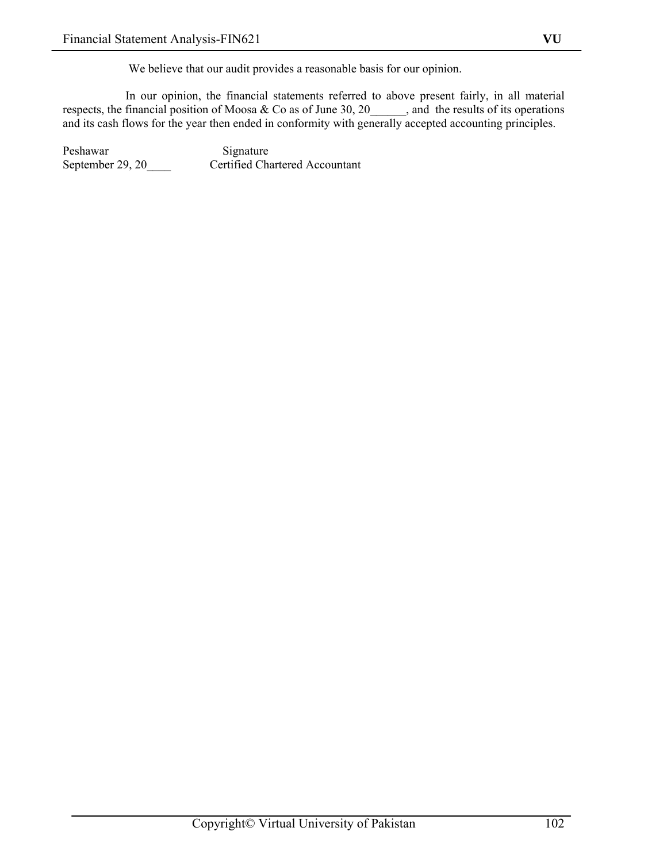We believe that our audit provides a reasonable basis for our opinion.

 In our opinion, the financial statements referred to above present fairly, in all material respects, the financial position of Moosa & Co as of June 30, 20\_\_\_\_\_\_, and the results of its operations and its cash flows for the year then ended in conformity with generally accepted accounting principles.

Peshawar Signature September 29, 20\_\_\_\_ Certified Chartered Accountant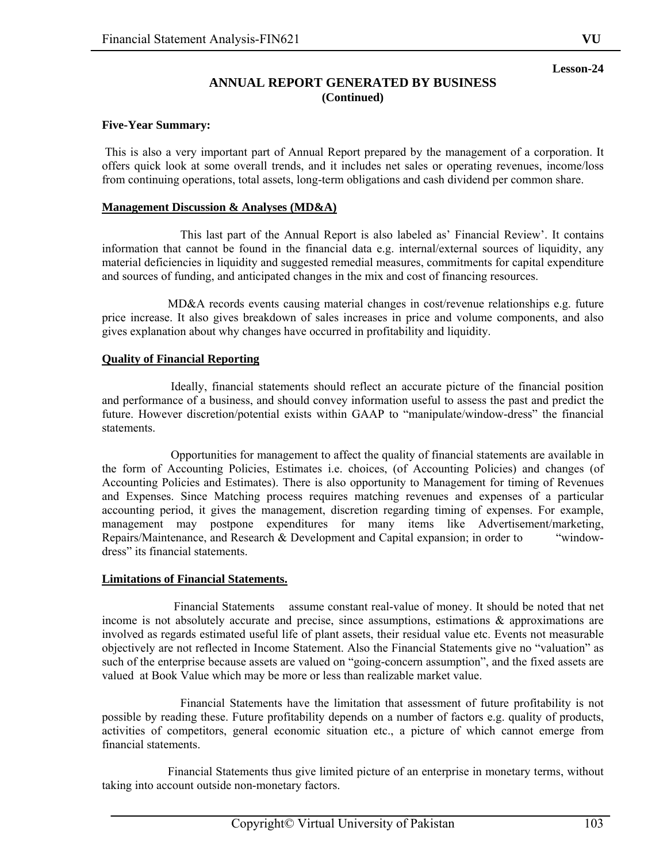**Lesson-24** 

## **ANNUAL REPORT GENERATED BY BUSINESS (Continued)**

### **Five-Year Summary:**

j

 This is also a very important part of Annual Report prepared by the management of a corporation. It offers quick look at some overall trends, and it includes net sales or operating revenues, income/loss from continuing operations, total assets, long-term obligations and cash dividend per common share.

### **Management Discussion & Analyses (MD&A)**

 This last part of the Annual Report is also labeled as' Financial Review'. It contains information that cannot be found in the financial data e.g. internal/external sources of liquidity, any material deficiencies in liquidity and suggested remedial measures, commitments for capital expenditure and sources of funding, and anticipated changes in the mix and cost of financing resources.

 MD&A records events causing material changes in cost/revenue relationships e.g. future price increase. It also gives breakdown of sales increases in price and volume components, and also gives explanation about why changes have occurred in profitability and liquidity.

### **Quality of Financial Reporting**

 Ideally, financial statements should reflect an accurate picture of the financial position and performance of a business, and should convey information useful to assess the past and predict the future. However discretion/potential exists within GAAP to "manipulate/window-dress" the financial statements.

 Opportunities for management to affect the quality of financial statements are available in the form of Accounting Policies, Estimates i.e. choices, (of Accounting Policies) and changes (of Accounting Policies and Estimates). There is also opportunity to Management for timing of Revenues and Expenses. Since Matching process requires matching revenues and expenses of a particular accounting period, it gives the management, discretion regarding timing of expenses. For example, management may postpone expenditures for many items like Advertisement/marketing, Repairs/Maintenance, and Research & Development and Capital expansion; in order to "windowdress" its financial statements.

### **Limitations of Financial Statements.**

 Financial Statements assume constant real-value of money. It should be noted that net income is not absolutely accurate and precise, since assumptions, estimations  $\&$  approximations are involved as regards estimated useful life of plant assets, their residual value etc. Events not measurable objectively are not reflected in Income Statement. Also the Financial Statements give no "valuation" as such of the enterprise because assets are valued on "going-concern assumption", and the fixed assets are valued at Book Value which may be more or less than realizable market value.

 Financial Statements have the limitation that assessment of future profitability is not possible by reading these. Future profitability depends on a number of factors e.g. quality of products, activities of competitors, general economic situation etc., a picture of which cannot emerge from financial statements.

 Financial Statements thus give limited picture of an enterprise in monetary terms, without taking into account outside non-monetary factors.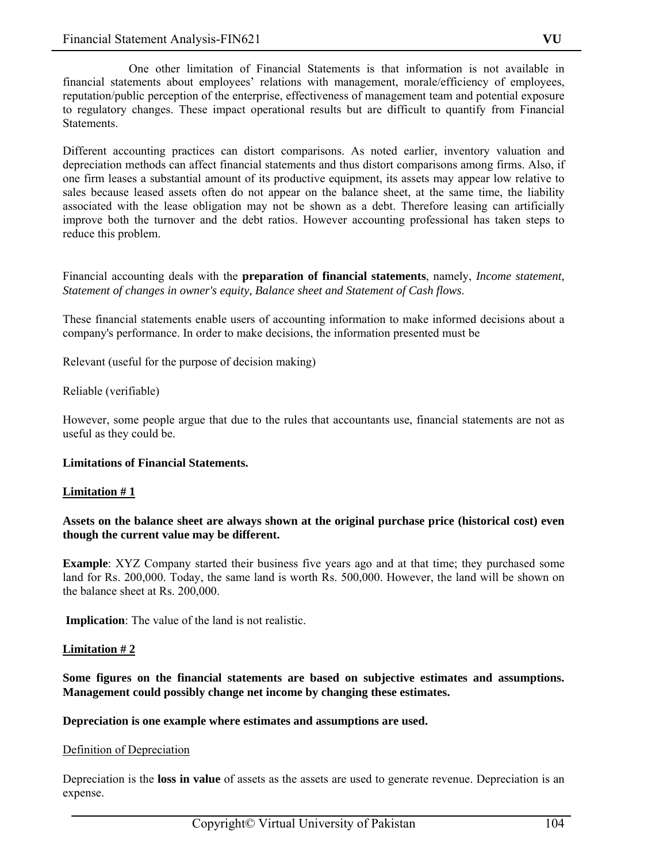One other limitation of Financial Statements is that information is not available in financial statements about employees' relations with management, morale/efficiency of employees, reputation/public perception of the enterprise, effectiveness of management team and potential exposure to regulatory changes. These impact operational results but are difficult to quantify from Financial Statements.

Different accounting practices can distort comparisons. As noted earlier, inventory valuation and depreciation methods can affect financial statements and thus distort comparisons among firms. Also, if one firm leases a substantial amount of its productive equipment, its assets may appear low relative to sales because leased assets often do not appear on the balance sheet, at the same time, the liability associated with the lease obligation may not be shown as a debt. Therefore leasing can artificially improve both the turnover and the debt ratios. However accounting professional has taken steps to reduce this problem.

Financial accounting deals with the **preparation of financial statements**, namely, *Income statement, Statement of changes in owner's equity, Balance sheet and Statement of Cash flows*.

These financial statements enable users of accounting information to make informed decisions about a company's performance. In order to make decisions, the information presented must be

Relevant (useful for the purpose of decision making)

### Reliable (verifiable)

However, some people argue that due to the rules that accountants use, financial statements are not as useful as they could be.

### **Limitations of Financial Statements.**

### **Limitation # 1**

### **Assets on the balance sheet are always shown at the original purchase price (historical cost) even though the current value may be different.**

**Example**: XYZ Company started their business five years ago and at that time; they purchased some land for Rs. 200,000. Today, the same land is worth Rs. 500,000. However, the land will be shown on the balance sheet at Rs. 200,000.

**Implication**: The value of the land is not realistic.

## **Limitation # 2**

**Some figures on the financial statements are based on subjective estimates and assumptions. Management could possibly change net income by changing these estimates.** 

### **Depreciation is one example where estimates and assumptions are used.**

### Definition of Depreciation

Depreciation is the **loss in value** of assets as the assets are used to generate revenue. Depreciation is an expense.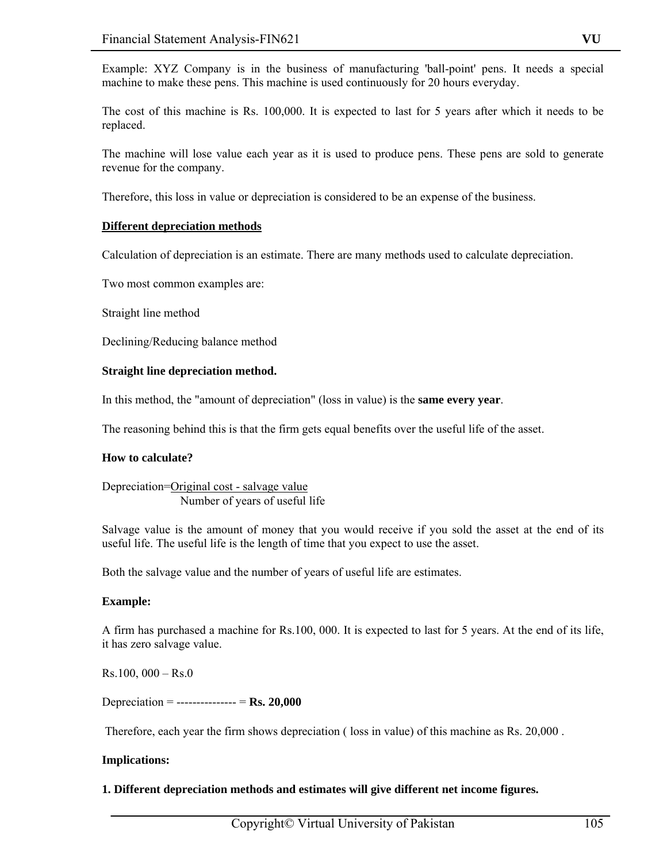j Example: XYZ Company is in the business of manufacturing 'ball-point' pens. It needs a special machine to make these pens. This machine is used continuously for 20 hours everyday.

The cost of this machine is Rs. 100,000. It is expected to last for 5 years after which it needs to be replaced.

The machine will lose value each year as it is used to produce pens. These pens are sold to generate revenue for the company.

Therefore, this loss in value or depreciation is considered to be an expense of the business.

### **Different depreciation methods**

Calculation of depreciation is an estimate. There are many methods used to calculate depreciation.

Two most common examples are:

Straight line method

Declining/Reducing balance method

### **Straight line depreciation method.**

In this method, the "amount of depreciation" (loss in value) is the **same every year**.

The reasoning behind this is that the firm gets equal benefits over the useful life of the asset.

## **How to calculate?**

Depreciation=Original cost - salvage value Number of years of useful life

Salvage value is the amount of money that you would receive if you sold the asset at the end of its useful life. The useful life is the length of time that you expect to use the asset.

Both the salvage value and the number of years of useful life are estimates.

## **Example:**

A firm has purchased a machine for Rs.100, 000. It is expected to last for 5 years. At the end of its life, it has zero salvage value.

 $Rs.100, 000 - Rs.0$ 

Depreciation = --------------- = **Rs. 20,000** 

Therefore, each year the firm shows depreciation ( loss in value) of this machine as Rs. 20,000 .

## **Implications:**

## **1. Different depreciation methods and estimates will give different net income figures.**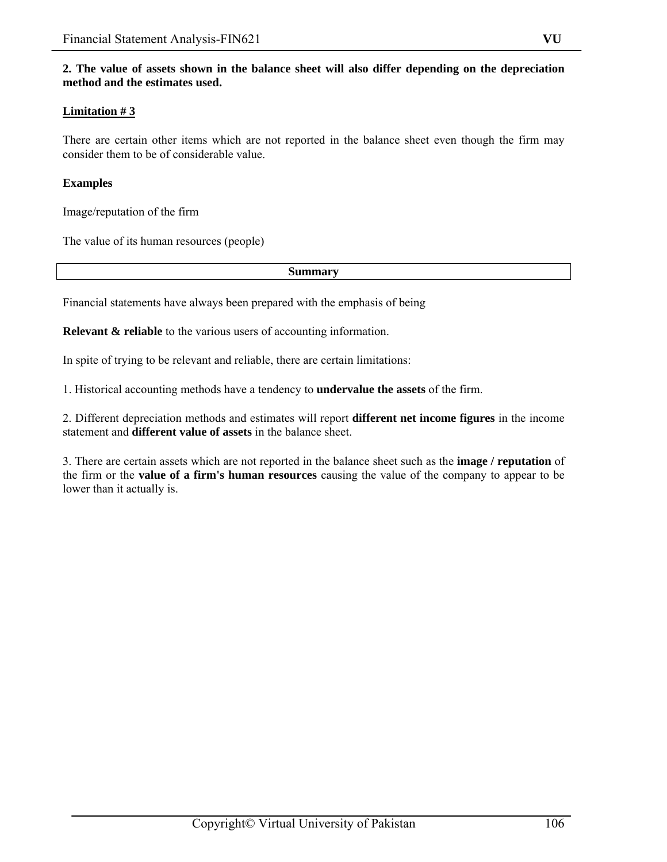### j **2. The value of assets shown in the balance sheet will also differ depending on the depreciation method and the estimates used.**

# **Limitation # 3**

There are certain other items which are not reported in the balance sheet even though the firm may consider them to be of considerable value.

## **Examples**

Image/reputation of the firm

The value of its human resources (people)

#### **Summary**

Financial statements have always been prepared with the emphasis of being

**Relevant & reliable** to the various users of accounting information.

In spite of trying to be relevant and reliable, there are certain limitations:

1. Historical accounting methods have a tendency to **undervalue the assets** of the firm.

2. Different depreciation methods and estimates will report **different net income figures** in the income statement and **different value of assets** in the balance sheet.

3. There are certain assets which are not reported in the balance sheet such as the **image / reputation** of the firm or the **value of a firm's human resources** causing the value of the company to appear to be lower than it actually is.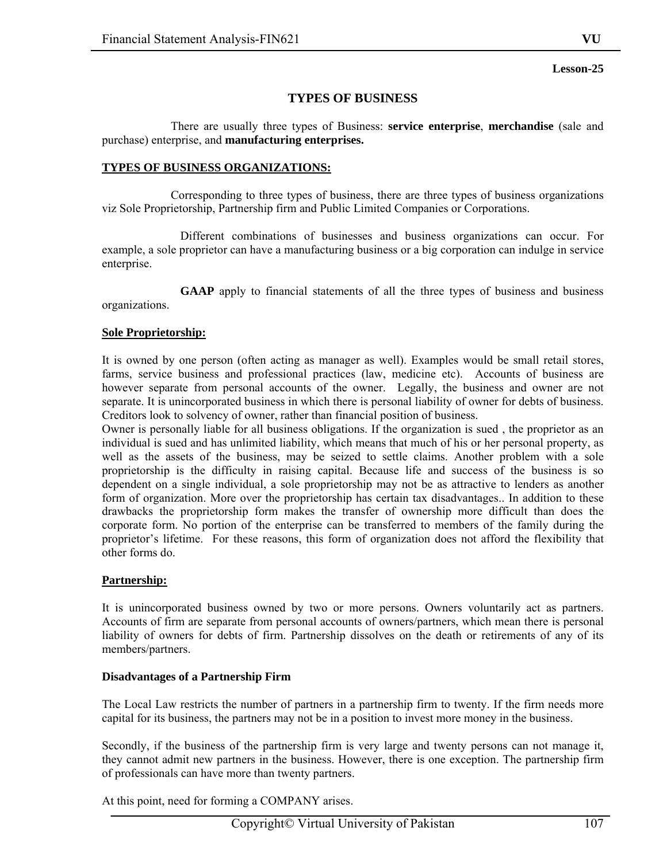#### **Lesson-25**

## **TYPES OF BUSINESS**

 There are usually three types of Business: **service enterprise**, **merchandise** (sale and purchase) enterprise, and **manufacturing enterprises.**

### **TYPES OF BUSINESS ORGANIZATIONS:**

 Corresponding to three types of business, there are three types of business organizations viz Sole Proprietorship, Partnership firm and Public Limited Companies or Corporations.

 Different combinations of businesses and business organizations can occur. For example, a sole proprietor can have a manufacturing business or a big corporation can indulge in service enterprise.

 **GAAP** apply to financial statements of all the three types of business and business organizations.

### **Sole Proprietorship:**

It is owned by one person (often acting as manager as well). Examples would be small retail stores, farms, service business and professional practices (law, medicine etc). Accounts of business are however separate from personal accounts of the owner. Legally, the business and owner are not separate. It is unincorporated business in which there is personal liability of owner for debts of business. Creditors look to solvency of owner, rather than financial position of business.

Owner is personally liable for all business obligations. If the organization is sued , the proprietor as an individual is sued and has unlimited liability, which means that much of his or her personal property, as well as the assets of the business, may be seized to settle claims. Another problem with a sole proprietorship is the difficulty in raising capital. Because life and success of the business is so dependent on a single individual, a sole proprietorship may not be as attractive to lenders as another form of organization. More over the proprietorship has certain tax disadvantages.. In addition to these drawbacks the proprietorship form makes the transfer of ownership more difficult than does the corporate form. No portion of the enterprise can be transferred to members of the family during the proprietor's lifetime. For these reasons, this form of organization does not afford the flexibility that other forms do.

## **Partnership:**

It is unincorporated business owned by two or more persons. Owners voluntarily act as partners. Accounts of firm are separate from personal accounts of owners/partners, which mean there is personal liability of owners for debts of firm. Partnership dissolves on the death or retirements of any of its members/partners.

### **Disadvantages of a Partnership Firm**

The Local Law restricts the number of partners in a partnership firm to twenty. If the firm needs more capital for its business, the partners may not be in a position to invest more money in the business.

Secondly, if the business of the partnership firm is very large and twenty persons can not manage it, they cannot admit new partners in the business. However, there is one exception. The partnership firm of professionals can have more than twenty partners.

At this point, need for forming a COMPANY arises.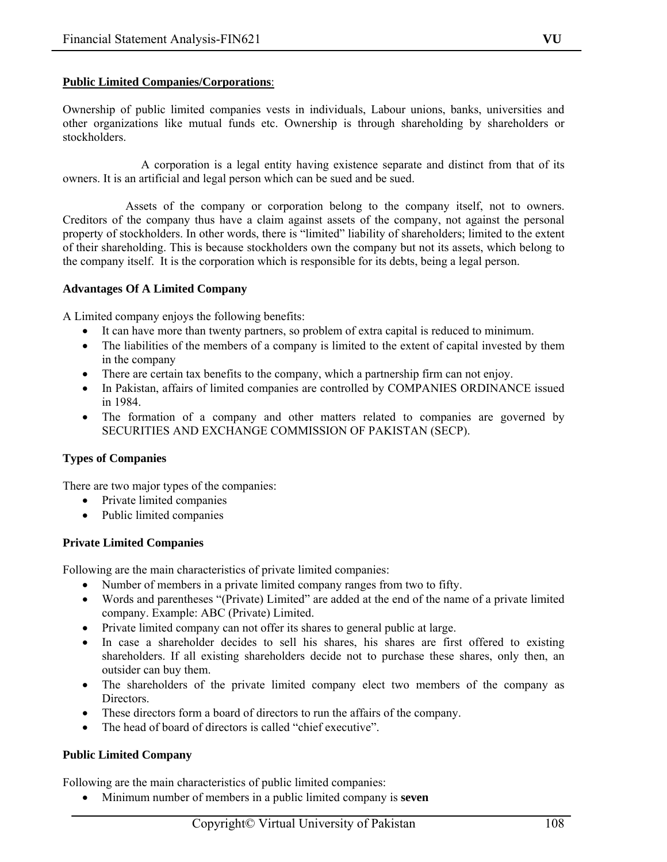### **Public Limited Companies/Corporations**:

Ownership of public limited companies vests in individuals, Labour unions, banks, universities and other organizations like mutual funds etc. Ownership is through shareholding by shareholders or stockholders.

 A corporation is a legal entity having existence separate and distinct from that of its owners. It is an artificial and legal person which can be sued and be sued.

 Assets of the company or corporation belong to the company itself, not to owners. Creditors of the company thus have a claim against assets of the company, not against the personal property of stockholders. In other words, there is "limited" liability of shareholders; limited to the extent of their shareholding. This is because stockholders own the company but not its assets, which belong to the company itself. It is the corporation which is responsible for its debts, being a legal person.

### **Advantages Of A Limited Company**

A Limited company enjoys the following benefits:

- It can have more than twenty partners, so problem of extra capital is reduced to minimum.
- The liabilities of the members of a company is limited to the extent of capital invested by them in the company
- There are certain tax benefits to the company, which a partnership firm can not enjoy.
- In Pakistan, affairs of limited companies are controlled by COMPANIES ORDINANCE issued in 1984.
- The formation of a company and other matters related to companies are governed by SECURITIES AND EXCHANGE COMMISSION OF PAKISTAN (SECP).

## **Types of Companies**

There are two major types of the companies:

- Private limited companies
- Public limited companies

## **Private Limited Companies**

Following are the main characteristics of private limited companies:

- Number of members in a private limited company ranges from two to fifty.
- Words and parentheses "(Private) Limited" are added at the end of the name of a private limited company. Example: ABC (Private) Limited.
- Private limited company can not offer its shares to general public at large.
- In case a shareholder decides to sell his shares, his shares are first offered to existing shareholders. If all existing shareholders decide not to purchase these shares, only then, an outsider can buy them.
- The shareholders of the private limited company elect two members of the company as Directors.
- These directors form a board of directors to run the affairs of the company.
- The head of board of directors is called "chief executive"

## **Public Limited Company**

Following are the main characteristics of public limited companies:

• Minimum number of members in a public limited company is **seven**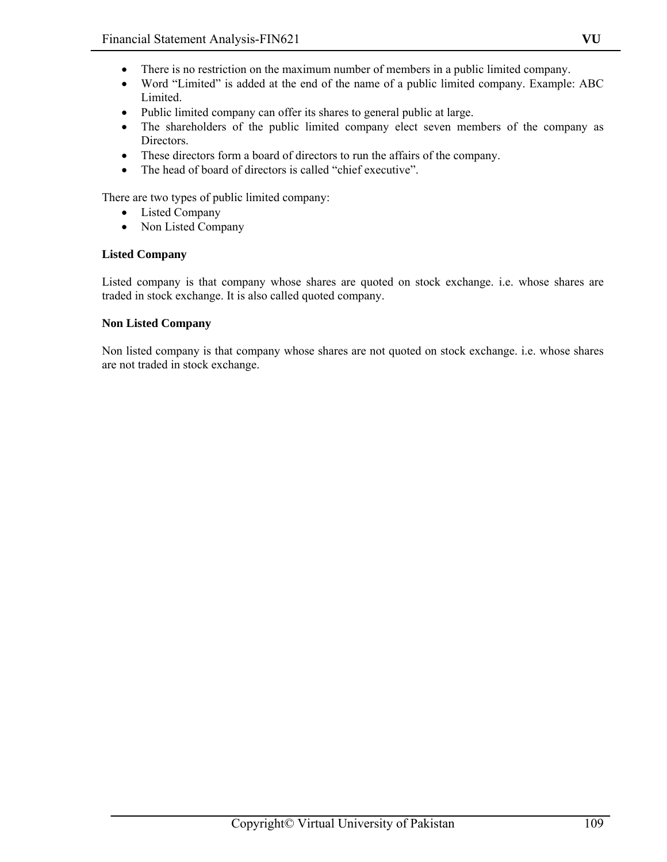- There is no restriction on the maximum number of members in a public limited company.
- Word "Limited" is added at the end of the name of a public limited company. Example: ABC Limited.
- Public limited company can offer its shares to general public at large.
- The shareholders of the public limited company elect seven members of the company as Directors.
- These directors form a board of directors to run the affairs of the company.
- The head of board of directors is called "chief executive".

There are two types of public limited company:

- Listed Company
- Non Listed Company

#### **Listed Company**

j

Listed company is that company whose shares are quoted on stock exchange. i.e. whose shares are traded in stock exchange. It is also called quoted company.

#### **Non Listed Company**

Non listed company is that company whose shares are not quoted on stock exchange. i.e. whose shares are not traded in stock exchange.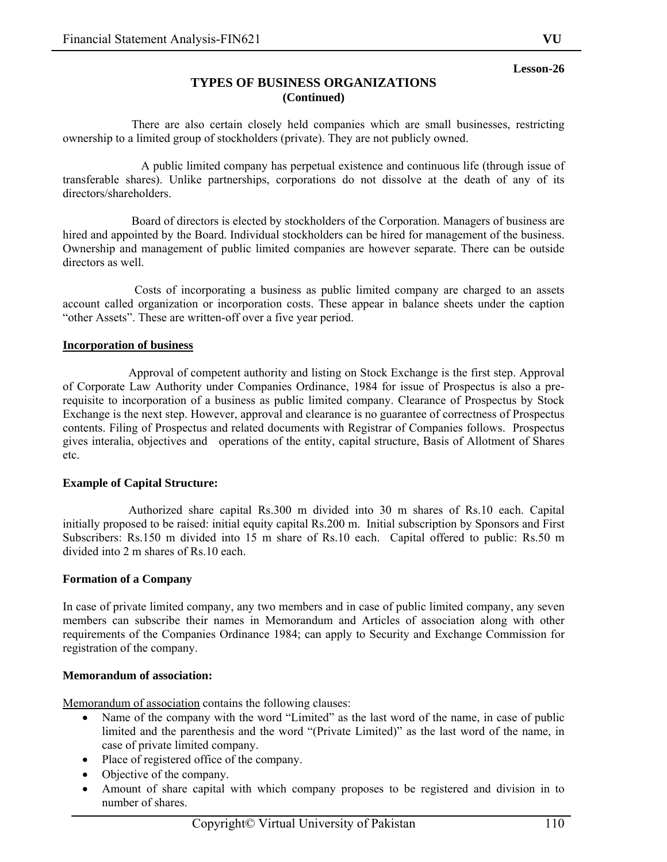### **TYPES OF BUSINESS ORGANIZATIONS (Continued)**

 There are also certain closely held companies which are small businesses, restricting ownership to a limited group of stockholders (private). They are not publicly owned.

 A public limited company has perpetual existence and continuous life (through issue of transferable shares). Unlike partnerships, corporations do not dissolve at the death of any of its directors/shareholders.

 Board of directors is elected by stockholders of the Corporation. Managers of business are hired and appointed by the Board. Individual stockholders can be hired for management of the business. Ownership and management of public limited companies are however separate. There can be outside directors as well.

 Costs of incorporating a business as public limited company are charged to an assets account called organization or incorporation costs. These appear in balance sheets under the caption "other Assets". These are written-off over a five year period.

#### **Incorporation of business**

 Approval of competent authority and listing on Stock Exchange is the first step. Approval of Corporate Law Authority under Companies Ordinance, 1984 for issue of Prospectus is also a prerequisite to incorporation of a business as public limited company. Clearance of Prospectus by Stock Exchange is the next step. However, approval and clearance is no guarantee of correctness of Prospectus contents. Filing of Prospectus and related documents with Registrar of Companies follows. Prospectus gives interalia, objectives and operations of the entity, capital structure, Basis of Allotment of Shares etc.

# **Example of Capital Structure:**

 Authorized share capital Rs.300 m divided into 30 m shares of Rs.10 each. Capital initially proposed to be raised: initial equity capital Rs.200 m. Initial subscription by Sponsors and First Subscribers: Rs.150 m divided into 15 m share of Rs.10 each. Capital offered to public: Rs.50 m divided into 2 m shares of Rs.10 each.

#### **Formation of a Company**

In case of private limited company, any two members and in case of public limited company, any seven members can subscribe their names in Memorandum and Articles of association along with other requirements of the Companies Ordinance 1984; can apply to Security and Exchange Commission for registration of the company.

#### **Memorandum of association:**

Memorandum of association contains the following clauses:

- Name of the company with the word "Limited" as the last word of the name, in case of public limited and the parenthesis and the word "(Private Limited)" as the last word of the name, in case of private limited company.
- Place of registered office of the company.
- Objective of the company.
- Amount of share capital with which company proposes to be registered and division in to number of shares.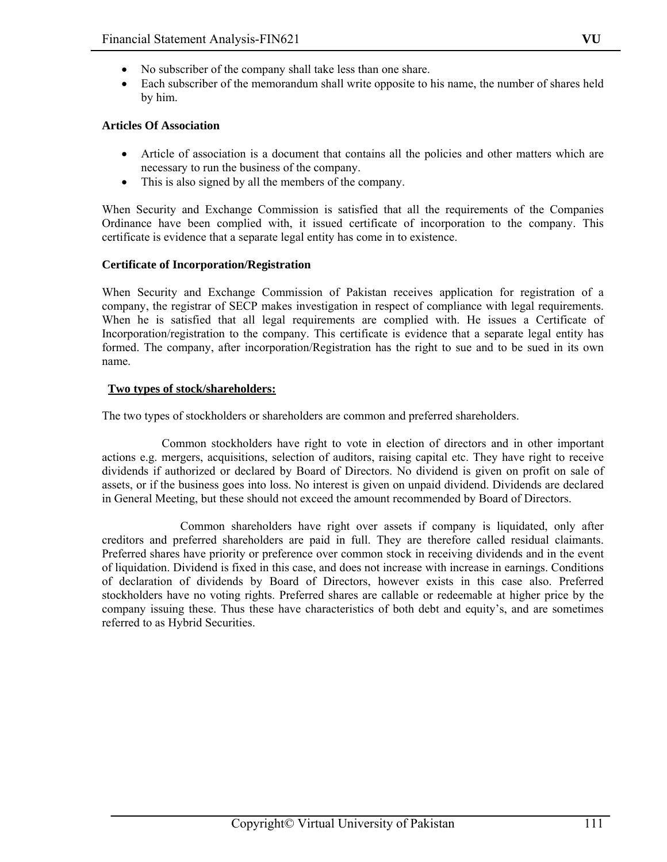- No subscriber of the company shall take less than one share.
- Each subscriber of the memorandum shall write opposite to his name, the number of shares held by him.

# **Articles Of Association**

j

- Article of association is a document that contains all the policies and other matters which are necessary to run the business of the company.
- This is also signed by all the members of the company.

When Security and Exchange Commission is satisfied that all the requirements of the Companies Ordinance have been complied with, it issued certificate of incorporation to the company. This certificate is evidence that a separate legal entity has come in to existence.

# **Certificate of Incorporation/Registration**

When Security and Exchange Commission of Pakistan receives application for registration of a company, the registrar of SECP makes investigation in respect of compliance with legal requirements. When he is satisfied that all legal requirements are complied with. He issues a Certificate of Incorporation/registration to the company. This certificate is evidence that a separate legal entity has formed. The company, after incorporation/Registration has the right to sue and to be sued in its own name.

# **Two types of stock/shareholders:**

The two types of stockholders or shareholders are common and preferred shareholders.

 Common stockholders have right to vote in election of directors and in other important actions e.g. mergers, acquisitions, selection of auditors, raising capital etc. They have right to receive dividends if authorized or declared by Board of Directors. No dividend is given on profit on sale of assets, or if the business goes into loss. No interest is given on unpaid dividend. Dividends are declared in General Meeting, but these should not exceed the amount recommended by Board of Directors.

 Common shareholders have right over assets if company is liquidated, only after creditors and preferred shareholders are paid in full. They are therefore called residual claimants. Preferred shares have priority or preference over common stock in receiving dividends and in the event of liquidation. Dividend is fixed in this case, and does not increase with increase in earnings. Conditions of declaration of dividends by Board of Directors, however exists in this case also. Preferred stockholders have no voting rights. Preferred shares are callable or redeemable at higher price by the company issuing these. Thus these have characteristics of both debt and equity's, and are sometimes referred to as Hybrid Securities.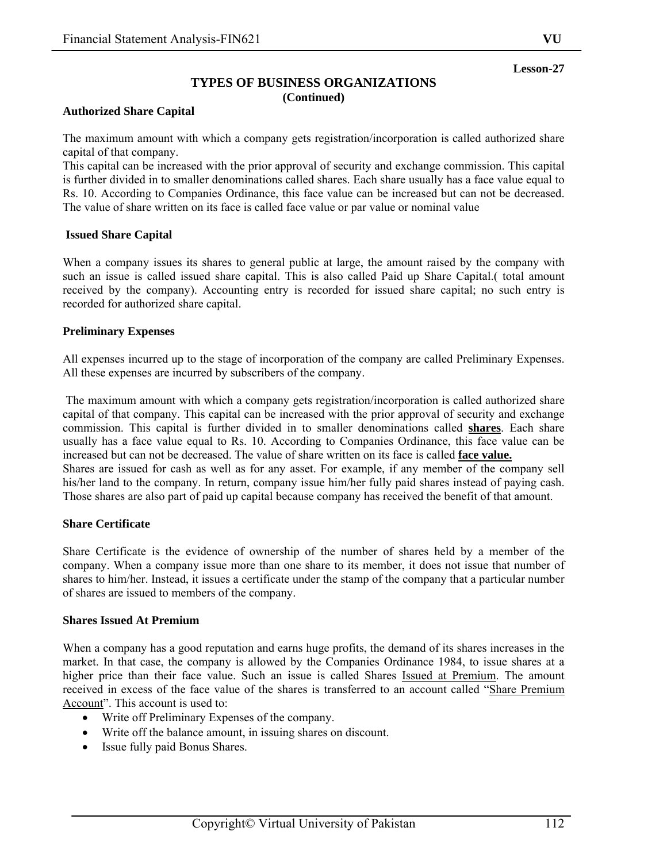#### **TYPES OF BUSINESS ORGANIZATIONS (Continued)**

### **Authorized Share Capital**

j

The maximum amount with which a company gets registration/incorporation is called authorized share capital of that company.

This capital can be increased with the prior approval of security and exchange commission. This capital is further divided in to smaller denominations called shares. Each share usually has a face value equal to Rs. 10. According to Companies Ordinance, this face value can be increased but can not be decreased. The value of share written on its face is called face value or par value or nominal value

#### **Issued Share Capital**

When a company issues its shares to general public at large, the amount raised by the company with such an issue is called issued share capital. This is also called Paid up Share Capital.( total amount received by the company). Accounting entry is recorded for issued share capital; no such entry is recorded for authorized share capital.

### **Preliminary Expenses**

All expenses incurred up to the stage of incorporation of the company are called Preliminary Expenses. All these expenses are incurred by subscribers of the company.

 The maximum amount with which a company gets registration/incorporation is called authorized share capital of that company. This capital can be increased with the prior approval of security and exchange commission. This capital is further divided in to smaller denominations called **shares**. Each share usually has a face value equal to Rs. 10. According to Companies Ordinance, this face value can be increased but can not be decreased. The value of share written on its face is called **face value.** Shares are issued for cash as well as for any asset. For example, if any member of the company sell his/her land to the company. In return, company issue him/her fully paid shares instead of paying cash. Those shares are also part of paid up capital because company has received the benefit of that amount.

# **Share Certificate**

Share Certificate is the evidence of ownership of the number of shares held by a member of the company. When a company issue more than one share to its member, it does not issue that number of shares to him/her. Instead, it issues a certificate under the stamp of the company that a particular number of shares are issued to members of the company.

#### **Shares Issued At Premium**

When a company has a good reputation and earns huge profits, the demand of its shares increases in the market. In that case, the company is allowed by the Companies Ordinance 1984, to issue shares at a higher price than their face value. Such an issue is called Shares Issued at Premium. The amount received in excess of the face value of the shares is transferred to an account called "Share Premium Account". This account is used to:

- Write off Preliminary Expenses of the company.
- Write off the balance amount, in issuing shares on discount.
- Issue fully paid Bonus Shares.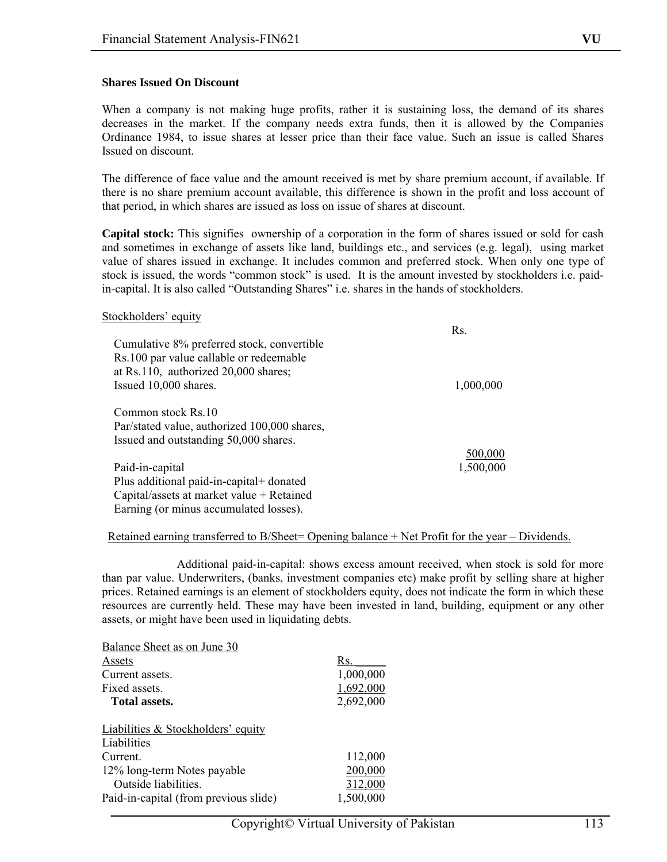#### **Shares Issued On Discount**

j

When a company is not making huge profits, rather it is sustaining loss, the demand of its shares decreases in the market. If the company needs extra funds, then it is allowed by the Companies Ordinance 1984, to issue shares at lesser price than their face value. Such an issue is called Shares Issued on discount.

The difference of face value and the amount received is met by share premium account, if available. If there is no share premium account available, this difference is shown in the profit and loss account of that period, in which shares are issued as loss on issue of shares at discount.

**Capital stock:** This signifies ownership of a corporation in the form of shares issued or sold for cash and sometimes in exchange of assets like land, buildings etc., and services (e.g. legal), using market value of shares issued in exchange. It includes common and preferred stock. When only one type of stock is issued, the words "common stock" is used. It is the amount invested by stockholders i.e. paidin-capital. It is also called "Outstanding Shares" i.e. shares in the hands of stockholders.

#### Stockholders' equity

|                                              | $\operatorname{Rs.}$ |
|----------------------------------------------|----------------------|
| Cumulative 8% preferred stock, convertible   |                      |
| Rs.100 par value callable or redeemable      |                      |
| at Rs.110, authorized $20,000$ shares;       |                      |
| Issued 10,000 shares.                        | 1,000,000            |
|                                              |                      |
| Common stock Rs.10                           |                      |
| Par/stated value, authorized 100,000 shares, |                      |
| Issued and outstanding 50,000 shares.        |                      |
|                                              | 500,000              |
| Paid-in-capital                              | 1,500,000            |
| Plus additional paid-in-capital+ donated     |                      |
| Capital/assets at market value + Retained    |                      |
| Earning (or minus accumulated losses).       |                      |

# Retained earning transferred to B/Sheet= Opening balance + Net Profit for the year – Dividends.

 Additional paid-in-capital: shows excess amount received, when stock is sold for more than par value. Underwriters, (banks, investment companies etc) make profit by selling share at higher prices. Retained earnings is an element of stockholders equity, does not indicate the form in which these resources are currently held. These may have been invested in land, building, equipment or any other assets, or might have been used in liquidating debts.

| Balance Sheet as on June 30                       |           |
|---------------------------------------------------|-----------|
| Assets                                            | Rs.       |
| Current assets.                                   | 1,000,000 |
| Fixed assets.                                     | 1,692,000 |
| Total assets.                                     | 2,692,000 |
| Liabilities & Stockholders' equity<br>Liabilities |           |
| Current.                                          | 112,000   |
| 12% long-term Notes payable                       | 200,000   |
| Outside liabilities.                              | 312,000   |
| Paid-in-capital (from previous slide)             | 1,500,000 |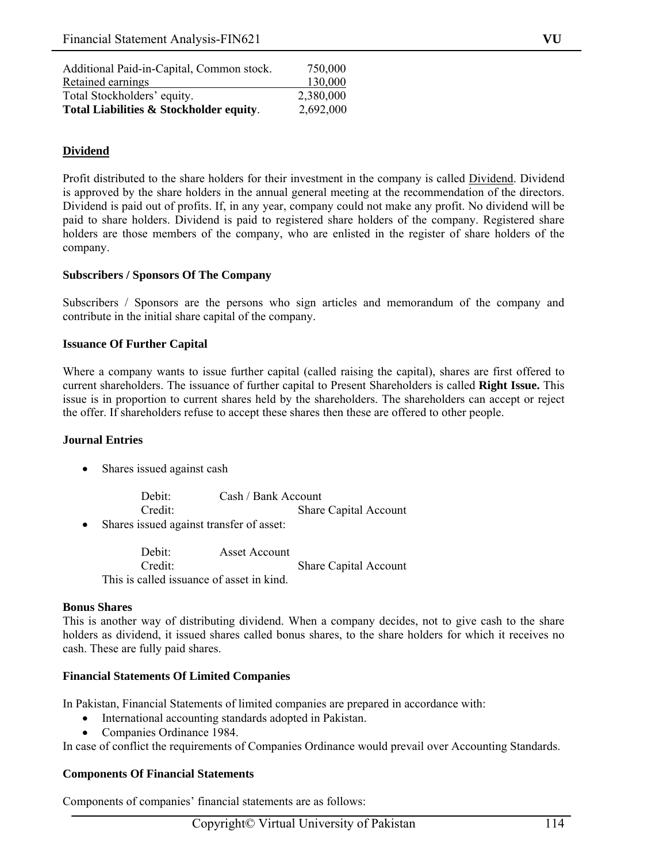| Additional Paid-in-Capital, Common stock. | 750,000   |
|-------------------------------------------|-----------|
| Retained earnings                         | 130,000   |
| Total Stockholders' equity.               | 2,380,000 |
| Total Liabilities & Stockholder equity.   | 2,692,000 |

# **Dividend**

Profit distributed to the share holders for their investment in the company is called Dividend. Dividend is approved by the share holders in the annual general meeting at the recommendation of the directors. Dividend is paid out of profits. If, in any year, company could not make any profit. No dividend will be paid to share holders. Dividend is paid to registered share holders of the company. Registered share holders are those members of the company, who are enlisted in the register of share holders of the company.

# **Subscribers / Sponsors Of The Company**

Subscribers / Sponsors are the persons who sign articles and memorandum of the company and contribute in the initial share capital of the company.

#### **Issuance Of Further Capital**

Where a company wants to issue further capital (called raising the capital), shares are first offered to current shareholders. The issuance of further capital to Present Shareholders is called **Right Issue.** This issue is in proportion to current shares held by the shareholders. The shareholders can accept or reject the offer. If shareholders refuse to accept these shares then these are offered to other people.

#### **Journal Entries**

• Shares issued against cash

Debit: Cash / Bank Account Credit: Share Capital Account

• Shares issued against transfer of asset:

Debit: Asset Account Credit: Share Capital Account This is called issuance of asset in kind.

#### **Bonus Shares**

This is another way of distributing dividend. When a company decides, not to give cash to the share holders as dividend, it issued shares called bonus shares, to the share holders for which it receives no cash. These are fully paid shares.

#### **Financial Statements Of Limited Companies**

In Pakistan, Financial Statements of limited companies are prepared in accordance with:

- International accounting standards adopted in Pakistan.
- Companies Ordinance 1984.

In case of conflict the requirements of Companies Ordinance would prevail over Accounting Standards.

#### **Components Of Financial Statements**

Components of companies' financial statements are as follows: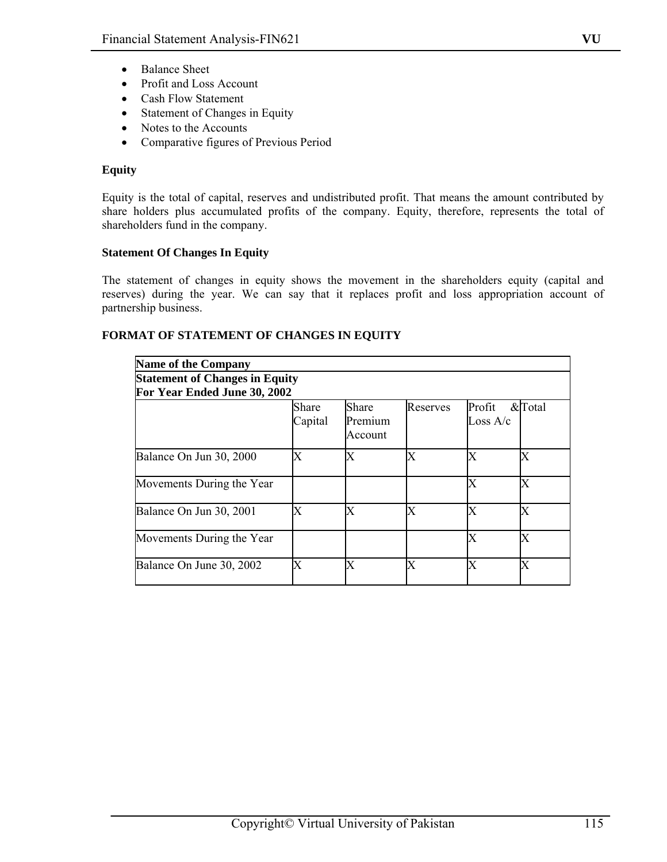- Balance Sheet
- Profit and Loss Account
- Cash Flow Statement
- Statement of Changes in Equity
- Notes to the Accounts
- Comparative figures of Previous Period

# **Equity**

j

Equity is the total of capital, reserves and undistributed profit. That means the amount contributed by share holders plus accumulated profits of the company. Equity, therefore, represents the total of shareholders fund in the company.

# **Statement Of Changes In Equity**

The statement of changes in equity shows the movement in the shareholders equity (capital and reserves) during the year. We can say that it replaces profit and loss appropriation account of partnership business.

# **FORMAT OF STATEMENT OF CHANGES IN EQUITY**

| <b>Name of the Company</b><br><b>Statement of Changes in Equity</b><br>For Year Ended June 30, 2002 |   |   |   |   |   |  |
|-----------------------------------------------------------------------------------------------------|---|---|---|---|---|--|
|                                                                                                     |   |   |   |   |   |  |
| Balance On Jun 30, 2000                                                                             | Х | X | X | Х | X |  |
| Movements During the Year                                                                           |   |   |   | Х | Х |  |
| Balance On Jun 30, 2001                                                                             | X | X | X | X | X |  |
| Movements During the Year                                                                           |   |   |   | X | Х |  |
| Balance On June 30, 2002                                                                            | Х | Х | X | Х | X |  |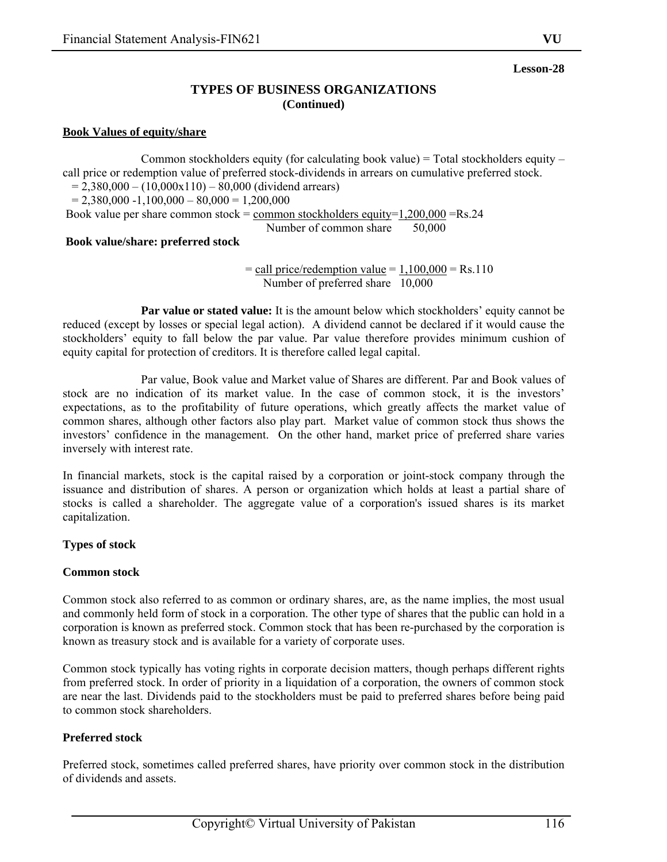**Lesson-28**

# **TYPES OF BUSINESS ORGANIZATIONS (Continued)**

# **Book Values of equity/share**

j

Common stockholders equity (for calculating book value) = Total stockholders equity  $$ call price or redemption value of preferred stock-dividends in arrears on cumulative preferred stock.  $= 2,380,000 - (10,000x110) - 80,000$  (dividend arrears)  $= 2,380,000 -1,100,000 - 80,000 = 1,200,000$ Book value per share common stock = common stockholders equity= $1,200,000$  =Rs.24

Number of common share 50,000

# **Book value/share: preferred stock**

 $=$  call price/redemption value  $= 1,100,000 =$  Rs.110 Number of preferred share 10,000

**Par value or stated value:** It is the amount below which stockholders' equity cannot be reduced (except by losses or special legal action). A dividend cannot be declared if it would cause the stockholders' equity to fall below the par value. Par value therefore provides minimum cushion of equity capital for protection of creditors. It is therefore called legal capital.

 Par value, Book value and Market value of Shares are different. Par and Book values of stock are no indication of its market value. In the case of common stock, it is the investors' expectations, as to the profitability of future operations, which greatly affects the market value of common shares, although other factors also play part. Market value of common stock thus shows the investors' confidence in the management. On the other hand, market price of preferred share varies inversely with interest rate.

In financial markets, stock is the capital raised by a corporation or joint-stock company through the issuance and distribution of shares. A person or organization which holds at least a partial share of stocks is called a shareholder. The aggregate value of a corporation's issued shares is its market capitalization.

# **Types of stock**

# **Common stock**

Common stock also referred to as common or ordinary shares, are, as the name implies, the most usual and commonly held form of stock in a corporation. The other type of shares that the public can hold in a corporation is known as preferred stock. Common stock that has been re-purchased by the corporation is known as treasury stock and is available for a variety of corporate uses.

Common stock typically has voting rights in corporate decision matters, though perhaps different rights from preferred stock. In order of priority in a liquidation of a corporation, the owners of common stock are near the last. Dividends paid to the stockholders must be paid to preferred shares before being paid to common stock shareholders.

# **Preferred stock**

Preferred stock, sometimes called preferred shares, have priority over common stock in the distribution of dividends and assets.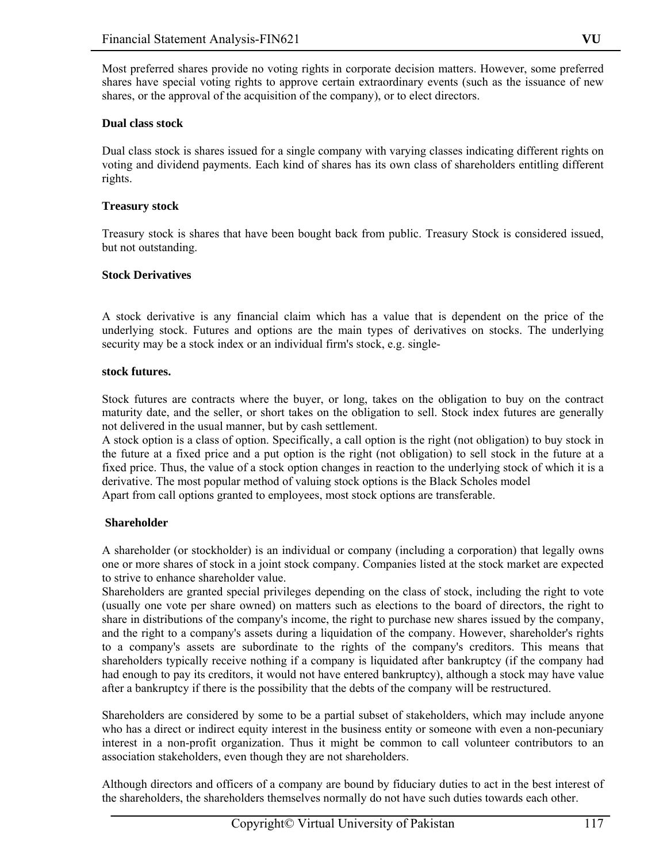Most preferred shares provide no voting rights in corporate decision matters. However, some preferred shares have special voting rights to approve certain extraordinary events (such as the issuance of new shares, or the approval of the acquisition of the company), or to elect directors.

### **Dual class stock**

j

Dual class stock is shares issued for a single company with varying classes indicating different rights on voting and dividend payments. Each kind of shares has its own class of shareholders entitling different rights.

#### **Treasury stock**

Treasury stock is shares that have been bought back from public. Treasury Stock is considered issued, but not outstanding.

#### **Stock Derivatives**

A stock derivative is any financial claim which has a value that is dependent on the price of the underlying stock. Futures and options are the main types of derivatives on stocks. The underlying security may be a stock index or an individual firm's stock, e.g. single-

#### **stock futures.**

Stock futures are contracts where the buyer, or long, takes on the obligation to buy on the contract maturity date, and the seller, or short takes on the obligation to sell. Stock index futures are generally not delivered in the usual manner, but by cash settlement.

A stock option is a class of option. Specifically, a call option is the right (not obligation) to buy stock in the future at a fixed price and a put option is the right (not obligation) to sell stock in the future at a fixed price. Thus, the value of a stock option changes in reaction to the underlying stock of which it is a derivative. The most popular method of valuing stock options is the Black Scholes model Apart from call options granted to employees, most stock options are transferable.

#### **Shareholder**

A shareholder (or stockholder) is an individual or company (including a corporation) that legally owns one or more shares of stock in a joint stock company. Companies listed at the stock market are expected to strive to enhance shareholder value.

Shareholders are granted special privileges depending on the class of stock, including the right to vote (usually one vote per share owned) on matters such as elections to the board of directors, the right to share in distributions of the company's income, the right to purchase new shares issued by the company, and the right to a company's assets during a liquidation of the company. However, shareholder's rights to a company's assets are subordinate to the rights of the company's creditors. This means that shareholders typically receive nothing if a company is liquidated after bankruptcy (if the company had had enough to pay its creditors, it would not have entered bankruptcy), although a stock may have value after a bankruptcy if there is the possibility that the debts of the company will be restructured.

Shareholders are considered by some to be a partial subset of stakeholders, which may include anyone who has a direct or indirect equity interest in the business entity or someone with even a non-pecuniary interest in a non-profit organization. Thus it might be common to call volunteer contributors to an association stakeholders, even though they are not shareholders.

Although directors and officers of a company are bound by fiduciary duties to act in the best interest of the shareholders, the shareholders themselves normally do not have such duties towards each other.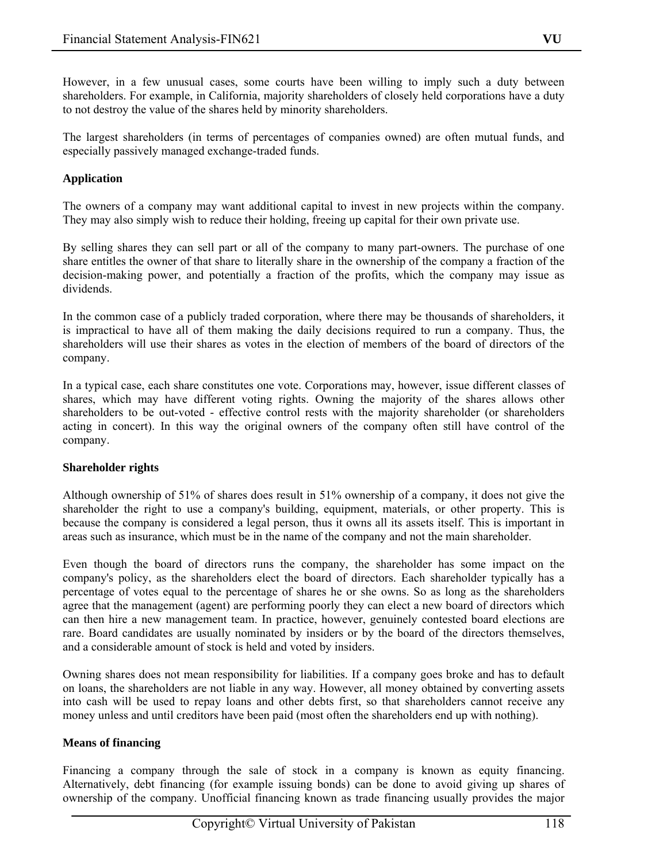However, in a few unusual cases, some courts have been willing to imply such a duty between shareholders. For example, in California, majority shareholders of closely held corporations have a duty to not destroy the value of the shares held by minority shareholders.

The largest shareholders (in terms of percentages of companies owned) are often mutual funds, and especially passively managed exchange-traded funds.

# **Application**

j

The owners of a company may want additional capital to invest in new projects within the company. They may also simply wish to reduce their holding, freeing up capital for their own private use.

By selling shares they can sell part or all of the company to many part-owners. The purchase of one share entitles the owner of that share to literally share in the ownership of the company a fraction of the decision-making power, and potentially a fraction of the profits, which the company may issue as dividends.

In the common case of a publicly traded corporation, where there may be thousands of shareholders, it is impractical to have all of them making the daily decisions required to run a company. Thus, the shareholders will use their shares as votes in the election of members of the board of directors of the company.

In a typical case, each share constitutes one vote. Corporations may, however, issue different classes of shares, which may have different voting rights. Owning the majority of the shares allows other shareholders to be out-voted - effective control rests with the majority shareholder (or shareholders acting in concert). In this way the original owners of the company often still have control of the company.

# **Shareholder rights**

Although ownership of 51% of shares does result in 51% ownership of a company, it does not give the shareholder the right to use a company's building, equipment, materials, or other property. This is because the company is considered a legal person, thus it owns all its assets itself. This is important in areas such as insurance, which must be in the name of the company and not the main shareholder.

Even though the board of directors runs the company, the shareholder has some impact on the company's policy, as the shareholders elect the board of directors. Each shareholder typically has a percentage of votes equal to the percentage of shares he or she owns. So as long as the shareholders agree that the management (agent) are performing poorly they can elect a new board of directors which can then hire a new management team. In practice, however, genuinely contested board elections are rare. Board candidates are usually nominated by insiders or by the board of the directors themselves, and a considerable amount of stock is held and voted by insiders.

Owning shares does not mean responsibility for liabilities. If a company goes broke and has to default on loans, the shareholders are not liable in any way. However, all money obtained by converting assets into cash will be used to repay loans and other debts first, so that shareholders cannot receive any money unless and until creditors have been paid (most often the shareholders end up with nothing).

# **Means of financing**

Financing a company through the sale of stock in a company is known as equity financing. Alternatively, debt financing (for example issuing bonds) can be done to avoid giving up shares of ownership of the company. Unofficial financing known as trade financing usually provides the major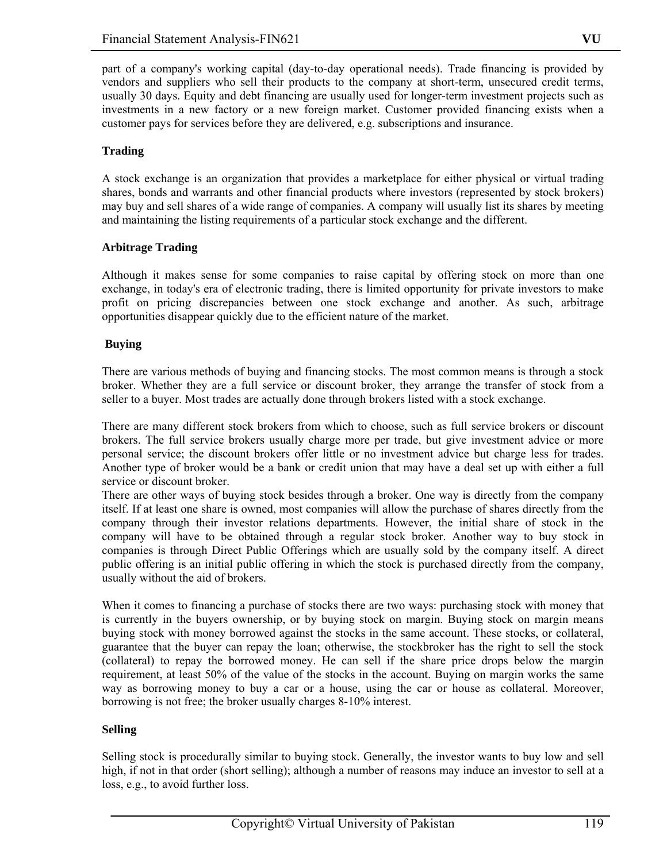part of a company's working capital (day-to-day operational needs). Trade financing is provided by vendors and suppliers who sell their products to the company at short-term, unsecured credit terms, usually 30 days. Equity and debt financing are usually used for longer-term investment projects such as investments in a new factory or a new foreign market. Customer provided financing exists when a customer pays for services before they are delivered, e.g. subscriptions and insurance.

# **Trading**

j

A stock exchange is an organization that provides a marketplace for either physical or virtual trading shares, bonds and warrants and other financial products where investors (represented by stock brokers) may buy and sell shares of a wide range of companies. A company will usually list its shares by meeting and maintaining the listing requirements of a particular stock exchange and the different.

#### **Arbitrage Trading**

Although it makes sense for some companies to raise capital by offering stock on more than one exchange, in today's era of electronic trading, there is limited opportunity for private investors to make profit on pricing discrepancies between one stock exchange and another. As such, arbitrage opportunities disappear quickly due to the efficient nature of the market.

#### **Buying**

There are various methods of buying and financing stocks. The most common means is through a stock broker. Whether they are a full service or discount broker, they arrange the transfer of stock from a seller to a buyer. Most trades are actually done through brokers listed with a stock exchange.

There are many different stock brokers from which to choose, such as full service brokers or discount brokers. The full service brokers usually charge more per trade, but give investment advice or more personal service; the discount brokers offer little or no investment advice but charge less for trades. Another type of broker would be a bank or credit union that may have a deal set up with either a full service or discount broker.

There are other ways of buying stock besides through a broker. One way is directly from the company itself. If at least one share is owned, most companies will allow the purchase of shares directly from the company through their investor relations departments. However, the initial share of stock in the company will have to be obtained through a regular stock broker. Another way to buy stock in companies is through Direct Public Offerings which are usually sold by the company itself. A direct public offering is an initial public offering in which the stock is purchased directly from the company, usually without the aid of brokers.

When it comes to financing a purchase of stocks there are two ways: purchasing stock with money that is currently in the buyers ownership, or by buying stock on margin. Buying stock on margin means buying stock with money borrowed against the stocks in the same account. These stocks, or collateral, guarantee that the buyer can repay the loan; otherwise, the stockbroker has the right to sell the stock (collateral) to repay the borrowed money. He can sell if the share price drops below the margin requirement, at least 50% of the value of the stocks in the account. Buying on margin works the same way as borrowing money to buy a car or a house, using the car or house as collateral. Moreover, borrowing is not free; the broker usually charges 8-10% interest.

# **Selling**

Selling stock is procedurally similar to buying stock. Generally, the investor wants to buy low and sell high, if not in that order (short selling); although a number of reasons may induce an investor to sell at a loss, e.g., to avoid further loss.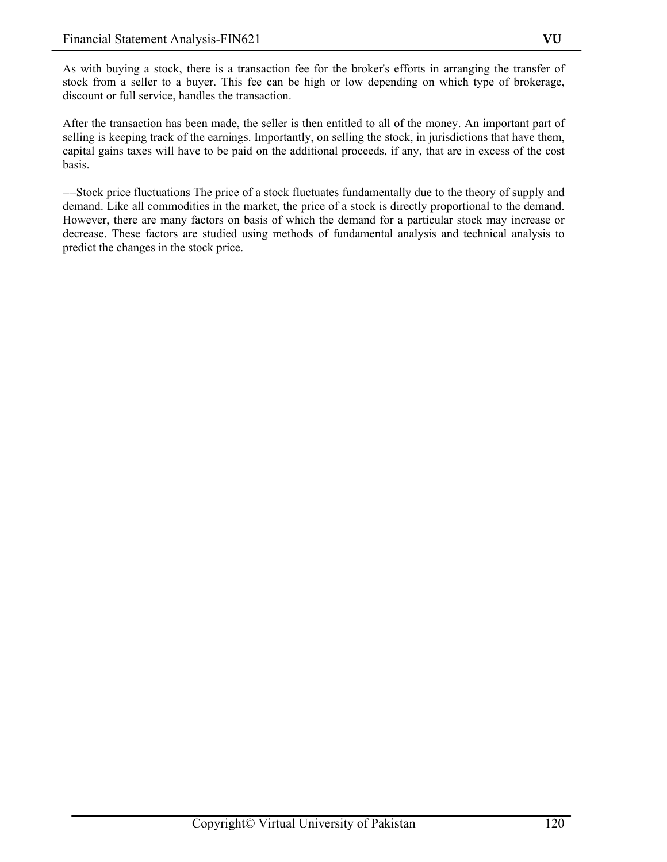j As with buying a stock, there is a transaction fee for the broker's efforts in arranging the transfer of stock from a seller to a buyer. This fee can be high or low depending on which type of brokerage, discount or full service, handles the transaction.

After the transaction has been made, the seller is then entitled to all of the money. An important part of selling is keeping track of the earnings. Importantly, on selling the stock, in jurisdictions that have them, capital gains taxes will have to be paid on the additional proceeds, if any, that are in excess of the cost basis.

==Stock price fluctuations The price of a stock fluctuates fundamentally due to the theory of supply and demand. Like all commodities in the market, the price of a stock is directly proportional to the demand. However, there are many factors on basis of which the demand for a particular stock may increase or decrease. These factors are studied using methods of fundamental analysis and technical analysis to predict the changes in the stock price.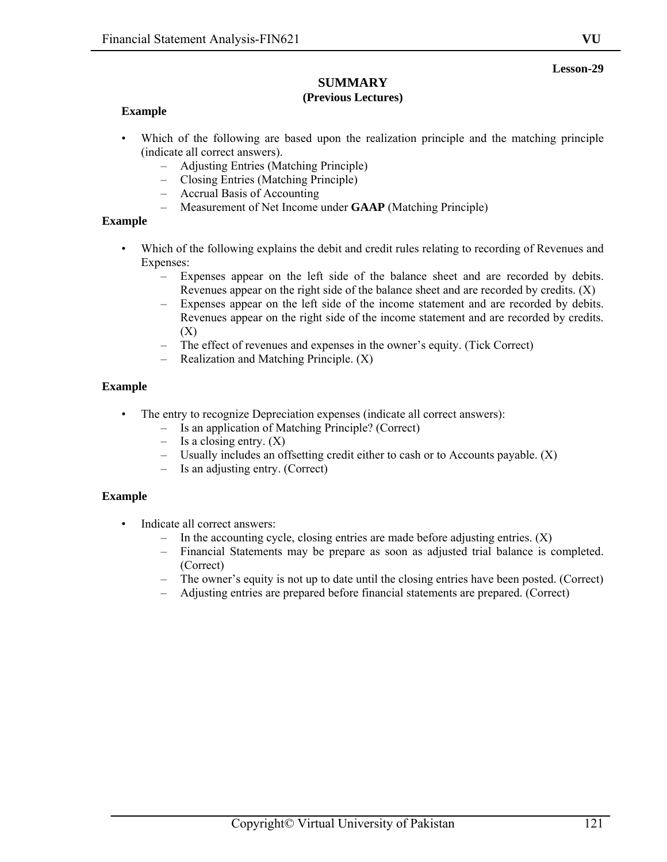#### **Lesson-29**

#### **SUMMARY (Previous Lectures)**

# **Example**

j

- Which of the following are based upon the realization principle and the matching principle (indicate all correct answers).
	- Adjusting Entries (Matching Principle)
	- Closing Entries (Matching Principle)
	- Accrual Basis of Accounting
	- Measurement of Net Income under **GAAP** (Matching Principle)

# **Example**

- Which of the following explains the debit and credit rules relating to recording of Revenues and Expenses:
	- Expenses appear on the left side of the balance sheet and are recorded by debits. Revenues appear on the right side of the balance sheet and are recorded by credits. (X)
	- Expenses appear on the left side of the income statement and are recorded by debits. Revenues appear on the right side of the income statement and are recorded by credits. (X)
	- The effect of revenues and expenses in the owner's equity. (Tick Correct)
	- Realization and Matching Principle. (X)

# **Example**

- The entry to recognize Depreciation expenses (indicate all correct answers):
	- Is an application of Matching Principle? (Correct)
	- $-$  Is a closing entry.  $(X)$
	- Usually includes an offsetting credit either to cash or to Accounts payable. (X)
	- Is an adjusting entry. (Correct)

# **Example**

- Indicate all correct answers:
	- In the accounting cycle, closing entries are made before adjusting entries.  $(X)$
	- Financial Statements may be prepare as soon as adjusted trial balance is completed. (Correct)
	- The owner's equity is not up to date until the closing entries have been posted. (Correct)
	- Adjusting entries are prepared before financial statements are prepared. (Correct)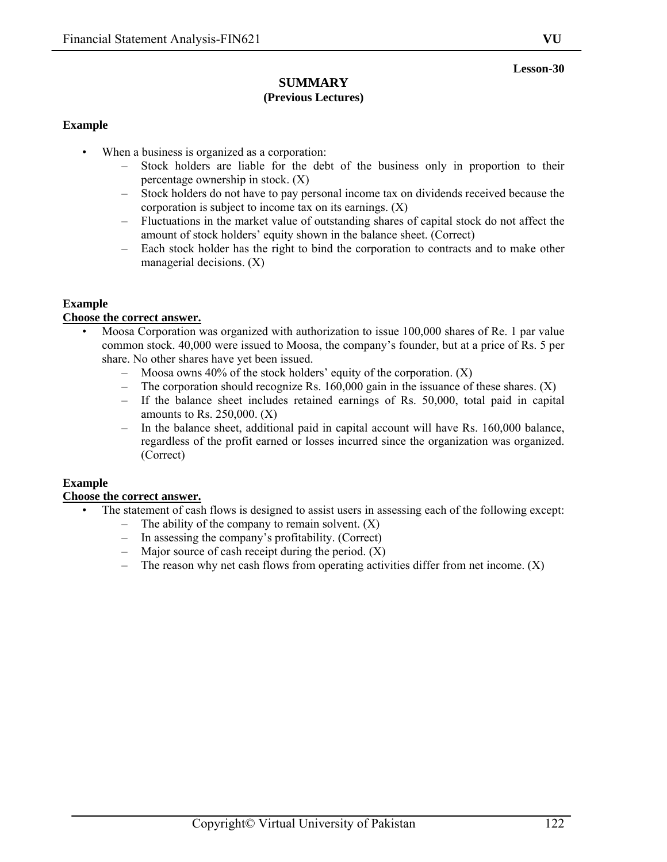# **Lesson-30**

# **SUMMARY (Previous Lectures)**

#### **Example**

j

- When a business is organized as a corporation:
	- Stock holders are liable for the debt of the business only in proportion to their percentage ownership in stock. (X)
	- Stock holders do not have to pay personal income tax on dividends received because the corporation is subject to income tax on its earnings. (X)
	- Fluctuations in the market value of outstanding shares of capital stock do not affect the amount of stock holders' equity shown in the balance sheet. (Correct)
	- Each stock holder has the right to bind the corporation to contracts and to make other managerial decisions. (X)

# **Example**

#### **Choose the correct answer.**

- Moosa Corporation was organized with authorization to issue 100,000 shares of Re. 1 par value common stock. 40,000 were issued to Moosa, the company's founder, but at a price of Rs. 5 per share. No other shares have yet been issued.
	- Moosa owns 40% of the stock holders' equity of the corporation. (X)
	- The corporation should recognize Rs. 160,000 gain in the issuance of these shares. (X)
	- If the balance sheet includes retained earnings of Rs. 50,000, total paid in capital amounts to Rs.  $250,000$ .  $(X)$
	- In the balance sheet, additional paid in capital account will have Rs. 160,000 balance, regardless of the profit earned or losses incurred since the organization was organized. (Correct)

# **Example**

# **Choose the correct answer.**

- The statement of cash flows is designed to assist users in assessing each of the following except:
	- The ability of the company to remain solvent.  $(X)$
	- In assessing the company's profitability. (Correct)
	- Major source of cash receipt during the period.  $(X)$
	- The reason why net cash flows from operating activities differ from net income. (X)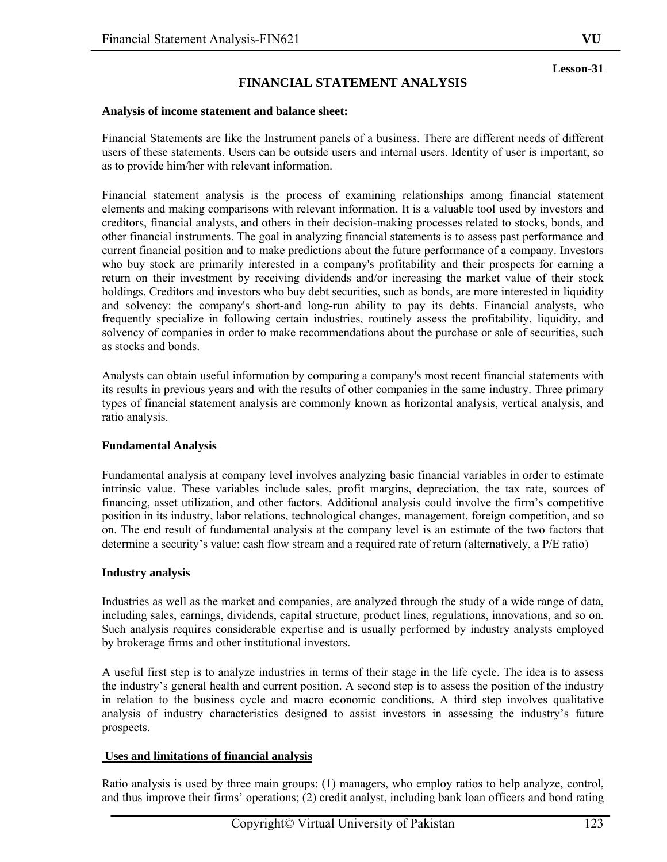#### **Lesson-31**

# **FINANCIAL STATEMENT ANALYSIS**

#### **Analysis of income statement and balance sheet:**

Financial Statements are like the Instrument panels of a business. There are different needs of different users of these statements. Users can be outside users and internal users. Identity of user is important, so as to provide him/her with relevant information.

Financial statement analysis is the process of examining relationships among financial statement elements and making comparisons with relevant information. It is a valuable tool used by investors and creditors, financial analysts, and others in their decision-making processes related to stocks, bonds, and other financial instruments. The goal in analyzing financial statements is to assess past performance and current financial position and to make predictions about the future performance of a company. Investors who buy stock are primarily interested in a company's profitability and their prospects for earning a return on their investment by receiving dividends and/or increasing the market value of their stock holdings. Creditors and investors who buy debt securities, such as bonds, are more interested in liquidity and solvency: the company's short-and long-run ability to pay its debts. Financial analysts, who frequently specialize in following certain industries, routinely assess the profitability, liquidity, and solvency of companies in order to make recommendations about the purchase or sale of securities, such as stocks and bonds.

Analysts can obtain useful information by comparing a company's most recent financial statements with its results in previous years and with the results of other companies in the same industry. Three primary types of financial statement analysis are commonly known as horizontal analysis, vertical analysis, and ratio analysis.

#### **Fundamental Analysis**

Fundamental analysis at company level involves analyzing basic financial variables in order to estimate intrinsic value. These variables include sales, profit margins, depreciation, the tax rate, sources of financing, asset utilization, and other factors. Additional analysis could involve the firm's competitive position in its industry, labor relations, technological changes, management, foreign competition, and so on. The end result of fundamental analysis at the company level is an estimate of the two factors that determine a security's value: cash flow stream and a required rate of return (alternatively, a P/E ratio)

#### **Industry analysis**

Industries as well as the market and companies, are analyzed through the study of a wide range of data, including sales, earnings, dividends, capital structure, product lines, regulations, innovations, and so on. Such analysis requires considerable expertise and is usually performed by industry analysts employed by brokerage firms and other institutional investors.

A useful first step is to analyze industries in terms of their stage in the life cycle. The idea is to assess the industry's general health and current position. A second step is to assess the position of the industry in relation to the business cycle and macro economic conditions. A third step involves qualitative analysis of industry characteristics designed to assist investors in assessing the industry's future prospects.

#### **Uses and limitations of financial analysis**

Ratio analysis is used by three main groups: (1) managers, who employ ratios to help analyze, control, and thus improve their firms' operations; (2) credit analyst, including bank loan officers and bond rating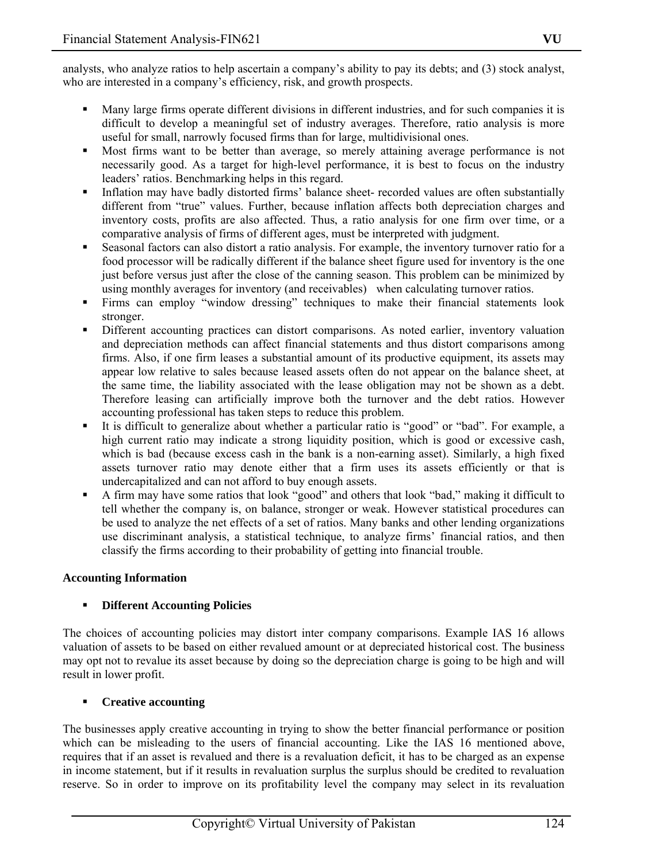analysts, who analyze ratios to help ascertain a company's ability to pay its debts; and (3) stock analyst, who are interested in a company's efficiency, risk, and growth prospects.

- Many large firms operate different divisions in different industries, and for such companies it is difficult to develop a meaningful set of industry averages. Therefore, ratio analysis is more useful for small, narrowly focused firms than for large, multidivisional ones.
- Most firms want to be better than average, so merely attaining average performance is not necessarily good. As a target for high-level performance, it is best to focus on the industry leaders' ratios. Benchmarking helps in this regard.
- Inflation may have badly distorted firms' balance sheet- recorded values are often substantially different from "true" values. Further, because inflation affects both depreciation charges and inventory costs, profits are also affected. Thus, a ratio analysis for one firm over time, or a comparative analysis of firms of different ages, must be interpreted with judgment.
- Seasonal factors can also distort a ratio analysis. For example, the inventory turnover ratio for a food processor will be radically different if the balance sheet figure used for inventory is the one just before versus just after the close of the canning season. This problem can be minimized by using monthly averages for inventory (and receivables) when calculating turnover ratios.
- Firms can employ "window dressing" techniques to make their financial statements look stronger.
- Different accounting practices can distort comparisons. As noted earlier, inventory valuation and depreciation methods can affect financial statements and thus distort comparisons among firms. Also, if one firm leases a substantial amount of its productive equipment, its assets may appear low relative to sales because leased assets often do not appear on the balance sheet, at the same time, the liability associated with the lease obligation may not be shown as a debt. Therefore leasing can artificially improve both the turnover and the debt ratios. However accounting professional has taken steps to reduce this problem.
- It is difficult to generalize about whether a particular ratio is "good" or "bad". For example, a high current ratio may indicate a strong liquidity position, which is good or excessive cash, which is bad (because excess cash in the bank is a non-earning asset). Similarly, a high fixed assets turnover ratio may denote either that a firm uses its assets efficiently or that is undercapitalized and can not afford to buy enough assets.
- A firm may have some ratios that look "good" and others that look "bad," making it difficult to tell whether the company is, on balance, stronger or weak. However statistical procedures can be used to analyze the net effects of a set of ratios. Many banks and other lending organizations use discriminant analysis, a statistical technique, to analyze firms' financial ratios, and then classify the firms according to their probability of getting into financial trouble.

# **Accounting Information**

# **Different Accounting Policies**

The choices of accounting policies may distort inter company comparisons. Example IAS 16 allows valuation of assets to be based on either revalued amount or at depreciated historical cost. The business may opt not to revalue its asset because by doing so the depreciation charge is going to be high and will result in lower profit.

# **Creative accounting**

The businesses apply creative accounting in trying to show the better financial performance or position which can be misleading to the users of financial accounting. Like the IAS 16 mentioned above, requires that if an asset is revalued and there is a revaluation deficit, it has to be charged as an expense in income statement, but if it results in revaluation surplus the surplus should be credited to revaluation reserve. So in order to improve on its profitability level the company may select in its revaluation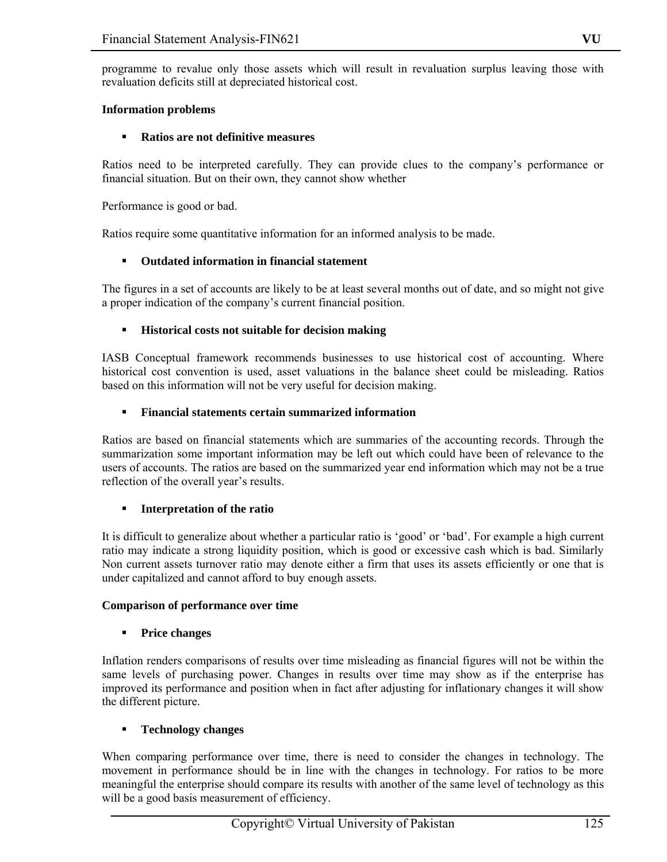programme to revalue only those assets which will result in revaluation surplus leaving those with revaluation deficits still at depreciated historical cost.

# **Information problems**

j

### **Ratios are not definitive measures**

Ratios need to be interpreted carefully. They can provide clues to the company's performance or financial situation. But on their own, they cannot show whether

Performance is good or bad.

Ratios require some quantitative information for an informed analysis to be made.

# **Outdated information in financial statement**

The figures in a set of accounts are likely to be at least several months out of date, and so might not give a proper indication of the company's current financial position.

#### **Historical costs not suitable for decision making**

IASB Conceptual framework recommends businesses to use historical cost of accounting. Where historical cost convention is used, asset valuations in the balance sheet could be misleading. Ratios based on this information will not be very useful for decision making.

#### **Financial statements certain summarized information**

Ratios are based on financial statements which are summaries of the accounting records. Through the summarization some important information may be left out which could have been of relevance to the users of accounts. The ratios are based on the summarized year end information which may not be a true reflection of the overall year's results.

# **Interpretation of the ratio**

It is difficult to generalize about whether a particular ratio is 'good' or 'bad'. For example a high current ratio may indicate a strong liquidity position, which is good or excessive cash which is bad. Similarly Non current assets turnover ratio may denote either a firm that uses its assets efficiently or one that is under capitalized and cannot afford to buy enough assets.

#### **Comparison of performance over time**

# **Price changes**

Inflation renders comparisons of results over time misleading as financial figures will not be within the same levels of purchasing power. Changes in results over time may show as if the enterprise has improved its performance and position when in fact after adjusting for inflationary changes it will show the different picture.

# **Technology changes**

When comparing performance over time, there is need to consider the changes in technology. The movement in performance should be in line with the changes in technology. For ratios to be more meaningful the enterprise should compare its results with another of the same level of technology as this will be a good basis measurement of efficiency.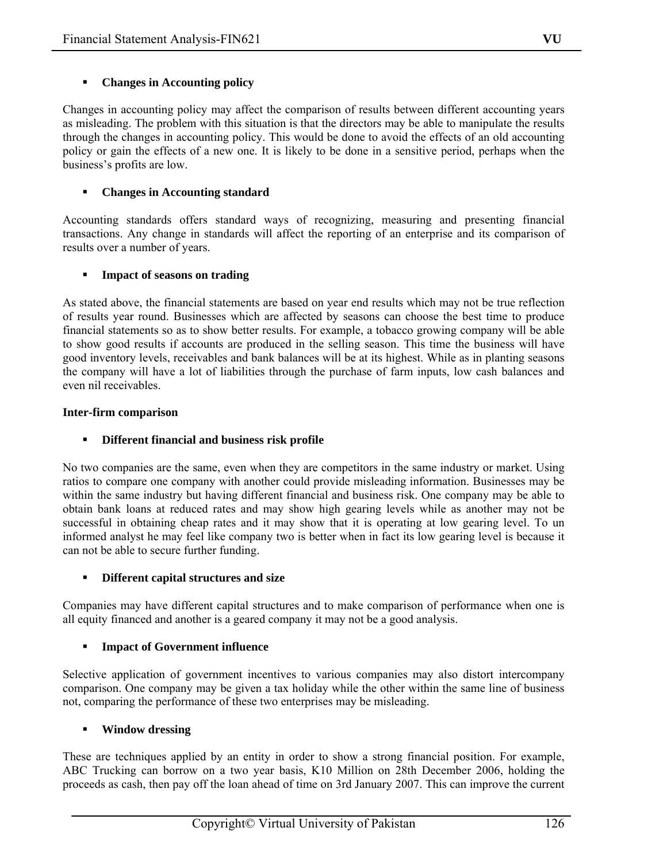Changes in accounting policy may affect the comparison of results between different accounting years as misleading. The problem with this situation is that the directors may be able to manipulate the results through the changes in accounting policy. This would be done to avoid the effects of an old accounting policy or gain the effects of a new one. It is likely to be done in a sensitive period, perhaps when the business's profits are low.

# **Changes in Accounting standard**

Accounting standards offers standard ways of recognizing, measuring and presenting financial transactions. Any change in standards will affect the reporting of an enterprise and its comparison of results over a number of years.

# **Impact of seasons on trading**

As stated above, the financial statements are based on year end results which may not be true reflection of results year round. Businesses which are affected by seasons can choose the best time to produce financial statements so as to show better results. For example, a tobacco growing company will be able to show good results if accounts are produced in the selling season. This time the business will have good inventory levels, receivables and bank balances will be at its highest. While as in planting seasons the company will have a lot of liabilities through the purchase of farm inputs, low cash balances and even nil receivables.

# **Inter-firm comparison**

# **Different financial and business risk profile**

No two companies are the same, even when they are competitors in the same industry or market. Using ratios to compare one company with another could provide misleading information. Businesses may be within the same industry but having different financial and business risk. One company may be able to obtain bank loans at reduced rates and may show high gearing levels while as another may not be successful in obtaining cheap rates and it may show that it is operating at low gearing level. To un informed analyst he may feel like company two is better when in fact its low gearing level is because it can not be able to secure further funding.

# **Different capital structures and size**

Companies may have different capital structures and to make comparison of performance when one is all equity financed and another is a geared company it may not be a good analysis.

# **Impact of Government influence**

Selective application of government incentives to various companies may also distort intercompany comparison. One company may be given a tax holiday while the other within the same line of business not, comparing the performance of these two enterprises may be misleading.

# **Window dressing**

These are techniques applied by an entity in order to show a strong financial position. For example, ABC Trucking can borrow on a two year basis, K10 Million on 28th December 2006, holding the proceeds as cash, then pay off the loan ahead of time on 3rd January 2007. This can improve the current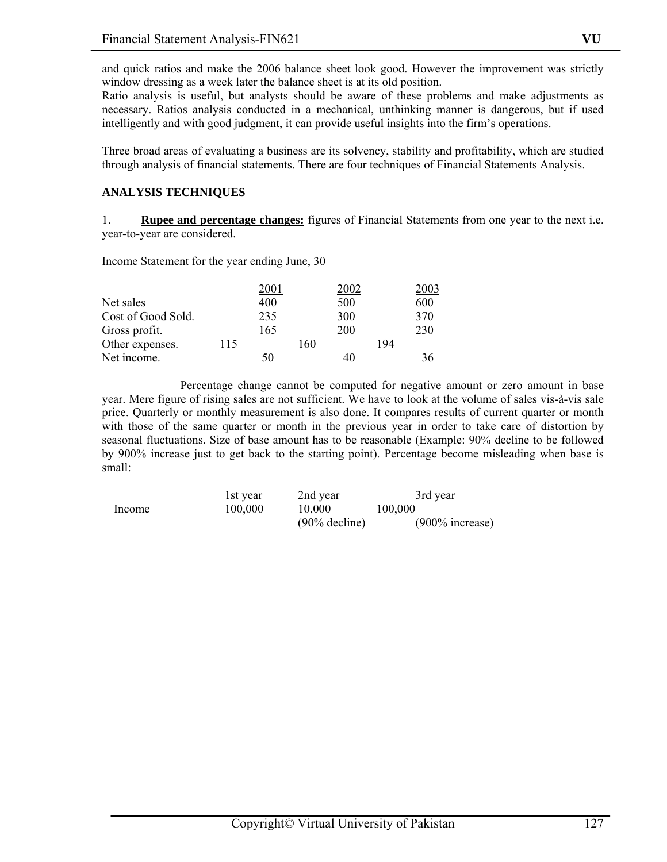and quick ratios and make the 2006 balance sheet look good. However the improvement was strictly window dressing as a week later the balance sheet is at its old position.

Ratio analysis is useful, but analysts should be aware of these problems and make adjustments as necessary. Ratios analysis conducted in a mechanical, unthinking manner is dangerous, but if used intelligently and with good judgment, it can provide useful insights into the firm's operations.

Three broad areas of evaluating a business are its solvency, stability and profitability, which are studied through analysis of financial statements. There are four techniques of Financial Statements Analysis.

# **ANALYSIS TECHNIQUES**

j

1. **Rupee and percentage changes:** figures of Financial Statements from one year to the next i.e. year-to-year are considered.

Income Statement for the year ending June, 30

|                    |     | 2001 |     | 2002 |     | 2003 |
|--------------------|-----|------|-----|------|-----|------|
| Net sales          |     | 400  |     | 500  |     | 600  |
| Cost of Good Sold. |     | 235  |     | 300  |     | 370  |
| Gross profit.      |     | 165  |     | 200  |     | 230  |
| Other expenses.    | 115 |      | 160 |      | 194 |      |
| Net income.        |     | 50   |     | 40   |     | 36   |

Percentage change cannot be computed for negative amount or zero amount in base year. Mere figure of rising sales are not sufficient. We have to look at the volume of sales vis-à-vis sale price. Quarterly or monthly measurement is also done. It compares results of current quarter or month with those of the same quarter or month in the previous year in order to take care of distortion by seasonal fluctuations. Size of base amount has to be reasonable (Example: 90% decline to be followed by 900% increase just to get back to the starting point). Percentage become misleading when base is small:

|        | 1st year | 2nd year         | 3rd year           |
|--------|----------|------------------|--------------------|
| Income | 100.000  | 10.000           | 100.000            |
|        |          | $(90\%$ decline) | $(900\%$ increase) |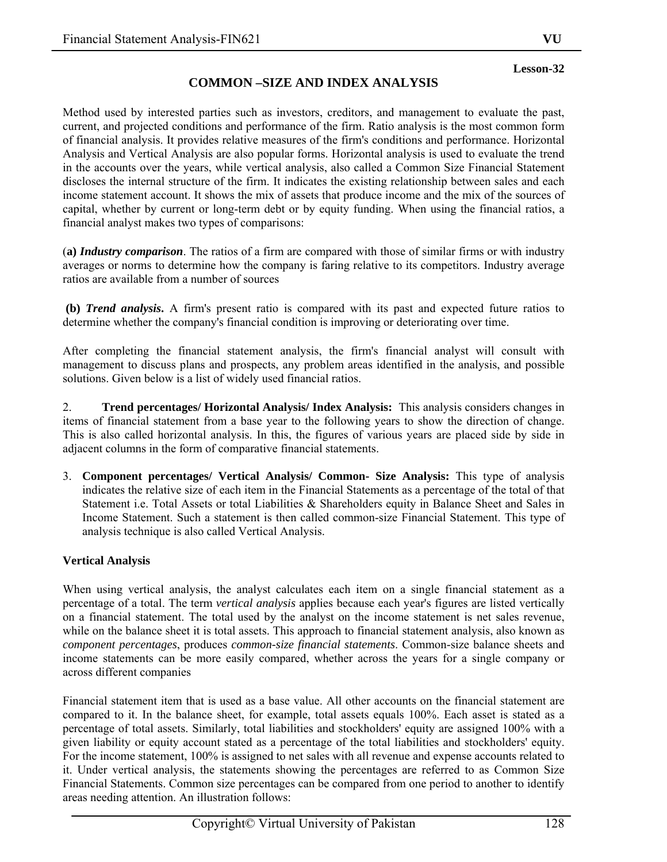# **COMMON –SIZE AND INDEX ANALYSIS**

Method used by interested parties such as investors, creditors, and management to evaluate the past, current, and projected conditions and performance of the firm. Ratio analysis is the most common form of financial analysis. It provides relative measures of the firm's conditions and performance. Horizontal Analysis and Vertical Analysis are also popular forms. Horizontal analysis is used to evaluate the trend in the accounts over the years, while vertical analysis, also called a Common Size Financial Statement discloses the internal structure of the firm. It indicates the existing relationship between sales and each income statement account. It shows the mix of assets that produce income and the mix of the sources of capital, whether by current or long-term debt or by equity funding. When using the financial ratios, a financial analyst makes two types of comparisons:

(**a)** *Industry comparison*. The ratios of a firm are compared with those of similar firms or with industry averages or norms to determine how the company is faring relative to its competitors. Industry average ratios are available from a number of sources

 **(b)** *Trend analysis***.** A firm's present ratio is compared with its past and expected future ratios to determine whether the company's financial condition is improving or deteriorating over time.

After completing the financial statement analysis, the firm's financial analyst will consult with management to discuss plans and prospects, any problem areas identified in the analysis, and possible solutions. Given below is a list of widely used financial ratios.

2. **Trend percentages/ Horizontal Analysis/ Index Analysis:** This analysis considers changes in items of financial statement from a base year to the following years to show the direction of change. This is also called horizontal analysis. In this, the figures of various years are placed side by side in adjacent columns in the form of comparative financial statements.

3. **Component percentages/ Vertical Analysis/ Common- Size Analysis:** This type of analysis indicates the relative size of each item in the Financial Statements as a percentage of the total of that Statement i.e. Total Assets or total Liabilities & Shareholders equity in Balance Sheet and Sales in Income Statement. Such a statement is then called common-size Financial Statement. This type of analysis technique is also called Vertical Analysis.

# **Vertical Analysis**

When using vertical analysis, the analyst calculates each item on a single financial statement as a percentage of a total. The term *vertical analysis* applies because each year's figures are listed vertically on a financial statement. The total used by the analyst on the income statement is net sales revenue, while on the balance sheet it is total assets. This approach to financial statement analysis, also known as *component percentages*, produces *common-size financial statements*. Common-size balance sheets and income statements can be more easily compared, whether across the years for a single company or across different companies

Financial statement item that is used as a base value. All other accounts on the financial statement are compared to it. In the balance sheet, for example, total assets equals 100%. Each asset is stated as a percentage of total assets. Similarly, total liabilities and stockholders' equity are assigned 100% with a given liability or equity account stated as a percentage of the total liabilities and stockholders' equity. For the income statement, 100% is assigned to net sales with all revenue and expense accounts related to it. Under vertical analysis, the statements showing the percentages are referred to as Common Size Financial Statements. Common size percentages can be compared from one period to another to identify areas needing attention. An illustration follows: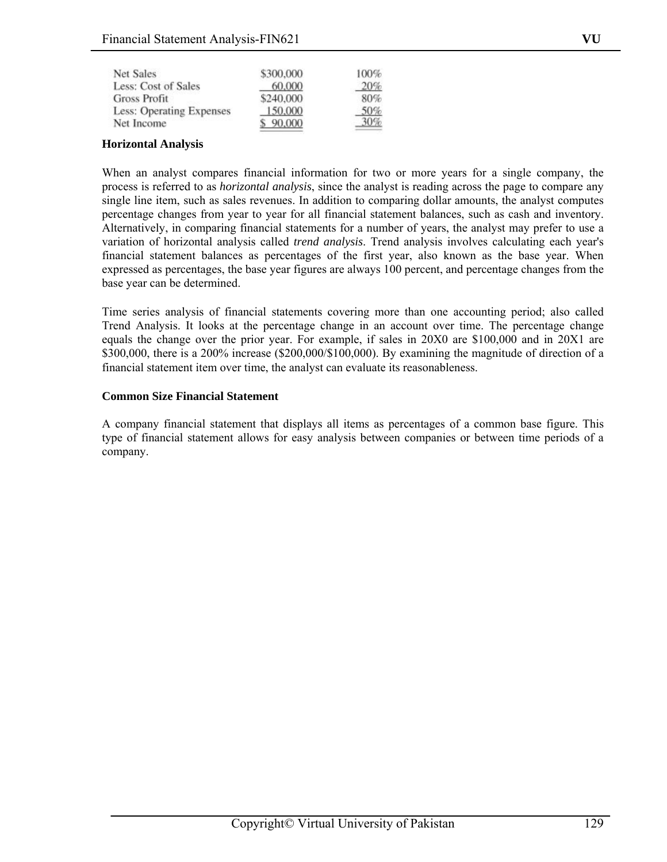| Net Sales                | \$300,000 | 100% |
|--------------------------|-----------|------|
| Less: Cost of Sales      | 60,000    | 20%  |
| Gross Profit             | \$240,000 | 80%  |
| Less: Operating Expenses | 150,000   | 50%  |
| Net Income               | \$90,000  | 30%  |

#### **Horizontal Analysis**

j

When an analyst compares financial information for two or more years for a single company, the process is referred to as *horizontal analysis*, since the analyst is reading across the page to compare any single line item, such as sales revenues. In addition to comparing dollar amounts, the analyst computes percentage changes from year to year for all financial statement balances, such as cash and inventory. Alternatively, in comparing financial statements for a number of years, the analyst may prefer to use a variation of horizontal analysis called *trend analysis*. Trend analysis involves calculating each year's financial statement balances as percentages of the first year, also known as the base year. When expressed as percentages, the base year figures are always 100 percent, and percentage changes from the base year can be determined.

Time series analysis of financial statements covering more than one accounting period; also called Trend Analysis. It looks at the percentage change in an account over time. The percentage change equals the change over the prior year. For example, if sales in 20X0 are \$100,000 and in 20X1 are \$300,000, there is a 200% increase (\$200,000/\$100,000). By examining the magnitude of direction of a financial statement item over time, the analyst can evaluate its reasonableness.

#### **Common Size Financial Statement**

A company financial statement that displays all items as percentages of a common base figure. This type of financial statement allows for easy analysis between companies or between time periods of a company.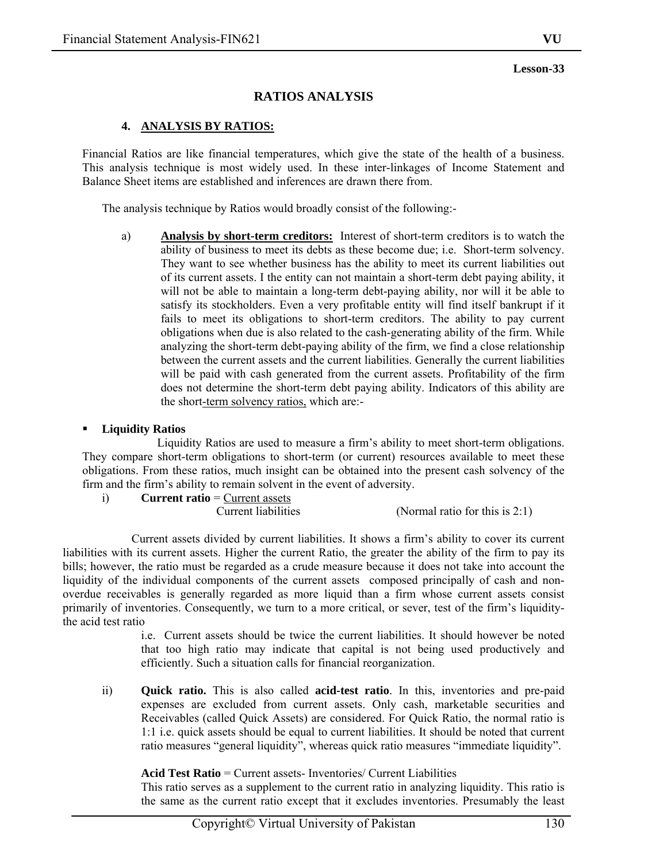# **Lesson-33**

# **RATIOS ANALYSIS**

# **4. ANALYSIS BY RATIOS:**

Financial Ratios are like financial temperatures, which give the state of the health of a business. This analysis technique is most widely used. In these inter-linkages of Income Statement and Balance Sheet items are established and inferences are drawn there from.

The analysis technique by Ratios would broadly consist of the following:-

a) **Analysis by short-term creditors:** Interest of short-term creditors is to watch the ability of business to meet its debts as these become due; i.e. Short-term solvency. They want to see whether business has the ability to meet its current liabilities out of its current assets. I the entity can not maintain a short-term debt paying ability, it will not be able to maintain a long-term debt-paying ability, nor will it be able to satisfy its stockholders. Even a very profitable entity will find itself bankrupt if it fails to meet its obligations to short-term creditors. The ability to pay current obligations when due is also related to the cash-generating ability of the firm. While analyzing the short-term debt-paying ability of the firm, we find a close relationship between the current assets and the current liabilities. Generally the current liabilities will be paid with cash generated from the current assets. Profitability of the firm does not determine the short-term debt paying ability. Indicators of this ability are the short-term solvency ratios, which are:-

### **Liquidity Ratios**

 Liquidity Ratios are used to measure a firm's ability to meet short-term obligations. They compare short-term obligations to short-term (or current) resources available to meet these obligations. From these ratios, much insight can be obtained into the present cash solvency of the firm and the firm's ability to remain solvent in the event of adversity.

i) **Current ratio** = Current assets

Current liabilities (Normal ratio for this is 2:1)

 Current assets divided by current liabilities. It shows a firm's ability to cover its current liabilities with its current assets. Higher the current Ratio, the greater the ability of the firm to pay its bills; however, the ratio must be regarded as a crude measure because it does not take into account the liquidity of the individual components of the current assets composed principally of cash and nonoverdue receivables is generally regarded as more liquid than a firm whose current assets consist primarily of inventories. Consequently, we turn to a more critical, or sever, test of the firm's liquiditythe acid test ratio

> i.e. Current assets should be twice the current liabilities. It should however be noted that too high ratio may indicate that capital is not being used productively and efficiently. Such a situation calls for financial reorganization.

ii) **Quick ratio.** This is also called **acid-test ratio**. In this, inventories and pre-paid expenses are excluded from current assets. Only cash, marketable securities and Receivables (called Quick Assets) are considered. For Quick Ratio, the normal ratio is 1:1 i.e. quick assets should be equal to current liabilities. It should be noted that current ratio measures "general liquidity", whereas quick ratio measures "immediate liquidity".

**Acid Test Ratio** = Current assets- Inventories/ Current Liabilities

This ratio serves as a supplement to the current ratio in analyzing liquidity. This ratio is the same as the current ratio except that it excludes inventories. Presumably the least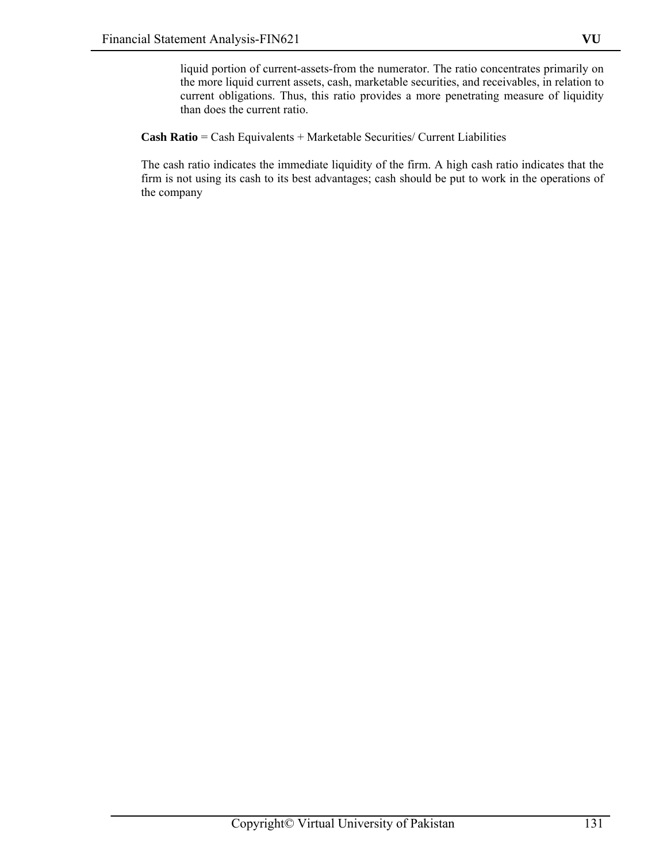liquid portion of current-assets-from the numerator. The ratio concentrates primarily on the more liquid current assets, cash, marketable securities, and receivables, in relation to current obligations. Thus, this ratio provides a more penetrating measure of liquidity than does the current ratio.

**Cash Ratio** = Cash Equivalents + Marketable Securities/ Current Liabilities

The cash ratio indicates the immediate liquidity of the firm. A high cash ratio indicates that the firm is not using its cash to its best advantages; cash should be put to work in the operations of the company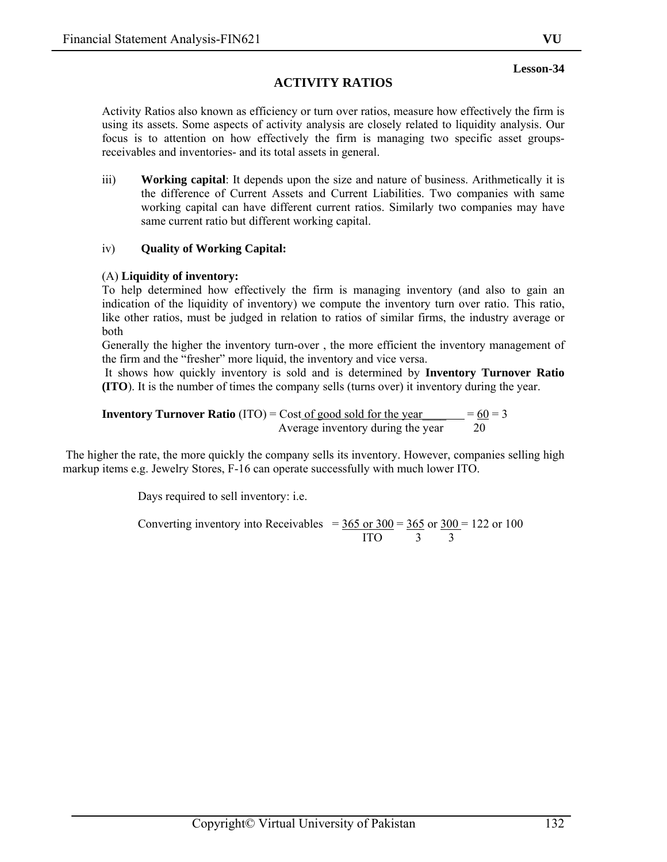# **Lesson-34**

# **ACTIVITY RATIOS**

Activity Ratios also known as efficiency or turn over ratios, measure how effectively the firm is using its assets. Some aspects of activity analysis are closely related to liquidity analysis. Our focus is to attention on how effectively the firm is managing two specific asset groupsreceivables and inventories- and its total assets in general.

iii) **Working capital**: It depends upon the size and nature of business. Arithmetically it is the difference of Current Assets and Current Liabilities. Two companies with same working capital can have different current ratios. Similarly two companies may have same current ratio but different working capital.

# iv) **Quality of Working Capital:**

# (A) **Liquidity of inventory:**

To help determined how effectively the firm is managing inventory (and also to gain an indication of the liquidity of inventory) we compute the inventory turn over ratio. This ratio, like other ratios, must be judged in relation to ratios of similar firms, the industry average or both

Generally the higher the inventory turn-over , the more efficient the inventory management of the firm and the "fresher" more liquid, the inventory and vice versa.

 It shows how quickly inventory is sold and is determined by **Inventory Turnover Ratio (ITO**). It is the number of times the company sells (turns over) it inventory during the year.

**Inventory Turnover Ratio** (ITO) = Cost of good sold for the year  $= 60 = 3$ Average inventory during the year 20

 The higher the rate, the more quickly the company sells its inventory. However, companies selling high markup items e.g. Jewelry Stores, F-16 can operate successfully with much lower ITO.

Days required to sell inventory: i.e.

Converting inventory into Receivables =  $365$  or  $300 = 365$  or  $300 = 122$  or 100  $\text{ITO}$  3 3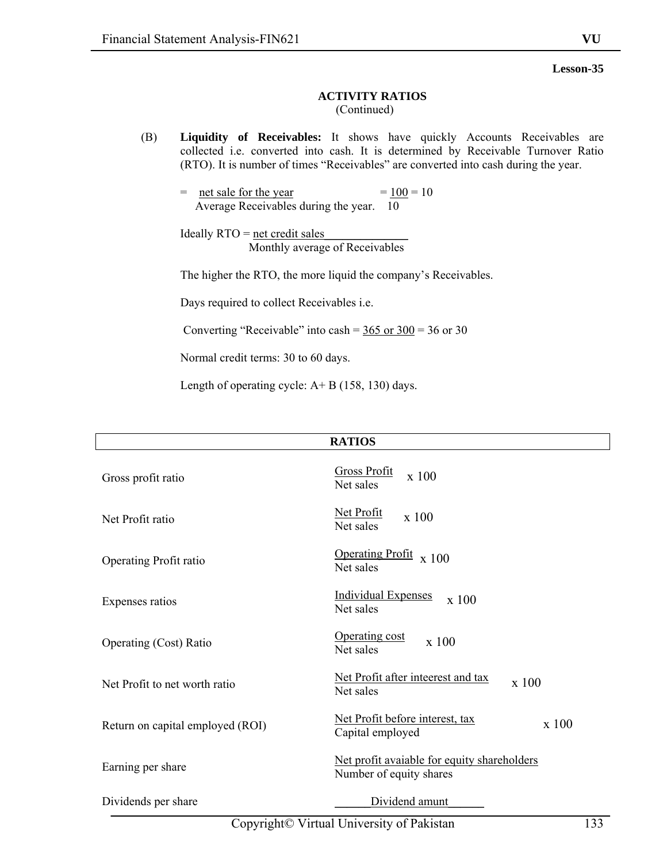**Lesson-35**

#### **ACTIVITY RATIOS** (Continued)

- (B) **Liquidity of Receivables:** It shows have quickly Accounts Receivables are collected i.e. converted into cash. It is determined by Receivable Turnover Ratio (RTO). It is number of times "Receivables" are converted into cash during the year.
	- $=$  net sale for the year  $= 100 = 10$ Average Receivables during the year. 10

Ideally  $RTO = net credit sales$ Monthly average of Receivables

The higher the RTO, the more liquid the company's Receivables.

Days required to collect Receivables i.e.

Converting "Receivable" into cash =  $365$  or  $300 = 36$  or 30

Normal credit terms: 30 to 60 days.

Length of operating cycle: A+ B (158, 130) days.

| <b>RATIOS</b>                    |                                                                        |  |  |  |
|----------------------------------|------------------------------------------------------------------------|--|--|--|
| Gross profit ratio               | <b>Gross Profit</b><br>x 100<br>Net sales                              |  |  |  |
| Net Profit ratio                 | <b>Net Profit</b><br>x 100<br>Net sales                                |  |  |  |
| Operating Profit ratio           | Operating Profit $\frac{x}{100}$<br>Net sales                          |  |  |  |
| Expenses ratios                  | <b>Individual Expenses</b><br>$\mathrm{x}$ 100<br>Net sales            |  |  |  |
| <b>Operating (Cost) Ratio</b>    | Operating cost<br>x 100<br>Net sales                                   |  |  |  |
| Net Profit to net worth ratio    | Net Profit after inteerest and tax<br>$\mathrm{x}$ 100<br>Net sales    |  |  |  |
| Return on capital employed (ROI) | Net Profit before interest, tax<br>x 100<br>Capital employed           |  |  |  |
| Earning per share                | Net profit avaiable for equity shareholders<br>Number of equity shares |  |  |  |
| Dividends per share              | Dividend amunt<br>$\sim$ $\sim$ $\sim$                                 |  |  |  |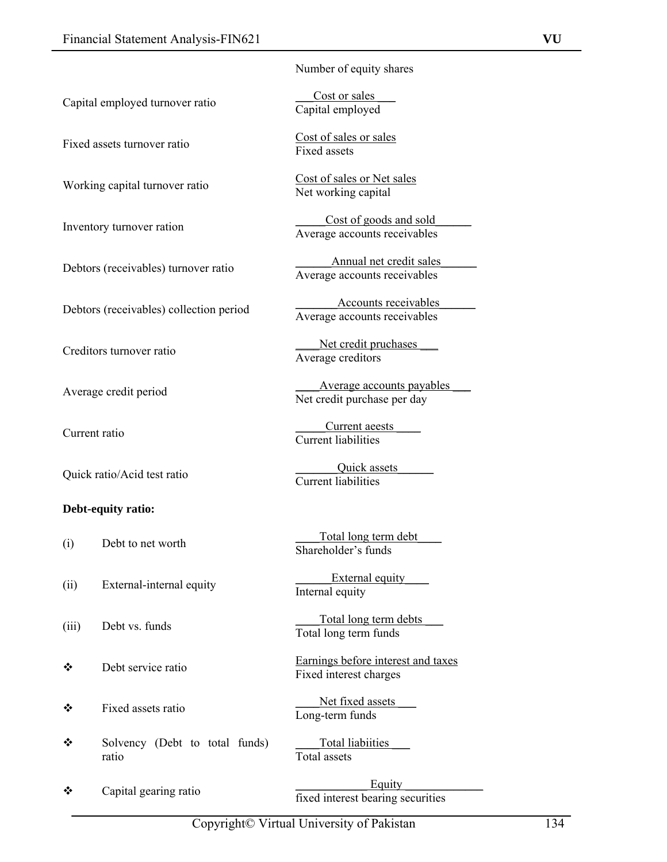#### Number of equity shares

Capital employed turnover ratio  $\frac{\text{Cost or sales}}{\text{Cov\_total}}$ 

j

#### **Debt-equity ratio:**

| (i)   | Debt to net worth                       | Total long term debt<br>Shareholder's funds                |
|-------|-----------------------------------------|------------------------------------------------------------|
| (ii)  | External-internal equity                | External equity<br>Internal equity                         |
| (iii) | Debt vs. funds                          | Total long term debts<br>Total long term funds             |
| ❖     | Debt service ratio                      | Earnings before interest and tax<br>Fixed interest charges |
| ❖     | Fixed assets ratio                      | Net fixed assets<br>Long-term funds                        |
| ❖     | Solvency (Debt to total funds)<br>ratio | <b>Total liabiities</b><br>Total assets                    |
|       |                                         | $E_{\alpha}$                                               |

Capital employed

Fixed assets turnover ratio Cost of sales or sales Fixed assets

Working capital turnover ratio Cost of sales or Net sales<br>
Net working capital Net working capital

Inventory turnover ration \_\_\_\_\_Cost of goods and sold\_\_\_\_\_\_ Average accounts receivables

Debtors (receivables) turnover ratio \_\_\_\_\_\_Annual net credit sales\_\_\_\_\_\_ Average accounts receivables

Debtors (receivables) collection period  $\overline{A}$ Average accounts receivables

Creditors turnover ratio \_\_\_\_Net credit pruchases \_\_\_ Average creditors

Average credit period  $\frac{\text{Average accounts payables}}{\text{Net results from the case of the image.}}$ Net credit purchase per day

Current ratio \_\_\_\_\_Current aeests \_\_\_\_ Current liabilities

Quick ratio/Acid test ratio \_\_\_\_\_\_\_Quick assets\_\_\_\_\_\_ Current liabilities

| Total long term debt |  |
|----------------------|--|
| Shareholder's funds  |  |

before interest and taxes rest charges

 $\bullet$  Capital gearing ratio  $\overline{\mathcal{E}_{\text{real}}^{\text{int}}$  Equity fixed interest bearing securities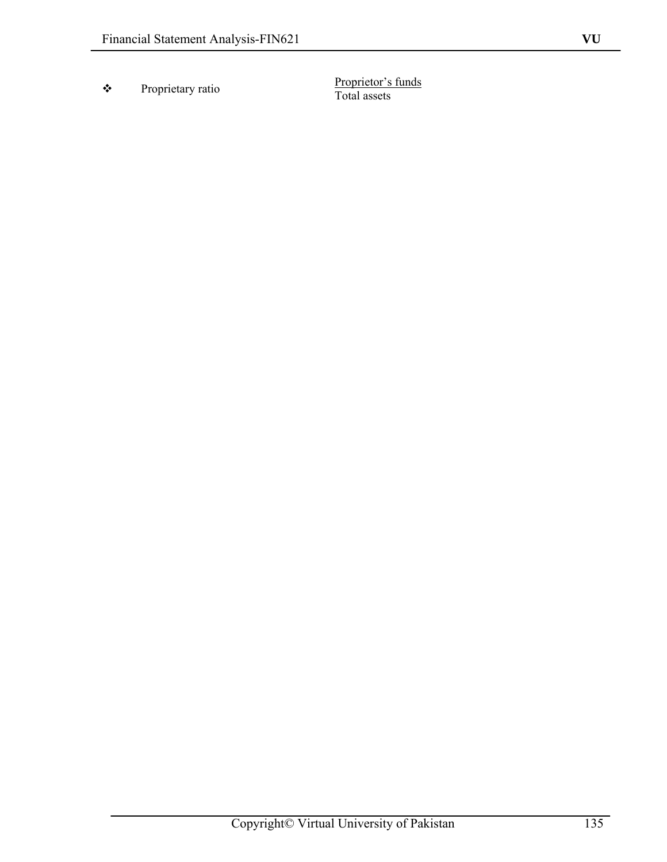◆ Proprietary ratio Proprietor's funds Proprietor's funds Proprietor's funds Proprietor's funds Proprietor's funds Proprietor's funds Proprietor's funds Proprietor's funds Proprietor's funds Proprietor's funds Proprietor'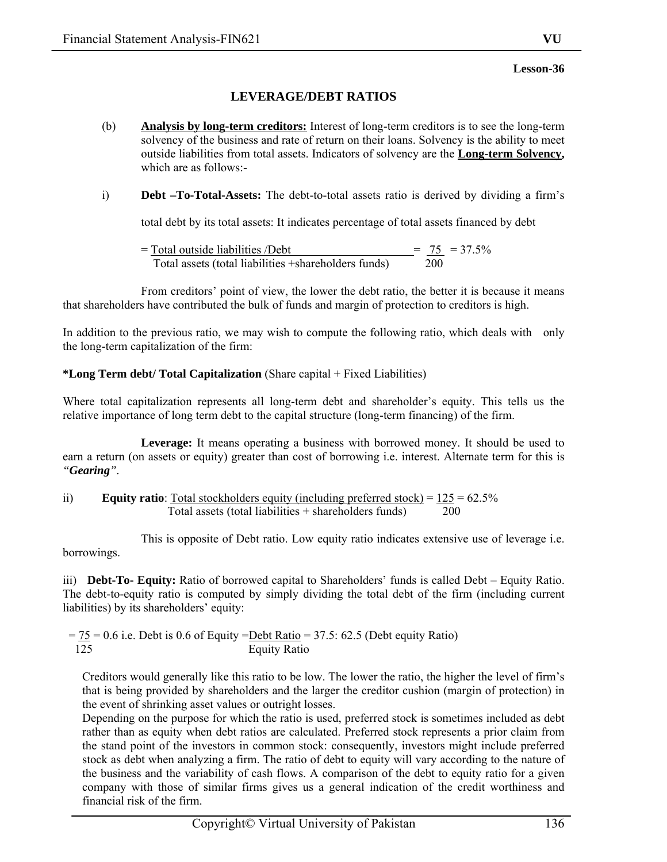# **LEVERAGE/DEBT RATIOS**

- (b) **Analysis by long-term creditors:** Interest of long-term creditors is to see the long-term solvency of the business and rate of return on their loans. Solvency is the ability to meet outside liabilities from total assets. Indicators of solvency are the **Long-term Solvency,** which are as follows:-
- i) **Debt –To-Total-Assets:** The debt-to-total assets ratio is derived by dividing a firm's

total debt by its total assets: It indicates percentage of total assets financed by debt

 $=$  Total outside liabilities /Debt  $=$   $\frac{75}{5}$  = 37.5% Total assets (total liabilities +shareholders funds) 200

 From creditors' point of view, the lower the debt ratio, the better it is because it means that shareholders have contributed the bulk of funds and margin of protection to creditors is high.

In addition to the previous ratio, we may wish to compute the following ratio, which deals with only the long-term capitalization of the firm:

# **\*Long Term debt/ Total Capitalization** (Share capital + Fixed Liabilities)

Where total capitalization represents all long-term debt and shareholder's equity. This tells us the relative importance of long term debt to the capital structure (long-term financing) of the firm.

 **Leverage:** It means operating a business with borrowed money. It should be used to earn a return (on assets or equity) greater than cost of borrowing i.e. interest. Alternate term for this is *"Gearing".*

ii) **Equity ratio**: <u>Total stockholders equity (including preferred stock)</u> =  $125 = 62.5\%$ Total assets (total liabilities + shareholders funds) 200

 This is opposite of Debt ratio. Low equity ratio indicates extensive use of leverage i.e. borrowings.

iii) **Debt-To- Equity:** Ratio of borrowed capital to Shareholders' funds is called Debt – Equity Ratio. The debt-to-equity ratio is computed by simply dividing the total debt of the firm (including current liabilities) by its shareholders' equity:

 $= 75 = 0.6$  i.e. Debt is 0.6 of Equity = Debt Ratio = 37.5: 62.5 (Debt equity Ratio) 125 Equity Ratio

Creditors would generally like this ratio to be low. The lower the ratio, the higher the level of firm's that is being provided by shareholders and the larger the creditor cushion (margin of protection) in the event of shrinking asset values or outright losses.

Depending on the purpose for which the ratio is used, preferred stock is sometimes included as debt rather than as equity when debt ratios are calculated. Preferred stock represents a prior claim from the stand point of the investors in common stock: consequently, investors might include preferred stock as debt when analyzing a firm. The ratio of debt to equity will vary according to the nature of the business and the variability of cash flows. A comparison of the debt to equity ratio for a given company with those of similar firms gives us a general indication of the credit worthiness and financial risk of the firm.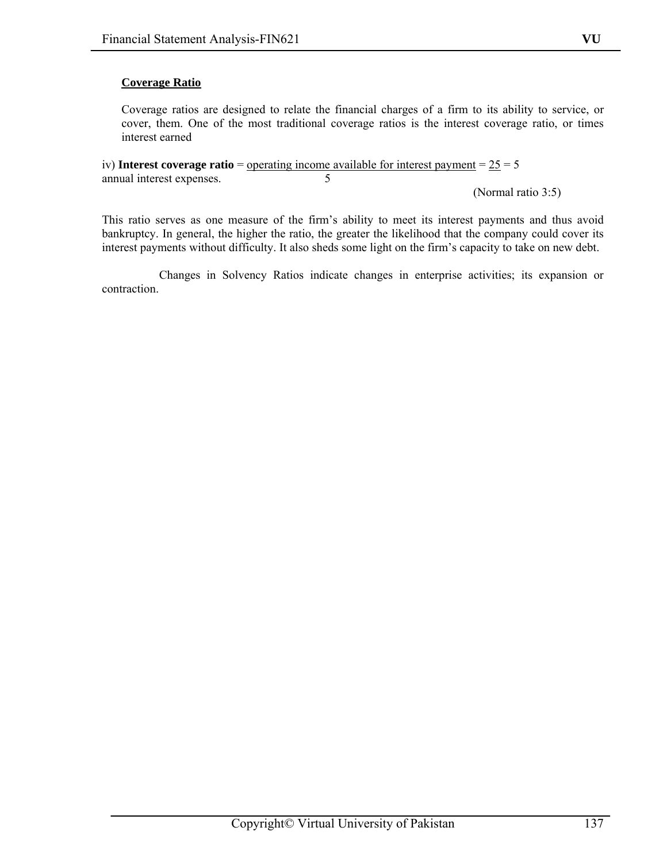# **Coverage Ratio**

j

Coverage ratios are designed to relate the financial charges of a firm to its ability to service, or cover, them. One of the most traditional coverage ratios is the interest coverage ratio, or times interest earned

iv) **Interest coverage ratio** = <u>operating income available for interest payment</u> =  $25 = 5$ annual interest expenses. 5

(Normal ratio 3:5)

This ratio serves as one measure of the firm's ability to meet its interest payments and thus avoid bankruptcy. In general, the higher the ratio, the greater the likelihood that the company could cover its interest payments without difficulty. It also sheds some light on the firm's capacity to take on new debt.

 Changes in Solvency Ratios indicate changes in enterprise activities; its expansion or contraction.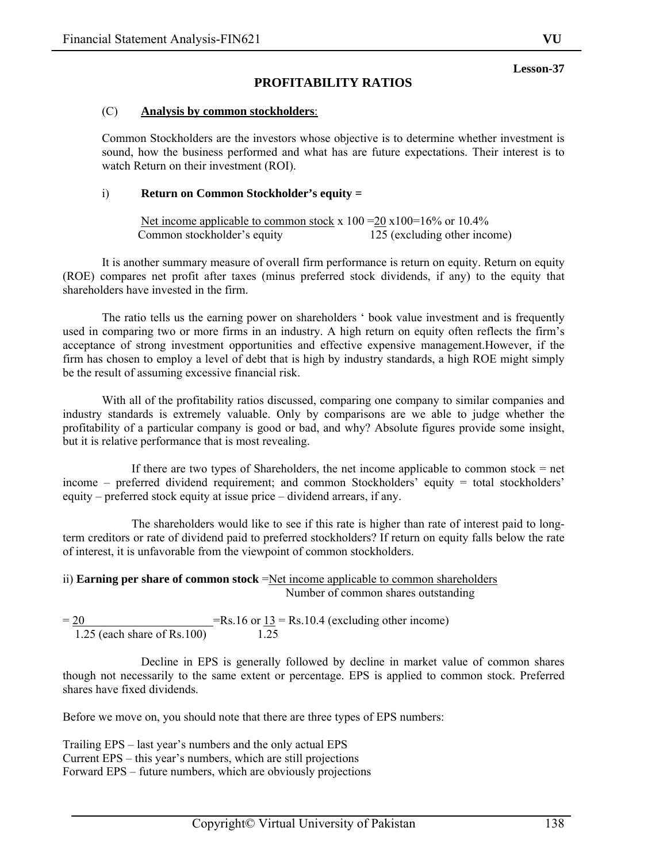# **PROFITABILITY RATIOS**

# (C) **Analysis by common stockholders**:

Common Stockholders are the investors whose objective is to determine whether investment is sound, how the business performed and what has are future expectations. Their interest is to watch Return on their investment (ROI).

# i) **Return on Common Stockholder's equity =**

Net income applicable to common stock x  $100 = 20 \times 100 = 16\%$  or  $10.4\%$ Common stockholder's equity 125 (excluding other income)

It is another summary measure of overall firm performance is return on equity. Return on equity (ROE) compares net profit after taxes (minus preferred stock dividends, if any) to the equity that shareholders have invested in the firm.

The ratio tells us the earning power on shareholders ' book value investment and is frequently used in comparing two or more firms in an industry. A high return on equity often reflects the firm's acceptance of strong investment opportunities and effective expensive management.However, if the firm has chosen to employ a level of debt that is high by industry standards, a high ROE might simply be the result of assuming excessive financial risk.

With all of the profitability ratios discussed, comparing one company to similar companies and industry standards is extremely valuable. Only by comparisons are we able to judge whether the profitability of a particular company is good or bad, and why? Absolute figures provide some insight, but it is relative performance that is most revealing.

If there are two types of Shareholders, the net income applicable to common stock  $=$  net income – preferred dividend requirement; and common Stockholders' equity = total stockholders' equity – preferred stock equity at issue price – dividend arrears, if any.

 The shareholders would like to see if this rate is higher than rate of interest paid to longterm creditors or rate of dividend paid to preferred stockholders? If return on equity falls below the rate of interest, it is unfavorable from the viewpoint of common stockholders.

| ii) <b>Earning per share of common stock</b> = Net income applicable to common shareholders |
|---------------------------------------------------------------------------------------------|
| Number of common shares outstanding                                                         |

 $= 20$  = Rs.16 or  $13 = Rs.10.4$  (excluding other income) 1.25 (each share of Rs.100) 1.25

 Decline in EPS is generally followed by decline in market value of common shares though not necessarily to the same extent or percentage. EPS is applied to common stock. Preferred shares have fixed dividends.

Before we move on, you should note that there are three types of EPS numbers:

Trailing EPS – last year's numbers and the only actual EPS Current EPS – this year's numbers, which are still projections Forward EPS – future numbers, which are obviously projections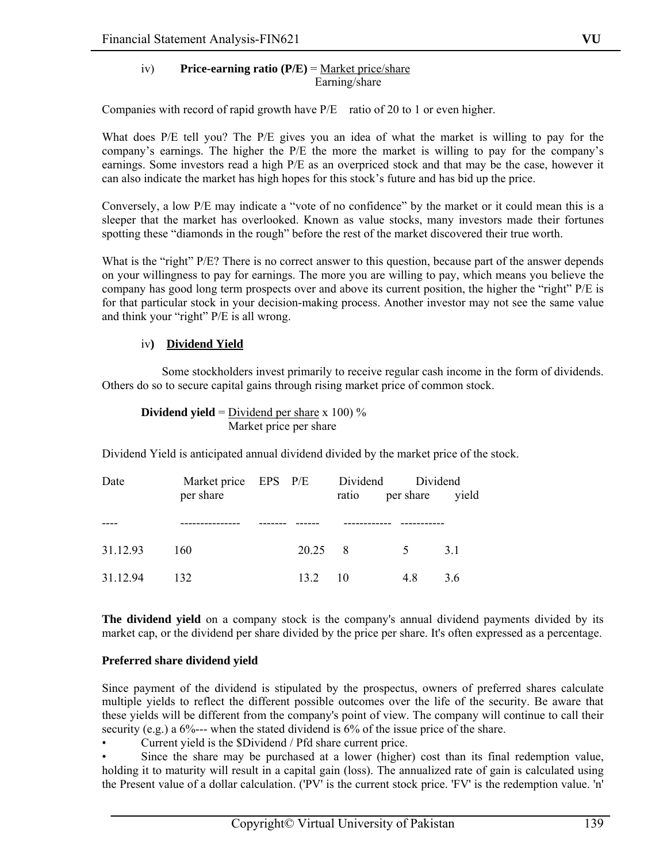#### iv) **Price-earning ratio (P/E)** = Market price/share Earning/share

Companies with record of rapid growth have P/E ratio of 20 to 1 or even higher.

What does P/E tell you? The P/E gives you an idea of what the market is willing to pay for the company's earnings. The higher the P/E the more the market is willing to pay for the company's earnings. Some investors read a high P/E as an overpriced stock and that may be the case, however it can also indicate the market has high hopes for this stock's future and has bid up the price.

Conversely, a low P/E may indicate a "vote of no confidence" by the market or it could mean this is a sleeper that the market has overlooked. Known as value stocks, many investors made their fortunes spotting these "diamonds in the rough" before the rest of the market discovered their true worth.

What is the "right" P/E? There is no correct answer to this question, because part of the answer depends on your willingness to pay for earnings. The more you are willing to pay, which means you believe the company has good long term prospects over and above its current position, the higher the "right" P/E is for that particular stock in your decision-making process. Another investor may not see the same value and think your "right" P/E is all wrong.

# iv**) Dividend Yield**

 Some stockholders invest primarily to receive regular cash income in the form of dividends. Others do so to secure capital gains through rising market price of common stock.

# **Dividend yield** = Dividend per share x 100) % Market price per share

Dividend Yield is anticipated annual dividend divided by the market price of the stock.

| Date     | Market price EPS P/E |                 |       | Dividend Dividend |     |
|----------|----------------------|-----------------|-------|-------------------|-----|
|          | per share            |                 | ratio | per share yield   |     |
|          |                      |                 |       |                   |     |
|          |                      |                 |       |                   |     |
| 31.12.93 | 160                  | 20.25 8         |       | $5\overline{)}$   | 3.1 |
| 31.12.94 | - 132                | $13.2 \quad 10$ |       | 4.8               | 3.6 |

**The dividend yield** on a company stock is the company's annual dividend payments divided by its market cap, or the dividend per share divided by the price per share. It's often expressed as a percentage.

# **Preferred share dividend yield**

Since payment of the dividend is stipulated by the prospectus, owners of preferred shares calculate multiple yields to reflect the different possible outcomes over the life of the security. Be aware that these yields will be different from the company's point of view. The company will continue to call their security (e.g.) a  $6\%$ --- when the stated dividend is  $6\%$  of the issue price of the share.

• Current yield is the \$Dividend / Pfd share current price.

• Since the share may be purchased at a lower (higher) cost than its final redemption value, holding it to maturity will result in a capital gain (loss). The annualized rate of gain is calculated using the Present value of a dollar calculation. ('PV' is the current stock price. 'FV' is the redemption value. 'n'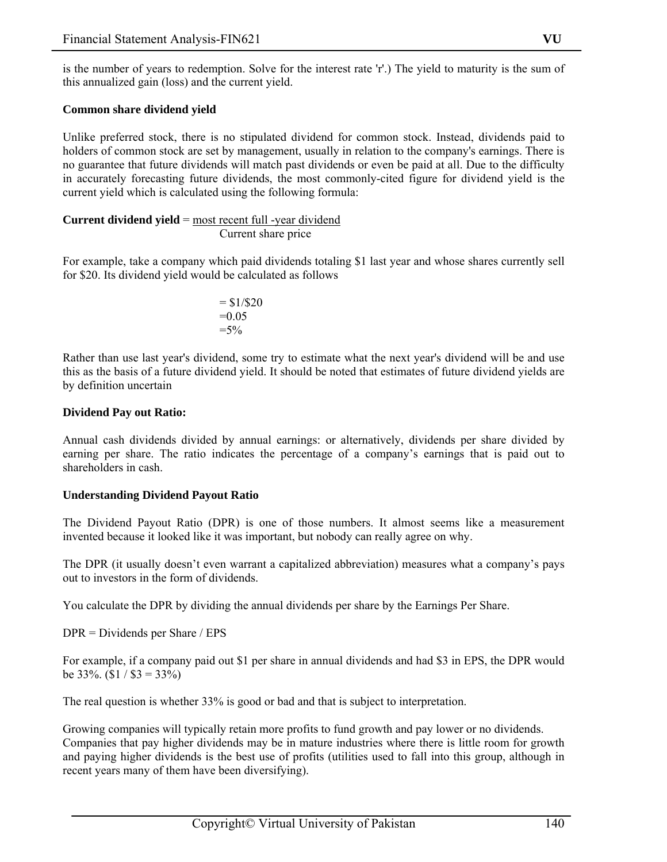is the number of years to redemption. Solve for the interest rate 'r'.) The yield to maturity is the sum of this annualized gain (loss) and the current yield.

# **Common share dividend yield**

j

Unlike preferred stock, there is no stipulated dividend for common stock. Instead, dividends paid to holders of common stock are set by management, usually in relation to the company's earnings. There is no guarantee that future dividends will match past dividends or even be paid at all. Due to the difficulty in accurately forecasting future dividends, the most commonly-cited figure for dividend yield is the current yield which is calculated using the following formula:

**Current dividend yield** = most recent full -year dividend Current share price

For example, take a company which paid dividends totaling \$1 last year and whose shares currently sell for \$20. Its dividend yield would be calculated as follows

$$
= $1/\$20
$$
  
=0.05  
=5%

Rather than use last year's dividend, some try to estimate what the next year's dividend will be and use this as the basis of a future dividend yield. It should be noted that estimates of future dividend yields are by definition uncertain

# **Dividend Pay out Ratio:**

Annual cash dividends divided by annual earnings: or alternatively, dividends per share divided by earning per share. The ratio indicates the percentage of a company's earnings that is paid out to shareholders in cash.

# **Understanding Dividend Payout Ratio**

The Dividend Payout Ratio (DPR) is one of those numbers. It almost seems like a measurement invented because it looked like it was important, but nobody can really agree on why.

The DPR (it usually doesn't even warrant a capitalized abbreviation) measures what a company's pays out to investors in the form of dividends.

You calculate the DPR by dividing the annual dividends per share by the Earnings Per Share.

DPR = Dividends per Share / EPS

For example, if a company paid out \$1 per share in annual dividends and had \$3 in EPS, the DPR would be  $33\%$ . (\$1 / \$3 = 33%)

The real question is whether 33% is good or bad and that is subject to interpretation.

Growing companies will typically retain more profits to fund growth and pay lower or no dividends. Companies that pay higher dividends may be in mature industries where there is little room for growth and paying higher dividends is the best use of profits (utilities used to fall into this group, although in recent years many of them have been diversifying).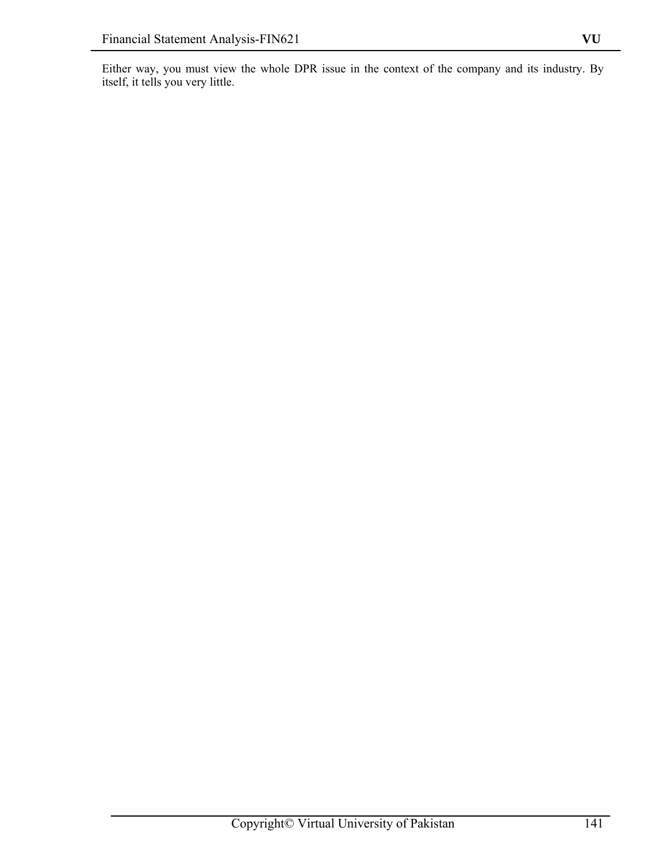Either way, you must view the whole DPR issue in the context of the company and its industry. By itself, it tells you very little.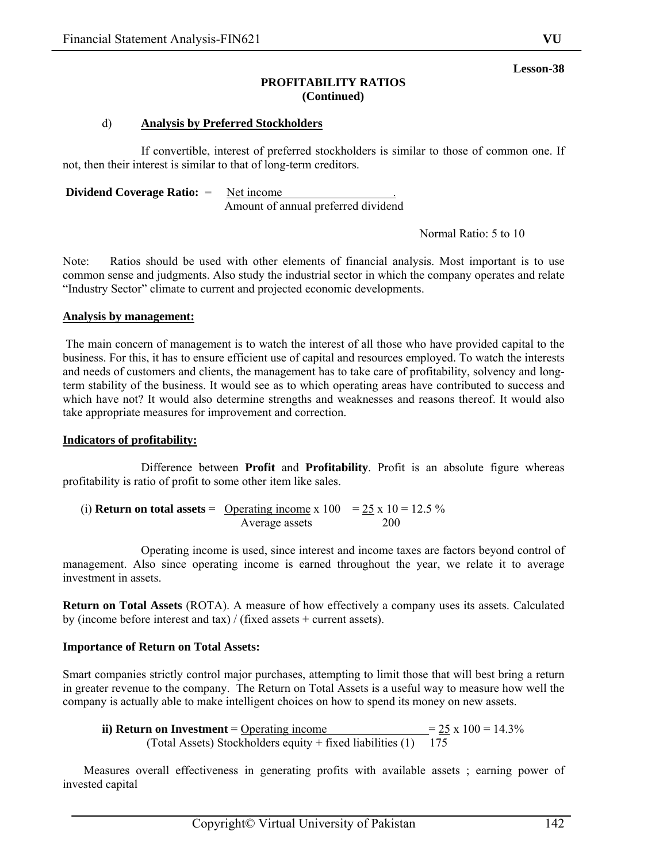#### **PROFITABILITY RATIOS (Continued)**

### d) **Analysis by Preferred Stockholders**

 If convertible, interest of preferred stockholders is similar to those of common one. If not, then their interest is similar to that of long-term creditors.

**Dividend Coverage Ratio:** = Net income Amount of annual preferred dividend

Normal Ratio: 5 to 10

Note: Ratios should be used with other elements of financial analysis. Most important is to use common sense and judgments. Also study the industrial sector in which the company operates and relate "Industry Sector" climate to current and projected economic developments.

#### **Analysis by management:**

 The main concern of management is to watch the interest of all those who have provided capital to the business. For this, it has to ensure efficient use of capital and resources employed. To watch the interests and needs of customers and clients, the management has to take care of profitability, solvency and longterm stability of the business. It would see as to which operating areas have contributed to success and which have not? It would also determine strengths and weaknesses and reasons thereof. It would also take appropriate measures for improvement and correction.

#### **Indicators of profitability:**

 Difference between **Profit** and **Profitability**. Profit is an absolute figure whereas profitability is ratio of profit to some other item like sales.

(i) **Return on total assets** = Operating income x  $100 = 25 \times 10 = 12.5 \%$ Average assets 200

 Operating income is used, since interest and income taxes are factors beyond control of management. Also since operating income is earned throughout the year, we relate it to average investment in assets.

**Return on Total Assets** (ROTA). A measure of how effectively a company uses its assets. Calculated by (income before interest and tax) / (fixed assets + current assets).

# **Importance of Return on Total Assets:**

Smart companies strictly control major purchases, attempting to limit those that will best bring a return in greater revenue to the company. The Return on Total Assets is a useful way to measure how well the company is actually able to make intelligent choices on how to spend its money on new assets.

**ii) Return on Investment** =  $\overline{\text{Operating income}}$  =  $\frac{25 \times 100}{14.3\%}$ (Total Assets) Stockholders equity + fixed liabilities (1) 175

 Measures overall effectiveness in generating profits with available assets ; earning power of invested capital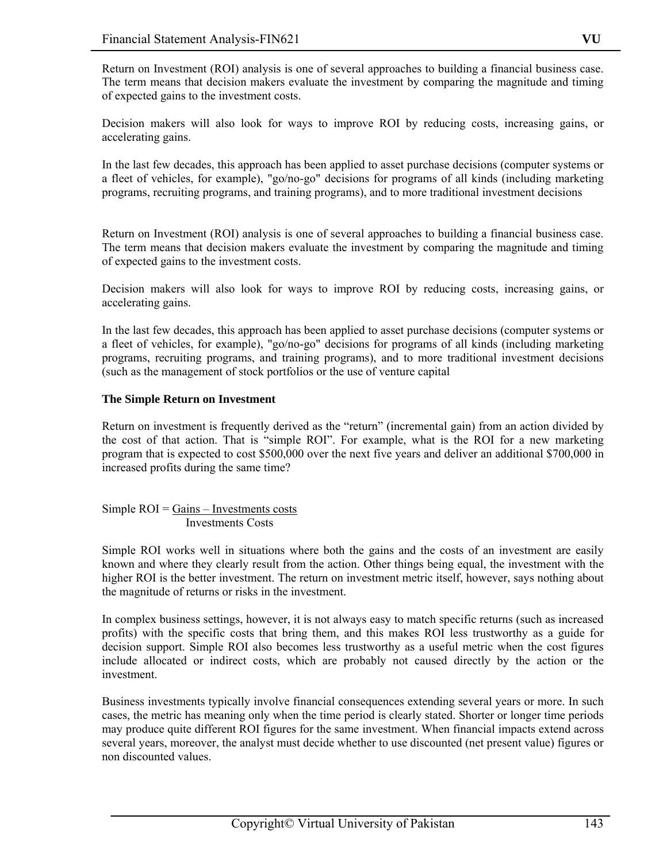Return on Investment (ROI) analysis is one of several approaches to building a financial business case. The term means that decision makers evaluate the investment by comparing the magnitude and timing of expected gains to the investment costs.

Decision makers will also look for ways to improve ROI by reducing costs, increasing gains, or accelerating gains.

In the last few decades, this approach has been applied to asset purchase decisions (computer systems or a fleet of vehicles, for example), "go/no-go" decisions for programs of all kinds (including marketing programs, recruiting programs, and training programs), and to more traditional investment decisions

Return on Investment (ROI) analysis is one of several approaches to building a financial business case. The term means that decision makers evaluate the investment by comparing the magnitude and timing of expected gains to the investment costs.

Decision makers will also look for ways to improve ROI by reducing costs, increasing gains, or accelerating gains.

In the last few decades, this approach has been applied to asset purchase decisions (computer systems or a fleet of vehicles, for example), "go/no-go" decisions for programs of all kinds (including marketing programs, recruiting programs, and training programs), and to more traditional investment decisions (such as the management of stock portfolios or the use of venture capital

#### **The Simple Return on Investment**

Return on investment is frequently derived as the "return" (incremental gain) from an action divided by the cost of that action. That is "simple ROI". For example, what is the ROI for a new marketing program that is expected to cost \$500,000 over the next five years and deliver an additional \$700,000 in increased profits during the same time?

Simple ROI = Gains – Investments costs Investments Costs

Simple ROI works well in situations where both the gains and the costs of an investment are easily known and where they clearly result from the action. Other things being equal, the investment with the higher ROI is the better investment. The return on investment metric itself, however, says nothing about the magnitude of returns or risks in the investment.

In complex business settings, however, it is not always easy to match specific returns (such as increased profits) with the specific costs that bring them, and this makes ROI less trustworthy as a guide for decision support. Simple ROI also becomes less trustworthy as a useful metric when the cost figures include allocated or indirect costs, which are probably not caused directly by the action or the investment.

Business investments typically involve financial consequences extending several years or more. In such cases, the metric has meaning only when the time period is clearly stated. Shorter or longer time periods may produce quite different ROI figures for the same investment. When financial impacts extend across several years, moreover, the analyst must decide whether to use discounted (net present value) figures or non discounted values.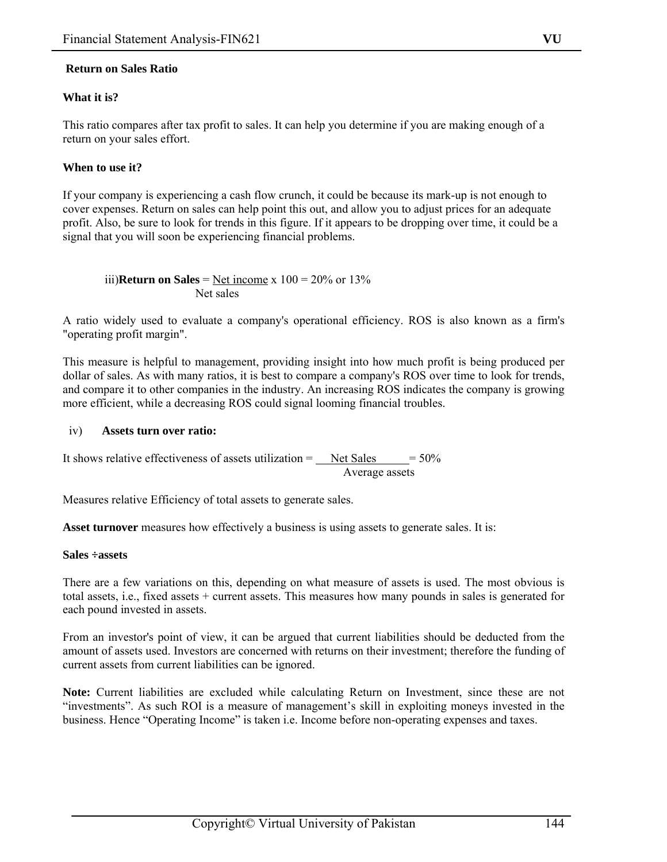# **Return on Sales Ratio**

#### **What it is?**

j

This ratio compares after tax profit to sales. It can help you determine if you are making enough of a return on your sales effort.

#### **When to use it?**

If your company is experiencing a cash flow crunch, it could be because its mark-up is not enough to cover expenses. Return on sales can help point this out, and allow you to adjust prices for an adequate profit. Also, be sure to look for trends in this figure. If it appears to be dropping over time, it could be a signal that you will soon be experiencing financial problems.

iii)**Return on Sales** = <u>Net income</u> x  $100 = 20\%$  or  $13\%$ Net sales

A ratio widely used to evaluate a company's operational efficiency. ROS is also known as a firm's "operating profit margin".

This measure is helpful to management, providing insight into how much profit is being produced per dollar of sales. As with many ratios, it is best to compare a company's ROS over time to look for trends, and compare it to other companies in the industry. An increasing ROS indicates the company is growing more efficient, while a decreasing ROS could signal looming financial troubles.

#### iv) **Assets turn over ratio:**

It shows relative effectiveness of assets utilization = Net Sales  $= 50\%$ Average assets

Measures relative Efficiency of total assets to generate sales.

**Asset turnover** measures how effectively a business is using assets to generate sales. It is:

#### **Sales ÷assets**

There are a few variations on this, depending on what measure of assets is used. The most obvious is total assets, i.e., fixed assets + current assets. This measures how many pounds in sales is generated for each pound invested in assets.

From an investor's point of view, it can be argued that current liabilities should be deducted from the amount of assets used. Investors are concerned with returns on their investment; therefore the funding of current assets from current liabilities can be ignored.

**Note:** Current liabilities are excluded while calculating Return on Investment, since these are not "investments". As such ROI is a measure of management's skill in exploiting moneys invested in the business. Hence "Operating Income" is taken i.e. Income before non-operating expenses and taxes.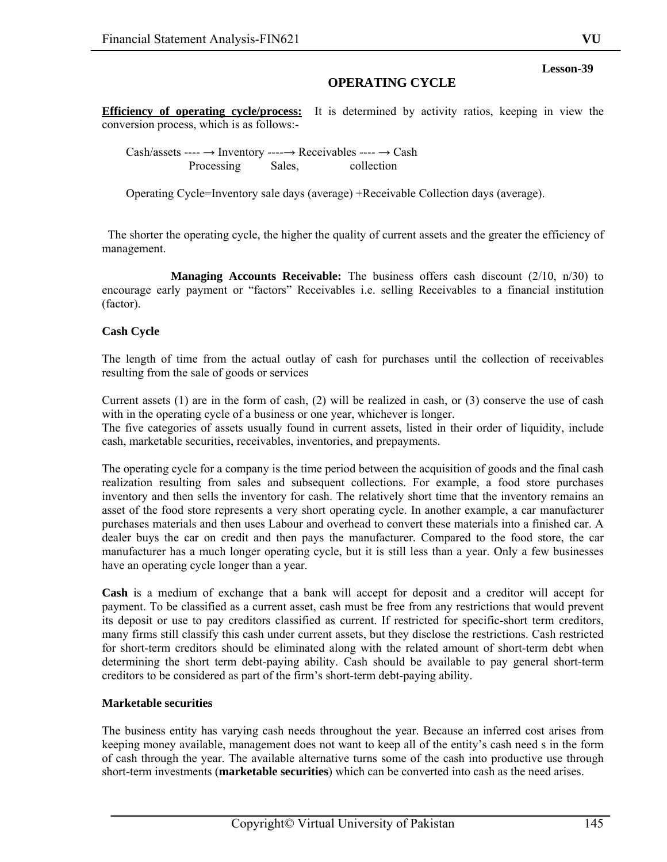## **OPERATING CYCLE**

**Efficiency of operating cycle/process:** It is determined by activity ratios, keeping in view the conversion process, which is as follows:-

 $Cash/assets \n--- \n}- Inventory \n--- \n+ Receivables \n--- \n- Cash$ Processing Sales, collection

Operating Cycle=Inventory sale days (average) +Receivable Collection days (average).

 The shorter the operating cycle, the higher the quality of current assets and the greater the efficiency of management.

 **Managing Accounts Receivable:** The business offers cash discount (2/10, n/30) to encourage early payment or "factors" Receivables i.e. selling Receivables to a financial institution (factor).

### **Cash Cycle**

j

The length of time from the actual outlay of cash for purchases until the collection of receivables resulting from the sale of goods or services

Current assets (1) are in the form of cash, (2) will be realized in cash, or (3) conserve the use of cash with in the operating cycle of a business or one year, whichever is longer.

The five categories of assets usually found in current assets, listed in their order of liquidity, include cash, marketable securities, receivables, inventories, and prepayments.

The operating cycle for a company is the time period between the acquisition of goods and the final cash realization resulting from sales and subsequent collections. For example, a food store purchases inventory and then sells the inventory for cash. The relatively short time that the inventory remains an asset of the food store represents a very short operating cycle. In another example, a car manufacturer purchases materials and then uses Labour and overhead to convert these materials into a finished car. A dealer buys the car on credit and then pays the manufacturer. Compared to the food store, the car manufacturer has a much longer operating cycle, but it is still less than a year. Only a few businesses have an operating cycle longer than a year.

**Cash** is a medium of exchange that a bank will accept for deposit and a creditor will accept for payment. To be classified as a current asset, cash must be free from any restrictions that would prevent its deposit or use to pay creditors classified as current. If restricted for specific-short term creditors, many firms still classify this cash under current assets, but they disclose the restrictions. Cash restricted for short-term creditors should be eliminated along with the related amount of short-term debt when determining the short term debt-paying ability. Cash should be available to pay general short-term creditors to be considered as part of the firm's short-term debt-paying ability.

#### **Marketable securities**

The business entity has varying cash needs throughout the year. Because an inferred cost arises from keeping money available, management does not want to keep all of the entity's cash need s in the form of cash through the year. The available alternative turns some of the cash into productive use through short-term investments (**marketable securities**) which can be converted into cash as the need arises.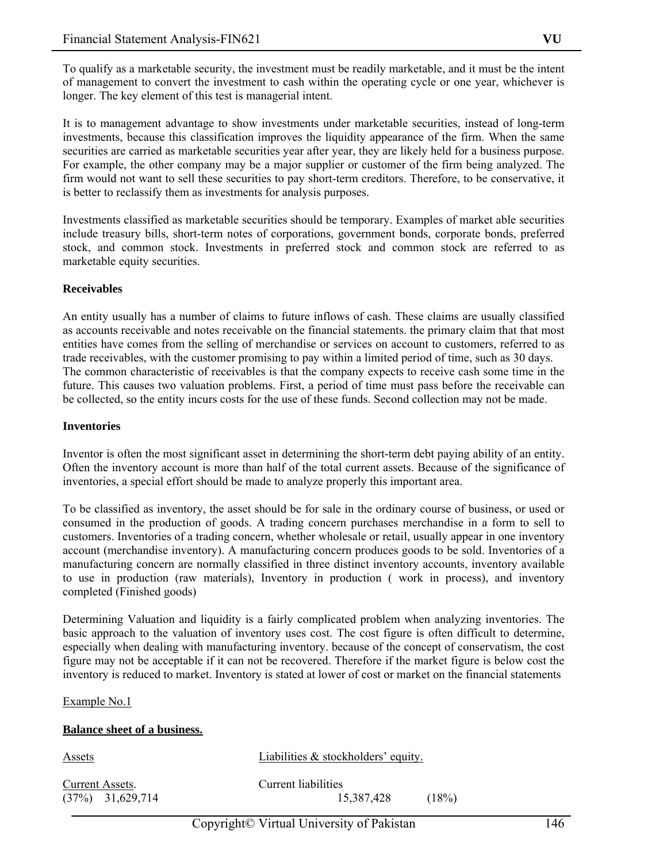To qualify as a marketable security, the investment must be readily marketable, and it must be the intent of management to convert the investment to cash within the operating cycle or one year, whichever is longer. The key element of this test is managerial intent.

It is to management advantage to show investments under marketable securities, instead of long-term investments, because this classification improves the liquidity appearance of the firm. When the same securities are carried as marketable securities year after year, they are likely held for a business purpose. For example, the other company may be a major supplier or customer of the firm being analyzed. The firm would not want to sell these securities to pay short-term creditors. Therefore, to be conservative, it is better to reclassify them as investments for analysis purposes.

Investments classified as marketable securities should be temporary. Examples of market able securities include treasury bills, short-term notes of corporations, government bonds, corporate bonds, preferred stock, and common stock. Investments in preferred stock and common stock are referred to as marketable equity securities.

### **Receivables**

j

An entity usually has a number of claims to future inflows of cash. These claims are usually classified as accounts receivable and notes receivable on the financial statements. the primary claim that that most entities have comes from the selling of merchandise or services on account to customers, referred to as trade receivables, with the customer promising to pay within a limited period of time, such as 30 days. The common characteristic of receivables is that the company expects to receive cash some time in the future. This causes two valuation problems. First, a period of time must pass before the receivable can be collected, so the entity incurs costs for the use of these funds. Second collection may not be made.

### **Inventories**

Inventor is often the most significant asset in determining the short-term debt paying ability of an entity. Often the inventory account is more than half of the total current assets. Because of the significance of inventories, a special effort should be made to analyze properly this important area.

To be classified as inventory, the asset should be for sale in the ordinary course of business, or used or consumed in the production of goods. A trading concern purchases merchandise in a form to sell to customers. Inventories of a trading concern, whether wholesale or retail, usually appear in one inventory account (merchandise inventory). A manufacturing concern produces goods to be sold. Inventories of a manufacturing concern are normally classified in three distinct inventory accounts, inventory available to use in production (raw materials), Inventory in production ( work in process), and inventory completed (Finished goods)

Determining Valuation and liquidity is a fairly complicated problem when analyzing inventories. The basic approach to the valuation of inventory uses cost. The cost figure is often difficult to determine, especially when dealing with manufacturing inventory. because of the concept of conservatism, the cost figure may not be acceptable if it can not be recovered. Therefore if the market figure is below cost the inventory is reduced to market. Inventory is stated at lower of cost or market on the financial statements

Example No.1

|  | <b>Balance sheet of a business.</b> |
|--|-------------------------------------|
|  |                                     |

Assets Liabilities & stockholders' equity.

Current Assets. Current liabilities (37%) 31,629,714 15,387,428 (18%)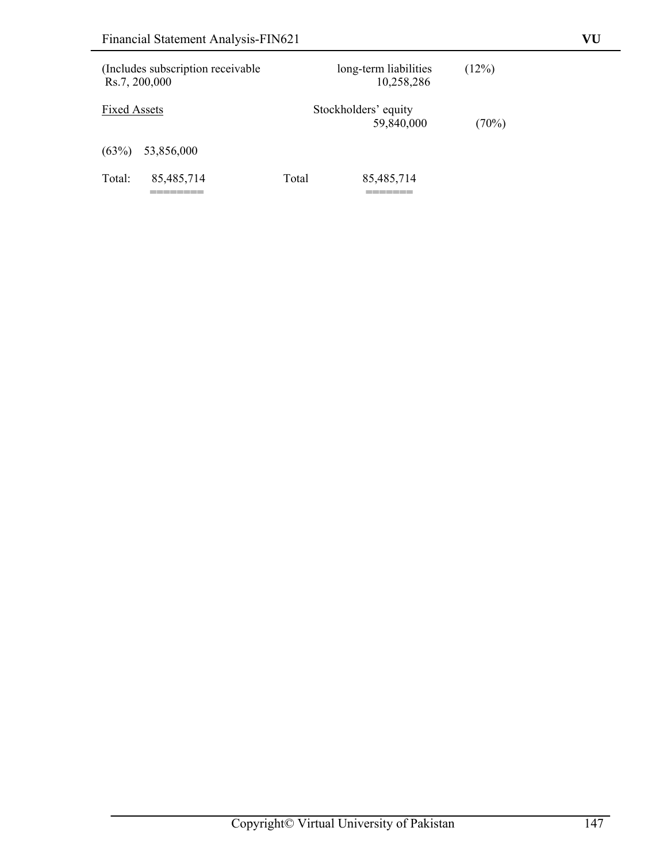| Rs.7, 200,000       | (Includes subscription receivable) |       | long-term liabilities<br>10,258,286 | $(12\%)$ |
|---------------------|------------------------------------|-------|-------------------------------------|----------|
| <b>Fixed Assets</b> |                                    |       | Stockholders' equity<br>59,840,000  | (70%)    |
| (63%)               | 53,856,000                         |       |                                     |          |
| Total:              | 85,485,714                         | Total | 85,485,714                          |          |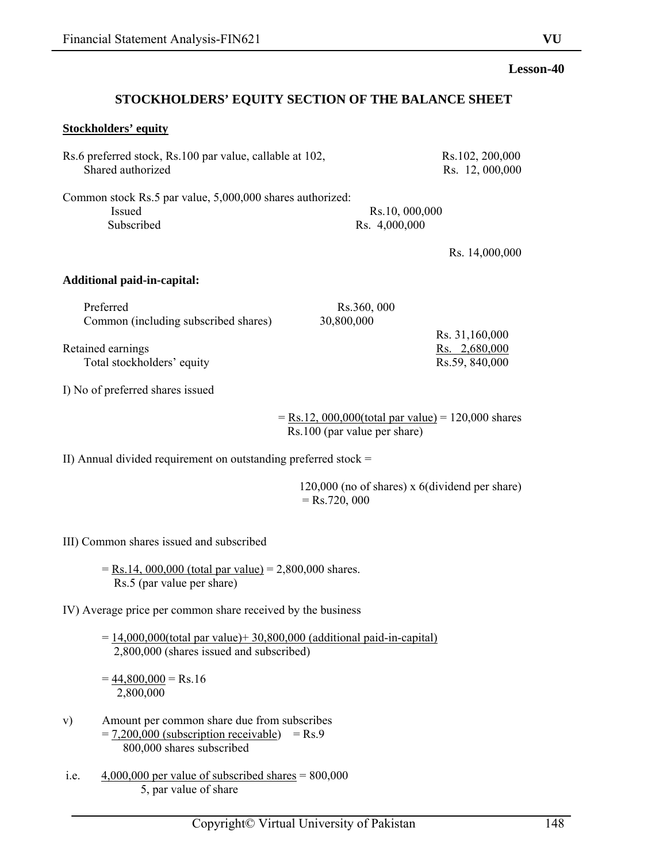### **Lesson-40**

## **STOCKHOLDERS' EQUITY SECTION OF THE BALANCE SHEET**

### **Stockholders' equity**

j

| Rs.6 preferred stock, Rs.100 par value, callable at 102,<br>Shared authorized     |                                 | Rs.102, 200,000<br>Rs. 12, 000,000                |
|-----------------------------------------------------------------------------------|---------------------------------|---------------------------------------------------|
| Common stock Rs.5 par value, 5,000,000 shares authorized:<br>Issued<br>Subscribed | Rs.10, 000,000<br>Rs. 4,000,000 |                                                   |
|                                                                                   |                                 | Rs. 14,000,000                                    |
| <b>Additional paid-in-capital:</b>                                                |                                 |                                                   |
| Preferred<br>Common (including subscribed shares)                                 | Rs.360, 000<br>30,800,000       |                                                   |
| Retained earnings<br>Total stockholders' equity                                   |                                 | Rs. 31,160,000<br>Rs. 2,680,000<br>Rs.59, 840,000 |

I) No of preferred shares issued

 $=$  Rs.12, 000,000(total par value)  $= 120,000$  shares Rs.100 (par value per share)

II) Annual divided requirement on outstanding preferred stock =

 120,000 (no of shares) x 6(dividend per share)  $=$  Rs.720, 000

III) Common shares issued and subscribed

 $=$  Rs.14, 000,000 (total par value) = 2,800,000 shares. Rs.5 (par value per share)

IV) Average price per common share received by the business

 $= 14,000,000$ (total par value) + 30,800,000 (additional paid-in-capital) 2,800,000 (shares issued and subscribed)

 $= 44,800,000 =$ Rs.16 2,800,000

- v) Amount per common share due from subscribes  $= 7,200,000$  (subscription receivable)  $=$  Rs.9 800,000 shares subscribed
- i.e.  $\frac{4,000,000}{4}$  per value of subscribed shares = 800,000 5, par value of share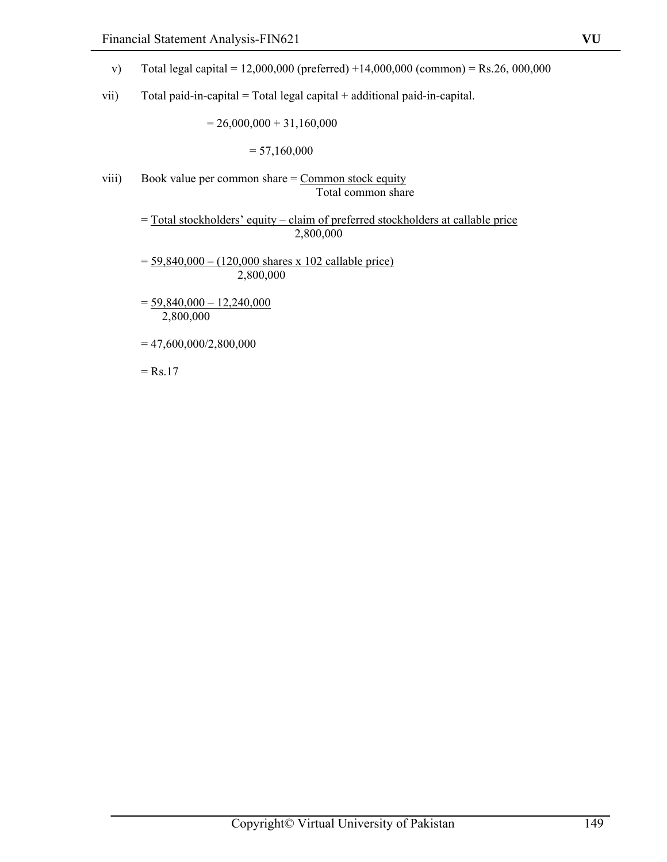- v) Total legal capital = 12,000,000 (preferred) +14,000,000 (common) = Rs.26, 000,000
- vii) Total paid-in-capital = Total legal capital + additional paid-in-capital.

$$
= 26,000,000 + 31,160,000
$$

 $= 57,160,000$ 

- viii) Book value per common share  $=$  Common stock equity Total common share
	- = Total stockholders' equity claim of preferred stockholders at callable price 2,800,000
	- $= 59,840,000 (120,000 \text{ shares x } 102 \text{ callable price})$ 2,800,000

 $= 59,840,000 - 12,240,000$ 2,800,000

 $= 47,600,000/2,800,000$ 

 $=$  Rs.17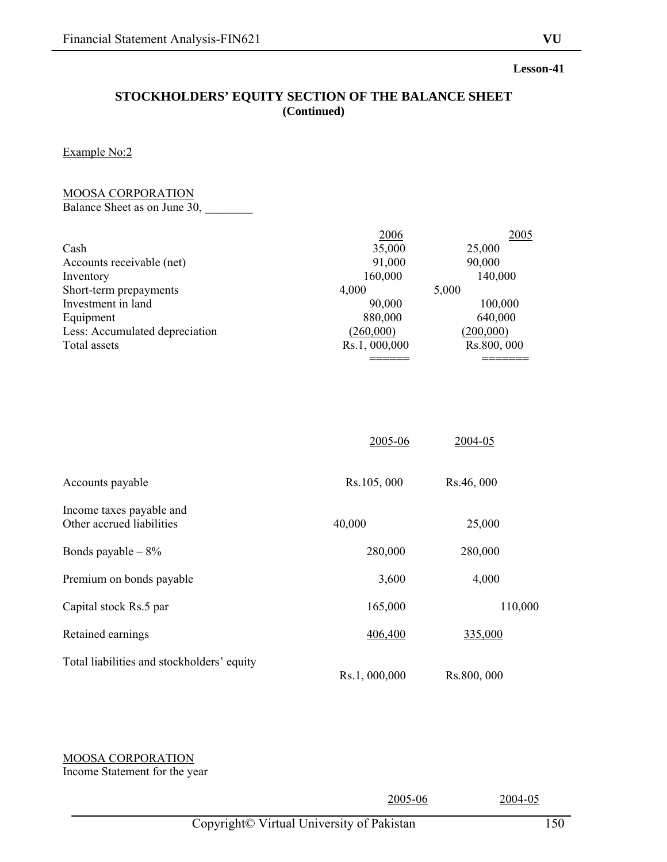### **Lesson-41**

## **STOCKHOLDERS' EQUITY SECTION OF THE BALANCE SHEET (Continued)**

Example No:2

j

## MOOSA CORPORATION

Balance Sheet as on June 30, \_\_\_\_\_\_\_\_

|                                | 2006          | 2005        |
|--------------------------------|---------------|-------------|
| Cash                           | 35,000        | 25,000      |
| Accounts receivable (net)      | 91,000        | 90,000      |
| Inventory                      | 160,000       | 140,000     |
| Short-term prepayments         | 4,000         | 5,000       |
| Investment in land             | 90,000        | 100,000     |
| Equipment                      | 880,000       | 640,000     |
| Less: Accumulated depreciation | (260,000)     | (200,000)   |
| Total assets                   | Rs.1, 000,000 | Rs.800, 000 |
|                                |               |             |
|                                |               |             |
|                                |               |             |

|                                                       | 2005-06       | 2004-05     |
|-------------------------------------------------------|---------------|-------------|
| Accounts payable                                      | Rs.105,000    | Rs.46,000   |
| Income taxes payable and<br>Other accrued liabilities | 40,000        | 25,000      |
| Bonds payable $-8\%$                                  | 280,000       | 280,000     |
| Premium on bonds payable                              | 3,600         | 4,000       |
| Capital stock Rs.5 par                                | 165,000       | 110,000     |
| Retained earnings                                     | 406,400       | 335,000     |
| Total liabilities and stockholders' equity            | Rs.1, 000,000 | Rs.800, 000 |

#### MOOSA CORPORATION

Income Statement for the year

2005-06 2004-05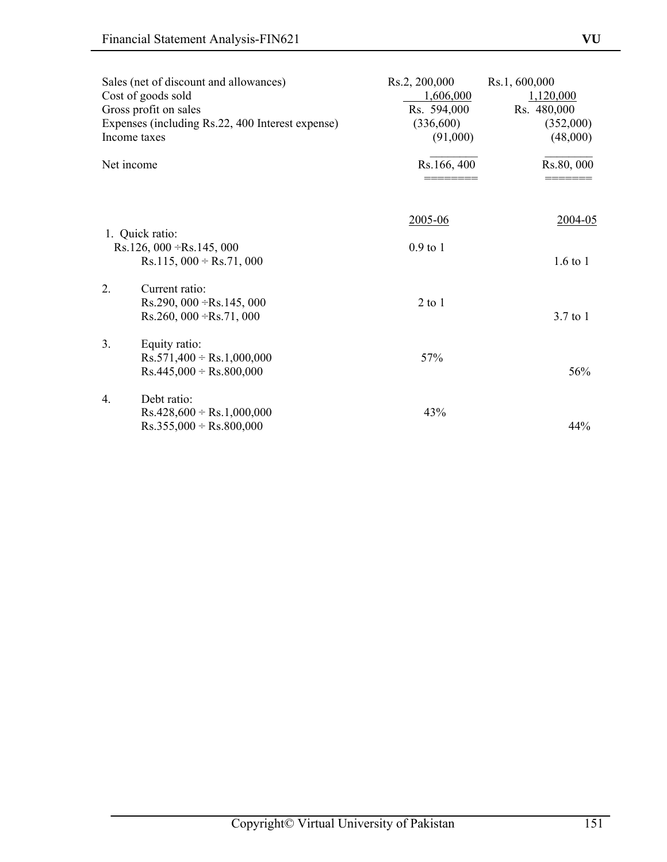|                | Sales (net of discount and allowances)<br>Cost of goods sold<br>Gross profit on sales  | Rs.2, 200,000<br>1,606,000<br>Rs. 594,000 | Rs.1, 600,000<br>1,120,000<br>Rs. 480,000 |
|----------------|----------------------------------------------------------------------------------------|-------------------------------------------|-------------------------------------------|
|                | Expenses (including Rs.22, 400 Interest expense)<br>Income taxes                       | (336,600)<br>(91,000)                     | (352,000)<br>(48,000)                     |
|                | Net income                                                                             | Rs.166, 400                               | Rs.80, 000                                |
|                |                                                                                        | 2005-06                                   | 2004-05                                   |
|                | 1. Quick ratio:<br>Rs.126, 000 $\div$ Rs.145, 000<br>$Rs.115$ , $000 \div Rs.71$ , 000 | $0.9$ to 1                                | $1.6 \text{ to } 1$                       |
| 2.             | Current ratio:<br>Rs.290, 000 $\div$ Rs.145, 000<br>Rs.260, 000 $\div$ Rs.71, 000      | $2$ to $1$                                | $3.7$ to $1$                              |
| 3 <sub>1</sub> | Equity ratio:<br>$Rs.571,400 \div Rs.1,000,000$<br>$Rs.445,000 \div Rs.800,000$        | 57%                                       | 56%                                       |
| 4.             | Debt ratio:<br>$Rs.428,600 \div Rs.1,000,000$<br>$Rs.355,000 \div Rs.800,000$          | 43%                                       | 44%                                       |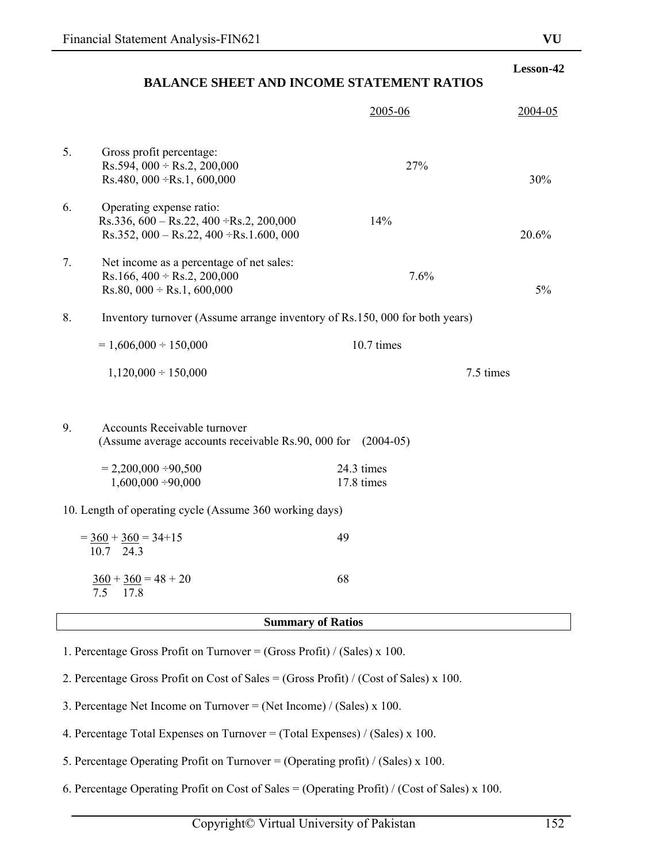|    | <b>BALANCE SHEET AND INCOME STATEMENT RATIOS</b>                                                                                 |                          | Lesson-42 |
|----|----------------------------------------------------------------------------------------------------------------------------------|--------------------------|-----------|
|    |                                                                                                                                  | 2005-06                  | 2004-05   |
| 5. | Gross profit percentage:<br>$Rs.594,000 \div Rs.2,200,000$<br>Rs.480, $000 \div$ Rs.1, 600,000                                   | 27%                      | 30%       |
| 6. | Operating expense ratio:<br>Rs.336, $600 - Rs.22$ , $400 \div Rs.2$ , $200,000$<br>Rs.352, 000 - Rs.22, 400 $\div$ Rs.1.600, 000 | 14%                      | 20.6%     |
| 7. | Net income as a percentage of net sales:<br>Rs.166, $400 \div$ Rs.2, 200,000<br>$Rs.80,000 \div Rs.1,600,000$                    | 7.6%                     | 5%        |
| 8. | Inventory turnover (Assume arrange inventory of Rs.150, 000 for both years)                                                      |                          |           |
|    | $= 1,606,000 \div 150,000$                                                                                                       | 10.7 times               |           |
|    | $1,120,000 \div 150,000$                                                                                                         |                          | 7.5 times |
| 9. | Accounts Receivable turnover<br>(Assume average accounts receivable Rs.90, 000 for (2004-05)                                     |                          |           |
|    | $= 2,200,000 \div 90,500$<br>$1,600,000 \div 90,000$                                                                             | 24.3 times<br>17.8 times |           |
|    | 10. Length of operating cycle (Assume 360 working days)                                                                          |                          |           |
|    | $=$ 360 + 360 = 34+15<br>10.7 24.3                                                                                               | 49                       |           |
|    | $\frac{360 + 360}{2} = 48 + 20$<br>7.5<br>17.8                                                                                   | 68                       |           |

# **Summary of Ratios**

1. Percentage Gross Profit on Turnover = (Gross Profit) / (Sales) x 100.

- 2. Percentage Gross Profit on Cost of Sales = (Gross Profit) / (Cost of Sales) x 100.
- 3. Percentage Net Income on Turnover = (Net Income) / (Sales) x 100.
- 4. Percentage Total Expenses on Turnover = (Total Expenses) / (Sales) x 100.
- 5. Percentage Operating Profit on Turnover = (Operating profit) / (Sales) x 100.
- 6. Percentage Operating Profit on Cost of Sales = (Operating Profit) / (Cost of Sales) x 100.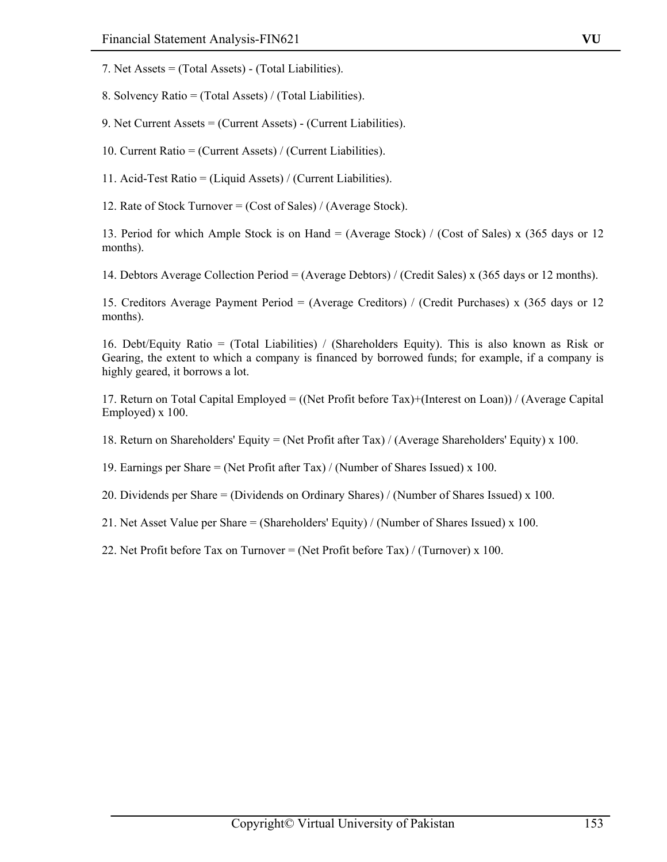- 7. Net Assets = (Total Assets) (Total Liabilities).
- 8. Solvency Ratio = (Total Assets) / (Total Liabilities).
- 9. Net Current Assets = (Current Assets) (Current Liabilities).
- 10. Current Ratio = (Current Assets) / (Current Liabilities).
- 11. Acid-Test Ratio = (Liquid Assets) / (Current Liabilities).
- 12. Rate of Stock Turnover = (Cost of Sales) / (Average Stock).

13. Period for which Ample Stock is on Hand = (Average Stock) / (Cost of Sales) x (365 days or 12 months).

14. Debtors Average Collection Period = (Average Debtors) / (Credit Sales) x (365 days or 12 months).

15. Creditors Average Payment Period = (Average Creditors) / (Credit Purchases) x (365 days or 12 months).

16. Debt/Equity Ratio = (Total Liabilities) / (Shareholders Equity). This is also known as Risk or Gearing, the extent to which a company is financed by borrowed funds; for example, if a company is highly geared, it borrows a lot.

17. Return on Total Capital Employed = ((Net Profit before Tax)+(Interest on Loan)) / (Average Capital Employed) x 100.

18. Return on Shareholders' Equity = (Net Profit after Tax) / (Average Shareholders' Equity) x 100.

19. Earnings per Share = (Net Profit after Tax) / (Number of Shares Issued) x 100.

20. Dividends per Share = (Dividends on Ordinary Shares) / (Number of Shares Issued) x 100.

21. Net Asset Value per Share = (Shareholders' Equity) / (Number of Shares Issued) x 100.

22. Net Profit before Tax on Turnover = (Net Profit before Tax) / (Turnover) x 100.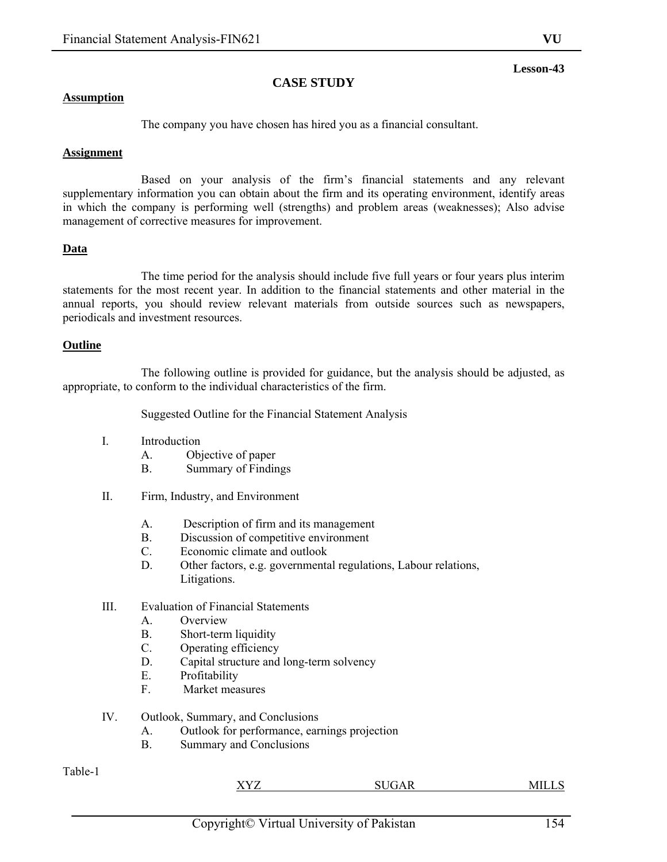#### **Lesson-43**

### **CASE STUDY**

#### **Assumption**

j

The company you have chosen has hired you as a financial consultant.

#### **Assignment**

 Based on your analysis of the firm's financial statements and any relevant supplementary information you can obtain about the firm and its operating environment, identify areas in which the company is performing well (strengths) and problem areas (weaknesses); Also advise management of corrective measures for improvement.

#### **Data**

 The time period for the analysis should include five full years or four years plus interim statements for the most recent year. In addition to the financial statements and other material in the annual reports, you should review relevant materials from outside sources such as newspapers, periodicals and investment resources.

#### **Outline**

 The following outline is provided for guidance, but the analysis should be adjusted, as appropriate, to conform to the individual characteristics of the firm.

Suggested Outline for the Financial Statement Analysis

- I. Introduction
	- A. Objective of paper
	- B. Summary of Findings
- II. Firm, Industry, and Environment
	- A. Description of firm and its management
	- B. Discussion of competitive environment
	- C. Economic climate and outlook
	- D. Other factors, e.g. governmental regulations, Labour relations, Litigations.
- III. Evaluation of Financial Statements
	- A. Overview
	- B. Short-term liquidity
	- C. Operating efficiency
	- D. Capital structure and long-term solvency
	- E. Profitability<br>F. Market mea
	- Market measures
- IV. Outlook, Summary, and Conclusions
	- A. Outlook for performance, earnings projection
	- B. Summary and Conclusions

Table-1

| VV7<br>AIL | <b>SUGAR</b> | <b>MILLS</b> |
|------------|--------------|--------------|
|------------|--------------|--------------|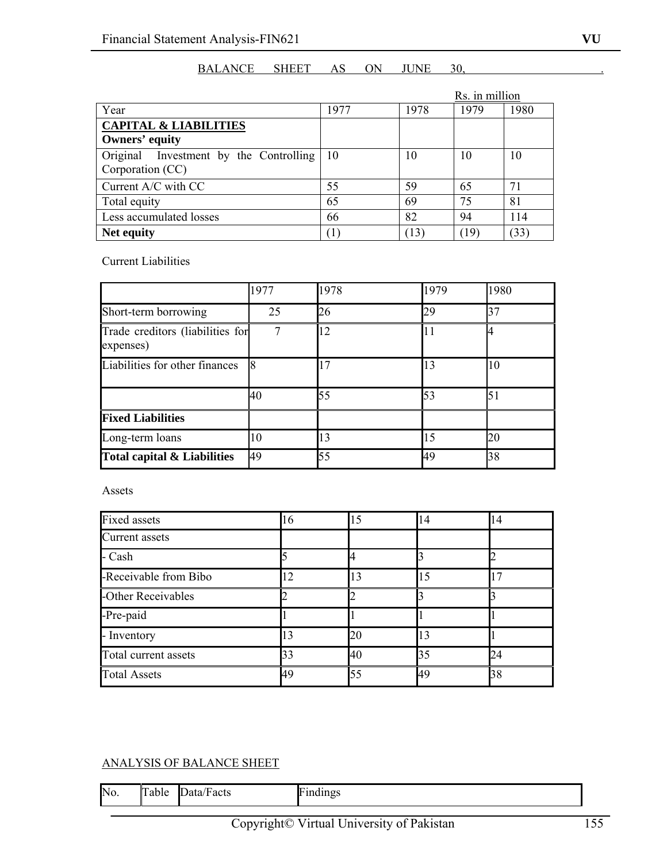## BALANCE SHEET AS ON JUNE 30,

|                                        |                 |      | Rs. in million |      |
|----------------------------------------|-----------------|------|----------------|------|
| Year                                   | 1977            | 1978 | 1979           | 1980 |
| <b>CAPITAL &amp; LIABILITIES</b>       |                 |      |                |      |
| Owners' equity                         |                 |      |                |      |
| Original Investment by the Controlling | $\overline{10}$ | 10   | 10             | 10   |
| Corporation (CC)                       |                 |      |                |      |
| Current A/C with CC                    | 55              | 59   | 65             | 71   |
| Total equity                           | 65              | 69   | 75             | 81   |
| Less accumulated losses                | 66              | 82   | 94             | 114  |
| Net equity                             | (1)             | (13) | (19)           | (33) |

Current Liabilities

j

|                                               | 1977 | 1978 | 1979 | 1980 |
|-----------------------------------------------|------|------|------|------|
| Short-term borrowing                          | 25   | 26   | 29   | 37   |
| Trade creditors (liabilities for<br>expenses) |      | 12   | 11   |      |
| Liabilities for other finances                |      | 17   | 13   | 10   |
|                                               | 40   | 55   | 53   | 51   |
| <b>Fixed Liabilities</b>                      |      |      |      |      |
| Long-term loans                               | 10   | 13   | 15   | 20   |
| <b>Total capital &amp; Liabilities</b>        | 49   | 55   | 49   | 38   |

Assets

| Fixed assets          | 16 | 15 | 14 | 14 |
|-----------------------|----|----|----|----|
| <b>Current</b> assets |    |    |    |    |
| - Cash                |    |    |    |    |
| -Receivable from Bibo | 12 | 13 |    |    |
| -Other Receivables    |    |    |    |    |
| -Pre-paid             |    |    |    |    |
| - Inventory           | 3  | 20 |    |    |
| Total current assets  | 33 | 40 | 35 | 24 |
| <b>Total Assets</b>   | 49 | 55 | 49 | 38 |

## ANALYSIS OF BALANCE SHEET

| No.<br>$\sim$<br>Table<br>'Facts<br>∣Data/ | 'ındıngs |
|--------------------------------------------|----------|
|--------------------------------------------|----------|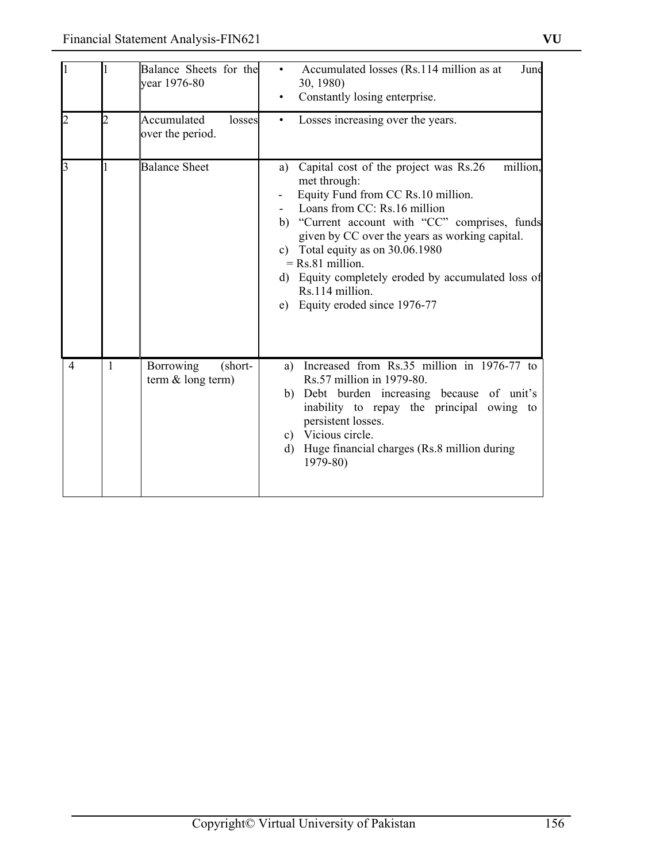|                |              | Balance Sheets for the<br>year 1976-80      | Accumulated losses (Rs.114 million as at<br>June<br>30, 1980)<br>Constantly losing enterprise.                                                                                                                                                                                                                                                                                                                           |
|----------------|--------------|---------------------------------------------|--------------------------------------------------------------------------------------------------------------------------------------------------------------------------------------------------------------------------------------------------------------------------------------------------------------------------------------------------------------------------------------------------------------------------|
| $\overline{2}$ | 2            | Accumulated<br>losses<br>over the period.   | Losses increasing over the years.                                                                                                                                                                                                                                                                                                                                                                                        |
| 3              |              | <b>Balance Sheet</b>                        | Capital cost of the project was Rs.26<br>million,<br>a)<br>met through:<br>Equity Fund from CC Rs.10 million.<br>Loans from CC: Rs.16 million<br>b) "Current account with "CC" comprises, funds<br>given by CC over the years as working capital.<br>c) Total equity as on $30.06.1980$<br>$=$ Rs.81 million.<br>d) Equity completely eroded by accumulated loss of<br>Rs.114 million.<br>e) Equity eroded since 1976-77 |
| $\overline{4}$ | $\mathbf{1}$ | (short-<br>Borrowing<br>term $&$ long term) | Increased from Rs.35 million in 1976-77 to<br>a)<br>Rs.57 million in 1979-80.<br>b) Debt burden increasing because of unit's<br>inability to repay the principal owing to<br>persistent losses.<br>c) Vicious circle.<br>Huge financial charges (Rs.8 million during<br>d)<br>1979-80)                                                                                                                                   |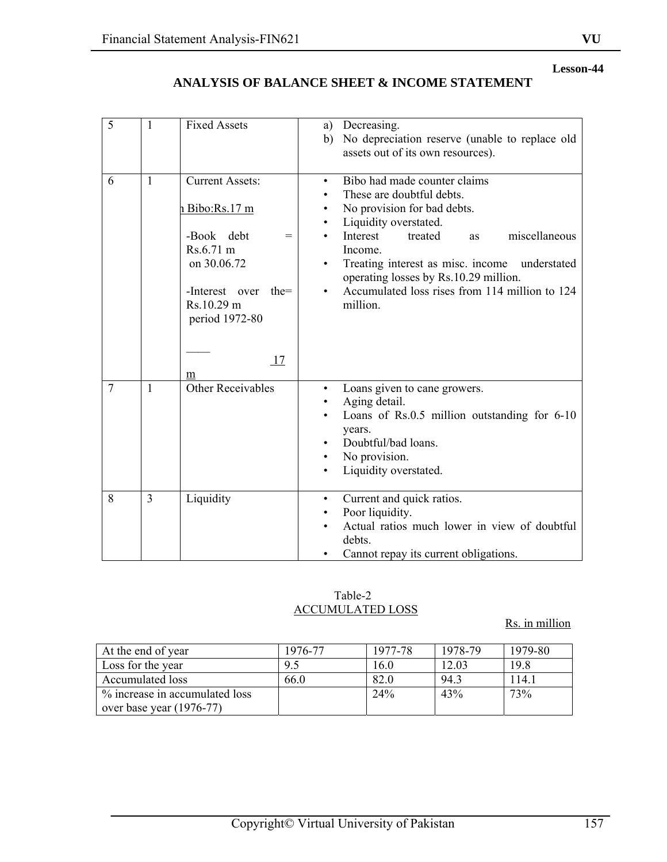### **Lesson-44**

| 5              | 1            | <b>Fixed Assets</b>                                                                                                                                                      | a) Decreasing.<br>No depreciation reserve (unable to replace old<br>b)<br>assets out of its own resources).                                                                                                                                                                                                                                                               |
|----------------|--------------|--------------------------------------------------------------------------------------------------------------------------------------------------------------------------|---------------------------------------------------------------------------------------------------------------------------------------------------------------------------------------------------------------------------------------------------------------------------------------------------------------------------------------------------------------------------|
| 6              | $\mathbf{1}$ | <b>Current Assets:</b><br><u>n Bibo:Rs.17 m</u><br>-Book debt<br>$=$<br>Rs.6.71 m<br>on 30.06.72<br>-Interest over<br>$the =$<br>Rs.10.29 m<br>period 1972-80<br>17<br>m | Bibo had made counter claims<br>$\bullet$<br>These are doubtful debts.<br>No provision for bad debts.<br>Liquidity overstated.<br>Interest<br>miscellaneous<br>treated<br>as<br>Income.<br>Treating interest as misc. income understated<br>$\bullet$<br>operating losses by Rs.10.29 million.<br>Accumulated loss rises from 114 million to 124<br>$\bullet$<br>million. |
| $\overline{7}$ | 1            | <b>Other Receivables</b>                                                                                                                                                 | Loans given to cane growers.<br>Aging detail.<br>Loans of Rs.0.5 million outstanding for 6-10<br>$\bullet$<br>years.<br>Doubtful/bad loans.<br>No provision.<br>Liquidity overstated.                                                                                                                                                                                     |
| 8              | 3            | Liquidity                                                                                                                                                                | Current and quick ratios.<br>$\bullet$<br>Poor liquidity.<br>$\bullet$<br>Actual ratios much lower in view of doubtful<br>debts.<br>Cannot repay its current obligations.                                                                                                                                                                                                 |

# **ANALYSIS OF BALANCE SHEET & INCOME STATEMENT**

## Table-2 ACCUMULATED LOSS

Rs. in million

| At the end of year             | 1976-77 | 1977-78 | 1978-79 | 1979-80 |
|--------------------------------|---------|---------|---------|---------|
| Loss for the year              | 9.5     | 16.0    | 12.03   | 198     |
| Accumulated loss               | 66.0    | 82.0    | 94.3    | 114.1   |
| % increase in accumulated loss |         | 24%     | 43%     | 73%     |
| over base year $(1976-77)$     |         |         |         |         |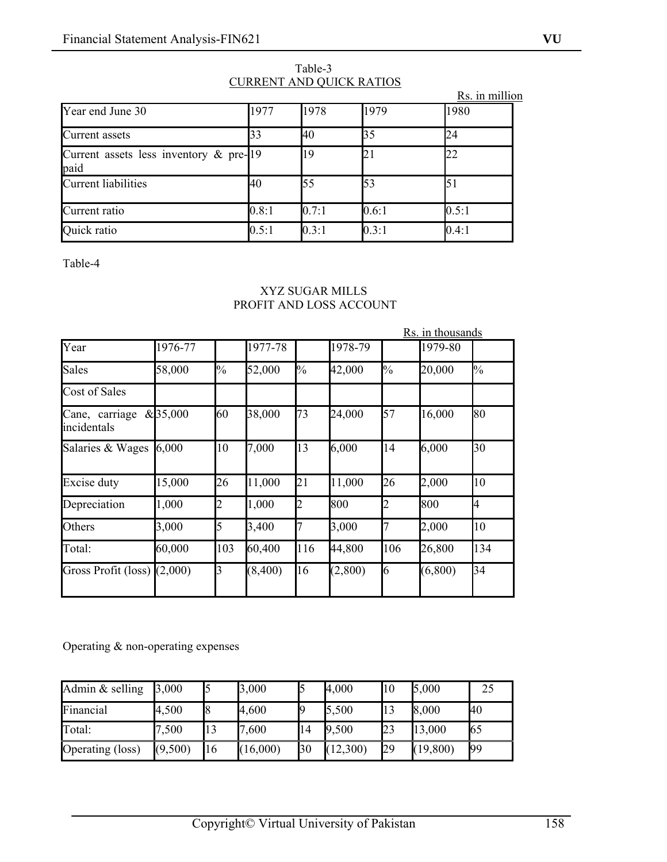|                                                |       |       |       | Rs. in million |
|------------------------------------------------|-------|-------|-------|----------------|
| Year end June 30                               | 1977  | 1978  | 1979  | 1980           |
| Current assets                                 | 33    | 40    | 35    | 24             |
| Current assets less inventory & pre-19<br>paid |       | 19    |       | 22             |
| <b>Current</b> liabilities                     | 40    | 55    | 53    |                |
| Current ratio                                  | 0.8:1 | 0.7:1 | 0.6:1 | 0.5:1          |
| Quick ratio                                    | 0.5:1 | 0.3:1 | 0.3:1 | 0.4:1          |

## Table-3 CURRENT AND QUICK RATIOS

Table-4

j

### XYZ SUGAR MILLS PROFIT AND LOSS ACCOUNT

|                               |         |                |         |               |         |               | Rs. in thousands |               |
|-------------------------------|---------|----------------|---------|---------------|---------|---------------|------------------|---------------|
| Year                          | 1976-77 |                | 1977-78 |               | 1978-79 |               | 1979-80          |               |
| <b>Sales</b>                  | 58,000  | $\frac{0}{0}$  | 52,000  | $\frac{0}{0}$ | 42,000  | $\frac{0}{0}$ | 20,000           | $\frac{0}{0}$ |
| <b>Cost of Sales</b>          |         |                |         |               |         |               |                  |               |
| Cane, carriage<br>incidentals | &35,000 | 60             | 38,000  | 73            | 24,000  | 57            | 16,000           | 80            |
| Salaries & Wages              | 6,000   | 10             | 7,000   | 13            | 6,000   | 14            | 6,000            | 30            |
| Excise duty                   | 15,000  | 26             | 11,000  | 21            | 11,000  | 26            | 2,000            | 10            |
| Depreciation                  | 1,000   | $\overline{2}$ | 1,000   | 2             | 800     | 2             | 800              | 4             |
| Others                        | 3,000   | 5              | 3,400   |               | 3,000   |               | 2,000            | 10            |
| Total:                        | 60,000  | 103            | 60,400  | 116           | 44,800  | 106           | 26,800           | 134           |
| Gross Profit (loss) $(2,000)$ |         | 3              | (8,400) | 16            | (2,800) | 6             | (6,800)          | 34            |

# Operating & non-operating expenses

| Admin $&$ selling | 3,000   |    | 3,000    |    | 4,000    |    | 5,000    | 25 |
|-------------------|---------|----|----------|----|----------|----|----------|----|
| Financial         | 4,500   | 8  | 4,600    |    | 5,500    |    | 8,000    | 40 |
| Total:            | 7,500   | 13 | 7,600    | 14 | 9,500    | 23 | 13,000   | 65 |
| Operating (loss)  | (9,500) | 16 | (16,000) | 30 | (12,300) | 29 | (19,800) | 99 |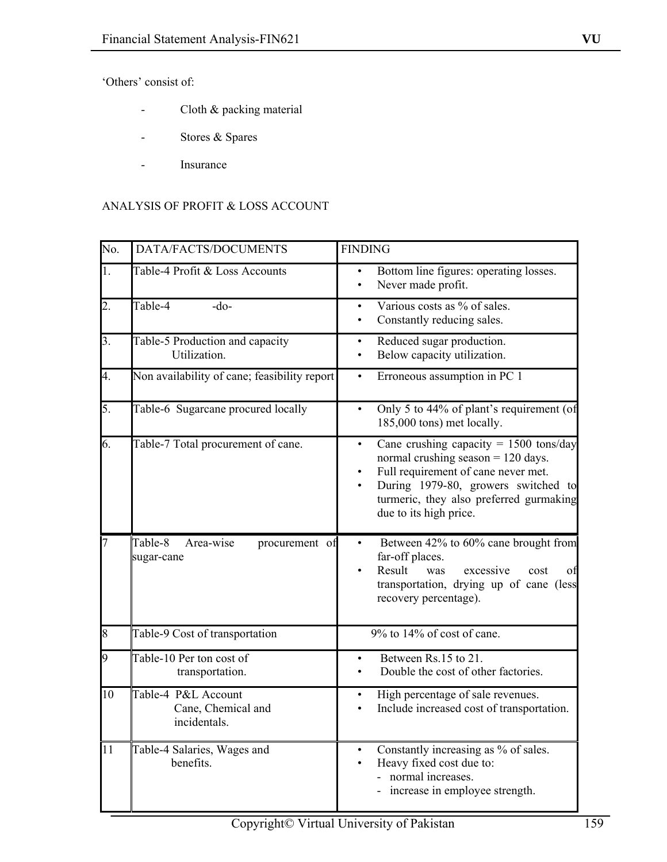'Others' consist of:

j

- Cloth & packing material
- Stores & Spares
- Insurance

## ANALYSIS OF PROFIT & LOSS ACCOUNT

| No.                  | DATA/FACTS/DOCUMENTS                                      | <b>FINDING</b>                                                                                                                                                                                                                                   |
|----------------------|-----------------------------------------------------------|--------------------------------------------------------------------------------------------------------------------------------------------------------------------------------------------------------------------------------------------------|
| 1.                   | Table-4 Profit & Loss Accounts                            | Bottom line figures: operating losses.<br>$\bullet$<br>Never made profit.<br>$\bullet$                                                                                                                                                           |
| 2.                   | Table-4<br>$-do-$                                         | Various costs as % of sales.<br>٠<br>Constantly reducing sales.<br>٠                                                                                                                                                                             |
| $\overline{\beta}$ . | Table-5 Production and capacity<br>Utilization.           | Reduced sugar production.<br>$\bullet$<br>Below capacity utilization.<br>$\bullet$                                                                                                                                                               |
| Ā.                   | Non availability of cane; feasibility report              | Erroneous assumption in PC 1<br>$\bullet$                                                                                                                                                                                                        |
| 5.                   | Table-6 Sugarcane procured locally                        | Only 5 to 44% of plant's requirement (of<br>$\bullet$<br>185,000 tons) met locally.                                                                                                                                                              |
| 6.                   | Table-7 Total procurement of cane.                        | Cane crushing capacity = $1500$ tons/day<br>$\bullet$<br>normal crushing season = $120$ days.<br>Full requirement of cane never met.<br>During 1979-80, growers switched to<br>turmeric, they also preferred gurmaking<br>due to its high price. |
| 7                    | Table-8<br>Area-wise<br>procurement of<br>sugar-cane      | Between 42% to 60% cane brought from<br>far-off places.<br>Result<br>was<br>excessive<br>cost<br>оf<br>transportation, drying up of cane (less<br>recovery percentage).                                                                          |
| $\overline{8}$       | Table-9 Cost of transportation                            | 9% to 14% of cost of cane.                                                                                                                                                                                                                       |
| 9                    | Table-10 Per ton cost of<br>transportation.               | Between Rs.15 to 21.<br>Double the cost of other factories.                                                                                                                                                                                      |
| 10                   | Table-4 P&L Account<br>Cane, Chemical and<br>incidentals. | High percentage of sale revenues.<br>Include increased cost of transportation.<br>$\bullet$                                                                                                                                                      |
| 11                   | Table-4 Salaries, Wages and<br>benefits.                  | Constantly increasing as % of sales.<br>$\bullet$<br>Heavy fixed cost due to:<br>- normal increases.<br>- increase in employee strength.                                                                                                         |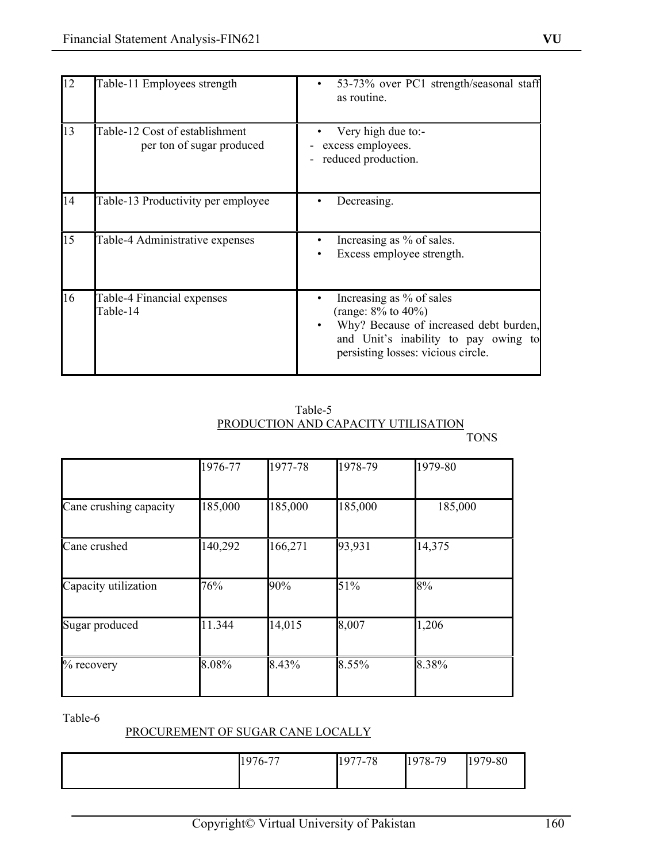| 12 | Table-11 Employees strength                                 | 53-73% over PC1 strength/seasonal staff<br>as routine.                                                                                                                        |
|----|-------------------------------------------------------------|-------------------------------------------------------------------------------------------------------------------------------------------------------------------------------|
| 13 | Table-12 Cost of establishment<br>per ton of sugar produced | Very high due to:-<br>excess employees.<br>reduced production.                                                                                                                |
| 14 | Table-13 Productivity per employee                          | Decreasing.                                                                                                                                                                   |
| 15 | Table-4 Administrative expenses                             | Increasing as % of sales.<br>Excess employee strength.                                                                                                                        |
| 16 | Table-4 Financial expenses<br>Table-14                      | Increasing as % of sales<br>(range: $8\%$ to $40\%$ )<br>Why? Because of increased debt burden,<br>and Unit's inability to pay owing to<br>persisting losses: vicious circle. |

Table-5 PRODUCTION AND CAPACITY UTILISATION

TONS

|                        | 1976-77 | 1977-78 | 1978-79 | 1979-80 |
|------------------------|---------|---------|---------|---------|
|                        |         |         |         |         |
| Cane crushing capacity | 185,000 | 185,000 | 185,000 | 185,000 |
|                        |         |         |         |         |
| Cane crushed           | 140,292 | 166,271 | 93,931  | 14,375  |
|                        |         |         |         |         |
| Capacity utilization   | 76%     | 90%     | 51%     | 8%      |
|                        |         |         |         |         |
| Sugar produced         | 11.344  | 14,015  | 8,007   | 1,206   |
| % recovery             | 8.08%   | 8.43%   | 8.55%   | 8.38%   |
|                        |         |         |         |         |
|                        |         |         |         |         |

Table-6

# PROCUREMENT OF SUGAR CANE LOCALLY

| 1978-79<br>$\overline{\phantom{a}}$<br>977<br>70<br>ົ $279-80$<br>$1976-$<br>70<br>''<br>$\prime$ $-$ |  |
|-------------------------------------------------------------------------------------------------------|--|
|-------------------------------------------------------------------------------------------------------|--|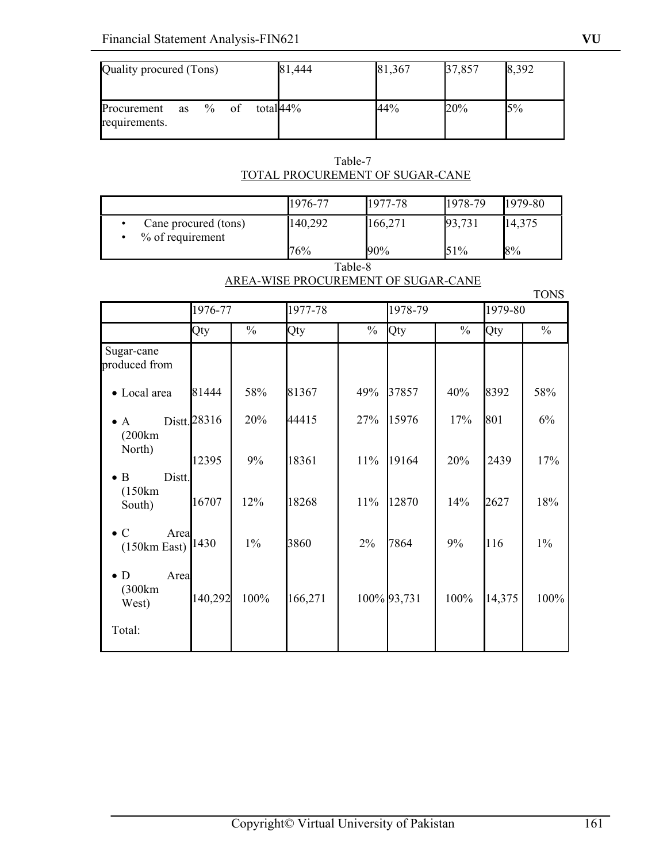| Quality procured (Tons)            |               |    | 81,444               | 81,367 | 37,857 | 8,392 |    |
|------------------------------------|---------------|----|----------------------|--------|--------|-------|----|
| Procurement<br>as<br>requirements. | $\frac{0}{0}$ | of | total <sup>44%</sup> |        | 44%    | 20%   | 5% |

Table-7 TOTAL PROCUREMENT OF SUGAR-CANE

|                                          | 1976-77 | 1977-78 | 1978-79 | 1979-80 |
|------------------------------------------|---------|---------|---------|---------|
| Cane procured (tons)<br>% of requirement | 140,292 | 166,271 | 93,731  | 14,375  |
|                                          | 76%     | 90%     | 51%     | 8%      |

Table-8

AREA-WISE PROCUREMENT OF SUGAR-CANE

|                                         |              |               |         |               |             |               |         | <b>TONS</b>   |
|-----------------------------------------|--------------|---------------|---------|---------------|-------------|---------------|---------|---------------|
|                                         | 1976-77      |               | 1977-78 |               | 1978-79     |               | 1979-80 |               |
|                                         | Qty          | $\frac{0}{0}$ | Qty     | $\frac{0}{0}$ | Qty         | $\frac{0}{0}$ | Qty     | $\frac{0}{0}$ |
| Sugar-cane<br>produced from             |              |               |         |               |             |               |         |               |
| • Local area                            | 81444        | 58%           | 81367   | 49%           | 37857       | 40%           | 8392    | 58%           |
| $\bullet$ A<br>(200km)                  | Distt. 28316 | 20%           | 44415   | 27%           | 15976       | 17%           | 801     | 6%            |
| North)<br>Distt.<br>B<br>$\bullet$      | 12395        | 9%            | 18361   | 11%           | 19164       | 20%           | 2439    | 17%           |
| (150km)<br>South)                       | 16707        | 12%           | 18268   | 11%           | 12870       | 14%           | 2627    | 18%           |
| $\bullet$ C<br>Area<br>$(150km$ East)   | 1430         | $1\%$         | 3860    | 2%            | 7864        | 9%            | 116     | $1\%$         |
| $\bullet$ D<br>Area<br>(300km)<br>West) | 140,292      | 100%          | 166,271 |               | 100% 93,731 | 100%          | 14,375  | 100%          |
| Total:                                  |              |               |         |               |             |               |         |               |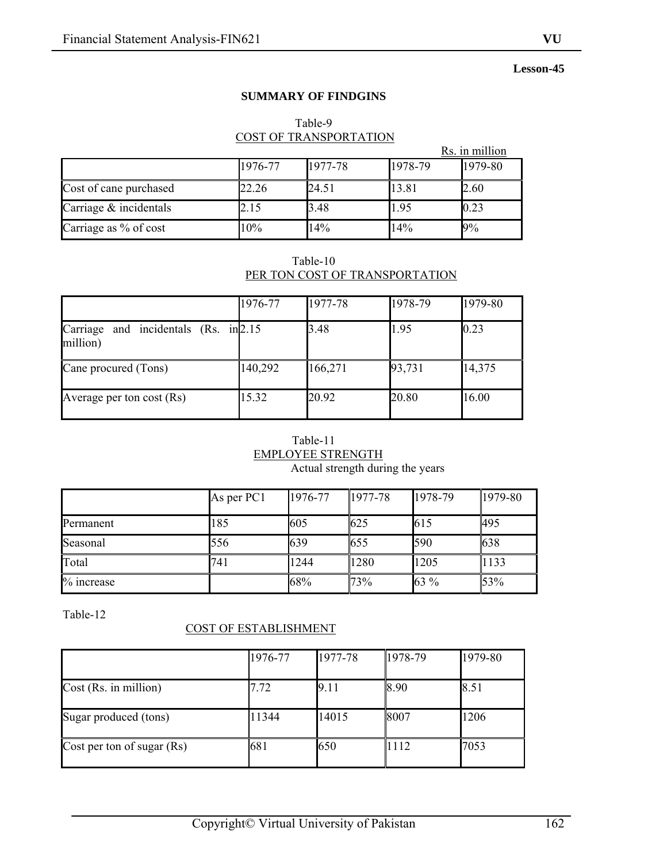## **Lesson-45**

### **SUMMARY OF FINDGINS**

## Table-9 COST OF TRANSPORTATION

|                        |         |         |         | Rs. in million |
|------------------------|---------|---------|---------|----------------|
|                        | 1976-77 | 1977-78 | 1978-79 | 1979-80        |
| Cost of cane purchased | 22.26   | 24.51   | 13.81   | 2.60           |
| Carriage & incidentals | 12.15   | 3.48    | 1.95    | 0.23           |
| Carriage as % of cost  | 10%     | 14%     | 14%     | 9%             |

Table-10 PER TON COST OF TRANSPORTATION

|                                                       | 1976-77 | 1977-78 | 1978-79 | 1979-80 |
|-------------------------------------------------------|---------|---------|---------|---------|
| and incidentals (Rs. in 2.15)<br>Carriage<br>million) |         | 3.48    | 1.95    | 0.23    |
| Cane procured (Tons)                                  | 140,292 | 166,271 | 93,731  | 14,375  |
| Average per ton cost (Rs)                             | 15.32   | 20.92   | 20.80   | 16.00   |

### Table-11 EMPLOYEE STRENGTH Actual strength during the years

|              | As per PC1 | 1976-77 | 1977-78 | 1978-79 | 1979-80 |
|--------------|------------|---------|---------|---------|---------|
| Permanent    | 185        | 605     | 625     | 615     | 495     |
| Seasonal     | 556        | 639     | 655     | 590     | 638     |
| Total        | 741        | 1244    | 1280    | 1205    | 1133    |
| $%$ increase |            | 68%     | 73%     | 63 %    | 53%     |

Table-12

## COST OF ESTABLISHMENT

|                              | 1976-77 | 1977-78 | 1978-79 | 1979-80 |
|------------------------------|---------|---------|---------|---------|
| Cost(Rs. in million)         | 7.72    | 9.11    | 8.90    | 8.51    |
| Sugar produced (tons)        | 11344   | 14015   | 8007    | 1206    |
| Cost per ton of sugar $(Rs)$ | 681     | 650     | 1112    | 7053    |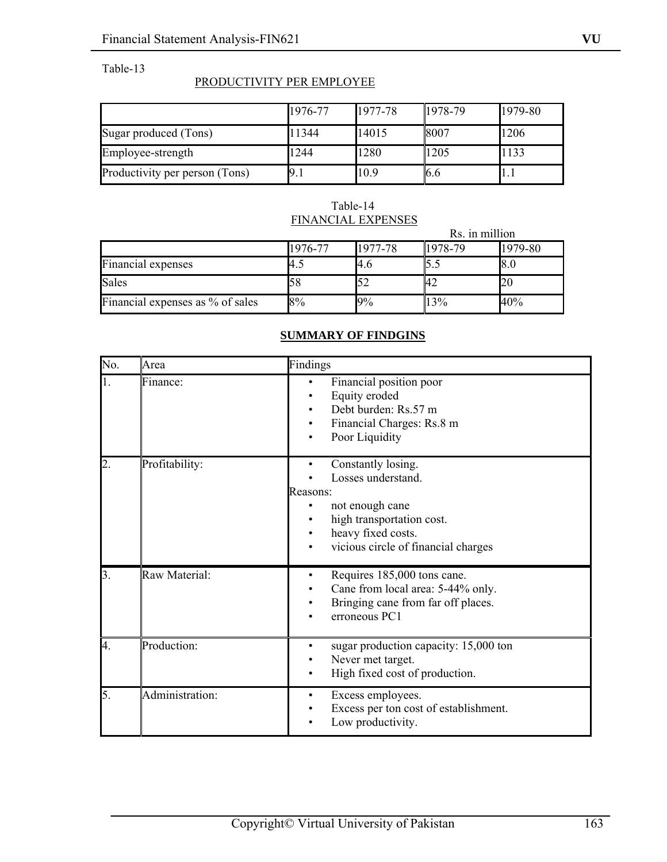Table-13

j

## PRODUCTIVITY PER EMPLOYEE

|                                | 1976-77 | 1977-78 | 1978-79 | 1979-80 |
|--------------------------------|---------|---------|---------|---------|
| Sugar produced (Tons)          | 11344   | 14015   | 8007    | 1206    |
| Employee-strength              | 1244    | 1280    | 1205    | 1133    |
| Productivity per person (Tons) | 9.1     | 10.9    | 6.6     |         |

### Table-14 FINANCIAL EXPENSES

|                                  |         |         | Rs. in million |         |
|----------------------------------|---------|---------|----------------|---------|
|                                  | 1976-77 | 1977-78 | 1978-79        | 1979-80 |
| Financial expenses               | 4.5     | 4.6     |                | $8.0\,$ |
| <b>Sales</b>                     |         |         | ΗZ             | 120     |
| Financial expenses as % of sales | 8%      | 9%      | 13%            | 40%     |

# **SUMMARY OF FINDGINS**

| No. | Area            | Findings                                                                                                                                                                    |
|-----|-----------------|-----------------------------------------------------------------------------------------------------------------------------------------------------------------------------|
| 1.  | Finance:        | Financial position poor<br>٠<br>Equity eroded<br>Debt burden: Rs.57 m<br>Financial Charges: Rs.8 m<br>Poor Liquidity                                                        |
| 2   | Profitability:  | Constantly losing.<br>٠<br>Losses understand.<br>Reasons:<br>not enough cane<br>٠<br>high transportation cost.<br>heavy fixed costs.<br>vicious circle of financial charges |
| 3.  | Raw Material:   | Requires 185,000 tons cane.<br>Cane from local area: 5-44% only.<br>Bringing cane from far off places.<br>erroneous PC1                                                     |
| 4.  | Production:     | sugar production capacity: 15,000 ton<br>$\bullet$<br>Never met target.<br>High fixed cost of production.                                                                   |
| 5.  | Administration: | Excess employees.<br>Excess per ton cost of establishment.<br>Low productivity.                                                                                             |